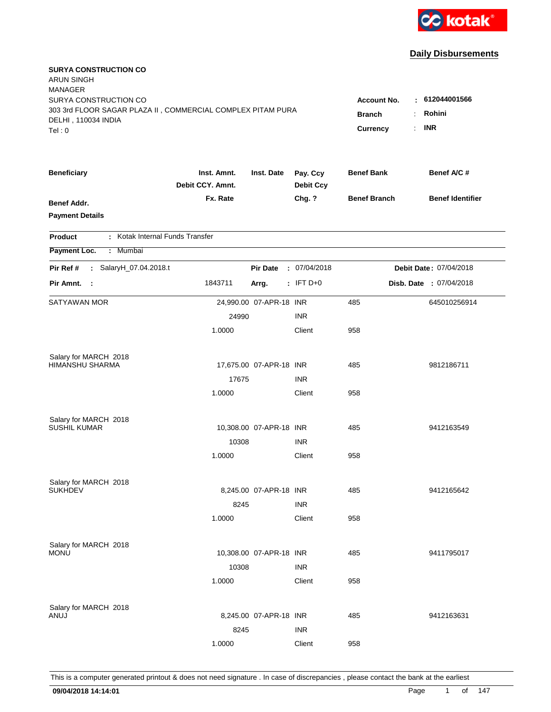

| <b>SURYA CONSTRUCTION CO</b><br><b>ARUN SINGH</b><br><b>MANAGER</b>                  |                                 |                         |                              |                     |    |                         |
|--------------------------------------------------------------------------------------|---------------------------------|-------------------------|------------------------------|---------------------|----|-------------------------|
| SURYA CONSTRUCTION CO<br>303 3rd FLOOR SAGAR PLAZA II, COMMERCIAL COMPLEX PITAM PURA |                                 |                         |                              | <b>Account No.</b>  |    | : 612044001566          |
| DELHI, 110034 INDIA                                                                  |                                 |                         |                              | <b>Branch</b>       |    | Rohini                  |
| Tel:0                                                                                |                                 |                         |                              | <b>Currency</b>     | ÷. | <b>INR</b>              |
| <b>Beneficiary</b>                                                                   | Inst. Amnt.<br>Debit CCY. Amnt. | Inst. Date              | Pay. Ccy<br><b>Debit Ccy</b> | <b>Benef Bank</b>   |    | Benef A/C #             |
| <b>Benef Addr.</b><br><b>Payment Details</b>                                         | Fx. Rate                        |                         | Chg. ?                       | <b>Benef Branch</b> |    | <b>Benef Identifier</b> |
| : Kotak Internal Funds Transfer<br><b>Product</b>                                    |                                 |                         |                              |                     |    |                         |
| Payment Loc.<br>: Mumbai                                                             |                                 |                         |                              |                     |    |                         |
| SalaryH_07.04.2018.t<br>Pir Ref #<br>$\mathcal{L}^{\mathcal{L}}$                     |                                 | <b>Pir Date</b>         | : 07/04/2018                 |                     |    | Debit Date: 07/04/2018  |
| Pir Amnt. :                                                                          | 1843711                         | Arrg.                   | $:$ IFT D+0                  |                     |    | Disb. Date : 07/04/2018 |
| <b>SATYAWAN MOR</b>                                                                  |                                 | 24,990.00 07-APR-18 INR |                              | 485                 |    | 645010256914            |
|                                                                                      | 24990                           |                         | <b>INR</b>                   |                     |    |                         |
|                                                                                      | 1.0000                          |                         | Client                       | 958                 |    |                         |
| Salary for MARCH 2018                                                                |                                 |                         |                              |                     |    |                         |
| HIMANSHU SHARMA                                                                      |                                 | 17,675.00 07-APR-18 INR |                              | 485                 |    | 9812186711              |
|                                                                                      | 17675                           |                         | <b>INR</b>                   |                     |    |                         |
|                                                                                      | 1.0000                          |                         | Client                       | 958                 |    |                         |
| Salary for MARCH 2018                                                                |                                 |                         |                              |                     |    |                         |
| <b>SUSHIL KUMAR</b>                                                                  |                                 | 10,308.00 07-APR-18 INR |                              | 485                 |    | 9412163549              |
|                                                                                      | 10308                           |                         | <b>INR</b>                   |                     |    |                         |
|                                                                                      | 1.0000                          |                         | Client                       | 958                 |    |                         |
| Salary for MARCH 2018                                                                |                                 |                         |                              |                     |    |                         |
| <b>SUKHDEV</b>                                                                       |                                 | 8,245.00 07-APR-18 INR  |                              | 485                 |    | 9412165642              |
|                                                                                      | 8245                            |                         | <b>INR</b>                   |                     |    |                         |
|                                                                                      | 1.0000                          |                         | Client                       | 958                 |    |                         |
| Salary for MARCH 2018                                                                |                                 |                         |                              |                     |    |                         |
| <b>MONU</b>                                                                          |                                 | 10,308.00 07-APR-18 INR |                              | 485                 |    | 9411795017              |
|                                                                                      | 10308                           |                         | <b>INR</b>                   |                     |    |                         |
|                                                                                      | 1.0000                          |                         | Client                       | 958                 |    |                         |
| Salary for MARCH 2018                                                                |                                 |                         |                              |                     |    |                         |
| ANUJ                                                                                 |                                 | 8,245.00 07-APR-18 INR  |                              | 485                 |    | 9412163631              |
|                                                                                      | 8245                            |                         | <b>INR</b>                   |                     |    |                         |
|                                                                                      | 1.0000                          |                         | Client                       | 958                 |    |                         |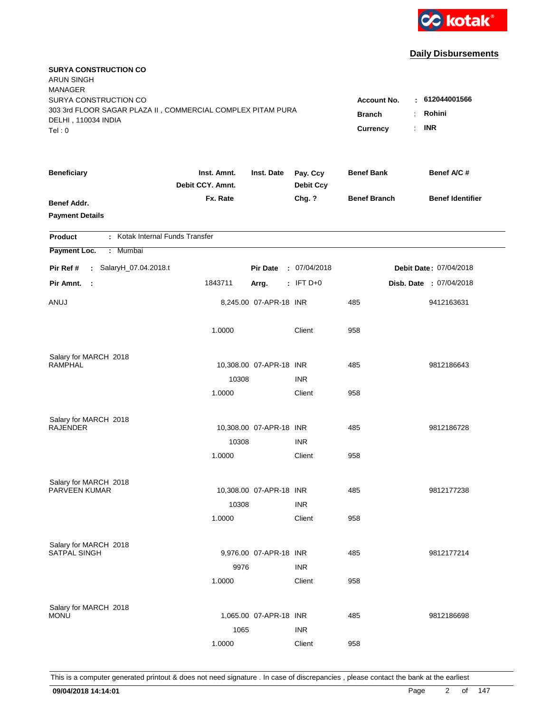

| <b>SURYA CONSTRUCTION CO</b><br><b>ARUN SINGH</b><br><b>MANAGER</b>                                         |                                 |                         |                              |                                     |                                 |
|-------------------------------------------------------------------------------------------------------------|---------------------------------|-------------------------|------------------------------|-------------------------------------|---------------------------------|
| SURYA CONSTRUCTION CO<br>303 3rd FLOOR SAGAR PLAZA II, COMMERCIAL COMPLEX PITAM PURA<br>DELHI, 110034 INDIA |                                 |                         |                              | <b>Account No.</b><br><b>Branch</b> | $-612044001566$<br>Rohini<br>÷. |
| Tel: 0                                                                                                      |                                 |                         |                              | Currency                            | <b>INR</b><br>÷.                |
| <b>Beneficiary</b>                                                                                          | Inst. Amnt.<br>Debit CCY. Amnt. | Inst. Date              | Pay. Ccy<br><b>Debit Ccy</b> | <b>Benef Bank</b>                   | Benef A/C #                     |
| <b>Benef Addr.</b><br><b>Payment Details</b>                                                                | Fx. Rate                        |                         | Chg. ?                       | <b>Benef Branch</b>                 | <b>Benef Identifier</b>         |
| : Kotak Internal Funds Transfer<br><b>Product</b>                                                           |                                 |                         |                              |                                     |                                 |
| Payment Loc.<br>: Mumbai                                                                                    |                                 |                         |                              |                                     |                                 |
| Pir Ref #<br>: SalaryH_07.04.2018.t                                                                         |                                 | <b>Pir Date</b>         | : 07/04/2018                 |                                     | Debit Date: 07/04/2018          |
| Pir Amnt.<br>- 1                                                                                            | 1843711                         | Arrg.                   | $:$ IFT D+0                  |                                     | Disb. Date : 07/04/2018         |
| ANUJ                                                                                                        |                                 | 8,245.00 07-APR-18 INR  |                              | 485                                 | 9412163631                      |
|                                                                                                             | 1.0000                          |                         | Client                       | 958                                 |                                 |
| Salary for MARCH 2018                                                                                       |                                 |                         |                              |                                     |                                 |
| <b>RAMPHAL</b>                                                                                              |                                 | 10,308.00 07-APR-18 INR |                              | 485                                 | 9812186643                      |
|                                                                                                             | 10308                           |                         | <b>INR</b>                   |                                     |                                 |
|                                                                                                             | 1.0000                          |                         | Client                       | 958                                 |                                 |
| Salary for MARCH 2018                                                                                       |                                 |                         |                              |                                     |                                 |
| <b>RAJENDER</b>                                                                                             |                                 | 10,308.00 07-APR-18 INR |                              | 485                                 | 9812186728                      |
|                                                                                                             | 10308                           |                         | <b>INR</b>                   |                                     |                                 |
|                                                                                                             | 1.0000                          |                         | Client                       | 958                                 |                                 |
| Salary for MARCH 2018                                                                                       |                                 |                         |                              |                                     |                                 |
| PARVEEN KUMAR                                                                                               |                                 | 10,308.00 07-APR-18 INR |                              | 485                                 | 9812177238                      |
|                                                                                                             | 10308                           |                         | <b>INR</b>                   |                                     |                                 |
|                                                                                                             | 1.0000                          |                         | Client                       | 958                                 |                                 |
| Salary for MARCH 2018                                                                                       |                                 |                         |                              |                                     |                                 |
| <b>SATPAL SINGH</b>                                                                                         |                                 | 9,976.00 07-APR-18 INR  |                              | 485                                 | 9812177214                      |
|                                                                                                             | 9976                            |                         | <b>INR</b>                   |                                     |                                 |
|                                                                                                             | 1.0000                          |                         | Client                       | 958                                 |                                 |
| Salary for MARCH 2018                                                                                       |                                 |                         |                              |                                     |                                 |
| <b>MONU</b>                                                                                                 |                                 | 1,065.00 07-APR-18 INR  |                              | 485                                 | 9812186698                      |
|                                                                                                             | 1065                            |                         | <b>INR</b>                   |                                     |                                 |
|                                                                                                             | 1.0000                          |                         | Client                       | 958                                 |                                 |
|                                                                                                             |                                 |                         |                              |                                     |                                 |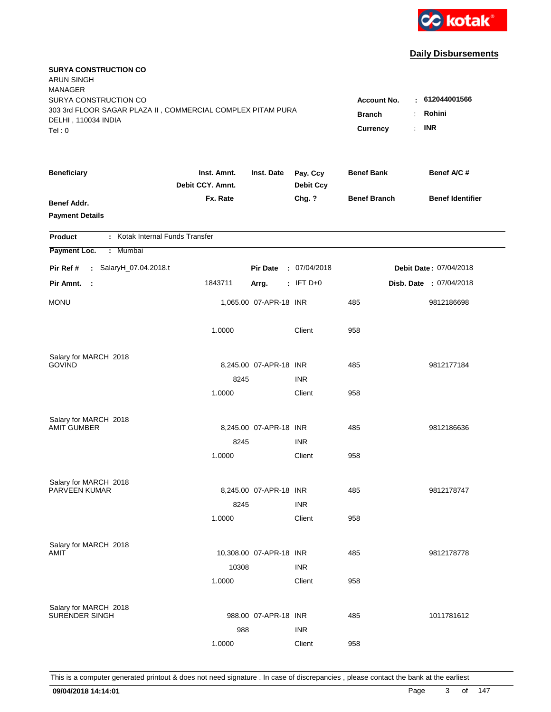

| <b>SURYA CONSTRUCTION CO</b><br><b>ARUN SINGH</b><br><b>MANAGER</b>                  |                                 |                         |                              |                                     |                                |
|--------------------------------------------------------------------------------------|---------------------------------|-------------------------|------------------------------|-------------------------------------|--------------------------------|
| SURYA CONSTRUCTION CO<br>303 3rd FLOOR SAGAR PLAZA II, COMMERCIAL COMPLEX PITAM PURA |                                 |                         |                              | <b>Account No.</b><br><b>Branch</b> | : 612044001566<br>Rohini<br>÷. |
| DELHI, 110034 INDIA<br>Tel: 0                                                        |                                 |                         |                              | Currency                            | <b>INR</b><br>÷.               |
| <b>Beneficiary</b>                                                                   | Inst. Amnt.<br>Debit CCY. Amnt. | Inst. Date              | Pay. Ccy<br><b>Debit Ccy</b> | <b>Benef Bank</b>                   | Benef A/C #                    |
| <b>Benef Addr.</b><br><b>Payment Details</b>                                         | Fx. Rate                        |                         | Chg. ?                       | <b>Benef Branch</b>                 | <b>Benef Identifier</b>        |
| : Kotak Internal Funds Transfer<br><b>Product</b>                                    |                                 |                         |                              |                                     |                                |
| Payment Loc.<br>: Mumbai                                                             |                                 |                         |                              |                                     |                                |
| Pir Ref #<br>: SalaryH_07.04.2018.t                                                  |                                 | <b>Pir Date</b>         | : 07/04/2018                 |                                     | Debit Date: 07/04/2018         |
| Pir Amnt.<br>- 1                                                                     | 1843711                         | Arrg.                   | $:$ IFT D+0                  |                                     | Disb. Date : 07/04/2018        |
| <b>MONU</b>                                                                          |                                 | 1,065.00 07-APR-18 INR  |                              | 485                                 | 9812186698                     |
|                                                                                      | 1.0000                          |                         | Client                       | 958                                 |                                |
| Salary for MARCH 2018                                                                |                                 |                         |                              |                                     |                                |
| <b>GOVIND</b>                                                                        |                                 | 8,245.00 07-APR-18 INR  |                              | 485                                 | 9812177184                     |
|                                                                                      | 8245                            |                         | <b>INR</b>                   |                                     |                                |
|                                                                                      | 1.0000                          |                         | Client                       | 958                                 |                                |
| Salary for MARCH 2018                                                                |                                 |                         |                              |                                     |                                |
| <b>AMIT GUMBER</b>                                                                   |                                 | 8,245.00 07-APR-18 INR  |                              | 485                                 | 9812186636                     |
|                                                                                      | 8245                            |                         | <b>INR</b>                   |                                     |                                |
|                                                                                      | 1.0000                          |                         | Client                       | 958                                 |                                |
| Salary for MARCH 2018                                                                |                                 |                         |                              |                                     |                                |
| PARVEEN KUMAR                                                                        |                                 | 8,245.00 07-APR-18 INR  |                              | 485                                 | 9812178747                     |
|                                                                                      | 8245                            |                         | <b>INR</b>                   |                                     |                                |
|                                                                                      | 1.0000                          |                         | Client                       | 958                                 |                                |
| Salary for MARCH 2018                                                                |                                 |                         |                              |                                     |                                |
| AMIT                                                                                 |                                 | 10,308.00 07-APR-18 INR |                              | 485                                 | 9812178778                     |
|                                                                                      | 10308                           |                         | <b>INR</b>                   |                                     |                                |
|                                                                                      | 1.0000                          |                         | Client                       | 958                                 |                                |
| Salary for MARCH 2018                                                                |                                 |                         |                              |                                     |                                |
| SURENDER SINGH                                                                       |                                 | 988.00 07-APR-18 INR    |                              | 485                                 | 1011781612                     |
|                                                                                      | 988                             |                         | <b>INR</b>                   |                                     |                                |
|                                                                                      | 1.0000                          |                         | Client                       | 958                                 |                                |
|                                                                                      |                                 |                         |                              |                                     |                                |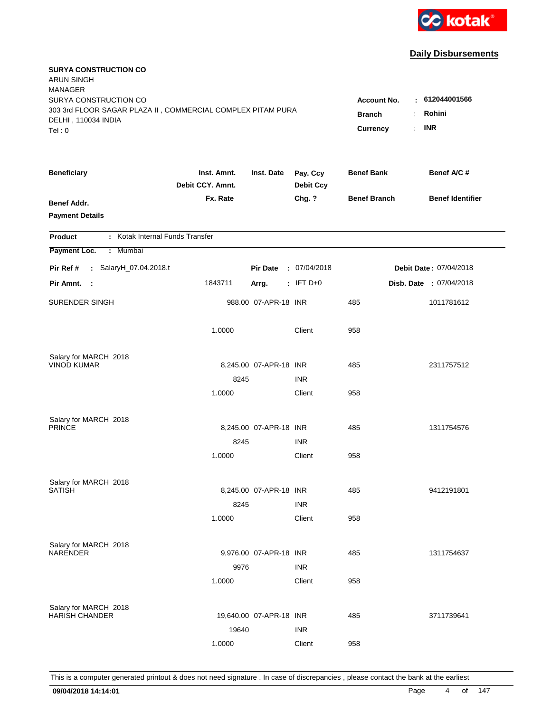

| <b>SURYA CONSTRUCTION CO</b><br><b>ARUN SINGH</b><br><b>MANAGER</b>                  |                                 |                         |                              |                                     |                                 |
|--------------------------------------------------------------------------------------|---------------------------------|-------------------------|------------------------------|-------------------------------------|---------------------------------|
| SURYA CONSTRUCTION CO<br>303 3rd FLOOR SAGAR PLAZA II, COMMERCIAL COMPLEX PITAM PURA |                                 |                         |                              | <b>Account No.</b><br><b>Branch</b> | $-612044001566$<br>Rohini<br>÷. |
| DELHI, 110034 INDIA<br>Tel: 0                                                        |                                 |                         |                              | Currency                            | <b>INR</b><br>÷.                |
| <b>Beneficiary</b>                                                                   | Inst. Amnt.<br>Debit CCY. Amnt. | Inst. Date              | Pay. Ccy<br><b>Debit Ccy</b> | <b>Benef Bank</b>                   | Benef A/C #                     |
| <b>Benef Addr.</b><br><b>Payment Details</b>                                         | Fx. Rate                        |                         | Chg. ?                       | <b>Benef Branch</b>                 | <b>Benef Identifier</b>         |
| : Kotak Internal Funds Transfer<br><b>Product</b>                                    |                                 |                         |                              |                                     |                                 |
| Payment Loc.<br>: Mumbai                                                             |                                 |                         |                              |                                     |                                 |
| Pir Ref #<br>: SalaryH_07.04.2018.t                                                  |                                 | <b>Pir Date</b>         | : 07/04/2018                 |                                     | Debit Date: 07/04/2018          |
| Pir Amnt.<br>$\sim$ 1                                                                | 1843711                         | Arrg.                   | $:$ IFT D+0                  |                                     | Disb. Date : 07/04/2018         |
| SURENDER SINGH                                                                       |                                 | 988.00 07-APR-18 INR    |                              | 485                                 | 1011781612                      |
|                                                                                      | 1.0000                          |                         | Client                       | 958                                 |                                 |
| Salary for MARCH 2018                                                                |                                 |                         |                              |                                     |                                 |
| <b>VINOD KUMAR</b>                                                                   |                                 | 8,245.00 07-APR-18 INR  |                              | 485                                 | 2311757512                      |
|                                                                                      | 8245<br>1.0000                  |                         | <b>INR</b><br>Client         | 958                                 |                                 |
|                                                                                      |                                 |                         |                              |                                     |                                 |
| Salary for MARCH 2018                                                                |                                 |                         |                              |                                     |                                 |
| <b>PRINCE</b>                                                                        |                                 | 8,245.00 07-APR-18 INR  |                              | 485                                 | 1311754576                      |
|                                                                                      | 8245                            |                         | <b>INR</b>                   |                                     |                                 |
|                                                                                      | 1.0000                          |                         | Client                       | 958                                 |                                 |
| Salary for MARCH 2018                                                                |                                 |                         |                              |                                     |                                 |
| <b>SATISH</b>                                                                        |                                 | 8,245.00 07-APR-18 INR  |                              | 485                                 | 9412191801                      |
|                                                                                      | 8245                            |                         | <b>INR</b>                   |                                     |                                 |
|                                                                                      | 1.0000                          |                         | Client                       | 958                                 |                                 |
| Salary for MARCH 2018                                                                |                                 |                         |                              |                                     |                                 |
| <b>NARENDER</b>                                                                      |                                 | 9,976.00 07-APR-18 INR  |                              | 485                                 | 1311754637                      |
|                                                                                      | 9976                            |                         | <b>INR</b>                   |                                     |                                 |
|                                                                                      | 1.0000                          |                         | Client                       | 958                                 |                                 |
|                                                                                      |                                 |                         |                              |                                     |                                 |
| Salary for MARCH 2018<br><b>HARISH CHANDER</b>                                       |                                 | 19,640.00 07-APR-18 INR |                              | 485                                 | 3711739641                      |
|                                                                                      | 19640                           |                         | <b>INR</b>                   |                                     |                                 |
|                                                                                      | 1.0000                          |                         | Client                       | 958                                 |                                 |
|                                                                                      |                                 |                         |                              |                                     |                                 |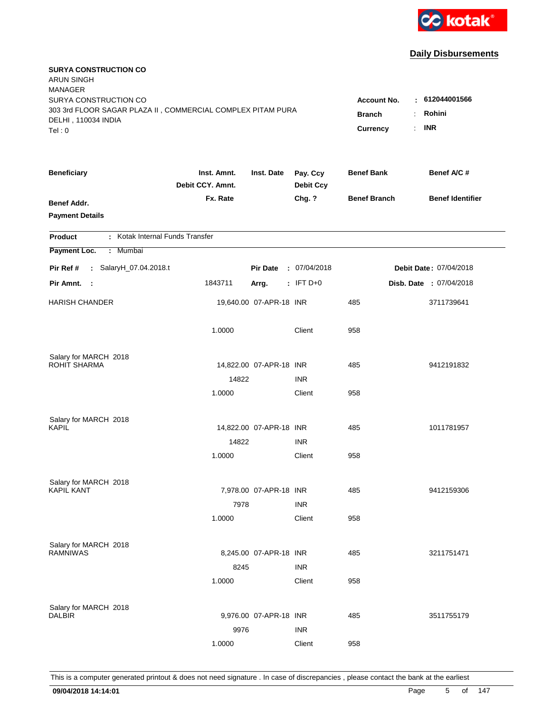

| <b>SURYA CONSTRUCTION CO</b><br><b>ARUN SINGH</b><br><b>MANAGER</b>                                         |                                 |                         |                              |                                                             |                          |
|-------------------------------------------------------------------------------------------------------------|---------------------------------|-------------------------|------------------------------|-------------------------------------------------------------|--------------------------|
| SURYA CONSTRUCTION CO<br>303 3rd FLOOR SAGAR PLAZA II, COMMERCIAL COMPLEX PITAM PURA<br>DELHI, 110034 INDIA |                                 |                         |                              | <b>Account No.</b><br><b>Branch</b><br>$\ddot{\phantom{a}}$ | : 612044001566<br>Rohini |
| Tel: 0                                                                                                      |                                 |                         |                              | $\mathbf{r}$<br>Currency                                    | <b>INR</b>               |
| <b>Beneficiary</b>                                                                                          | Inst. Amnt.<br>Debit CCY. Amnt. | Inst. Date              | Pay. Ccy<br><b>Debit Ccy</b> | <b>Benef Bank</b>                                           | Benef A/C #              |
| <b>Benef Addr.</b><br><b>Payment Details</b>                                                                | Fx. Rate                        |                         | Chg. ?                       | <b>Benef Branch</b>                                         | <b>Benef Identifier</b>  |
| : Kotak Internal Funds Transfer<br><b>Product</b>                                                           |                                 |                         |                              |                                                             |                          |
| Payment Loc.<br>: Mumbai                                                                                    |                                 |                         |                              |                                                             |                          |
| Pir Ref #<br>: SalaryH_07.04.2018.t                                                                         |                                 | <b>Pir Date</b>         | : 07/04/2018                 |                                                             | Debit Date: 07/04/2018   |
| Pir Amnt.<br>- 1                                                                                            | 1843711                         | Arrg.                   | $:$ IFT D+0                  |                                                             | Disb. Date : 07/04/2018  |
| <b>HARISH CHANDER</b>                                                                                       |                                 | 19,640.00 07-APR-18 INR |                              | 485                                                         | 3711739641               |
|                                                                                                             | 1.0000                          |                         | Client                       | 958                                                         |                          |
| Salary for MARCH 2018                                                                                       |                                 |                         |                              |                                                             |                          |
| <b>ROHIT SHARMA</b>                                                                                         |                                 | 14,822.00 07-APR-18 INR |                              | 485                                                         | 9412191832               |
|                                                                                                             | 14822                           |                         | <b>INR</b>                   |                                                             |                          |
|                                                                                                             | 1.0000                          |                         | Client                       | 958                                                         |                          |
| Salary for MARCH 2018                                                                                       |                                 |                         |                              |                                                             |                          |
| <b>KAPIL</b>                                                                                                |                                 | 14,822.00 07-APR-18 INR |                              | 485                                                         | 1011781957               |
|                                                                                                             | 14822                           |                         | <b>INR</b>                   |                                                             |                          |
|                                                                                                             | 1.0000                          |                         | Client                       | 958                                                         |                          |
| Salary for MARCH 2018                                                                                       |                                 |                         |                              |                                                             |                          |
| <b>KAPIL KANT</b>                                                                                           |                                 | 7,978.00 07-APR-18 INR  |                              | 485                                                         | 9412159306               |
|                                                                                                             | 7978                            |                         | <b>INR</b>                   |                                                             |                          |
|                                                                                                             | 1.0000                          |                         | Client                       | 958                                                         |                          |
| Salary for MARCH 2018                                                                                       |                                 |                         |                              |                                                             |                          |
| <b>RAMNIWAS</b>                                                                                             |                                 | 8,245.00 07-APR-18 INR  |                              | 485                                                         | 3211751471               |
|                                                                                                             | 8245                            |                         | <b>INR</b>                   |                                                             |                          |
|                                                                                                             | 1.0000                          |                         | Client                       | 958                                                         |                          |
|                                                                                                             |                                 |                         |                              |                                                             |                          |
| Salary for MARCH 2018<br><b>DALBIR</b>                                                                      |                                 | 9,976.00 07-APR-18 INR  |                              | 485                                                         | 3511755179               |
|                                                                                                             | 9976                            |                         | <b>INR</b>                   |                                                             |                          |
|                                                                                                             | 1.0000                          |                         | Client                       | 958                                                         |                          |
|                                                                                                             |                                 |                         |                              |                                                             |                          |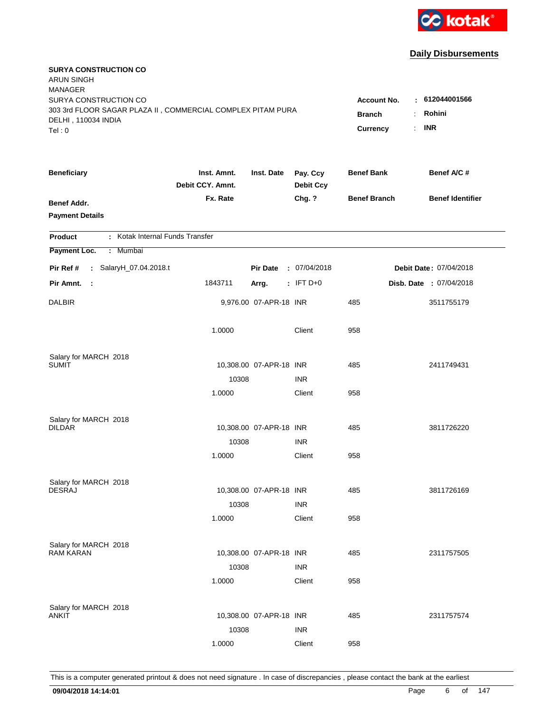

| <b>SURYA CONSTRUCTION CO</b><br><b>ARUN SINGH</b><br><b>MANAGER</b>                                         |                                 |                         |                              |                                                             |                          |
|-------------------------------------------------------------------------------------------------------------|---------------------------------|-------------------------|------------------------------|-------------------------------------------------------------|--------------------------|
| SURYA CONSTRUCTION CO<br>303 3rd FLOOR SAGAR PLAZA II, COMMERCIAL COMPLEX PITAM PURA<br>DELHI, 110034 INDIA |                                 |                         |                              | <b>Account No.</b><br><b>Branch</b><br>$\ddot{\phantom{a}}$ | : 612044001566<br>Rohini |
| Tel: 0                                                                                                      |                                 |                         |                              | Currency<br>÷.                                              | <b>INR</b>               |
| <b>Beneficiary</b>                                                                                          | Inst. Amnt.<br>Debit CCY. Amnt. | Inst. Date              | Pay. Ccy<br><b>Debit Ccy</b> | <b>Benef Bank</b>                                           | Benef A/C #              |
| <b>Benef Addr.</b><br><b>Payment Details</b>                                                                | Fx. Rate                        |                         | Chg. ?                       | <b>Benef Branch</b>                                         | <b>Benef Identifier</b>  |
| : Kotak Internal Funds Transfer<br><b>Product</b>                                                           |                                 |                         |                              |                                                             |                          |
| Payment Loc.<br>Mumbai<br>÷.                                                                                |                                 |                         |                              |                                                             |                          |
| Pir Ref #<br>: SalaryH_07.04.2018.t                                                                         |                                 | <b>Pir Date</b>         | : 07/04/2018                 |                                                             | Debit Date: 07/04/2018   |
| Pir Amnt.<br>- 1                                                                                            | 1843711                         | Arrg.                   | $:$ IFT D+0                  |                                                             | Disb. Date : 07/04/2018  |
| <b>DALBIR</b>                                                                                               |                                 | 9,976.00 07-APR-18 INR  |                              | 485                                                         | 3511755179               |
|                                                                                                             | 1.0000                          |                         | Client                       | 958                                                         |                          |
| Salary for MARCH 2018                                                                                       |                                 |                         |                              |                                                             |                          |
| <b>SUMIT</b>                                                                                                |                                 | 10,308.00 07-APR-18 INR |                              | 485                                                         | 2411749431               |
|                                                                                                             | 10308                           |                         | <b>INR</b>                   | 958                                                         |                          |
|                                                                                                             | 1.0000                          |                         | Client                       |                                                             |                          |
| Salary for MARCH 2018                                                                                       |                                 |                         |                              |                                                             |                          |
| <b>DILDAR</b>                                                                                               |                                 | 10,308.00 07-APR-18 INR |                              | 485                                                         | 3811726220               |
|                                                                                                             | 10308                           |                         | <b>INR</b>                   |                                                             |                          |
|                                                                                                             | 1.0000                          |                         | Client                       | 958                                                         |                          |
| Salary for MARCH 2018                                                                                       |                                 |                         |                              |                                                             |                          |
| <b>DESRAJ</b>                                                                                               |                                 | 10,308.00 07-APR-18 INR |                              | 485                                                         | 3811726169               |
|                                                                                                             | 10308                           |                         | <b>INR</b>                   |                                                             |                          |
|                                                                                                             | 1.0000                          |                         | Client                       | 958                                                         |                          |
| Salary for MARCH 2018                                                                                       |                                 |                         |                              |                                                             |                          |
| <b>RAM KARAN</b>                                                                                            |                                 | 10,308.00 07-APR-18 INR |                              | 485                                                         | 2311757505               |
|                                                                                                             | 10308                           |                         | <b>INR</b>                   |                                                             |                          |
|                                                                                                             | 1.0000                          |                         | Client                       | 958                                                         |                          |
|                                                                                                             |                                 |                         |                              |                                                             |                          |
| Salary for MARCH 2018<br>ANKIT                                                                              |                                 | 10,308.00 07-APR-18 INR |                              | 485                                                         | 2311757574               |
|                                                                                                             | 10308                           |                         | <b>INR</b>                   |                                                             |                          |
|                                                                                                             | 1.0000                          |                         | Client                       | 958                                                         |                          |
|                                                                                                             |                                 |                         |                              |                                                             |                          |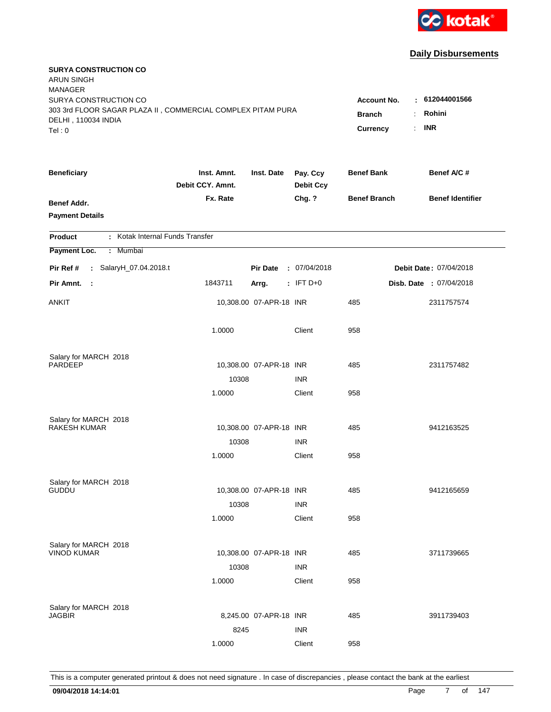

| <b>SURYA CONSTRUCTION CO</b><br><b>ARUN SINGH</b><br><b>MANAGER</b>                |                                 |                         |                              |                     |                         |
|------------------------------------------------------------------------------------|---------------------------------|-------------------------|------------------------------|---------------------|-------------------------|
| SURYA CONSTRUCTION CO                                                              |                                 |                         |                              | <b>Account No.</b>  | : 612044001566          |
| 303 3rd FLOOR SAGAR PLAZA II, COMMERCIAL COMPLEX PITAM PURA<br>DELHI, 110034 INDIA | <b>Branch</b>                   | Rohini<br>÷.            |                              |                     |                         |
| Tel: 0                                                                             |                                 |                         |                              | Currency            | <b>INR</b><br>÷.        |
|                                                                                    |                                 |                         |                              |                     |                         |
| <b>Beneficiary</b>                                                                 | Inst. Amnt.<br>Debit CCY. Amnt. | Inst. Date              | Pay. Ccy<br><b>Debit Ccy</b> | <b>Benef Bank</b>   | Benef A/C #             |
| Benef Addr.                                                                        | Fx. Rate                        |                         | Chg. ?                       | <b>Benef Branch</b> | <b>Benef Identifier</b> |
| <b>Payment Details</b>                                                             |                                 |                         |                              |                     |                         |
|                                                                                    |                                 |                         |                              |                     |                         |
| : Kotak Internal Funds Transfer<br><b>Product</b>                                  |                                 |                         |                              |                     |                         |
| Payment Loc.<br>: Mumbai                                                           |                                 |                         |                              |                     |                         |
| Pir Ref #<br>: SalaryH_07.04.2018.t                                                |                                 | <b>Pir Date</b>         | : 07/04/2018                 |                     | Debit Date: 07/04/2018  |
| Pir Amnt.<br>$\sim$ 1                                                              | 1843711                         | Arrg.                   | $:$ IFT D+0                  |                     | Disb. Date : 07/04/2018 |
| <b>ANKIT</b>                                                                       |                                 | 10,308.00 07-APR-18 INR |                              | 485                 | 2311757574              |
|                                                                                    | 1.0000                          |                         | Client                       | 958                 |                         |
| Salary for MARCH 2018                                                              |                                 |                         |                              |                     |                         |
| <b>PARDEEP</b>                                                                     |                                 | 10,308.00 07-APR-18 INR |                              | 485                 | 2311757482              |
|                                                                                    | 10308                           |                         | <b>INR</b>                   |                     |                         |
|                                                                                    | 1.0000                          |                         | Client                       | 958                 |                         |
| Salary for MARCH 2018                                                              |                                 |                         |                              |                     |                         |
| <b>RAKESH KUMAR</b>                                                                |                                 | 10,308.00 07-APR-18 INR |                              | 485                 | 9412163525              |
|                                                                                    | 10308                           |                         | <b>INR</b>                   |                     |                         |
|                                                                                    | 1.0000                          |                         | Client                       | 958                 |                         |
|                                                                                    |                                 |                         |                              |                     |                         |
| Salary for MARCH 2018<br><b>GUDDU</b>                                              |                                 | 10,308.00 07-APR-18 INR |                              | 485                 | 9412165659              |
|                                                                                    | 10308                           |                         | <b>INR</b>                   |                     |                         |
|                                                                                    | 1.0000                          |                         | Client                       | 958                 |                         |
|                                                                                    |                                 |                         |                              |                     |                         |
| Salary for MARCH 2018                                                              |                                 |                         |                              |                     |                         |
| <b>VINOD KUMAR</b>                                                                 |                                 | 10,308.00 07-APR-18 INR |                              | 485                 | 3711739665              |
|                                                                                    | 10308                           |                         | <b>INR</b>                   |                     |                         |
|                                                                                    | 1.0000                          |                         | Client                       | 958                 |                         |
|                                                                                    |                                 |                         |                              |                     |                         |
| Salary for MARCH 2018<br><b>JAGBIR</b>                                             |                                 | 8,245.00 07-APR-18 INR  |                              | 485                 | 3911739403              |
|                                                                                    | 8245                            |                         | <b>INR</b>                   |                     |                         |
|                                                                                    | 1.0000                          |                         | Client                       | 958                 |                         |
|                                                                                    |                                 |                         |                              |                     |                         |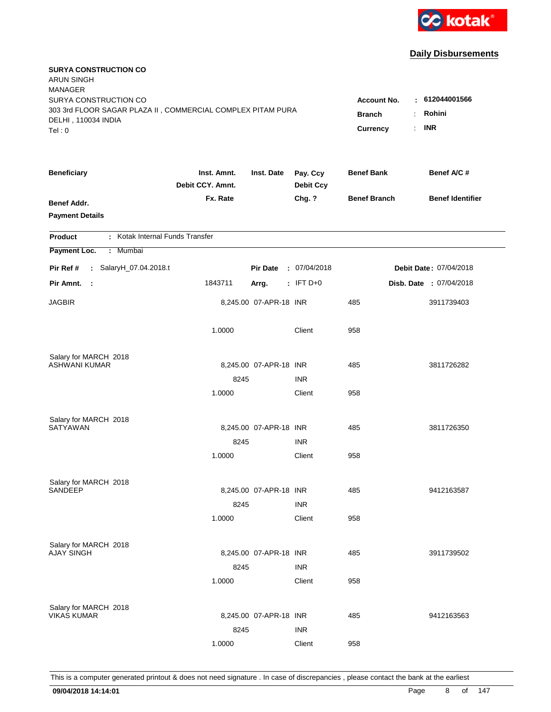

| <b>SURYA CONSTRUCTION CO</b><br><b>ARUN SINGH</b><br><b>MANAGER</b>                                         |                                 |                        |                              |                                     |                                |
|-------------------------------------------------------------------------------------------------------------|---------------------------------|------------------------|------------------------------|-------------------------------------|--------------------------------|
| SURYA CONSTRUCTION CO<br>303 3rd FLOOR SAGAR PLAZA II, COMMERCIAL COMPLEX PITAM PURA<br>DELHI, 110034 INDIA |                                 |                        |                              | <b>Account No.</b><br><b>Branch</b> | : 612044001566<br>Rohini<br>÷. |
| Tel: 0                                                                                                      |                                 |                        |                              | Currency                            | <b>INR</b><br>÷.               |
| <b>Beneficiary</b>                                                                                          | Inst. Amnt.<br>Debit CCY. Amnt. | Inst. Date             | Pay. Ccy<br><b>Debit Ccy</b> | <b>Benef Bank</b>                   | Benef A/C #                    |
| <b>Benef Addr.</b><br><b>Payment Details</b>                                                                | Fx. Rate                        |                        | Chg. ?                       | <b>Benef Branch</b>                 | <b>Benef Identifier</b>        |
| : Kotak Internal Funds Transfer<br><b>Product</b>                                                           |                                 |                        |                              |                                     |                                |
| Payment Loc.<br>: Mumbai                                                                                    |                                 |                        |                              |                                     |                                |
| Pir Ref #<br>: SalaryH_07.04.2018.t                                                                         |                                 | <b>Pir Date</b>        | : 07/04/2018                 |                                     | Debit Date: 07/04/2018         |
| Pir Amnt.<br>- 1                                                                                            | 1843711                         | Arrg.                  | $:$ IFT D+0                  |                                     | Disb. Date : 07/04/2018        |
| <b>JAGBIR</b>                                                                                               |                                 | 8,245.00 07-APR-18 INR |                              | 485                                 | 3911739403                     |
|                                                                                                             | 1.0000                          |                        | Client                       | 958                                 |                                |
| Salary for MARCH 2018                                                                                       |                                 |                        |                              |                                     |                                |
| ASHWANI KUMAR                                                                                               |                                 | 8,245.00 07-APR-18 INR |                              | 485                                 | 3811726282                     |
|                                                                                                             | 8245<br>1.0000                  |                        | <b>INR</b><br>Client         | 958                                 |                                |
|                                                                                                             |                                 |                        |                              |                                     |                                |
| Salary for MARCH 2018                                                                                       |                                 |                        |                              |                                     |                                |
| SATYAWAN                                                                                                    |                                 | 8,245.00 07-APR-18 INR |                              | 485                                 | 3811726350                     |
|                                                                                                             | 8245                            |                        | <b>INR</b>                   |                                     |                                |
|                                                                                                             | 1.0000                          |                        | Client                       | 958                                 |                                |
| Salary for MARCH 2018                                                                                       |                                 |                        |                              |                                     |                                |
| SANDEEP                                                                                                     |                                 | 8,245.00 07-APR-18 INR |                              | 485                                 | 9412163587                     |
|                                                                                                             | 8245                            |                        | <b>INR</b>                   |                                     |                                |
|                                                                                                             | 1.0000                          |                        | Client                       | 958                                 |                                |
| Salary for MARCH 2018                                                                                       |                                 |                        |                              |                                     |                                |
| <b>AJAY SINGH</b>                                                                                           |                                 | 8,245.00 07-APR-18 INR |                              | 485                                 | 3911739502                     |
|                                                                                                             | 8245                            |                        | <b>INR</b>                   |                                     |                                |
|                                                                                                             | 1.0000                          |                        | Client                       | 958                                 |                                |
|                                                                                                             |                                 |                        |                              |                                     |                                |
| Salary for MARCH 2018<br><b>VIKAS KUMAR</b>                                                                 |                                 | 8,245.00 07-APR-18 INR |                              | 485                                 | 9412163563                     |
|                                                                                                             | 8245                            |                        | <b>INR</b>                   |                                     |                                |
|                                                                                                             | 1.0000                          |                        | Client                       | 958                                 |                                |
|                                                                                                             |                                 |                        |                              |                                     |                                |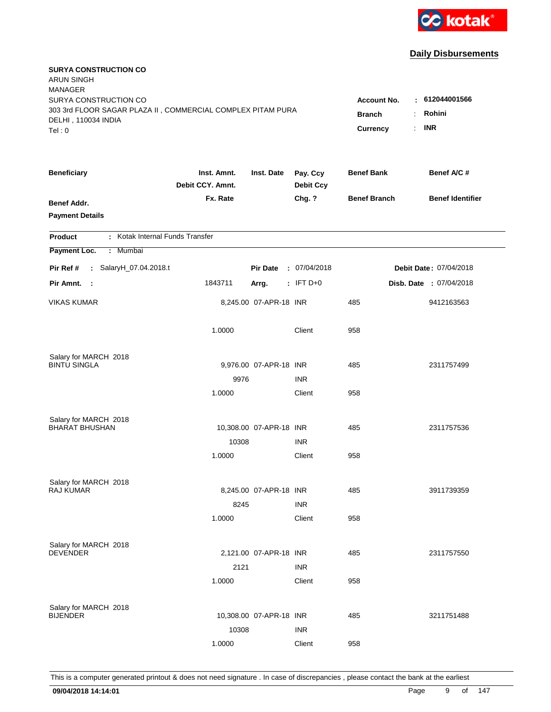

| <b>SURYA CONSTRUCTION CO</b><br>ARUN SINGH<br><b>MANAGER</b><br>SURYA CONSTRUCTION CO<br>303 3rd FLOOR SAGAR PLAZA II, COMMERCIAL COMPLEX PITAM PURA<br>DELHI, 110034 INDIA<br>Tel: 0 | <b>Account No.</b><br><b>Branch</b><br>Currency | : 612044001566<br>Rohini<br>÷<br><b>INR</b><br>÷. |                              |                     |                         |
|---------------------------------------------------------------------------------------------------------------------------------------------------------------------------------------|-------------------------------------------------|---------------------------------------------------|------------------------------|---------------------|-------------------------|
| <b>Beneficiary</b>                                                                                                                                                                    | Inst. Amnt.<br>Debit CCY. Amnt.                 | Inst. Date                                        | Pay. Ccy<br><b>Debit Ccy</b> | <b>Benef Bank</b>   | Benef A/C #             |
| <b>Benef Addr.</b><br><b>Payment Details</b>                                                                                                                                          | Fx. Rate                                        |                                                   | Chg. ?                       | <b>Benef Branch</b> | <b>Benef Identifier</b> |
| : Kotak Internal Funds Transfer<br>Product                                                                                                                                            |                                                 |                                                   |                              |                     |                         |
| Payment Loc.<br>: Mumbai                                                                                                                                                              |                                                 |                                                   |                              |                     |                         |
| : SalaryH_07.04.2018.t<br>Pir Ref #                                                                                                                                                   |                                                 | <b>Pir Date</b>                                   | : 07/04/2018                 |                     | Debit Date: 07/04/2018  |
| Pir Amnt. :                                                                                                                                                                           | 1843711                                         | Arrg.                                             | $:$ IFT D+0                  |                     | Disb. Date : 07/04/2018 |
| <b>VIKAS KUMAR</b>                                                                                                                                                                    |                                                 | 8,245.00 07-APR-18 INR                            |                              | 485                 | 9412163563              |
|                                                                                                                                                                                       | 1.0000                                          |                                                   | Client                       | 958                 |                         |
| Salary for MARCH 2018                                                                                                                                                                 |                                                 |                                                   |                              |                     |                         |
| <b>BINTU SINGLA</b>                                                                                                                                                                   |                                                 | 9,976.00 07-APR-18 INR                            |                              | 485                 | 2311757499              |
|                                                                                                                                                                                       | 9976                                            |                                                   | <b>INR</b>                   |                     |                         |
|                                                                                                                                                                                       | 1.0000                                          |                                                   | Client                       | 958                 |                         |
| Salary for MARCH 2018                                                                                                                                                                 |                                                 |                                                   |                              |                     |                         |
| <b>BHARAT BHUSHAN</b>                                                                                                                                                                 |                                                 | 10,308.00 07-APR-18 INR                           |                              | 485                 | 2311757536              |
|                                                                                                                                                                                       | 10308                                           |                                                   | <b>INR</b>                   |                     |                         |
|                                                                                                                                                                                       | 1.0000                                          |                                                   | Client                       | 958                 |                         |
| Salary for MARCH 2018                                                                                                                                                                 |                                                 |                                                   |                              |                     |                         |
| <b>RAJ KUMAR</b>                                                                                                                                                                      |                                                 | 8,245.00 07-APR-18 INR                            |                              | 485                 | 3911739359              |
|                                                                                                                                                                                       | 8245                                            |                                                   | <b>INR</b>                   |                     |                         |
|                                                                                                                                                                                       | 1.0000                                          |                                                   | Client                       | 958                 |                         |
| Salary for MARCH 2018                                                                                                                                                                 |                                                 |                                                   |                              |                     |                         |
| <b>DEVENDER</b>                                                                                                                                                                       |                                                 | 2,121.00 07-APR-18 INR                            |                              | 485                 | 2311757550              |
|                                                                                                                                                                                       | 2121                                            |                                                   | <b>INR</b>                   |                     |                         |
|                                                                                                                                                                                       | 1.0000                                          |                                                   | Client                       | 958                 |                         |
| Salary for MARCH 2018                                                                                                                                                                 |                                                 |                                                   |                              |                     |                         |
| <b>BIJENDER</b>                                                                                                                                                                       |                                                 | 10,308.00 07-APR-18 INR                           |                              | 485                 | 3211751488              |
|                                                                                                                                                                                       | 10308                                           |                                                   | <b>INR</b>                   |                     |                         |
|                                                                                                                                                                                       | 1.0000                                          |                                                   | Client                       | 958                 |                         |
|                                                                                                                                                                                       |                                                 |                                                   |                              |                     |                         |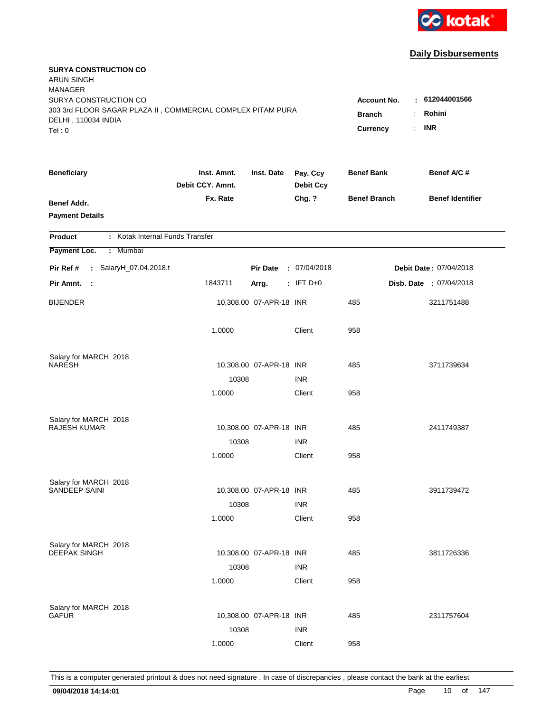

| <b>SURYA CONSTRUCTION CO</b><br><b>ARUN SINGH</b><br><b>MANAGER</b>                                                   |                                                 |                                 |                              |                     | $-612044001566$         |
|-----------------------------------------------------------------------------------------------------------------------|-------------------------------------------------|---------------------------------|------------------------------|---------------------|-------------------------|
| SURYA CONSTRUCTION CO<br>303 3rd FLOOR SAGAR PLAZA II, COMMERCIAL COMPLEX PITAM PURA<br>DELHI, 110034 INDIA<br>Tel: 0 | <b>Account No.</b><br><b>Branch</b><br>Currency | Rohini<br>÷<br><b>INR</b><br>÷. |                              |                     |                         |
|                                                                                                                       |                                                 |                                 |                              |                     |                         |
| <b>Beneficiary</b>                                                                                                    | Inst. Amnt.<br>Debit CCY. Amnt.                 | Inst. Date                      | Pay. Ccy<br><b>Debit Ccy</b> | <b>Benef Bank</b>   | Benef A/C #             |
| Benef Addr.<br><b>Payment Details</b>                                                                                 | Fx. Rate                                        |                                 | Chg. ?                       | <b>Benef Branch</b> | <b>Benef Identifier</b> |
| : Kotak Internal Funds Transfer<br><b>Product</b>                                                                     |                                                 |                                 |                              |                     |                         |
| Payment Loc.<br>: Mumbai                                                                                              |                                                 |                                 |                              |                     |                         |
| Pir Ref #<br>: SalaryH_07.04.2018.t                                                                                   |                                                 | <b>Pir Date</b>                 | : 07/04/2018                 |                     | Debit Date: 07/04/2018  |
| Pir Amnt.<br>- 1                                                                                                      | 1843711                                         | Arrg.                           | $:$ IFT D+0                  |                     | Disb. Date : 07/04/2018 |
| <b>BIJENDER</b>                                                                                                       |                                                 | 10,308.00 07-APR-18 INR         |                              | 485                 | 3211751488              |
|                                                                                                                       | 1.0000                                          |                                 | Client                       | 958                 |                         |
| Salary for MARCH 2018<br><b>NARESH</b>                                                                                |                                                 |                                 |                              | 485                 |                         |
|                                                                                                                       | 10308                                           | 10,308.00 07-APR-18 INR         | <b>INR</b>                   |                     | 3711739634              |
|                                                                                                                       | 1.0000                                          |                                 | Client                       | 958                 |                         |
|                                                                                                                       |                                                 |                                 |                              |                     |                         |
| Salary for MARCH 2018                                                                                                 |                                                 |                                 |                              |                     |                         |
| <b>RAJESH KUMAR</b>                                                                                                   |                                                 | 10,308.00 07-APR-18 INR         |                              | 485                 | 2411749387              |
|                                                                                                                       | 10308                                           |                                 | <b>INR</b>                   |                     |                         |
|                                                                                                                       | 1.0000                                          |                                 | Client                       | 958                 |                         |
| Salary for MARCH 2018                                                                                                 |                                                 |                                 |                              |                     |                         |
| SANDEEP SAINI                                                                                                         |                                                 | 10,308.00 07-APR-18 INR         |                              | 485                 | 3911739472              |
|                                                                                                                       | 10308                                           |                                 | <b>INR</b>                   |                     |                         |
|                                                                                                                       | 1.0000                                          |                                 | Client                       | 958                 |                         |
| Salary for MARCH 2018                                                                                                 |                                                 |                                 |                              |                     |                         |
| <b>DEEPAK SINGH</b>                                                                                                   |                                                 | 10,308.00 07-APR-18 INR         |                              | 485                 | 3811726336              |
|                                                                                                                       | 10308                                           |                                 | <b>INR</b>                   |                     |                         |
|                                                                                                                       | 1.0000                                          |                                 | Client                       | 958                 |                         |
|                                                                                                                       |                                                 |                                 |                              |                     |                         |
| Salary for MARCH 2018<br>GAFUR                                                                                        |                                                 | 10,308.00 07-APR-18 INR         |                              | 485                 | 2311757604              |
|                                                                                                                       | 10308                                           |                                 | <b>INR</b>                   |                     |                         |
|                                                                                                                       | 1.0000                                          |                                 | Client                       | 958                 |                         |
|                                                                                                                       |                                                 |                                 |                              |                     |                         |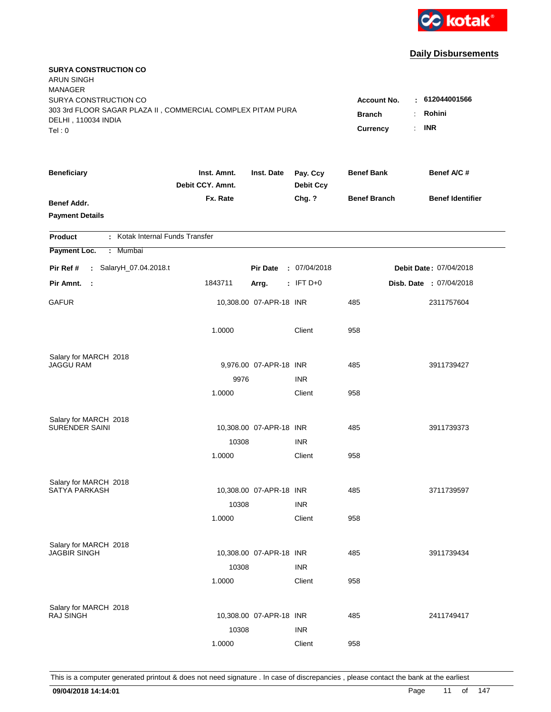

| <b>SURYA CONSTRUCTION CO</b><br><b>ARUN SINGH</b><br><b>MANAGER</b>                                         |                                 |                         |                              |                                     |                                 |
|-------------------------------------------------------------------------------------------------------------|---------------------------------|-------------------------|------------------------------|-------------------------------------|---------------------------------|
| SURYA CONSTRUCTION CO<br>303 3rd FLOOR SAGAR PLAZA II, COMMERCIAL COMPLEX PITAM PURA<br>DELHI, 110034 INDIA |                                 |                         |                              | <b>Account No.</b><br><b>Branch</b> | $-612044001566$<br>Rohini<br>÷. |
| Tel: 0                                                                                                      |                                 |                         |                              | Currency                            | <b>INR</b><br>÷.                |
| <b>Beneficiary</b>                                                                                          | Inst. Amnt.<br>Debit CCY. Amnt. | Inst. Date              | Pay. Ccy<br><b>Debit Ccy</b> | <b>Benef Bank</b>                   | Benef A/C #                     |
| <b>Benef Addr.</b><br><b>Payment Details</b>                                                                | Fx. Rate                        |                         | Chg. ?                       | <b>Benef Branch</b>                 | <b>Benef Identifier</b>         |
| : Kotak Internal Funds Transfer<br><b>Product</b>                                                           |                                 |                         |                              |                                     |                                 |
| Payment Loc.<br>: Mumbai                                                                                    |                                 |                         |                              |                                     |                                 |
| Pir Ref #<br>: SalaryH_07.04.2018.t                                                                         |                                 | <b>Pir Date</b>         | : 07/04/2018                 |                                     | Debit Date: 07/04/2018          |
| Pir Amnt.<br>$\mathbb{R}^2$                                                                                 | 1843711                         | Arrg.                   | $:$ IFT D+0                  |                                     | Disb. Date : 07/04/2018         |
| <b>GAFUR</b>                                                                                                |                                 | 10,308.00 07-APR-18 INR |                              | 485                                 | 2311757604                      |
|                                                                                                             | 1.0000                          |                         | Client                       | 958                                 |                                 |
| Salary for MARCH 2018                                                                                       |                                 |                         |                              |                                     |                                 |
| JAGGU RAM                                                                                                   |                                 | 9,976.00 07-APR-18 INR  | <b>INR</b>                   | 485                                 | 3911739427                      |
|                                                                                                             | 9976<br>1.0000                  |                         | Client                       | 958                                 |                                 |
|                                                                                                             |                                 |                         |                              |                                     |                                 |
| Salary for MARCH 2018                                                                                       |                                 |                         |                              |                                     |                                 |
| <b>SURENDER SAINI</b>                                                                                       |                                 | 10,308.00 07-APR-18 INR |                              | 485                                 | 3911739373                      |
|                                                                                                             | 10308                           |                         | <b>INR</b>                   |                                     |                                 |
|                                                                                                             | 1.0000                          |                         | Client                       | 958                                 |                                 |
| Salary for MARCH 2018                                                                                       |                                 |                         |                              |                                     |                                 |
| SATYA PARKASH                                                                                               |                                 | 10,308.00 07-APR-18 INR |                              | 485                                 | 3711739597                      |
|                                                                                                             | 10308                           |                         | <b>INR</b>                   |                                     |                                 |
|                                                                                                             | 1.0000                          |                         | Client                       | 958                                 |                                 |
| Salary for MARCH 2018                                                                                       |                                 |                         |                              |                                     |                                 |
| <b>JAGBIR SINGH</b>                                                                                         |                                 | 10,308.00 07-APR-18 INR |                              | 485                                 | 3911739434                      |
|                                                                                                             | 10308                           |                         | <b>INR</b>                   |                                     |                                 |
|                                                                                                             | 1.0000                          |                         | Client                       | 958                                 |                                 |
|                                                                                                             |                                 |                         |                              |                                     |                                 |
| Salary for MARCH 2018<br><b>RAJ SINGH</b>                                                                   |                                 | 10,308.00 07-APR-18 INR |                              | 485                                 | 2411749417                      |
|                                                                                                             | 10308                           |                         | <b>INR</b>                   |                                     |                                 |
|                                                                                                             | 1.0000                          |                         | Client                       | 958                                 |                                 |
|                                                                                                             |                                 |                         |                              |                                     |                                 |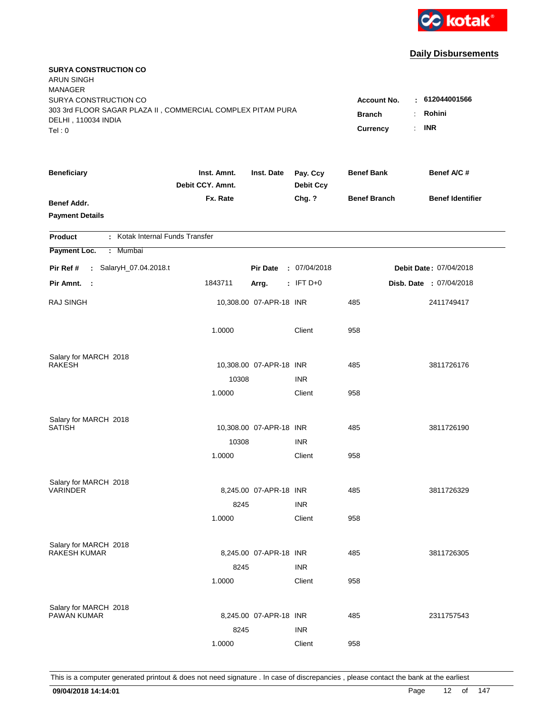

| <b>SURYA CONSTRUCTION CO</b><br><b>ARUN SINGH</b><br><b>MANAGER</b>                                         |                                 |                         |                              |                                                 |                                                          |
|-------------------------------------------------------------------------------------------------------------|---------------------------------|-------------------------|------------------------------|-------------------------------------------------|----------------------------------------------------------|
| SURYA CONSTRUCTION CO<br>303 3rd FLOOR SAGAR PLAZA II, COMMERCIAL COMPLEX PITAM PURA<br>DELHI, 110034 INDIA |                                 |                         |                              | <b>Account No.</b><br><b>Branch</b><br>Currency | $-612044001566$<br>Rohini<br>÷.<br><b>INR</b><br>$\cdot$ |
| Tel:0                                                                                                       |                                 |                         |                              |                                                 |                                                          |
| <b>Beneficiary</b>                                                                                          | Inst. Amnt.<br>Debit CCY. Amnt. | Inst. Date              | Pay. Ccy<br><b>Debit Ccy</b> | <b>Benef Bank</b>                               | Benef A/C #                                              |
| <b>Benef Addr.</b><br><b>Payment Details</b>                                                                | Fx. Rate                        |                         | Chg. ?                       | <b>Benef Branch</b>                             | <b>Benef Identifier</b>                                  |
| : Kotak Internal Funds Transfer<br><b>Product</b>                                                           |                                 |                         |                              |                                                 |                                                          |
| Payment Loc.<br>: Mumbai                                                                                    |                                 |                         |                              |                                                 |                                                          |
| Pir Ref #<br>: SalaryH_07.04.2018.t                                                                         |                                 | <b>Pir Date</b>         | : 07/04/2018                 |                                                 | Debit Date: 07/04/2018                                   |
| Pir Amnt.<br>- 1                                                                                            | 1843711                         | Arrg.                   | $:$ IFT D+0                  |                                                 | Disb. Date : 07/04/2018                                  |
| <b>RAJ SINGH</b>                                                                                            |                                 | 10,308.00 07-APR-18 INR |                              | 485                                             | 2411749417                                               |
|                                                                                                             | 1.0000                          |                         | Client                       | 958                                             |                                                          |
| Salary for MARCH 2018                                                                                       |                                 |                         |                              |                                                 |                                                          |
| <b>RAKESH</b>                                                                                               |                                 | 10,308.00 07-APR-18 INR |                              | 485                                             | 3811726176                                               |
|                                                                                                             | 10308<br>1.0000                 |                         | <b>INR</b><br>Client         | 958                                             |                                                          |
|                                                                                                             |                                 |                         |                              |                                                 |                                                          |
| Salary for MARCH 2018                                                                                       |                                 |                         |                              |                                                 |                                                          |
| <b>SATISH</b>                                                                                               |                                 | 10,308.00 07-APR-18 INR |                              | 485                                             | 3811726190                                               |
|                                                                                                             | 10308                           |                         | <b>INR</b>                   |                                                 |                                                          |
|                                                                                                             | 1.0000                          |                         | Client                       | 958                                             |                                                          |
| Salary for MARCH 2018                                                                                       |                                 |                         |                              |                                                 |                                                          |
| <b>VARINDER</b>                                                                                             |                                 | 8,245.00 07-APR-18 INR  |                              | 485                                             | 3811726329                                               |
|                                                                                                             | 8245                            |                         | <b>INR</b>                   |                                                 |                                                          |
|                                                                                                             | 1.0000                          |                         | Client                       | 958                                             |                                                          |
| Salary for MARCH 2018                                                                                       |                                 |                         |                              |                                                 |                                                          |
| <b>RAKESH KUMAR</b>                                                                                         |                                 | 8,245.00 07-APR-18 INR  |                              | 485                                             | 3811726305                                               |
|                                                                                                             | 8245                            |                         | <b>INR</b>                   |                                                 |                                                          |
|                                                                                                             | 1.0000                          |                         | Client                       | 958                                             |                                                          |
| Salary for MARCH 2018                                                                                       |                                 |                         |                              |                                                 |                                                          |
| <b>PAWAN KUMAR</b>                                                                                          |                                 | 8,245.00 07-APR-18 INR  |                              | 485                                             | 2311757543                                               |
|                                                                                                             | 8245                            |                         | <b>INR</b>                   |                                                 |                                                          |
|                                                                                                             | 1.0000                          |                         | Client                       | 958                                             |                                                          |
|                                                                                                             |                                 |                         |                              |                                                 |                                                          |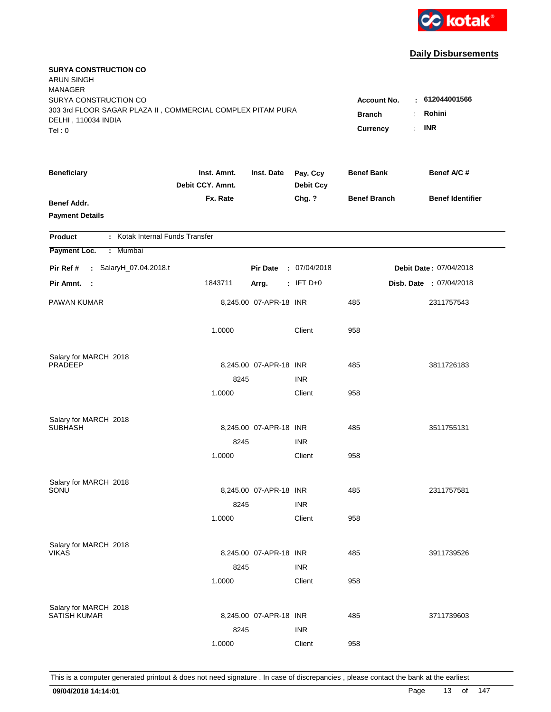

| <b>SURYA CONSTRUCTION CO</b><br><b>ARUN SINGH</b><br><b>MANAGER</b>                |                                 |                        |                              |                     |                         |
|------------------------------------------------------------------------------------|---------------------------------|------------------------|------------------------------|---------------------|-------------------------|
| SURYA CONSTRUCTION CO                                                              |                                 |                        |                              | <b>Account No.</b>  | : 612044001566          |
| 303 3rd FLOOR SAGAR PLAZA II, COMMERCIAL COMPLEX PITAM PURA<br>DELHI, 110034 INDIA | <b>Branch</b>                   | Rohini<br>÷.           |                              |                     |                         |
| Tel: 0                                                                             |                                 |                        |                              | Currency            | <b>INR</b><br>÷.        |
|                                                                                    |                                 |                        |                              |                     |                         |
| <b>Beneficiary</b>                                                                 | Inst. Amnt.<br>Debit CCY. Amnt. | Inst. Date             | Pay. Ccy<br><b>Debit Ccy</b> | <b>Benef Bank</b>   | Benef A/C #             |
| Benef Addr.                                                                        | Fx. Rate                        |                        | Chg. ?                       | <b>Benef Branch</b> | <b>Benef Identifier</b> |
| <b>Payment Details</b>                                                             |                                 |                        |                              |                     |                         |
|                                                                                    |                                 |                        |                              |                     |                         |
| : Kotak Internal Funds Transfer<br><b>Product</b>                                  |                                 |                        |                              |                     |                         |
| Payment Loc.<br>: Mumbai                                                           |                                 |                        |                              |                     |                         |
| Pir Ref #<br>: SalaryH_07.04.2018.t                                                |                                 | <b>Pir Date</b>        | : 07/04/2018                 |                     | Debit Date: 07/04/2018  |
| Pir Amnt.<br>- 1                                                                   | 1843711                         | Arrg.                  | $:$ IFT D+0                  |                     | Disb. Date : 07/04/2018 |
| PAWAN KUMAR                                                                        |                                 | 8,245.00 07-APR-18 INR |                              | 485                 | 2311757543              |
|                                                                                    | 1.0000                          |                        | Client                       | 958                 |                         |
| Salary for MARCH 2018                                                              |                                 |                        |                              |                     |                         |
| <b>PRADEEP</b>                                                                     |                                 | 8,245.00 07-APR-18 INR |                              | 485                 | 3811726183              |
|                                                                                    | 8245                            |                        | <b>INR</b>                   |                     |                         |
|                                                                                    | 1.0000                          |                        | Client                       | 958                 |                         |
| Salary for MARCH 2018                                                              |                                 |                        |                              |                     |                         |
| <b>SUBHASH</b>                                                                     |                                 | 8,245.00 07-APR-18 INR |                              | 485                 | 3511755131              |
|                                                                                    | 8245                            |                        | <b>INR</b>                   |                     |                         |
|                                                                                    | 1.0000                          |                        | Client                       | 958                 |                         |
|                                                                                    |                                 |                        |                              |                     |                         |
| Salary for MARCH 2018<br>SONU                                                      |                                 | 8,245.00 07-APR-18 INR |                              | 485                 | 2311757581              |
|                                                                                    | 8245                            |                        | <b>INR</b>                   |                     |                         |
|                                                                                    | 1.0000                          |                        | Client                       | 958                 |                         |
|                                                                                    |                                 |                        |                              |                     |                         |
| Salary for MARCH 2018                                                              |                                 |                        |                              |                     |                         |
| <b>VIKAS</b>                                                                       |                                 | 8,245.00 07-APR-18 INR |                              | 485                 | 3911739526              |
|                                                                                    | 8245                            |                        | <b>INR</b>                   |                     |                         |
|                                                                                    | 1.0000                          |                        | Client                       | 958                 |                         |
|                                                                                    |                                 |                        |                              |                     |                         |
| Salary for MARCH 2018<br>SATISH KUMAR                                              |                                 | 8,245.00 07-APR-18 INR |                              | 485                 | 3711739603              |
|                                                                                    | 8245                            |                        | <b>INR</b>                   |                     |                         |
|                                                                                    | 1.0000                          |                        | Client                       | 958                 |                         |
|                                                                                    |                                 |                        |                              |                     |                         |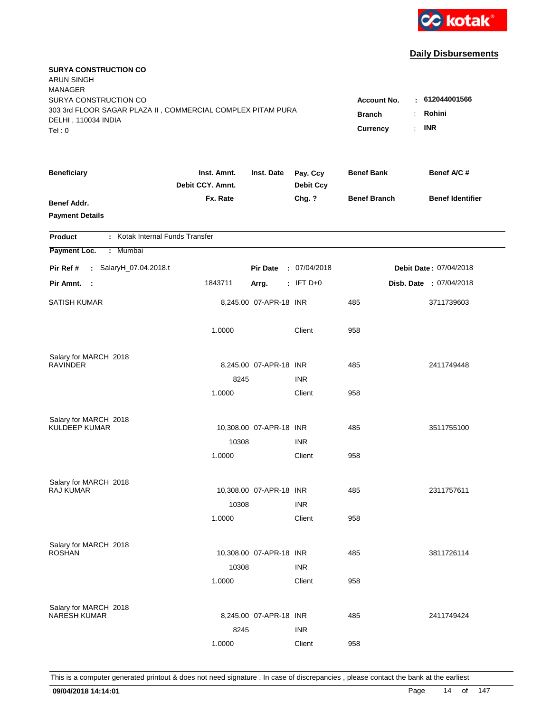

| <b>SURYA CONSTRUCTION CO</b><br><b>ARUN SINGH</b><br><b>MANAGER</b>                                         |                                     |                                |                              |                     |                         |
|-------------------------------------------------------------------------------------------------------------|-------------------------------------|--------------------------------|------------------------------|---------------------|-------------------------|
| SURYA CONSTRUCTION CO<br>303 3rd FLOOR SAGAR PLAZA II, COMMERCIAL COMPLEX PITAM PURA<br>DELHI, 110034 INDIA | <b>Account No.</b><br><b>Branch</b> | : 612044001566<br>Rohini<br>÷. |                              |                     |                         |
| Tel: 0                                                                                                      |                                     |                                |                              | Currency            | <b>INR</b><br>÷.        |
| <b>Beneficiary</b>                                                                                          | Inst. Amnt.<br>Debit CCY. Amnt.     | Inst. Date                     | Pay. Ccy<br><b>Debit Ccy</b> | <b>Benef Bank</b>   | Benef A/C #             |
| <b>Benef Addr.</b><br><b>Payment Details</b>                                                                | Fx. Rate                            |                                | Chg. ?                       | <b>Benef Branch</b> | <b>Benef Identifier</b> |
| : Kotak Internal Funds Transfer<br><b>Product</b>                                                           |                                     |                                |                              |                     |                         |
| Payment Loc.<br>: Mumbai                                                                                    |                                     |                                |                              |                     |                         |
| Pir Ref #<br>: SalaryH_07.04.2018.t                                                                         |                                     | <b>Pir Date</b>                | : 07/04/2018                 |                     | Debit Date: 07/04/2018  |
| Pir Amnt. :                                                                                                 | 1843711                             | Arrg.                          | $:$ IFT D+0                  |                     | Disb. Date : 07/04/2018 |
| <b>SATISH KUMAR</b>                                                                                         |                                     | 8,245.00 07-APR-18 INR         |                              | 485                 | 3711739603              |
|                                                                                                             | 1.0000                              |                                | Client                       | 958                 |                         |
| Salary for MARCH 2018                                                                                       |                                     |                                |                              |                     |                         |
| <b>RAVINDER</b>                                                                                             |                                     | 8,245.00 07-APR-18 INR         |                              | 485                 | 2411749448              |
|                                                                                                             | 8245                                |                                | <b>INR</b>                   |                     |                         |
|                                                                                                             | 1.0000                              |                                | Client                       | 958                 |                         |
| Salary for MARCH 2018                                                                                       |                                     |                                |                              |                     |                         |
| <b>KULDEEP KUMAR</b>                                                                                        |                                     | 10,308.00 07-APR-18 INR        |                              | 485                 | 3511755100              |
|                                                                                                             | 10308                               |                                | <b>INR</b>                   |                     |                         |
|                                                                                                             | 1.0000                              |                                | Client                       | 958                 |                         |
| Salary for MARCH 2018                                                                                       |                                     |                                |                              |                     |                         |
| RAJ KUMAR                                                                                                   |                                     | 10,308.00 07-APR-18 INR        |                              | 485                 | 2311757611              |
|                                                                                                             | 10308                               |                                | <b>INR</b>                   |                     |                         |
|                                                                                                             | 1.0000                              |                                | Client                       | 958                 |                         |
| Salary for MARCH 2018                                                                                       |                                     |                                |                              |                     |                         |
| <b>ROSHAN</b>                                                                                               |                                     | 10,308.00 07-APR-18 INR        |                              | 485                 | 3811726114              |
|                                                                                                             | 10308                               |                                | <b>INR</b>                   |                     |                         |
|                                                                                                             | 1.0000                              |                                | Client                       | 958                 |                         |
| Salary for MARCH 2018                                                                                       |                                     |                                |                              |                     |                         |
| <b>NARESH KUMAR</b>                                                                                         |                                     | 8,245.00 07-APR-18 INR         |                              | 485                 | 2411749424              |
|                                                                                                             | 8245                                |                                | <b>INR</b>                   |                     |                         |
|                                                                                                             | 1.0000                              |                                | Client                       | 958                 |                         |
|                                                                                                             |                                     |                                |                              |                     |                         |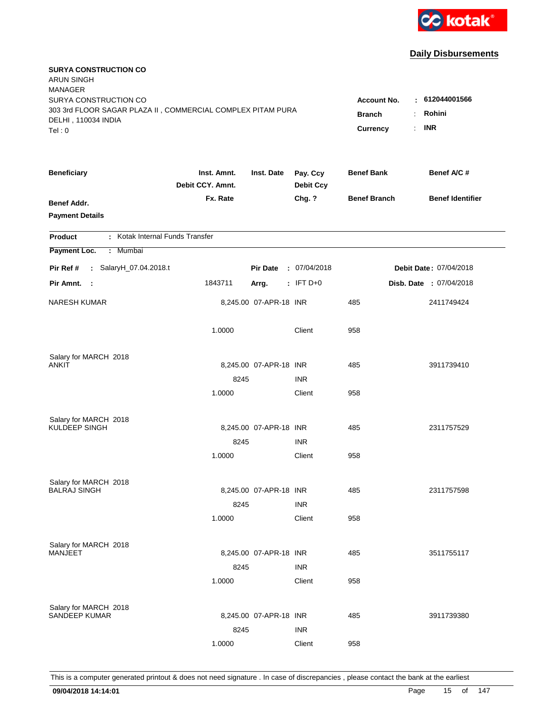

| <b>SURYA CONSTRUCTION CO</b><br><b>ARUN SINGH</b><br><b>MANAGER</b><br>SURYA CONSTRUCTION CO<br>303 3rd FLOOR SAGAR PLAZA II, COMMERCIAL COMPLEX PITAM PURA<br>DELHI, 110034 INDIA<br>Tel: 0 | <b>Account No.</b><br><b>Branch</b><br>Currency | : 612044001566<br>Rohini<br>÷.<br><b>INR</b><br>÷. |                              |                     |                         |
|----------------------------------------------------------------------------------------------------------------------------------------------------------------------------------------------|-------------------------------------------------|----------------------------------------------------|------------------------------|---------------------|-------------------------|
| <b>Beneficiary</b>                                                                                                                                                                           | Inst. Amnt.<br>Debit CCY. Amnt.                 | Inst. Date                                         | Pay. Ccy<br><b>Debit Ccy</b> | <b>Benef Bank</b>   | Benef A/C #             |
| <b>Benef Addr.</b><br><b>Payment Details</b>                                                                                                                                                 | Fx. Rate                                        |                                                    | Chg. ?                       | <b>Benef Branch</b> | <b>Benef Identifier</b> |
| : Kotak Internal Funds Transfer<br>Product                                                                                                                                                   |                                                 |                                                    |                              |                     |                         |
| Payment Loc.<br>: Mumbai                                                                                                                                                                     |                                                 |                                                    |                              |                     |                         |
| : SalaryH_07.04.2018.t<br>Pir Ref #                                                                                                                                                          |                                                 | <b>Pir Date</b>                                    | : 07/04/2018                 |                     | Debit Date: 07/04/2018  |
| Pir Amnt. :                                                                                                                                                                                  | 1843711                                         | Arrg.                                              | $:$ IFT D+0                  |                     | Disb. Date : 07/04/2018 |
| <b>NARESH KUMAR</b>                                                                                                                                                                          |                                                 | 8,245.00 07-APR-18 INR                             |                              | 485                 | 2411749424              |
|                                                                                                                                                                                              | 1.0000                                          |                                                    | Client                       | 958                 |                         |
| Salary for MARCH 2018                                                                                                                                                                        |                                                 |                                                    |                              |                     |                         |
| ANKIT                                                                                                                                                                                        |                                                 | 8,245.00 07-APR-18 INR                             |                              | 485                 | 3911739410              |
|                                                                                                                                                                                              | 8245<br>1.0000                                  |                                                    | <b>INR</b><br>Client         | 958                 |                         |
|                                                                                                                                                                                              |                                                 |                                                    |                              |                     |                         |
| Salary for MARCH 2018                                                                                                                                                                        |                                                 |                                                    |                              |                     |                         |
| KULDEEP SINGH                                                                                                                                                                                |                                                 | 8,245.00 07-APR-18 INR                             |                              | 485                 | 2311757529              |
|                                                                                                                                                                                              | 8245                                            |                                                    | <b>INR</b>                   |                     |                         |
|                                                                                                                                                                                              | 1.0000                                          |                                                    | Client                       | 958                 |                         |
| Salary for MARCH 2018                                                                                                                                                                        |                                                 |                                                    |                              |                     |                         |
| <b>BALRAJ SINGH</b>                                                                                                                                                                          |                                                 | 8,245.00 07-APR-18 INR                             |                              | 485                 | 2311757598              |
|                                                                                                                                                                                              | 8245                                            |                                                    | <b>INR</b>                   |                     |                         |
|                                                                                                                                                                                              | 1.0000                                          |                                                    | Client                       | 958                 |                         |
|                                                                                                                                                                                              |                                                 |                                                    |                              |                     |                         |
| Salary for MARCH 2018<br><b>MANJEET</b>                                                                                                                                                      |                                                 | 8,245.00 07-APR-18 INR                             |                              | 485                 | 3511755117              |
|                                                                                                                                                                                              | 8245                                            |                                                    | <b>INR</b>                   |                     |                         |
|                                                                                                                                                                                              | 1.0000                                          |                                                    | Client                       | 958                 |                         |
|                                                                                                                                                                                              |                                                 |                                                    |                              |                     |                         |
| Salary for MARCH 2018<br>SANDEEP KUMAR                                                                                                                                                       |                                                 | 8,245.00 07-APR-18 INR                             |                              | 485                 | 3911739380              |
|                                                                                                                                                                                              | 8245                                            |                                                    | <b>INR</b>                   |                     |                         |
|                                                                                                                                                                                              | 1.0000                                          |                                                    | Client                       | 958                 |                         |
|                                                                                                                                                                                              |                                                 |                                                    |                              |                     |                         |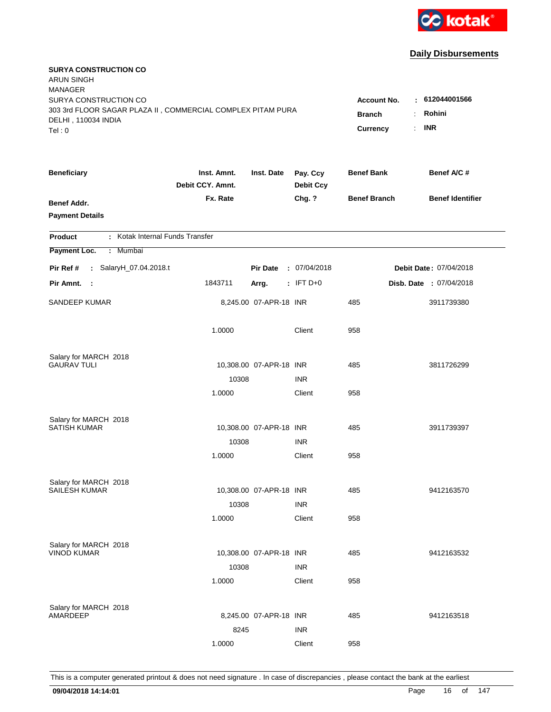

| <b>SURYA CONSTRUCTION CO</b><br><b>ARUN SINGH</b><br><b>MANAGER</b>                |                                 |                         |                              |                     |                         |
|------------------------------------------------------------------------------------|---------------------------------|-------------------------|------------------------------|---------------------|-------------------------|
| SURYA CONSTRUCTION CO                                                              |                                 |                         |                              | <b>Account No.</b>  | : 612044001566          |
| 303 3rd FLOOR SAGAR PLAZA II, COMMERCIAL COMPLEX PITAM PURA<br>DELHI, 110034 INDIA | <b>Branch</b>                   | Rohini<br>÷             |                              |                     |                         |
| Tel: 0                                                                             |                                 |                         |                              | Currency            | <b>INR</b><br>÷.        |
|                                                                                    |                                 |                         |                              |                     |                         |
| <b>Beneficiary</b>                                                                 | Inst. Amnt.<br>Debit CCY. Amnt. | Inst. Date              | Pay. Ccy<br><b>Debit Ccy</b> | <b>Benef Bank</b>   | Benef A/C #             |
| <b>Benef Addr.</b>                                                                 | Fx. Rate                        |                         | Chg. ?                       | <b>Benef Branch</b> | <b>Benef Identifier</b> |
| <b>Payment Details</b>                                                             |                                 |                         |                              |                     |                         |
| : Kotak Internal Funds Transfer<br><b>Product</b>                                  |                                 |                         |                              |                     |                         |
| Payment Loc.<br>Mumbai<br>÷.                                                       |                                 |                         |                              |                     |                         |
| : SalaryH_07.04.2018.t<br>Pir Ref #                                                |                                 | <b>Pir Date</b>         | : 07/04/2018                 |                     | Debit Date: 07/04/2018  |
| Pir Amnt.<br>$\sim$ 1                                                              | 1843711                         | Arrg.                   | $:$ IFT D+0                  |                     | Disb. Date : 07/04/2018 |
| SANDEEP KUMAR                                                                      |                                 | 8,245.00 07-APR-18 INR  |                              | 485                 | 3911739380              |
|                                                                                    | 1.0000                          |                         | Client                       | 958                 |                         |
| Salary for MARCH 2018                                                              |                                 |                         |                              |                     |                         |
| <b>GAURAV TULI</b>                                                                 |                                 | 10,308.00 07-APR-18 INR |                              | 485                 | 3811726299              |
|                                                                                    | 10308                           |                         | <b>INR</b>                   |                     |                         |
|                                                                                    | 1.0000                          |                         | Client                       | 958                 |                         |
| Salary for MARCH 2018                                                              |                                 |                         |                              |                     |                         |
| <b>SATISH KUMAR</b>                                                                |                                 | 10,308.00 07-APR-18 INR |                              | 485                 | 3911739397              |
|                                                                                    | 10308                           |                         | <b>INR</b>                   |                     |                         |
|                                                                                    | 1.0000                          |                         | Client                       | 958                 |                         |
| Salary for MARCH 2018                                                              |                                 |                         |                              |                     |                         |
| <b>SAILESH KUMAR</b>                                                               |                                 | 10,308.00 07-APR-18 INR |                              | 485                 | 9412163570              |
|                                                                                    | 10308                           |                         | <b>INR</b>                   |                     |                         |
|                                                                                    | 1.0000                          |                         | Client                       | 958                 |                         |
| Salary for MARCH 2018                                                              |                                 |                         |                              |                     |                         |
| <b>VINOD KUMAR</b>                                                                 |                                 | 10,308.00 07-APR-18 INR |                              | 485                 | 9412163532              |
|                                                                                    | 10308                           |                         | <b>INR</b>                   |                     |                         |
|                                                                                    | 1.0000                          |                         | Client                       | 958                 |                         |
|                                                                                    |                                 |                         |                              |                     |                         |
| Salary for MARCH 2018<br>AMARDEEP                                                  |                                 | 8,245.00 07-APR-18 INR  |                              | 485                 | 9412163518              |
|                                                                                    | 8245                            |                         | <b>INR</b>                   |                     |                         |
|                                                                                    | 1.0000                          |                         | Client                       | 958                 |                         |
|                                                                                    |                                 |                         |                              |                     |                         |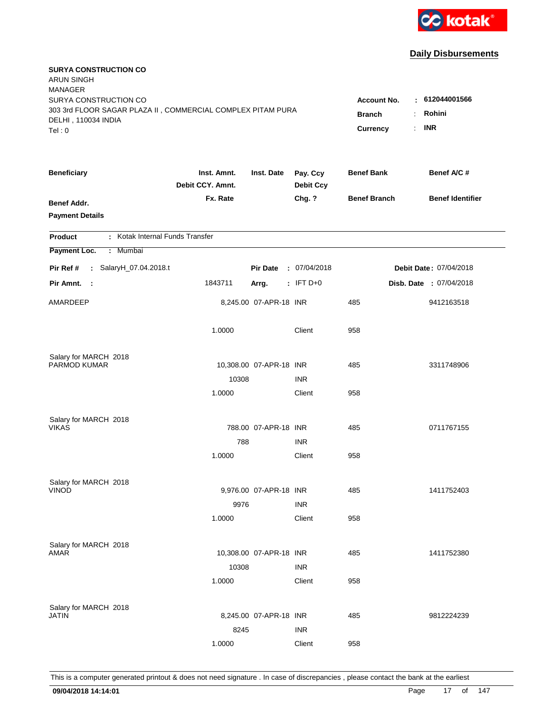

| <b>SURYA CONSTRUCTION CO</b><br>ARUN SINGH<br><b>MANAGER</b><br>SURYA CONSTRUCTION CO<br>303 3rd FLOOR SAGAR PLAZA II, COMMERCIAL COMPLEX PITAM PURA<br>DELHI, 110034 INDIA<br>Tel: 0 | <b>Account No.</b><br><b>Branch</b><br>Currency | : 612044001566<br>Rohini<br>÷<br><b>INR</b><br>÷. |                              |                     |                         |
|---------------------------------------------------------------------------------------------------------------------------------------------------------------------------------------|-------------------------------------------------|---------------------------------------------------|------------------------------|---------------------|-------------------------|
| <b>Beneficiary</b>                                                                                                                                                                    | Inst. Amnt.<br>Debit CCY. Amnt.                 | Inst. Date                                        | Pay. Ccy<br><b>Debit Ccy</b> | <b>Benef Bank</b>   | Benef A/C #             |
| <b>Benef Addr.</b><br><b>Payment Details</b>                                                                                                                                          | Fx. Rate                                        |                                                   | Chg. ?                       | <b>Benef Branch</b> | <b>Benef Identifier</b> |
| : Kotak Internal Funds Transfer<br>Product                                                                                                                                            |                                                 |                                                   |                              |                     |                         |
| Payment Loc.<br>: Mumbai                                                                                                                                                              |                                                 |                                                   |                              |                     |                         |
| : SalaryH_07.04.2018.t<br>Pir Ref #                                                                                                                                                   |                                                 | <b>Pir Date</b>                                   | : 07/04/2018                 |                     | Debit Date: 07/04/2018  |
| Pir Amnt. :                                                                                                                                                                           | 1843711                                         | Arrg.                                             | $:$ IFT D+0                  |                     | Disb. Date : 07/04/2018 |
| AMARDEEP                                                                                                                                                                              |                                                 | 8,245.00 07-APR-18 INR                            |                              | 485                 | 9412163518              |
|                                                                                                                                                                                       | 1.0000                                          |                                                   | Client                       | 958                 |                         |
| Salary for MARCH 2018                                                                                                                                                                 |                                                 |                                                   |                              |                     |                         |
| PARMOD KUMAR                                                                                                                                                                          |                                                 | 10,308.00 07-APR-18 INR                           |                              | 485                 | 3311748906              |
|                                                                                                                                                                                       | 10308<br>1.0000                                 |                                                   | <b>INR</b><br>Client         | 958                 |                         |
|                                                                                                                                                                                       |                                                 |                                                   |                              |                     |                         |
| Salary for MARCH 2018                                                                                                                                                                 |                                                 |                                                   |                              |                     |                         |
| <b>VIKAS</b>                                                                                                                                                                          |                                                 | 788.00 07-APR-18 INR                              |                              | 485                 | 0711767155              |
|                                                                                                                                                                                       | 788                                             |                                                   | <b>INR</b>                   |                     |                         |
|                                                                                                                                                                                       | 1.0000                                          |                                                   | Client                       | 958                 |                         |
| Salary for MARCH 2018                                                                                                                                                                 |                                                 |                                                   |                              |                     |                         |
| <b>VINOD</b>                                                                                                                                                                          |                                                 | 9,976.00 07-APR-18 INR                            |                              | 485                 | 1411752403              |
|                                                                                                                                                                                       | 9976                                            |                                                   | <b>INR</b>                   |                     |                         |
|                                                                                                                                                                                       | 1.0000                                          |                                                   | Client                       | 958                 |                         |
|                                                                                                                                                                                       |                                                 |                                                   |                              |                     |                         |
| Salary for MARCH 2018<br>AMAR                                                                                                                                                         |                                                 | 10,308.00 07-APR-18 INR                           |                              | 485                 | 1411752380              |
|                                                                                                                                                                                       | 10308                                           |                                                   | <b>INR</b>                   |                     |                         |
|                                                                                                                                                                                       | 1.0000                                          |                                                   | Client                       | 958                 |                         |
|                                                                                                                                                                                       |                                                 |                                                   |                              |                     |                         |
| Salary for MARCH 2018<br>JATIN                                                                                                                                                        |                                                 | 8,245.00 07-APR-18 INR                            |                              | 485                 | 9812224239              |
|                                                                                                                                                                                       | 8245                                            |                                                   | <b>INR</b>                   |                     |                         |
|                                                                                                                                                                                       | 1.0000                                          |                                                   | Client                       | 958                 |                         |
|                                                                                                                                                                                       |                                                 |                                                   |                              |                     |                         |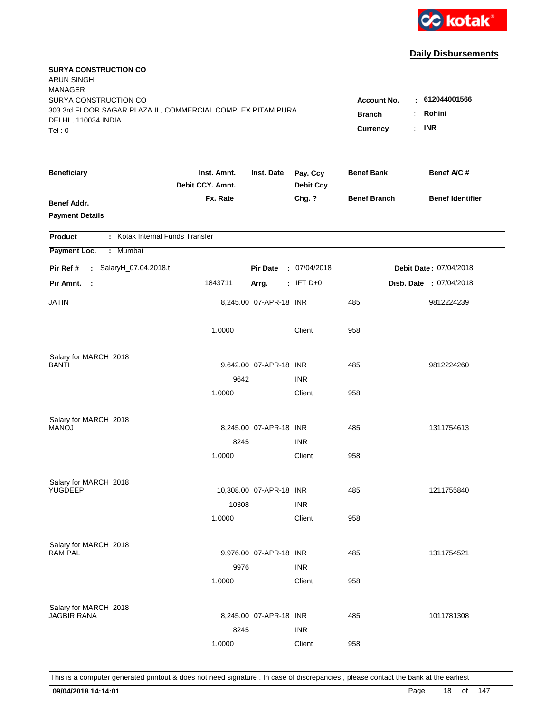

| <b>SURYA CONSTRUCTION CO</b><br><b>ARUN SINGH</b><br><b>MANAGER</b>                                         |                                                 |                                                         |                              |                     |                         |
|-------------------------------------------------------------------------------------------------------------|-------------------------------------------------|---------------------------------------------------------|------------------------------|---------------------|-------------------------|
| SURYA CONSTRUCTION CO<br>303 3rd FLOOR SAGAR PLAZA II, COMMERCIAL COMPLEX PITAM PURA<br>DELHI, 110034 INDIA | <b>Account No.</b><br><b>Branch</b><br>Currency | : 612044001566<br>Rohini<br>÷.<br><b>INR</b><br>$\cdot$ |                              |                     |                         |
| Tel:0                                                                                                       |                                                 |                                                         |                              |                     |                         |
| <b>Beneficiary</b>                                                                                          | Inst. Amnt.<br>Debit CCY. Amnt.                 | Inst. Date                                              | Pay. Ccy<br><b>Debit Ccy</b> | <b>Benef Bank</b>   | Benef A/C #             |
| <b>Benef Addr.</b><br><b>Payment Details</b>                                                                | Fx. Rate                                        |                                                         | Chg. ?                       | <b>Benef Branch</b> | <b>Benef Identifier</b> |
| : Kotak Internal Funds Transfer<br><b>Product</b>                                                           |                                                 |                                                         |                              |                     |                         |
| Payment Loc.<br>: Mumbai                                                                                    |                                                 |                                                         |                              |                     |                         |
| Pir Ref #<br>: SalaryH_07.04.2018.t                                                                         |                                                 | <b>Pir Date</b>                                         | : 07/04/2018                 |                     | Debit Date: 07/04/2018  |
| Pir Amnt.<br>- 11                                                                                           | 1843711                                         | Arrg.                                                   | $:$ IFT D+0                  |                     | Disb. Date : 07/04/2018 |
| JATIN                                                                                                       |                                                 | 8,245.00 07-APR-18 INR                                  |                              | 485                 | 9812224239              |
|                                                                                                             | 1.0000                                          |                                                         | Client                       | 958                 |                         |
| Salary for MARCH 2018                                                                                       |                                                 |                                                         |                              |                     |                         |
| BANTI                                                                                                       |                                                 | 9,642.00 07-APR-18 INR                                  |                              | 485                 | 9812224260              |
|                                                                                                             | 9642<br>1.0000                                  |                                                         | <b>INR</b><br>Client         | 958                 |                         |
|                                                                                                             |                                                 |                                                         |                              |                     |                         |
| Salary for MARCH 2018                                                                                       |                                                 |                                                         |                              |                     |                         |
| <b>MANOJ</b>                                                                                                |                                                 | 8,245.00 07-APR-18 INR                                  |                              | 485                 | 1311754613              |
|                                                                                                             | 8245                                            |                                                         | <b>INR</b>                   |                     |                         |
|                                                                                                             | 1.0000                                          |                                                         | Client                       | 958                 |                         |
| Salary for MARCH 2018                                                                                       |                                                 |                                                         |                              |                     |                         |
| YUGDEEP                                                                                                     |                                                 | 10,308.00 07-APR-18 INR                                 |                              | 485                 | 1211755840              |
|                                                                                                             | 10308                                           |                                                         | <b>INR</b>                   |                     |                         |
|                                                                                                             | 1.0000                                          |                                                         | Client                       | 958                 |                         |
| Salary for MARCH 2018                                                                                       |                                                 |                                                         |                              |                     |                         |
| <b>RAM PAL</b>                                                                                              |                                                 | 9,976.00 07-APR-18 INR                                  |                              | 485                 | 1311754521              |
|                                                                                                             | 9976                                            |                                                         | <b>INR</b>                   |                     |                         |
|                                                                                                             | 1.0000                                          |                                                         | Client                       | 958                 |                         |
|                                                                                                             |                                                 |                                                         |                              |                     |                         |
| Salary for MARCH 2018<br><b>JAGBIR RANA</b>                                                                 |                                                 | 8,245.00 07-APR-18 INR                                  |                              | 485                 | 1011781308              |
|                                                                                                             | 8245                                            |                                                         | <b>INR</b>                   |                     |                         |
|                                                                                                             | 1.0000                                          |                                                         | Client                       | 958                 |                         |
|                                                                                                             |                                                 |                                                         |                              |                     |                         |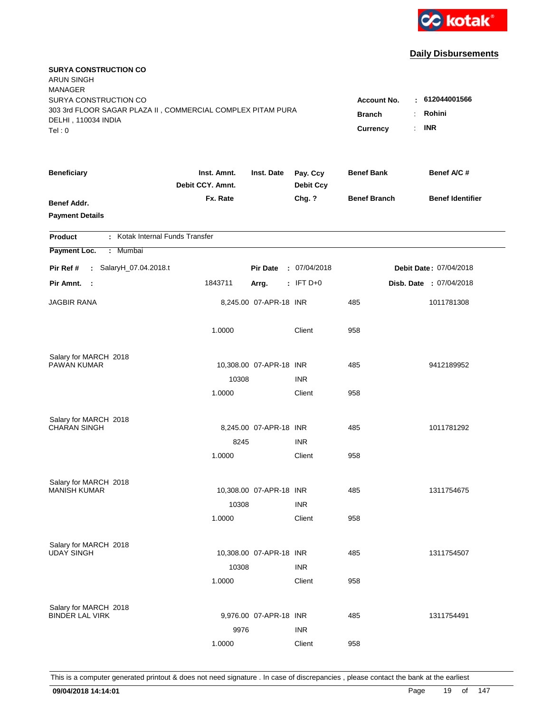

| <b>SURYA CONSTRUCTION CO</b><br><b>ARUN SINGH</b><br><b>MANAGER</b><br>SURYA CONSTRUCTION CO |                                 |                         |                              | <b>Account No.</b>        | : 612044001566                  |
|----------------------------------------------------------------------------------------------|---------------------------------|-------------------------|------------------------------|---------------------------|---------------------------------|
| 303 3rd FLOOR SAGAR PLAZA II, COMMERCIAL COMPLEX PITAM PURA<br>DELHI, 110034 INDIA<br>Tel: 0 |                                 |                         |                              | <b>Branch</b><br>Currency | Rohini<br>÷<br><b>INR</b><br>÷. |
| <b>Beneficiary</b>                                                                           | Inst. Amnt.<br>Debit CCY. Amnt. | Inst. Date              | Pay. Ccy<br><b>Debit Ccy</b> | <b>Benef Bank</b>         | Benef A/C #                     |
| Benef Addr.<br><b>Payment Details</b>                                                        | Fx. Rate                        |                         | Chg. ?                       | <b>Benef Branch</b>       | <b>Benef Identifier</b>         |
| : Kotak Internal Funds Transfer<br><b>Product</b>                                            |                                 |                         |                              |                           |                                 |
| Payment Loc.<br>: Mumbai                                                                     |                                 |                         |                              |                           |                                 |
| Pir Ref #<br>: SalaryH_07.04.2018.t                                                          |                                 | <b>Pir Date</b>         | : 07/04/2018                 |                           | Debit Date: 07/04/2018          |
| Pir Amnt.<br>- 1                                                                             | 1843711                         | Arrg.                   | $:$ IFT D+0                  |                           | Disb. Date : 07/04/2018         |
| <b>JAGBIR RANA</b>                                                                           |                                 | 8,245.00 07-APR-18 INR  |                              | 485                       | 1011781308                      |
|                                                                                              | 1.0000                          |                         | Client                       | 958                       |                                 |
| Salary for MARCH 2018                                                                        |                                 |                         |                              |                           |                                 |
| <b>PAWAN KUMAR</b>                                                                           |                                 | 10,308.00 07-APR-18 INR | <b>INR</b>                   | 485                       | 9412189952                      |
|                                                                                              | 10308<br>1.0000                 |                         | Client                       | 958                       |                                 |
|                                                                                              |                                 |                         |                              |                           |                                 |
| Salary for MARCH 2018                                                                        |                                 |                         |                              |                           |                                 |
| <b>CHARAN SINGH</b>                                                                          |                                 | 8,245.00 07-APR-18 INR  |                              | 485                       | 1011781292                      |
|                                                                                              | 8245                            |                         | <b>INR</b>                   |                           |                                 |
|                                                                                              | 1.0000                          |                         | Client                       | 958                       |                                 |
| Salary for MARCH 2018                                                                        |                                 |                         |                              |                           |                                 |
| <b>MANISH KUMAR</b>                                                                          |                                 | 10,308.00 07-APR-18 INR |                              | 485                       | 1311754675                      |
|                                                                                              | 10308                           |                         | <b>INR</b>                   |                           |                                 |
|                                                                                              | 1.0000                          |                         | Client                       | 958                       |                                 |
| Salary for MARCH 2018                                                                        |                                 |                         |                              |                           |                                 |
| <b>UDAY SINGH</b>                                                                            |                                 | 10,308.00 07-APR-18 INR |                              | 485                       | 1311754507                      |
|                                                                                              | 10308                           |                         | <b>INR</b>                   |                           |                                 |
|                                                                                              | 1.0000                          |                         | Client                       | 958                       |                                 |
|                                                                                              |                                 |                         |                              |                           |                                 |
| Salary for MARCH 2018<br><b>BINDER LAL VIRK</b>                                              |                                 | 9,976.00 07-APR-18 INR  |                              | 485                       | 1311754491                      |
|                                                                                              | 9976                            |                         | <b>INR</b>                   |                           |                                 |
|                                                                                              | 1.0000                          |                         | Client                       | 958                       |                                 |
|                                                                                              |                                 |                         |                              |                           |                                 |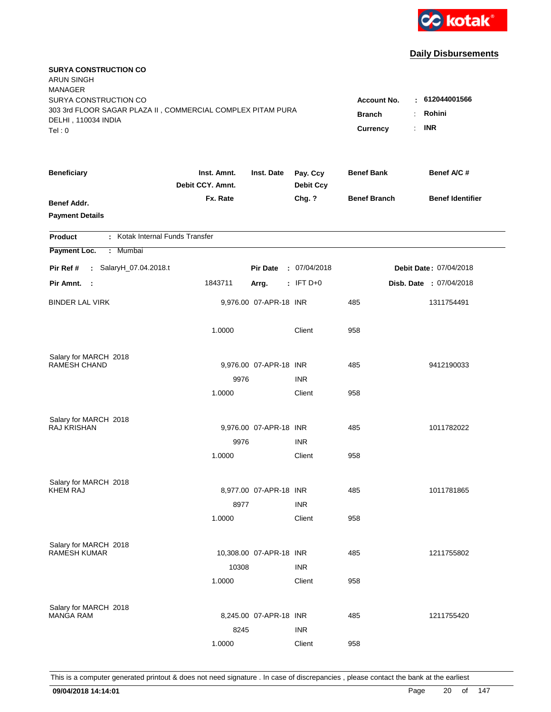

| <b>SURYA CONSTRUCTION CO</b><br><b>ARUN SINGH</b><br><b>MANAGER</b>                                         |                                     |                                |                              |                     |                         |
|-------------------------------------------------------------------------------------------------------------|-------------------------------------|--------------------------------|------------------------------|---------------------|-------------------------|
| SURYA CONSTRUCTION CO<br>303 3rd FLOOR SAGAR PLAZA II, COMMERCIAL COMPLEX PITAM PURA<br>DELHI, 110034 INDIA | <b>Account No.</b><br><b>Branch</b> | $-612044001566$<br>Rohini<br>÷ |                              |                     |                         |
| Tel: 0                                                                                                      |                                     |                                |                              | <b>Currency</b>     | <b>INR</b><br>÷.        |
| <b>Beneficiary</b>                                                                                          | Inst. Amnt.<br>Debit CCY. Amnt.     | Inst. Date                     | Pay. Ccy<br><b>Debit Ccy</b> | <b>Benef Bank</b>   | Benef A/C #             |
| Benef Addr.<br><b>Payment Details</b>                                                                       | Fx. Rate                            |                                | Chg. ?                       | <b>Benef Branch</b> | <b>Benef Identifier</b> |
| : Kotak Internal Funds Transfer<br><b>Product</b>                                                           |                                     |                                |                              |                     |                         |
| Payment Loc.<br>: Mumbai                                                                                    |                                     |                                |                              |                     |                         |
| Pir Ref #<br>: SalaryH_07.04.2018.t                                                                         |                                     | <b>Pir Date</b>                | : 07/04/2018                 |                     | Debit Date: 07/04/2018  |
| Pir Amnt.<br>- 1                                                                                            | 1843711                             | Arrg.                          | $:$ IFT D+0                  |                     | Disb. Date : 07/04/2018 |
| <b>BINDER LAL VIRK</b>                                                                                      |                                     | 9,976.00 07-APR-18 INR         |                              | 485                 | 1311754491              |
|                                                                                                             | 1.0000                              |                                | Client                       | 958                 |                         |
| Salary for MARCH 2018                                                                                       |                                     |                                |                              |                     |                         |
| <b>RAMESH CHAND</b>                                                                                         |                                     | 9,976.00 07-APR-18 INR         |                              | 485                 | 9412190033              |
|                                                                                                             | 9976<br>1.0000                      |                                | <b>INR</b><br>Client         | 958                 |                         |
|                                                                                                             |                                     |                                |                              |                     |                         |
| Salary for MARCH 2018                                                                                       |                                     |                                |                              |                     |                         |
| <b>RAJ KRISHAN</b>                                                                                          |                                     | 9,976.00 07-APR-18 INR         |                              | 485                 | 1011782022              |
|                                                                                                             | 9976                                |                                | <b>INR</b>                   |                     |                         |
|                                                                                                             | 1.0000                              |                                | Client                       | 958                 |                         |
| Salary for MARCH 2018                                                                                       |                                     |                                |                              |                     |                         |
| <b>KHEM RAJ</b>                                                                                             |                                     | 8,977.00 07-APR-18 INR         |                              | 485                 | 1011781865              |
|                                                                                                             | 8977                                |                                | <b>INR</b>                   |                     |                         |
|                                                                                                             | 1.0000                              |                                | Client                       | 958                 |                         |
| Salary for MARCH 2018                                                                                       |                                     |                                |                              |                     |                         |
| <b>RAMESH KUMAR</b>                                                                                         |                                     | 10,308.00 07-APR-18 INR        |                              | 485                 | 1211755802              |
|                                                                                                             | 10308                               |                                | <b>INR</b>                   |                     |                         |
|                                                                                                             | 1.0000                              |                                | Client                       | 958                 |                         |
| Salary for MARCH 2018                                                                                       |                                     |                                |                              |                     |                         |
| <b>MANGA RAM</b>                                                                                            |                                     | 8,245.00 07-APR-18 INR         |                              | 485                 | 1211755420              |
|                                                                                                             | 8245                                |                                | <b>INR</b>                   |                     |                         |
|                                                                                                             | 1.0000                              |                                | Client                       | 958                 |                         |
|                                                                                                             |                                     |                                |                              |                     |                         |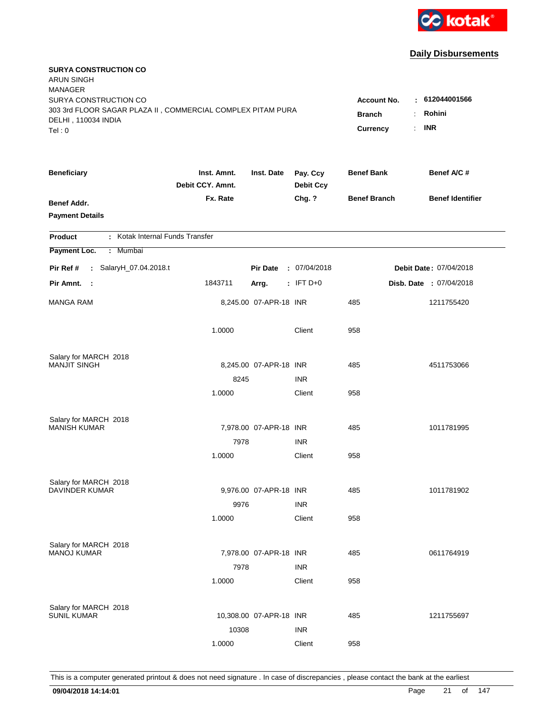

| <b>SURYA CONSTRUCTION CO</b><br><b>ARUN SINGH</b><br><b>MANAGER</b><br>SURYA CONSTRUCTION CO<br>303 3rd FLOOR SAGAR PLAZA II, COMMERCIAL COMPLEX PITAM PURA<br>DELHI, 110034 INDIA<br>Tel: 0 | <b>Account No.</b><br><b>Branch</b><br>Currency | $-612044001566$<br>Rohini<br>÷<br><b>INR</b><br>÷. |                              |                     |                         |
|----------------------------------------------------------------------------------------------------------------------------------------------------------------------------------------------|-------------------------------------------------|----------------------------------------------------|------------------------------|---------------------|-------------------------|
| <b>Beneficiary</b>                                                                                                                                                                           | Inst. Amnt.<br>Debit CCY. Amnt.                 | Inst. Date                                         | Pay. Ccy<br><b>Debit Ccy</b> | <b>Benef Bank</b>   | Benef A/C #             |
| <b>Benef Addr.</b><br><b>Payment Details</b>                                                                                                                                                 | Fx. Rate                                        |                                                    | Chg. ?                       | <b>Benef Branch</b> | <b>Benef Identifier</b> |
| : Kotak Internal Funds Transfer<br>Product                                                                                                                                                   |                                                 |                                                    |                              |                     |                         |
| Payment Loc.<br>: Mumbai                                                                                                                                                                     |                                                 |                                                    |                              |                     |                         |
| : SalaryH_07.04.2018.t<br>Pir Ref #                                                                                                                                                          |                                                 | <b>Pir Date</b>                                    | : 07/04/2018                 |                     | Debit Date: 07/04/2018  |
| Pir Amnt. :                                                                                                                                                                                  | 1843711                                         | Arrg.                                              | $:$ IFT D+0                  |                     | Disb. Date : 07/04/2018 |
| <b>MANGA RAM</b>                                                                                                                                                                             |                                                 | 8,245.00 07-APR-18 INR                             |                              | 485                 | 1211755420              |
|                                                                                                                                                                                              | 1.0000                                          |                                                    | Client                       | 958                 |                         |
| Salary for MARCH 2018                                                                                                                                                                        |                                                 |                                                    |                              |                     |                         |
| <b>MANJIT SINGH</b>                                                                                                                                                                          |                                                 | 8,245.00 07-APR-18 INR                             |                              | 485                 | 4511753066              |
|                                                                                                                                                                                              | 8245                                            |                                                    | <b>INR</b>                   |                     |                         |
|                                                                                                                                                                                              | 1.0000                                          |                                                    | Client                       | 958                 |                         |
| Salary for MARCH 2018                                                                                                                                                                        |                                                 |                                                    |                              |                     |                         |
| <b>MANISH KUMAR</b>                                                                                                                                                                          |                                                 | 7,978.00 07-APR-18 INR                             |                              | 485                 | 1011781995              |
|                                                                                                                                                                                              | 7978                                            |                                                    | <b>INR</b>                   |                     |                         |
|                                                                                                                                                                                              | 1.0000                                          |                                                    | Client                       | 958                 |                         |
| Salary for MARCH 2018                                                                                                                                                                        |                                                 |                                                    |                              |                     |                         |
| <b>DAVINDER KUMAR</b>                                                                                                                                                                        |                                                 | 9,976.00 07-APR-18 INR                             |                              | 485                 | 1011781902              |
|                                                                                                                                                                                              | 9976                                            |                                                    | <b>INR</b>                   |                     |                         |
|                                                                                                                                                                                              | 1.0000                                          |                                                    | Client                       | 958                 |                         |
|                                                                                                                                                                                              |                                                 |                                                    |                              |                     |                         |
| Salary for MARCH 2018<br><b>MANOJ KUMAR</b>                                                                                                                                                  |                                                 | 7,978.00 07-APR-18 INR                             |                              | 485                 | 0611764919              |
|                                                                                                                                                                                              | 7978                                            |                                                    | <b>INR</b>                   |                     |                         |
|                                                                                                                                                                                              | 1.0000                                          |                                                    | Client                       | 958                 |                         |
|                                                                                                                                                                                              |                                                 |                                                    |                              |                     |                         |
| Salary for MARCH 2018<br><b>SUNIL KUMAR</b>                                                                                                                                                  |                                                 | 10,308.00 07-APR-18 INR                            |                              | 485                 | 1211755697              |
|                                                                                                                                                                                              | 10308                                           |                                                    | <b>INR</b>                   |                     |                         |
|                                                                                                                                                                                              | 1.0000                                          |                                                    | Client                       | 958                 |                         |
|                                                                                                                                                                                              |                                                 |                                                    |                              |                     |                         |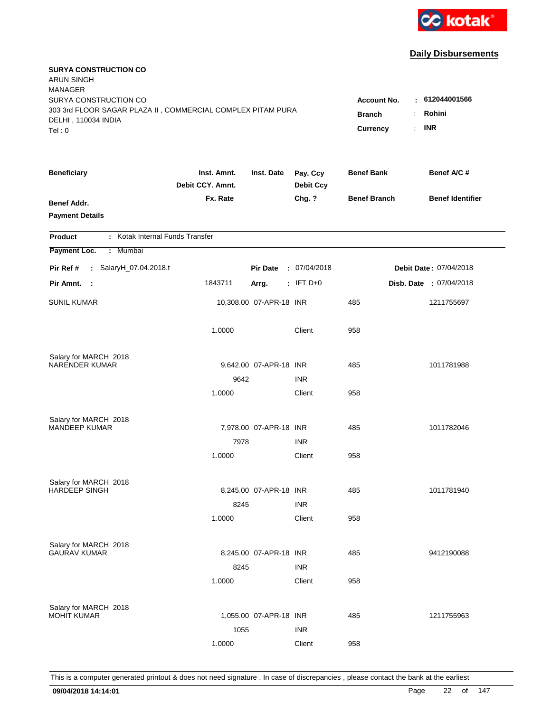

| <b>SURYA CONSTRUCTION CO</b><br><b>ARUN SINGH</b><br><b>MANAGER</b>                                         |                                     |                               |                              |                     |                         |
|-------------------------------------------------------------------------------------------------------------|-------------------------------------|-------------------------------|------------------------------|---------------------|-------------------------|
| SURYA CONSTRUCTION CO<br>303 3rd FLOOR SAGAR PLAZA II, COMMERCIAL COMPLEX PITAM PURA<br>DELHI, 110034 INDIA | <b>Account No.</b><br><b>Branch</b> | : 612044001566<br>Rohini<br>÷ |                              |                     |                         |
| Tel: 0                                                                                                      |                                     |                               |                              | Currency            | <b>INR</b><br>÷.        |
| <b>Beneficiary</b>                                                                                          | Inst. Amnt.<br>Debit CCY. Amnt.     | Inst. Date                    | Pay. Ccy<br><b>Debit Ccy</b> | <b>Benef Bank</b>   | Benef A/C #             |
| Benef Addr.<br><b>Payment Details</b>                                                                       | Fx. Rate                            |                               | Chg. ?                       | <b>Benef Branch</b> | <b>Benef Identifier</b> |
| : Kotak Internal Funds Transfer<br><b>Product</b>                                                           |                                     |                               |                              |                     |                         |
| Payment Loc.<br>: Mumbai                                                                                    |                                     |                               |                              |                     |                         |
| Pir Ref #<br>: SalaryH_07.04.2018.t                                                                         |                                     | <b>Pir Date</b>               | : 07/04/2018                 |                     | Debit Date: 07/04/2018  |
| Pir Amnt.<br>- 1                                                                                            | 1843711                             | Arrg.                         | $:$ IFT D+0                  |                     | Disb. Date : 07/04/2018 |
| <b>SUNIL KUMAR</b>                                                                                          |                                     | 10,308.00 07-APR-18 INR       |                              | 485                 | 1211755697              |
|                                                                                                             | 1.0000                              |                               | Client                       | 958                 |                         |
| Salary for MARCH 2018<br><b>NARENDER KUMAR</b>                                                              |                                     | 9,642.00 07-APR-18 INR        |                              | 485                 | 1011781988              |
|                                                                                                             | 9642                                |                               | <b>INR</b>                   |                     |                         |
|                                                                                                             | 1.0000                              |                               | Client                       | 958                 |                         |
| Salary for MARCH 2018                                                                                       |                                     |                               |                              |                     |                         |
| <b>MANDEEP KUMAR</b>                                                                                        |                                     | 7,978.00 07-APR-18 INR        |                              | 485                 | 1011782046              |
|                                                                                                             | 7978                                |                               | <b>INR</b>                   |                     |                         |
|                                                                                                             | 1.0000                              |                               | Client                       | 958                 |                         |
| Salary for MARCH 2018                                                                                       |                                     |                               |                              |                     |                         |
| <b>HARDEEP SINGH</b>                                                                                        |                                     | 8,245.00 07-APR-18 INR        | <b>INR</b>                   | 485                 | 1011781940              |
|                                                                                                             | 8245<br>1.0000                      |                               | Client                       | 958                 |                         |
|                                                                                                             |                                     |                               |                              |                     |                         |
| Salary for MARCH 2018                                                                                       |                                     |                               |                              |                     |                         |
| <b>GAURAV KUMAR</b>                                                                                         |                                     | 8,245.00 07-APR-18 INR        |                              | 485                 | 9412190088              |
|                                                                                                             | 8245                                |                               | <b>INR</b>                   |                     |                         |
|                                                                                                             | 1.0000                              |                               | Client                       | 958                 |                         |
| Salary for MARCH 2018                                                                                       |                                     |                               |                              |                     |                         |
| <b>MOHIT KUMAR</b>                                                                                          |                                     | 1,055.00 07-APR-18 INR        |                              | 485                 | 1211755963              |
|                                                                                                             | 1055                                |                               | <b>INR</b>                   |                     |                         |
|                                                                                                             | 1.0000                              |                               | Client                       | 958                 |                         |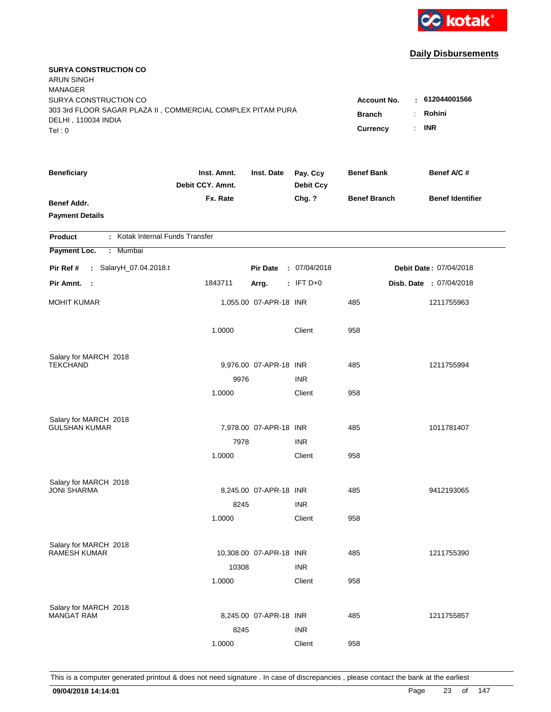

| <b>SURYA CONSTRUCTION CO</b><br><b>ARUN SINGH</b><br><b>MANAGER</b>                                         |                                     |                                |                              |                     |                         |
|-------------------------------------------------------------------------------------------------------------|-------------------------------------|--------------------------------|------------------------------|---------------------|-------------------------|
| SURYA CONSTRUCTION CO<br>303 3rd FLOOR SAGAR PLAZA II, COMMERCIAL COMPLEX PITAM PURA<br>DELHI, 110034 INDIA | <b>Account No.</b><br><b>Branch</b> | $-612044001566$<br>Rohini<br>÷ |                              |                     |                         |
| Tel: 0                                                                                                      |                                     |                                |                              | Currency            | <b>INR</b><br>÷.        |
| <b>Beneficiary</b>                                                                                          | Inst. Amnt.<br>Debit CCY. Amnt.     | Inst. Date                     | Pay. Ccy<br><b>Debit Ccy</b> | <b>Benef Bank</b>   | Benef A/C #             |
| Benef Addr.<br><b>Payment Details</b>                                                                       | Fx. Rate                            |                                | Chg. ?                       | <b>Benef Branch</b> | <b>Benef Identifier</b> |
| : Kotak Internal Funds Transfer<br><b>Product</b>                                                           |                                     |                                |                              |                     |                         |
| Payment Loc.<br>: Mumbai                                                                                    |                                     |                                |                              |                     |                         |
| Pir Ref #<br>: SalaryH_07.04.2018.t                                                                         |                                     | <b>Pir Date</b>                | : 07/04/2018                 |                     | Debit Date: 07/04/2018  |
| Pir Amnt.<br>- 1                                                                                            | 1843711                             | Arrg.                          | $:$ IFT D+0                  |                     | Disb. Date : 07/04/2018 |
| <b>MOHIT KUMAR</b>                                                                                          |                                     | 1,055.00 07-APR-18 INR         |                              | 485                 | 1211755963              |
|                                                                                                             | 1.0000                              |                                | Client                       | 958                 |                         |
| Salary for MARCH 2018                                                                                       |                                     |                                |                              |                     |                         |
| <b>TEKCHAND</b>                                                                                             |                                     | 9,976.00 07-APR-18 INR         |                              | 485                 | 1211755994              |
|                                                                                                             | 9976<br>1.0000                      |                                | <b>INR</b><br>Client         | 958                 |                         |
|                                                                                                             |                                     |                                |                              |                     |                         |
| Salary for MARCH 2018                                                                                       |                                     |                                |                              |                     |                         |
| <b>GULSHAN KUMAR</b>                                                                                        |                                     | 7,978.00 07-APR-18 INR         |                              | 485                 | 1011781407              |
|                                                                                                             | 7978                                |                                | <b>INR</b>                   |                     |                         |
|                                                                                                             | 1.0000                              |                                | Client                       | 958                 |                         |
| Salary for MARCH 2018                                                                                       |                                     |                                |                              |                     |                         |
| <b>JONI SHARMA</b>                                                                                          |                                     | 8,245.00 07-APR-18 INR         |                              | 485                 | 9412193065              |
|                                                                                                             | 8245                                |                                | <b>INR</b>                   |                     |                         |
|                                                                                                             | 1.0000                              |                                | Client                       | 958                 |                         |
| Salary for MARCH 2018                                                                                       |                                     |                                |                              |                     |                         |
| <b>RAMESH KUMAR</b>                                                                                         |                                     | 10,308.00 07-APR-18 INR        |                              | 485                 | 1211755390              |
|                                                                                                             | 10308                               |                                | <b>INR</b>                   |                     |                         |
|                                                                                                             | 1.0000                              |                                | Client                       | 958                 |                         |
| Salary for MARCH 2018                                                                                       |                                     |                                |                              |                     |                         |
| <b>MANGAT RAM</b>                                                                                           |                                     | 8,245.00 07-APR-18 INR         |                              | 485                 | 1211755857              |
|                                                                                                             | 8245                                |                                | <b>INR</b>                   |                     |                         |
|                                                                                                             | 1.0000                              |                                | Client                       | 958                 |                         |
|                                                                                                             |                                     |                                |                              |                     |                         |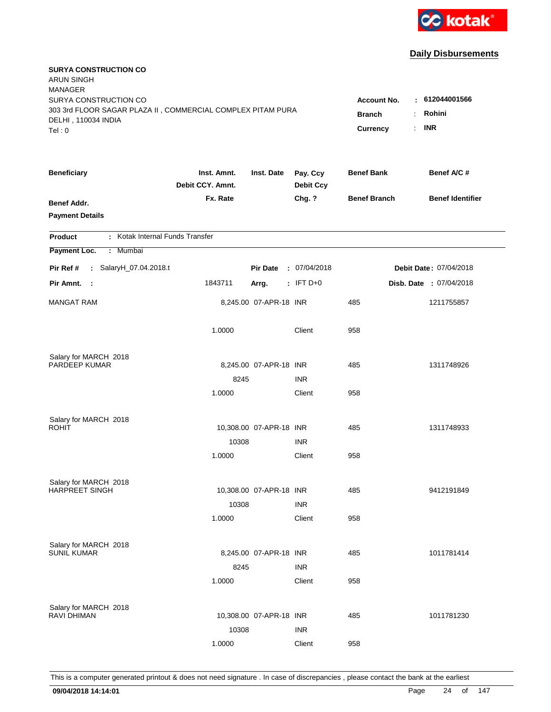

| <b>SURYA CONSTRUCTION CO</b><br><b>ARUN SINGH</b><br><b>MANAGER</b>                  |                                 |                         |                              |                     |                         |
|--------------------------------------------------------------------------------------|---------------------------------|-------------------------|------------------------------|---------------------|-------------------------|
| SURYA CONSTRUCTION CO<br>303 3rd FLOOR SAGAR PLAZA II, COMMERCIAL COMPLEX PITAM PURA |                                 |                         |                              | <b>Account No.</b>  | $-612044001566$         |
| DELHI, 110034 INDIA                                                                  |                                 |                         |                              | <b>Branch</b>       | Rohini<br>÷.            |
| Tel: 0                                                                               |                                 |                         |                              | Currency            | <b>INR</b><br>÷.        |
| <b>Beneficiary</b>                                                                   | Inst. Amnt.<br>Debit CCY. Amnt. | Inst. Date              | Pay. Ccy<br><b>Debit Ccy</b> | <b>Benef Bank</b>   | Benef A/C #             |
| Benef Addr.<br><b>Payment Details</b>                                                | Fx. Rate                        |                         | Chg. ?                       | <b>Benef Branch</b> | <b>Benef Identifier</b> |
| : Kotak Internal Funds Transfer<br><b>Product</b>                                    |                                 |                         |                              |                     |                         |
| Payment Loc.<br>: Mumbai                                                             |                                 |                         |                              |                     |                         |
| Pir Ref #<br>: SalaryH_07.04.2018.t                                                  |                                 | <b>Pir Date</b>         | : 07/04/2018                 |                     | Debit Date: 07/04/2018  |
| Pir Amnt.<br>- 1                                                                     | 1843711                         | Arrg.                   | $:$ IFT D+0                  |                     | Disb. Date : 07/04/2018 |
| <b>MANGAT RAM</b>                                                                    |                                 | 8,245.00 07-APR-18 INR  |                              | 485                 | 1211755857              |
|                                                                                      | 1.0000                          |                         | Client                       | 958                 |                         |
| Salary for MARCH 2018                                                                |                                 |                         |                              |                     |                         |
| PARDEEP KUMAR                                                                        |                                 | 8,245.00 07-APR-18 INR  |                              | 485                 | 1311748926              |
|                                                                                      | 8245                            |                         | <b>INR</b>                   |                     |                         |
|                                                                                      | 1.0000                          |                         | Client                       | 958                 |                         |
| Salary for MARCH 2018                                                                |                                 |                         |                              |                     |                         |
| <b>ROHIT</b>                                                                         |                                 | 10,308.00 07-APR-18 INR |                              | 485                 | 1311748933              |
|                                                                                      | 10308                           |                         | <b>INR</b>                   |                     |                         |
|                                                                                      | 1.0000                          |                         | Client                       | 958                 |                         |
| Salary for MARCH 2018                                                                |                                 |                         |                              |                     |                         |
| <b>HARPREET SINGH</b>                                                                |                                 | 10,308.00 07-APR-18 INR |                              | 485                 | 9412191849              |
|                                                                                      | 10308                           |                         | <b>INR</b>                   |                     |                         |
|                                                                                      | 1.0000                          |                         | Client                       | 958                 |                         |
| Salary for MARCH 2018                                                                |                                 |                         |                              |                     |                         |
| <b>SUNIL KUMAR</b>                                                                   |                                 | 8,245.00 07-APR-18 INR  |                              | 485                 | 1011781414              |
|                                                                                      | 8245                            |                         | <b>INR</b>                   |                     |                         |
|                                                                                      | 1.0000                          |                         | Client                       | 958                 |                         |
| Salary for MARCH 2018                                                                |                                 |                         |                              |                     |                         |
| <b>RAVI DHIMAN</b>                                                                   |                                 | 10,308.00 07-APR-18 INR |                              | 485                 | 1011781230              |
|                                                                                      | 10308                           |                         | <b>INR</b>                   |                     |                         |
|                                                                                      | 1.0000                          |                         | Client                       | 958                 |                         |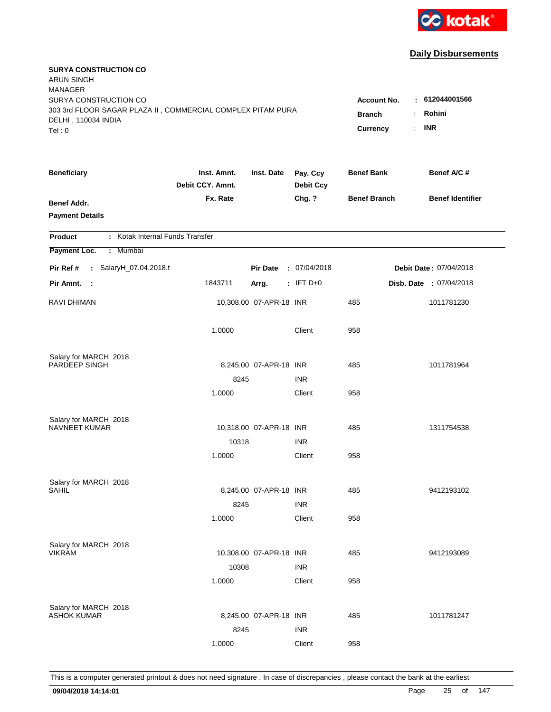

| <b>SURYA CONSTRUCTION CO</b><br><b>ARUN SINGH</b><br><b>MANAGER</b>                |                                 |                         |                              |                     |                         |
|------------------------------------------------------------------------------------|---------------------------------|-------------------------|------------------------------|---------------------|-------------------------|
| SURYA CONSTRUCTION CO                                                              |                                 |                         |                              | <b>Account No.</b>  | : 612044001566          |
| 303 3rd FLOOR SAGAR PLAZA II, COMMERCIAL COMPLEX PITAM PURA<br>DELHI, 110034 INDIA |                                 |                         |                              | <b>Branch</b>       | Rohini<br>÷             |
| Tel: 0                                                                             |                                 |                         |                              | Currency            | <b>INR</b><br>÷.        |
|                                                                                    |                                 |                         |                              |                     |                         |
| <b>Beneficiary</b>                                                                 | Inst. Amnt.<br>Debit CCY. Amnt. | Inst. Date              | Pay. Ccy<br><b>Debit Ccy</b> | <b>Benef Bank</b>   | Benef A/C #             |
| Benef Addr.                                                                        | Fx. Rate                        |                         | Chg. ?                       | <b>Benef Branch</b> | <b>Benef Identifier</b> |
| <b>Payment Details</b>                                                             |                                 |                         |                              |                     |                         |
| : Kotak Internal Funds Transfer<br><b>Product</b>                                  |                                 |                         |                              |                     |                         |
| Payment Loc.<br>: Mumbai                                                           |                                 |                         |                              |                     |                         |
| Pir Ref #<br>: SalaryH_07.04.2018.t                                                |                                 | <b>Pir Date</b>         | : 07/04/2018                 |                     | Debit Date: 07/04/2018  |
| Pir Amnt.<br>- 1                                                                   | 1843711                         | Arrg.                   | $:$ IFT D+0                  |                     | Disb. Date : 07/04/2018 |
|                                                                                    |                                 |                         |                              |                     |                         |
| <b>RAVI DHIMAN</b>                                                                 |                                 | 10,308.00 07-APR-18 INR |                              | 485                 | 1011781230              |
|                                                                                    | 1.0000                          |                         | Client                       | 958                 |                         |
|                                                                                    |                                 |                         |                              |                     |                         |
| Salary for MARCH 2018<br>PARDEEP SINGH                                             |                                 | 8,245.00 07-APR-18 INR  |                              | 485                 | 1011781964              |
|                                                                                    | 8245                            |                         | <b>INR</b>                   |                     |                         |
|                                                                                    | 1.0000                          |                         | Client                       | 958                 |                         |
|                                                                                    |                                 |                         |                              |                     |                         |
| Salary for MARCH 2018<br><b>NAVNEET KUMAR</b>                                      |                                 |                         |                              | 485                 | 1311754538              |
|                                                                                    | 10318                           | 10,318.00 07-APR-18 INR | <b>INR</b>                   |                     |                         |
|                                                                                    | 1.0000                          |                         | Client                       | 958                 |                         |
|                                                                                    |                                 |                         |                              |                     |                         |
| Salary for MARCH 2018                                                              |                                 |                         |                              |                     |                         |
| SAHIL                                                                              |                                 | 8,245.00 07-APR-18 INR  |                              | 485                 | 9412193102              |
|                                                                                    | 8245                            |                         | <b>INR</b>                   |                     |                         |
|                                                                                    | 1.0000                          |                         | Client                       | 958                 |                         |
|                                                                                    |                                 |                         |                              |                     |                         |
| Salary for MARCH 2018<br><b>VIKRAM</b>                                             |                                 | 10,308.00 07-APR-18 INR |                              | 485                 | 9412193089              |
|                                                                                    | 10308                           |                         | <b>INR</b>                   |                     |                         |
|                                                                                    | 1.0000                          |                         | Client                       | 958                 |                         |
|                                                                                    |                                 |                         |                              |                     |                         |
| Salary for MARCH 2018<br><b>ASHOK KUMAR</b>                                        |                                 | 8,245.00 07-APR-18 INR  |                              | 485                 | 1011781247              |
|                                                                                    | 8245                            |                         | <b>INR</b>                   |                     |                         |
|                                                                                    | 1.0000                          |                         | Client                       | 958                 |                         |
|                                                                                    |                                 |                         |                              |                     |                         |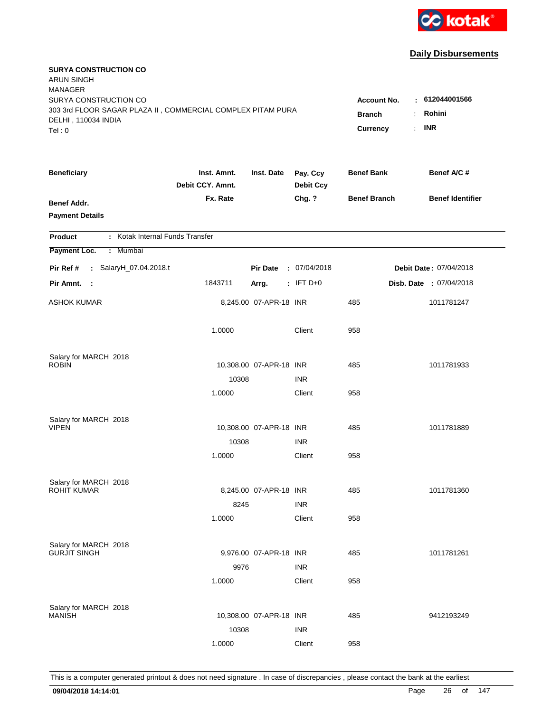

| <b>SURYA CONSTRUCTION CO</b><br><b>ARUN SINGH</b><br><b>MANAGER</b> |                                 |                         |                              |                     |                         |
|---------------------------------------------------------------------|---------------------------------|-------------------------|------------------------------|---------------------|-------------------------|
| SURYA CONSTRUCTION CO                                               |                                 |                         |                              | <b>Account No.</b>  | $\pm 612044001566$      |
| 303 3rd FLOOR SAGAR PLAZA II, COMMERCIAL COMPLEX PITAM PURA         | <b>Branch</b><br>÷.             | Rohini                  |                              |                     |                         |
| DELHI, 110034 INDIA<br>Tel: 0                                       |                                 |                         |                              | ÷.<br>Currency      | <b>INR</b>              |
|                                                                     |                                 |                         |                              |                     |                         |
| <b>Beneficiary</b>                                                  | Inst. Amnt.<br>Debit CCY. Amnt. | Inst. Date              | Pay. Ccy<br><b>Debit Ccy</b> | <b>Benef Bank</b>   | Benef A/C #             |
| <b>Benef Addr.</b>                                                  | Fx. Rate                        |                         | Chg. ?                       | <b>Benef Branch</b> | <b>Benef Identifier</b> |
| <b>Payment Details</b>                                              |                                 |                         |                              |                     |                         |
|                                                                     |                                 |                         |                              |                     |                         |
| : Kotak Internal Funds Transfer<br><b>Product</b>                   |                                 |                         |                              |                     |                         |
| : Mumbai<br>Payment Loc.                                            |                                 |                         |                              |                     |                         |
| Pir Ref #<br>: SalaryH_07.04.2018.t                                 |                                 | <b>Pir Date</b>         | : 07/04/2018                 |                     | Debit Date: 07/04/2018  |
| Pir Amnt. :                                                         | 1843711                         | Arrg.                   | $: IFT D+0$                  |                     | Disb. Date : 07/04/2018 |
| <b>ASHOK KUMAR</b>                                                  |                                 | 8,245.00 07-APR-18 INR  |                              | 485                 | 1011781247              |
|                                                                     | 1.0000                          |                         | Client                       | 958                 |                         |
| Salary for MARCH 2018                                               |                                 |                         |                              |                     |                         |
| <b>ROBIN</b>                                                        |                                 | 10,308.00 07-APR-18 INR |                              | 485                 | 1011781933              |
|                                                                     | 10308                           |                         | <b>INR</b>                   |                     |                         |
|                                                                     | 1.0000                          |                         | Client                       | 958                 |                         |
|                                                                     |                                 |                         |                              |                     |                         |
| Salary for MARCH 2018<br><b>VIPEN</b>                               |                                 | 10,308.00 07-APR-18 INR |                              | 485                 | 1011781889              |
|                                                                     | 10308                           |                         | <b>INR</b>                   |                     |                         |
|                                                                     | 1.0000                          |                         | Client                       | 958                 |                         |
|                                                                     |                                 |                         |                              |                     |                         |
| Salary for MARCH 2018                                               |                                 |                         |                              |                     |                         |
| <b>ROHIT KUMAR</b>                                                  |                                 | 8,245.00 07-APR-18 INR  |                              | 485                 | 1011781360              |
|                                                                     | 8245                            |                         | <b>INR</b>                   |                     |                         |
|                                                                     | 1.0000                          |                         | Client                       | 958                 |                         |
|                                                                     |                                 |                         |                              |                     |                         |
| Salary for MARCH 2018<br><b>GURJIT SINGH</b>                        |                                 | 9,976.00 07-APR-18 INR  |                              | 485                 | 1011781261              |
|                                                                     | 9976                            |                         | <b>INR</b>                   |                     |                         |
|                                                                     | 1.0000                          |                         | Client                       | 958                 |                         |
|                                                                     |                                 |                         |                              |                     |                         |
| Salary for MARCH 2018                                               |                                 |                         |                              |                     |                         |
| <b>MANISH</b>                                                       |                                 | 10,308.00 07-APR-18 INR |                              | 485                 | 9412193249              |
|                                                                     | 10308                           |                         | <b>INR</b>                   |                     |                         |
|                                                                     | 1.0000                          |                         | Client                       | 958                 |                         |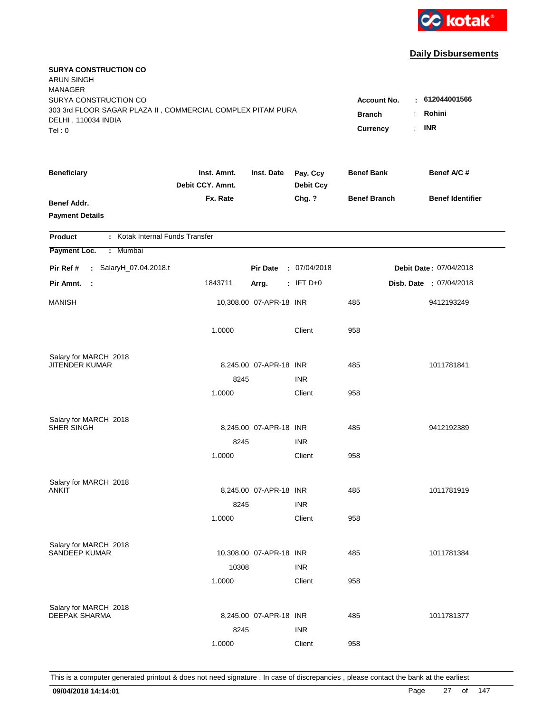

| <b>SURYA CONSTRUCTION CO</b><br><b>ARUN SINGH</b><br><b>MANAGER</b>                  |                                 |                         |                              |                                     |                                |
|--------------------------------------------------------------------------------------|---------------------------------|-------------------------|------------------------------|-------------------------------------|--------------------------------|
| SURYA CONSTRUCTION CO<br>303 3rd FLOOR SAGAR PLAZA II, COMMERCIAL COMPLEX PITAM PURA |                                 |                         |                              | <b>Account No.</b><br><b>Branch</b> | : 612044001566<br>Rohini<br>÷. |
| DELHI, 110034 INDIA<br>Tel: 0                                                        |                                 | Currency                | <b>INR</b><br>÷.             |                                     |                                |
| <b>Beneficiary</b>                                                                   | Inst. Amnt.<br>Debit CCY. Amnt. | Inst. Date              | Pay. Ccy<br><b>Debit Ccy</b> | <b>Benef Bank</b>                   | Benef A/C #                    |
| <b>Benef Addr.</b><br><b>Payment Details</b>                                         | Fx. Rate                        |                         | Chg. ?                       | <b>Benef Branch</b>                 | <b>Benef Identifier</b>        |
| : Kotak Internal Funds Transfer<br><b>Product</b>                                    |                                 |                         |                              |                                     |                                |
| Payment Loc.<br>: Mumbai                                                             |                                 |                         |                              |                                     |                                |
| Pir Ref #<br>: SalaryH_07.04.2018.t                                                  |                                 | <b>Pir Date</b>         | : 07/04/2018                 |                                     | Debit Date: 07/04/2018         |
| Pir Amnt.<br>- 1                                                                     | 1843711                         | Arrg.                   | $:$ IFT D+0                  |                                     | Disb. Date : 07/04/2018        |
| <b>MANISH</b>                                                                        |                                 | 10,308.00 07-APR-18 INR |                              | 485                                 | 9412193249                     |
|                                                                                      | 1.0000                          |                         | Client                       | 958                                 |                                |
| Salary for MARCH 2018                                                                |                                 |                         |                              |                                     |                                |
| JITENDER KUMAR                                                                       |                                 | 8,245.00 07-APR-18 INR  |                              | 485                                 | 1011781841                     |
|                                                                                      | 8245                            |                         | <b>INR</b>                   |                                     |                                |
|                                                                                      | 1.0000                          |                         | Client                       | 958                                 |                                |
| Salary for MARCH 2018                                                                |                                 |                         |                              |                                     |                                |
| SHER SINGH                                                                           |                                 | 8,245.00 07-APR-18 INR  |                              | 485                                 | 9412192389                     |
|                                                                                      | 8245                            |                         | <b>INR</b>                   |                                     |                                |
|                                                                                      | 1.0000                          |                         | Client                       | 958                                 |                                |
| Salary for MARCH 2018                                                                |                                 |                         |                              |                                     |                                |
| ANKIT                                                                                |                                 | 8,245.00 07-APR-18 INR  |                              | 485                                 | 1011781919                     |
|                                                                                      | 8245                            |                         | <b>INR</b>                   |                                     |                                |
|                                                                                      | 1.0000                          |                         | Client                       | 958                                 |                                |
| Salary for MARCH 2018                                                                |                                 |                         |                              |                                     |                                |
| <b>SANDEEP KUMAR</b>                                                                 |                                 | 10,308.00 07-APR-18 INR |                              | 485                                 | 1011781384                     |
|                                                                                      | 10308                           |                         | <b>INR</b>                   |                                     |                                |
|                                                                                      | 1.0000                          |                         | Client                       | 958                                 |                                |
| Salary for MARCH 2018                                                                |                                 |                         |                              |                                     |                                |
| DEEPAK SHARMA                                                                        |                                 | 8,245.00 07-APR-18 INR  |                              | 485                                 | 1011781377                     |
|                                                                                      | 8245                            |                         | <b>INR</b>                   |                                     |                                |
|                                                                                      | 1.0000                          |                         | Client                       | 958                                 |                                |
|                                                                                      |                                 |                         |                              |                                     |                                |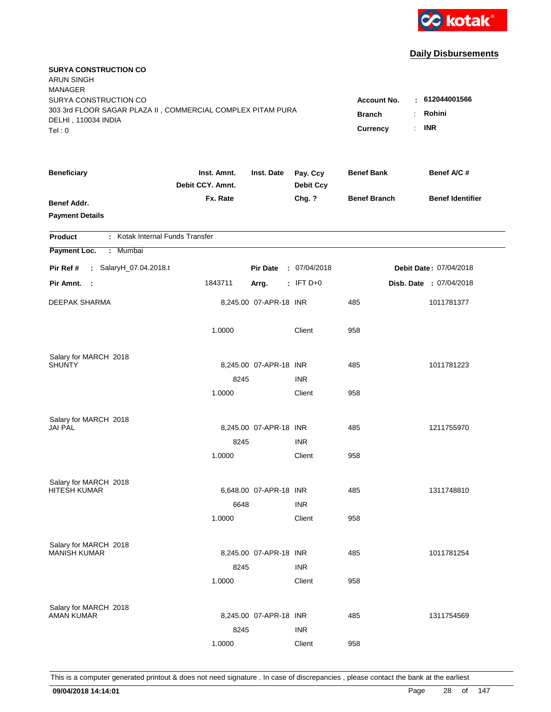

| <b>SURYA CONSTRUCTION CO</b><br><b>ARUN SINGH</b><br><b>MANAGER</b>                  |                                 |                        |                              |                     |                          |
|--------------------------------------------------------------------------------------|---------------------------------|------------------------|------------------------------|---------------------|--------------------------|
| SURYA CONSTRUCTION CO<br>303 3rd FLOOR SAGAR PLAZA II, COMMERCIAL COMPLEX PITAM PURA |                                 |                        |                              | <b>Account No.</b>  | : 612044001566<br>Rohini |
| DELHI, 110034 INDIA                                                                  |                                 |                        |                              | <b>Branch</b>       | ÷.                       |
| Tel: 0                                                                               |                                 |                        |                              | Currency            | <b>INR</b><br>÷.         |
| <b>Beneficiary</b>                                                                   | Inst. Amnt.<br>Debit CCY. Amnt. | Inst. Date             | Pay. Ccy<br><b>Debit Ccy</b> | <b>Benef Bank</b>   | Benef A/C #              |
| Benef Addr.<br><b>Payment Details</b>                                                | Fx. Rate                        |                        | Chg. ?                       | <b>Benef Branch</b> | <b>Benef Identifier</b>  |
| : Kotak Internal Funds Transfer<br><b>Product</b>                                    |                                 |                        |                              |                     |                          |
| Payment Loc.<br>: Mumbai                                                             |                                 |                        |                              |                     |                          |
| Pir Ref #<br>: SalaryH_07.04.2018.t                                                  |                                 | <b>Pir Date</b>        | : 07/04/2018                 |                     | Debit Date: 07/04/2018   |
| Pir Amnt.<br>- 1                                                                     | 1843711                         | Arrg.                  | $:$ IFT D+0                  |                     | Disb. Date : 07/04/2018  |
| <b>DEEPAK SHARMA</b>                                                                 |                                 | 8,245.00 07-APR-18 INR |                              | 485                 | 1011781377               |
|                                                                                      | 1.0000                          |                        | Client                       | 958                 |                          |
| Salary for MARCH 2018                                                                |                                 |                        |                              |                     |                          |
| <b>SHUNTY</b>                                                                        |                                 | 8,245.00 07-APR-18 INR |                              | 485                 | 1011781223               |
|                                                                                      | 8245                            |                        | <b>INR</b>                   |                     |                          |
|                                                                                      | 1.0000                          |                        | Client                       | 958                 |                          |
| Salary for MARCH 2018                                                                |                                 |                        |                              |                     |                          |
| <b>JAI PAL</b>                                                                       |                                 | 8,245.00 07-APR-18 INR |                              | 485                 | 1211755970               |
|                                                                                      | 8245                            |                        | <b>INR</b>                   |                     |                          |
|                                                                                      | 1.0000                          |                        | Client                       | 958                 |                          |
| Salary for MARCH 2018                                                                |                                 |                        |                              |                     |                          |
| <b>HITESH KUMAR</b>                                                                  |                                 | 6,648.00 07-APR-18 INR |                              | 485                 | 1311748810               |
|                                                                                      | 6648                            |                        | <b>INR</b>                   |                     |                          |
|                                                                                      | 1.0000                          |                        | Client                       | 958                 |                          |
| Salary for MARCH 2018                                                                |                                 |                        |                              |                     |                          |
| <b>MANISH KUMAR</b>                                                                  |                                 | 8,245.00 07-APR-18 INR |                              | 485                 | 1011781254               |
|                                                                                      | 8245                            |                        | <b>INR</b>                   |                     |                          |
|                                                                                      | 1.0000                          |                        | Client                       | 958                 |                          |
| Salary for MARCH 2018                                                                |                                 |                        |                              |                     |                          |
| <b>AMAN KUMAR</b>                                                                    |                                 | 8,245.00 07-APR-18 INR |                              | 485                 | 1311754569               |
|                                                                                      | 8245                            |                        | <b>INR</b>                   |                     |                          |
|                                                                                      | 1.0000                          |                        | Client                       | 958                 |                          |
|                                                                                      |                                 |                        |                              |                     |                          |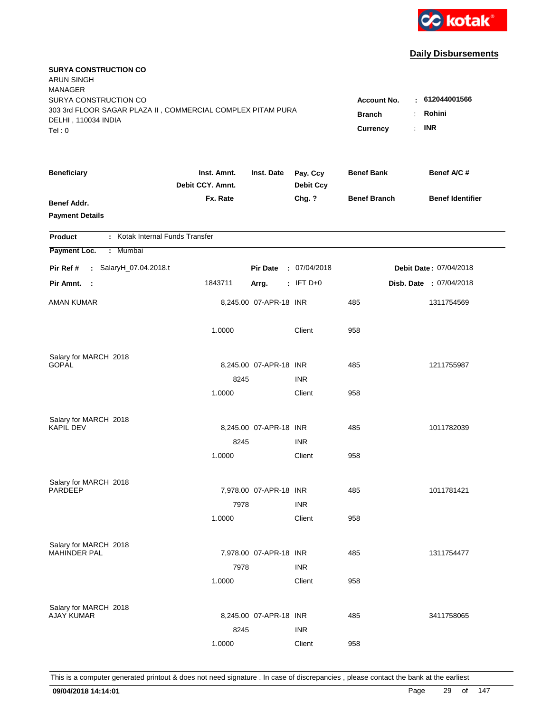

| <b>SURYA CONSTRUCTION CO</b><br><b>ARUN SINGH</b><br><b>MANAGER</b>                |                                 |                        |                              |                     |                         |
|------------------------------------------------------------------------------------|---------------------------------|------------------------|------------------------------|---------------------|-------------------------|
| SURYA CONSTRUCTION CO                                                              |                                 |                        |                              | <b>Account No.</b>  | : 612044001566          |
| 303 3rd FLOOR SAGAR PLAZA II, COMMERCIAL COMPLEX PITAM PURA<br>DELHI, 110034 INDIA |                                 |                        |                              | <b>Branch</b>       | Rohini<br>÷.            |
| Tel: 0                                                                             |                                 |                        |                              | Currency            | <b>INR</b><br>÷.        |
|                                                                                    |                                 |                        |                              |                     |                         |
| <b>Beneficiary</b>                                                                 | Inst. Amnt.<br>Debit CCY. Amnt. | Inst. Date             | Pay. Ccy<br><b>Debit Ccy</b> | <b>Benef Bank</b>   | Benef A/C #             |
| Benef Addr.                                                                        | Fx. Rate                        |                        | Chg. ?                       | <b>Benef Branch</b> | <b>Benef Identifier</b> |
| <b>Payment Details</b>                                                             |                                 |                        |                              |                     |                         |
|                                                                                    |                                 |                        |                              |                     |                         |
| : Kotak Internal Funds Transfer<br><b>Product</b>                                  |                                 |                        |                              |                     |                         |
| Payment Loc.<br>: Mumbai                                                           |                                 |                        |                              |                     |                         |
| Pir Ref #<br>: SalaryH_07.04.2018.t                                                |                                 | <b>Pir Date</b>        | : 07/04/2018                 |                     | Debit Date: 07/04/2018  |
| Pir Amnt.<br>- 1                                                                   | 1843711                         | Arrg.                  | $:$ IFT D+0                  |                     | Disb. Date : 07/04/2018 |
| AMAN KUMAR                                                                         |                                 | 8,245.00 07-APR-18 INR |                              | 485                 | 1311754569              |
|                                                                                    | 1.0000                          |                        | Client                       | 958                 |                         |
| Salary for MARCH 2018                                                              |                                 |                        |                              |                     |                         |
| <b>GOPAL</b>                                                                       |                                 | 8,245.00 07-APR-18 INR |                              | 485                 | 1211755987              |
|                                                                                    | 8245                            |                        | <b>INR</b>                   |                     |                         |
|                                                                                    | 1.0000                          |                        | Client                       | 958                 |                         |
|                                                                                    |                                 |                        |                              |                     |                         |
| Salary for MARCH 2018<br><b>KAPIL DEV</b>                                          |                                 | 8,245.00 07-APR-18 INR |                              | 485                 | 1011782039              |
|                                                                                    | 8245                            |                        | <b>INR</b>                   |                     |                         |
|                                                                                    | 1.0000                          |                        | Client                       | 958                 |                         |
|                                                                                    |                                 |                        |                              |                     |                         |
| Salary for MARCH 2018<br><b>PARDEEP</b>                                            |                                 | 7,978.00 07-APR-18 INR |                              | 485                 | 1011781421              |
|                                                                                    | 7978                            |                        | <b>INR</b>                   |                     |                         |
|                                                                                    | 1.0000                          |                        | Client                       | 958                 |                         |
|                                                                                    |                                 |                        |                              |                     |                         |
| Salary for MARCH 2018                                                              |                                 |                        |                              |                     |                         |
| <b>MAHINDER PAL</b>                                                                |                                 | 7,978.00 07-APR-18 INR |                              | 485                 | 1311754477              |
|                                                                                    | 7978                            |                        | <b>INR</b>                   |                     |                         |
|                                                                                    | 1.0000                          |                        | Client                       | 958                 |                         |
|                                                                                    |                                 |                        |                              |                     |                         |
| Salary for MARCH 2018<br><b>AJAY KUMAR</b>                                         |                                 | 8,245.00 07-APR-18 INR |                              | 485                 | 3411758065              |
|                                                                                    | 8245                            |                        | <b>INR</b>                   |                     |                         |
|                                                                                    | 1.0000                          |                        | Client                       | 958                 |                         |
|                                                                                    |                                 |                        |                              |                     |                         |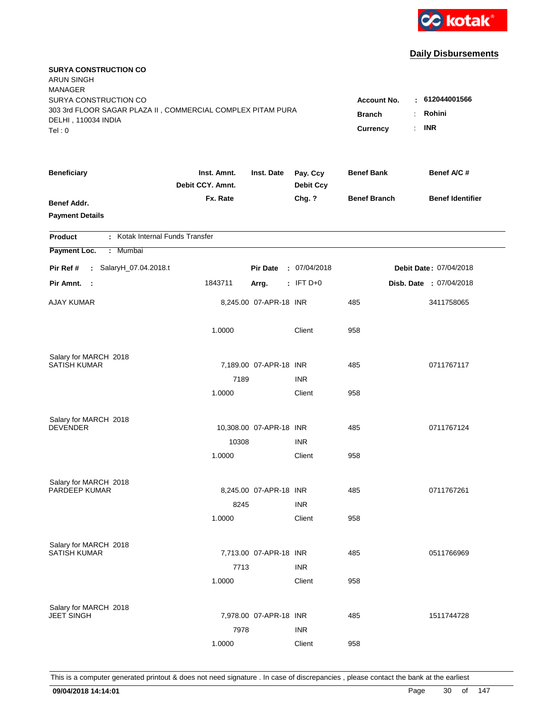

| <b>SURYA CONSTRUCTION CO</b><br><b>ARUN SINGH</b><br><b>MANAGER</b>                                         |                                 |                                     |                                |                     |                         |
|-------------------------------------------------------------------------------------------------------------|---------------------------------|-------------------------------------|--------------------------------|---------------------|-------------------------|
| SURYA CONSTRUCTION CO<br>303 3rd FLOOR SAGAR PLAZA II, COMMERCIAL COMPLEX PITAM PURA<br>DELHI, 110034 INDIA |                                 | <b>Account No.</b><br><b>Branch</b> | $-612044001566$<br>Rohini<br>÷ |                     |                         |
| Tel: 0                                                                                                      |                                 |                                     |                                | Currency            | <b>INR</b><br>÷.        |
| <b>Beneficiary</b>                                                                                          | Inst. Amnt.<br>Debit CCY. Amnt. | Inst. Date                          | Pay. Ccy<br><b>Debit Ccy</b>   | <b>Benef Bank</b>   | Benef A/C #             |
| Benef Addr.<br><b>Payment Details</b>                                                                       | Fx. Rate                        |                                     | Chg. ?                         | <b>Benef Branch</b> | <b>Benef Identifier</b> |
| : Kotak Internal Funds Transfer<br><b>Product</b>                                                           |                                 |                                     |                                |                     |                         |
| Payment Loc.<br>: Mumbai                                                                                    |                                 |                                     |                                |                     |                         |
| Pir Ref #<br>: SalaryH_07.04.2018.t                                                                         |                                 | <b>Pir Date</b>                     | : 07/04/2018                   |                     | Debit Date: 07/04/2018  |
| Pir Amnt.<br>- 1                                                                                            | 1843711                         | Arrg.                               | $:$ IFT D+0                    |                     | Disb. Date : 07/04/2018 |
| <b>AJAY KUMAR</b>                                                                                           |                                 | 8,245.00 07-APR-18 INR              |                                | 485                 | 3411758065              |
|                                                                                                             | 1.0000                          |                                     | Client                         | 958                 |                         |
| Salary for MARCH 2018                                                                                       |                                 |                                     |                                |                     |                         |
| <b>SATISH KUMAR</b>                                                                                         | 7189                            | 7,189.00 07-APR-18 INR              | <b>INR</b>                     | 485                 | 0711767117              |
|                                                                                                             | 1.0000                          |                                     | Client                         | 958                 |                         |
|                                                                                                             |                                 |                                     |                                |                     |                         |
| Salary for MARCH 2018                                                                                       |                                 |                                     |                                |                     |                         |
| <b>DEVENDER</b>                                                                                             |                                 | 10,308.00 07-APR-18 INR             |                                | 485                 | 0711767124              |
|                                                                                                             | 10308                           |                                     | <b>INR</b>                     |                     |                         |
|                                                                                                             | 1.0000                          |                                     | Client                         | 958                 |                         |
| Salary for MARCH 2018                                                                                       |                                 |                                     |                                |                     |                         |
| PARDEEP KUMAR                                                                                               |                                 | 8,245.00 07-APR-18 INR              |                                | 485                 | 0711767261              |
|                                                                                                             | 8245                            |                                     | <b>INR</b>                     |                     |                         |
|                                                                                                             | 1.0000                          |                                     | Client                         | 958                 |                         |
| Salary for MARCH 2018                                                                                       |                                 |                                     |                                |                     |                         |
| <b>SATISH KUMAR</b>                                                                                         |                                 | 7,713.00 07-APR-18 INR              |                                | 485                 | 0511766969              |
|                                                                                                             | 7713                            |                                     | <b>INR</b>                     |                     |                         |
|                                                                                                             | 1.0000                          |                                     | Client                         | 958                 |                         |
|                                                                                                             |                                 |                                     |                                |                     |                         |
| Salary for MARCH 2018<br><b>JEET SINGH</b>                                                                  |                                 | 7,978.00 07-APR-18 INR              |                                | 485                 | 1511744728              |
|                                                                                                             | 7978                            |                                     | <b>INR</b>                     |                     |                         |
|                                                                                                             | 1.0000                          |                                     | Client                         | 958                 |                         |
|                                                                                                             |                                 |                                     |                                |                     |                         |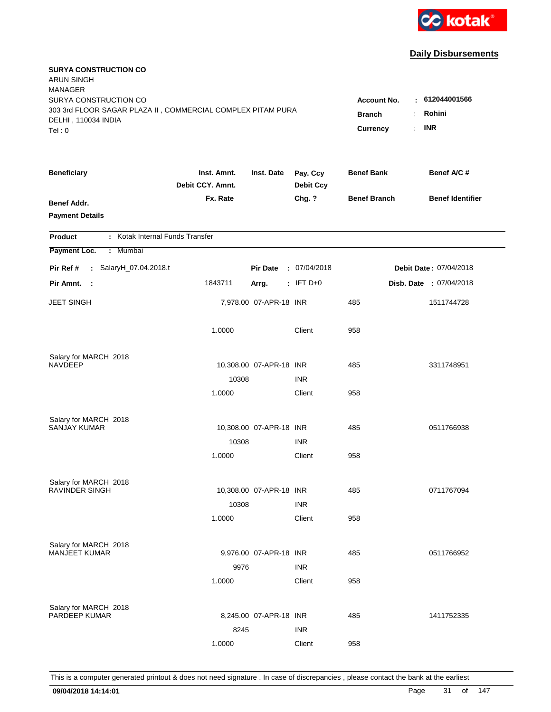

| <b>SURYA CONSTRUCTION CO</b><br><b>ARUN SINGH</b><br><b>MANAGER</b>                                         |                                 |                                     |                                                   |                     |                         |
|-------------------------------------------------------------------------------------------------------------|---------------------------------|-------------------------------------|---------------------------------------------------|---------------------|-------------------------|
| SURYA CONSTRUCTION CO<br>303 3rd FLOOR SAGAR PLAZA II, COMMERCIAL COMPLEX PITAM PURA<br>DELHI, 110034 INDIA |                                 | <b>Account No.</b><br><b>Branch</b> | : 612044001566<br>Rohini<br>÷<br><b>INR</b><br>÷. |                     |                         |
| Tel: 0                                                                                                      |                                 |                                     |                                                   | Currency            |                         |
| <b>Beneficiary</b>                                                                                          | Inst. Amnt.<br>Debit CCY. Amnt. | Inst. Date                          | Pay. Ccy<br><b>Debit Ccy</b>                      | <b>Benef Bank</b>   | Benef A/C #             |
| Benef Addr.<br><b>Payment Details</b>                                                                       | Fx. Rate                        |                                     | Chg. ?                                            | <b>Benef Branch</b> | <b>Benef Identifier</b> |
| : Kotak Internal Funds Transfer<br><b>Product</b>                                                           |                                 |                                     |                                                   |                     |                         |
| Payment Loc.<br>: Mumbai                                                                                    |                                 |                                     |                                                   |                     |                         |
| Pir Ref #<br>: SalaryH_07.04.2018.t                                                                         |                                 | <b>Pir Date</b>                     | : 07/04/2018                                      |                     | Debit Date: 07/04/2018  |
| Pir Amnt.<br>- 1                                                                                            | 1843711                         | Arrg.                               | $:$ IFT D+0                                       |                     | Disb. Date : 07/04/2018 |
| <b>JEET SINGH</b>                                                                                           |                                 | 7,978.00 07-APR-18 INR              |                                                   | 485                 | 1511744728              |
|                                                                                                             | 1.0000                          |                                     | Client                                            | 958                 |                         |
| Salary for MARCH 2018                                                                                       |                                 |                                     |                                                   |                     |                         |
| <b>NAVDEEP</b>                                                                                              | 10308                           | 10,308.00 07-APR-18 INR             | <b>INR</b>                                        | 485                 | 3311748951              |
|                                                                                                             | 1.0000                          |                                     | Client                                            | 958                 |                         |
|                                                                                                             |                                 |                                     |                                                   |                     |                         |
| Salary for MARCH 2018                                                                                       |                                 |                                     |                                                   |                     |                         |
| <b>SANJAY KUMAR</b>                                                                                         |                                 | 10,308.00 07-APR-18 INR             |                                                   | 485                 | 0511766938              |
|                                                                                                             | 10308                           |                                     | <b>INR</b>                                        |                     |                         |
|                                                                                                             | 1.0000                          |                                     | Client                                            | 958                 |                         |
| Salary for MARCH 2018                                                                                       |                                 |                                     |                                                   |                     |                         |
| <b>RAVINDER SINGH</b>                                                                                       |                                 | 10,308.00 07-APR-18 INR             |                                                   | 485                 | 0711767094              |
|                                                                                                             | 10308                           |                                     | <b>INR</b>                                        |                     |                         |
|                                                                                                             | 1.0000                          |                                     | Client                                            | 958                 |                         |
|                                                                                                             |                                 |                                     |                                                   |                     |                         |
| Salary for MARCH 2018<br><b>MANJEET KUMAR</b>                                                               |                                 | 9,976.00 07-APR-18 INR              |                                                   | 485                 | 0511766952              |
|                                                                                                             | 9976                            |                                     | <b>INR</b>                                        |                     |                         |
|                                                                                                             | 1.0000                          |                                     | Client                                            | 958                 |                         |
|                                                                                                             |                                 |                                     |                                                   |                     |                         |
| Salary for MARCH 2018<br>PARDEEP KUMAR                                                                      |                                 | 8,245.00 07-APR-18 INR              |                                                   | 485                 | 1411752335              |
|                                                                                                             | 8245                            |                                     | <b>INR</b>                                        |                     |                         |
|                                                                                                             | 1.0000                          |                                     | Client                                            | 958                 |                         |
|                                                                                                             |                                 |                                     |                                                   |                     |                         |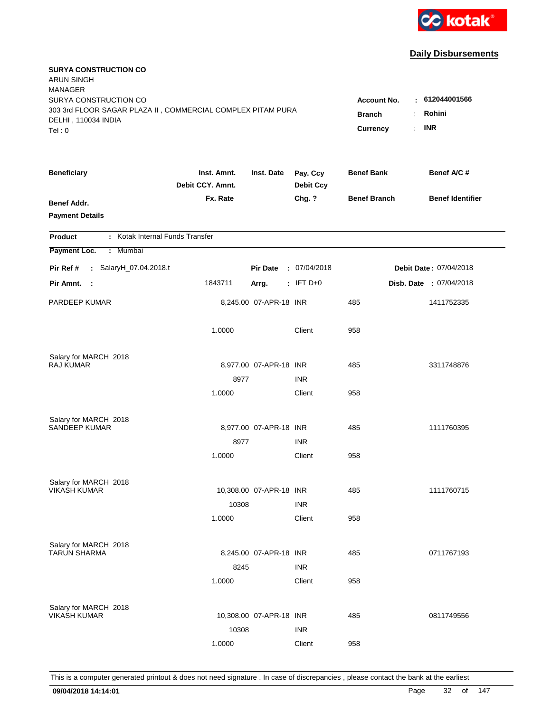

| <b>SURYA CONSTRUCTION CO</b><br><b>ARUN SINGH</b><br><b>MANAGER</b><br>SURYA CONSTRUCTION CO<br>303 3rd FLOOR SAGAR PLAZA II, COMMERCIAL COMPLEX PITAM PURA<br>DELHI, 110034 INDIA<br>Tel: 0 | <b>Account No.</b><br><b>Branch</b><br>Currency | : 612044001566<br>Rohini<br>÷<br><b>INR</b><br>÷. |                              |                     |                         |
|----------------------------------------------------------------------------------------------------------------------------------------------------------------------------------------------|-------------------------------------------------|---------------------------------------------------|------------------------------|---------------------|-------------------------|
| <b>Beneficiary</b>                                                                                                                                                                           | Inst. Amnt.<br>Debit CCY. Amnt.                 | Inst. Date                                        | Pay. Ccy<br><b>Debit Ccy</b> | <b>Benef Bank</b>   | Benef A/C #             |
| <b>Benef Addr.</b><br><b>Payment Details</b>                                                                                                                                                 | Fx. Rate                                        |                                                   | Chg. ?                       | <b>Benef Branch</b> | <b>Benef Identifier</b> |
| : Kotak Internal Funds Transfer<br>Product                                                                                                                                                   |                                                 |                                                   |                              |                     |                         |
| Payment Loc.<br>: Mumbai                                                                                                                                                                     |                                                 |                                                   |                              |                     |                         |
| : SalaryH_07.04.2018.t<br>Pir Ref #                                                                                                                                                          |                                                 | <b>Pir Date</b>                                   | : 07/04/2018                 |                     | Debit Date: 07/04/2018  |
| Pir Amnt.<br>$\sim$ 1                                                                                                                                                                        | 1843711                                         | Arrg.                                             | $:$ IFT D+0                  |                     | Disb. Date : 07/04/2018 |
| PARDEEP KUMAR                                                                                                                                                                                |                                                 | 8,245.00 07-APR-18 INR                            |                              | 485                 | 1411752335              |
|                                                                                                                                                                                              | 1.0000                                          |                                                   | Client                       | 958                 |                         |
| Salary for MARCH 2018                                                                                                                                                                        |                                                 |                                                   |                              |                     |                         |
| RAJ KUMAR                                                                                                                                                                                    |                                                 | 8,977.00 07-APR-18 INR                            |                              | 485                 | 3311748876              |
|                                                                                                                                                                                              | 8977                                            |                                                   | <b>INR</b>                   |                     |                         |
|                                                                                                                                                                                              | 1.0000                                          |                                                   | Client                       | 958                 |                         |
| Salary for MARCH 2018                                                                                                                                                                        |                                                 |                                                   |                              |                     |                         |
| <b>SANDEEP KUMAR</b>                                                                                                                                                                         |                                                 | 8,977.00 07-APR-18 INR                            |                              | 485                 | 1111760395              |
|                                                                                                                                                                                              | 8977                                            |                                                   | <b>INR</b>                   |                     |                         |
|                                                                                                                                                                                              | 1.0000                                          |                                                   | Client                       | 958                 |                         |
| Salary for MARCH 2018                                                                                                                                                                        |                                                 |                                                   |                              |                     |                         |
| <b>VIKASH KUMAR</b>                                                                                                                                                                          |                                                 | 10,308.00 07-APR-18 INR                           |                              | 485                 | 1111760715              |
|                                                                                                                                                                                              | 10308                                           |                                                   | <b>INR</b>                   |                     |                         |
|                                                                                                                                                                                              | 1.0000                                          |                                                   | Client                       | 958                 |                         |
| Salary for MARCH 2018                                                                                                                                                                        |                                                 |                                                   |                              |                     |                         |
| <b>TARUN SHARMA</b>                                                                                                                                                                          |                                                 | 8,245.00 07-APR-18 INR                            |                              | 485                 | 0711767193              |
|                                                                                                                                                                                              | 8245                                            |                                                   | <b>INR</b>                   |                     |                         |
|                                                                                                                                                                                              | 1.0000                                          |                                                   | Client                       | 958                 |                         |
|                                                                                                                                                                                              |                                                 |                                                   |                              |                     |                         |
| Salary for MARCH 2018<br><b>VIKASH KUMAR</b>                                                                                                                                                 |                                                 | 10,308.00 07-APR-18 INR                           |                              | 485                 | 0811749556              |
|                                                                                                                                                                                              | 10308                                           |                                                   | <b>INR</b>                   |                     |                         |
|                                                                                                                                                                                              | 1.0000                                          |                                                   | Client                       | 958                 |                         |
|                                                                                                                                                                                              |                                                 |                                                   |                              |                     |                         |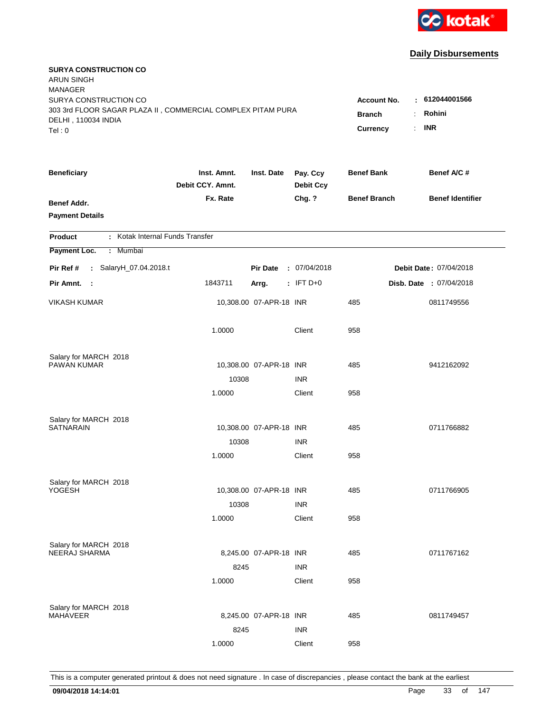

| <b>SURYA CONSTRUCTION CO</b><br>ARUN SINGH<br><b>MANAGER</b><br>SURYA CONSTRUCTION CO        |                                 |                                 |                              | <b>Account No.</b>  | : 612044001566          |
|----------------------------------------------------------------------------------------------|---------------------------------|---------------------------------|------------------------------|---------------------|-------------------------|
| 303 3rd FLOOR SAGAR PLAZA II, COMMERCIAL COMPLEX PITAM PURA<br>DELHI, 110034 INDIA<br>Tel: 0 | <b>Branch</b><br>Currency       | Rohini<br>÷<br><b>INR</b><br>÷. |                              |                     |                         |
| <b>Beneficiary</b>                                                                           | Inst. Amnt.<br>Debit CCY. Amnt. | Inst. Date                      | Pay. Ccy<br><b>Debit Ccy</b> | <b>Benef Bank</b>   | Benef A/C #             |
| <b>Benef Addr.</b><br><b>Payment Details</b>                                                 | Fx. Rate                        |                                 | Chg. ?                       | <b>Benef Branch</b> | <b>Benef Identifier</b> |
| : Kotak Internal Funds Transfer<br>Product                                                   |                                 |                                 |                              |                     |                         |
| Payment Loc.<br>: Mumbai                                                                     |                                 |                                 |                              |                     |                         |
| : SalaryH_07.04.2018.t<br>Pir Ref #                                                          |                                 | <b>Pir Date</b>                 | : 07/04/2018                 |                     | Debit Date: 07/04/2018  |
| Pir Amnt. :                                                                                  | 1843711                         | Arrg.                           | $:$ IFT D+0                  |                     | Disb. Date : 07/04/2018 |
| <b>VIKASH KUMAR</b>                                                                          |                                 | 10,308.00 07-APR-18 INR         |                              | 485                 | 0811749556              |
|                                                                                              | 1.0000                          |                                 | Client                       | 958                 |                         |
| Salary for MARCH 2018<br>PAWAN KUMAR                                                         |                                 | 10,308.00 07-APR-18 INR         |                              | 485                 | 9412162092              |
|                                                                                              | 10308                           |                                 | <b>INR</b>                   |                     |                         |
|                                                                                              | 1.0000                          |                                 | Client                       | 958                 |                         |
| Salary for MARCH 2018<br><b>SATNARAIN</b>                                                    |                                 | 10,308.00 07-APR-18 INR         |                              | 485                 | 0711766882              |
|                                                                                              | 10308                           |                                 | <b>INR</b>                   |                     |                         |
|                                                                                              | 1.0000                          |                                 | Client                       | 958                 |                         |
| Salary for MARCH 2018                                                                        |                                 |                                 |                              |                     |                         |
| YOGESH                                                                                       | 10308                           | 10,308.00 07-APR-18 INR         | <b>INR</b>                   | 485                 | 0711766905              |
|                                                                                              | 1.0000                          |                                 | Client                       | 958                 |                         |
| Salary for MARCH 2018<br><b>NEERAJ SHARMA</b>                                                |                                 | 8,245.00 07-APR-18 INR          |                              | 485                 | 0711767162              |
|                                                                                              | 8245<br>1.0000                  |                                 | <b>INR</b><br>Client         | 958                 |                         |
| Salary for MARCH 2018<br><b>MAHAVEER</b>                                                     |                                 | 8,245.00 07-APR-18 INR          |                              | 485                 | 0811749457              |
|                                                                                              | 8245<br>1.0000                  |                                 | <b>INR</b><br>Client         | 958                 |                         |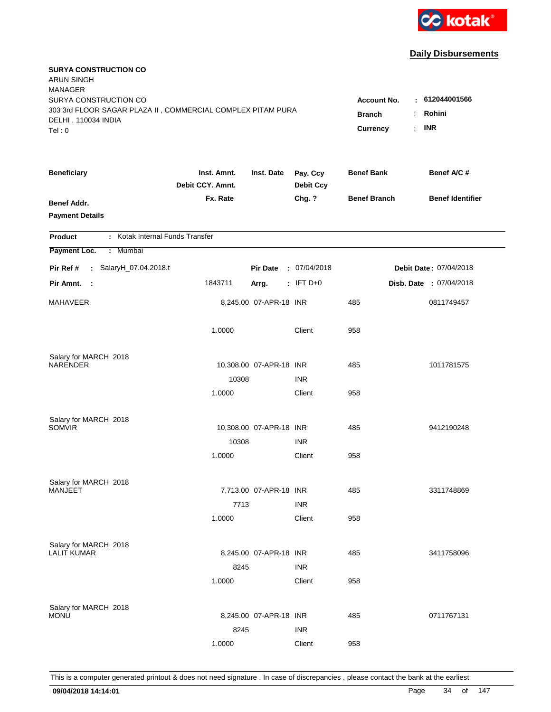

| <b>SURYA CONSTRUCTION CO</b><br>ARUN SINGH<br><b>MANAGER</b><br>SURYA CONSTRUCTION CO<br>303 3rd FLOOR SAGAR PLAZA II, COMMERCIAL COMPLEX PITAM PURA<br>DELHI, 110034 INDIA |                                 |                         |                              | <b>Account No.</b><br><b>Branch</b> | : 612044001566<br>Rohini<br>÷ |
|-----------------------------------------------------------------------------------------------------------------------------------------------------------------------------|---------------------------------|-------------------------|------------------------------|-------------------------------------|-------------------------------|
| Tel: 0                                                                                                                                                                      |                                 |                         |                              | Currency                            | <b>INR</b><br>÷.              |
| <b>Beneficiary</b>                                                                                                                                                          | Inst. Amnt.<br>Debit CCY. Amnt. | Inst. Date              | Pay. Ccy<br><b>Debit Ccy</b> | <b>Benef Bank</b>                   | Benef A/C #                   |
| <b>Benef Addr.</b><br><b>Payment Details</b>                                                                                                                                | Fx. Rate                        |                         | Chg. ?                       | <b>Benef Branch</b>                 | <b>Benef Identifier</b>       |
| : Kotak Internal Funds Transfer<br>Product                                                                                                                                  |                                 |                         |                              |                                     |                               |
| Payment Loc.<br>: Mumbai                                                                                                                                                    |                                 |                         |                              |                                     |                               |
| : SalaryH_07.04.2018.t<br>Pir Ref #                                                                                                                                         |                                 | <b>Pir Date</b>         | : 07/04/2018                 |                                     | Debit Date: 07/04/2018        |
| Pir Amnt. :                                                                                                                                                                 | 1843711                         | Arrg.                   | $:$ IFT D+0                  |                                     | Disb. Date : 07/04/2018       |
| MAHAVEER                                                                                                                                                                    |                                 | 8,245.00 07-APR-18 INR  |                              | 485                                 | 0811749457                    |
|                                                                                                                                                                             | 1.0000                          |                         | Client                       | 958                                 |                               |
| Salary for MARCH 2018                                                                                                                                                       |                                 |                         |                              |                                     |                               |
| NARENDER                                                                                                                                                                    |                                 | 10,308.00 07-APR-18 INR |                              | 485                                 | 1011781575                    |
|                                                                                                                                                                             | 10308                           |                         | <b>INR</b>                   |                                     |                               |
|                                                                                                                                                                             | 1.0000                          |                         | Client                       | 958                                 |                               |
| Salary for MARCH 2018                                                                                                                                                       |                                 |                         |                              |                                     |                               |
| SOMVIR                                                                                                                                                                      |                                 | 10,308.00 07-APR-18 INR |                              | 485                                 | 9412190248                    |
|                                                                                                                                                                             | 10308                           |                         | <b>INR</b>                   |                                     |                               |
|                                                                                                                                                                             | 1.0000                          |                         | Client                       | 958                                 |                               |
| Salary for MARCH 2018                                                                                                                                                       |                                 |                         |                              |                                     |                               |
| MANJEET                                                                                                                                                                     |                                 | 7,713.00 07-APR-18 INR  |                              | 485                                 | 3311748869                    |
|                                                                                                                                                                             | 7713                            |                         | <b>INR</b>                   |                                     |                               |
|                                                                                                                                                                             | 1.0000                          |                         | Client                       | 958                                 |                               |
| Salary for MARCH 2018                                                                                                                                                       |                                 |                         |                              |                                     |                               |
| <b>LALIT KUMAR</b>                                                                                                                                                          |                                 | 8,245.00 07-APR-18 INR  |                              | 485                                 | 3411758096                    |
|                                                                                                                                                                             | 8245                            |                         | <b>INR</b>                   |                                     |                               |
|                                                                                                                                                                             | 1.0000                          |                         | Client                       | 958                                 |                               |
|                                                                                                                                                                             |                                 |                         |                              |                                     |                               |
| Salary for MARCH 2018<br><b>MONU</b>                                                                                                                                        |                                 | 8,245.00 07-APR-18 INR  |                              | 485                                 | 0711767131                    |
|                                                                                                                                                                             | 8245                            |                         | <b>INR</b>                   |                                     |                               |
|                                                                                                                                                                             | 1.0000                          |                         | Client                       | 958                                 |                               |
|                                                                                                                                                                             |                                 |                         |                              |                                     |                               |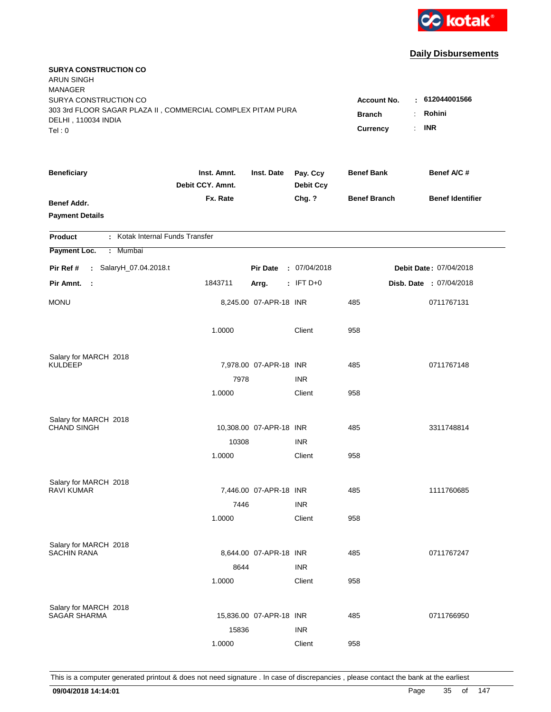

| <b>SURYA CONSTRUCTION CO</b><br><b>ARUN SINGH</b><br><b>MANAGER</b> |                                 |                         |                              |                     |                         |
|---------------------------------------------------------------------|---------------------------------|-------------------------|------------------------------|---------------------|-------------------------|
| SURYA CONSTRUCTION CO                                               |                                 |                         |                              | <b>Account No.</b>  | : 612044001566          |
| 303 3rd FLOOR SAGAR PLAZA II, COMMERCIAL COMPLEX PITAM PURA         |                                 | ÷.<br><b>Branch</b>     | Rohini                       |                     |                         |
| DELHI, 110034 INDIA<br>Tel: 0                                       |                                 |                         |                              | Currency<br>÷.      | <b>INR</b>              |
|                                                                     |                                 |                         |                              |                     |                         |
| <b>Beneficiary</b>                                                  | Inst. Amnt.<br>Debit CCY. Amnt. | Inst. Date              | Pay. Ccy<br><b>Debit Ccy</b> | <b>Benef Bank</b>   | Benef A/C #             |
| Benef Addr.                                                         | Fx. Rate                        |                         | Chg. ?                       | <b>Benef Branch</b> | <b>Benef Identifier</b> |
| <b>Payment Details</b>                                              |                                 |                         |                              |                     |                         |
|                                                                     |                                 |                         |                              |                     |                         |
| : Kotak Internal Funds Transfer<br><b>Product</b>                   |                                 |                         |                              |                     |                         |
| Payment Loc.<br>: Mumbai                                            |                                 |                         |                              |                     |                         |
| Pir Ref #<br>: SalaryH_07.04.2018.t                                 |                                 | <b>Pir Date</b>         | : 07/04/2018                 |                     | Debit Date: 07/04/2018  |
| Pir Amnt.<br>- 1                                                    | 1843711                         | Arrg.                   | $:$ IFT D+0                  |                     | Disb. Date : 07/04/2018 |
| <b>MONU</b>                                                         |                                 | 8,245.00 07-APR-18 INR  |                              | 485                 | 0711767131              |
|                                                                     | 1.0000                          |                         | Client                       | 958                 |                         |
| Salary for MARCH 2018                                               |                                 |                         |                              |                     |                         |
| <b>KULDEEP</b>                                                      |                                 | 7,978.00 07-APR-18 INR  |                              | 485                 | 0711767148              |
|                                                                     | 7978                            |                         | <b>INR</b>                   |                     |                         |
|                                                                     | 1.0000                          |                         | Client                       | 958                 |                         |
|                                                                     |                                 |                         |                              |                     |                         |
| Salary for MARCH 2018<br><b>CHAND SINGH</b>                         |                                 | 10,308.00 07-APR-18 INR |                              | 485                 | 3311748814              |
|                                                                     | 10308                           |                         | <b>INR</b>                   |                     |                         |
|                                                                     | 1.0000                          |                         | Client                       | 958                 |                         |
|                                                                     |                                 |                         |                              |                     |                         |
| Salary for MARCH 2018                                               |                                 |                         |                              |                     |                         |
| <b>RAVI KUMAR</b>                                                   |                                 | 7,446.00 07-APR-18 INR  |                              | 485                 | 1111760685              |
|                                                                     | 7446                            |                         | <b>INR</b>                   |                     |                         |
|                                                                     | 1.0000                          |                         | Client                       | 958                 |                         |
| Salary for MARCH 2018                                               |                                 |                         |                              |                     |                         |
| <b>SACHIN RANA</b>                                                  |                                 | 8,644.00 07-APR-18 INR  |                              | 485                 | 0711767247              |
|                                                                     | 8644                            |                         | <b>INR</b>                   |                     |                         |
|                                                                     | 1.0000                          |                         | Client                       | 958                 |                         |
|                                                                     |                                 |                         |                              |                     |                         |
| Salary for MARCH 2018<br><b>SAGAR SHARMA</b>                        |                                 | 15,836.00 07-APR-18 INR |                              | 485                 | 0711766950              |
|                                                                     | 15836                           |                         | <b>INR</b>                   |                     |                         |
|                                                                     | 1.0000                          |                         | Client                       | 958                 |                         |
|                                                                     |                                 |                         |                              |                     |                         |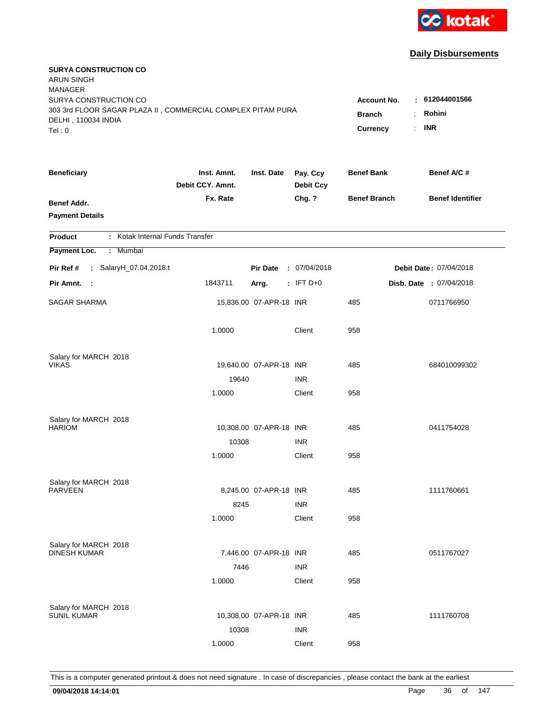

| <b>SURYA CONSTRUCTION CO</b><br><b>ARUN SINGH</b><br><b>MANAGER</b>                                         |                                 |                                          |                              |                     |                         |  |
|-------------------------------------------------------------------------------------------------------------|---------------------------------|------------------------------------------|------------------------------|---------------------|-------------------------|--|
| SURYA CONSTRUCTION CO<br>303 3rd FLOOR SAGAR PLAZA II, COMMERCIAL COMPLEX PITAM PURA<br>DELHI, 110034 INDIA |                                 | <b>Account No.</b><br><b>Branch</b><br>÷ | : 612044001566<br>Rohini     |                     |                         |  |
| Tel: 0                                                                                                      |                                 |                                          |                              | Currency<br>÷.      | <b>INR</b>              |  |
| <b>Beneficiary</b>                                                                                          | Inst. Amnt.<br>Debit CCY. Amnt. | Inst. Date                               | Pay. Ccy<br><b>Debit Ccy</b> | <b>Benef Bank</b>   | Benef A/C #             |  |
| <b>Benef Addr.</b><br><b>Payment Details</b>                                                                | Fx. Rate                        |                                          | Chg. ?                       | <b>Benef Branch</b> | <b>Benef Identifier</b> |  |
| : Kotak Internal Funds Transfer<br><b>Product</b>                                                           |                                 |                                          |                              |                     |                         |  |
| Payment Loc.<br>Mumbai<br>÷.                                                                                |                                 |                                          |                              |                     |                         |  |
| : SalaryH_07.04.2018.t<br>Pir Ref #                                                                         |                                 | <b>Pir Date</b>                          | : 07/04/2018                 |                     | Debit Date: 07/04/2018  |  |
| Pir Amnt.<br>$\sim$ 1                                                                                       | 1843711                         | Arrg.                                    | $:$ IFT D+0                  |                     | Disb. Date : 07/04/2018 |  |
| SAGAR SHARMA                                                                                                |                                 | 15,836.00 07-APR-18 INR                  |                              | 485                 | 0711766950              |  |
|                                                                                                             | 1.0000                          |                                          | Client                       | 958                 |                         |  |
| Salary for MARCH 2018                                                                                       |                                 |                                          |                              |                     |                         |  |
| <b>VIKAS</b>                                                                                                |                                 | 19,640.00 07-APR-18 INR                  |                              | 485                 | 684010099302            |  |
|                                                                                                             | 19640                           |                                          | <b>INR</b>                   |                     |                         |  |
|                                                                                                             | 1.0000                          |                                          | Client                       | 958                 |                         |  |
| Salary for MARCH 2018                                                                                       |                                 |                                          |                              |                     |                         |  |
| <b>HARIOM</b>                                                                                               |                                 | 10,308.00 07-APR-18 INR                  |                              | 485                 | 0411754028              |  |
|                                                                                                             | 10308                           |                                          | <b>INR</b>                   |                     |                         |  |
|                                                                                                             | 1.0000                          |                                          | Client                       | 958                 |                         |  |
| Salary for MARCH 2018                                                                                       |                                 |                                          |                              |                     |                         |  |
| <b>PARVEEN</b>                                                                                              |                                 | 8,245.00 07-APR-18 INR                   |                              | 485                 | 1111760661              |  |
|                                                                                                             | 8245                            |                                          | <b>INR</b>                   |                     |                         |  |
|                                                                                                             | 1.0000                          |                                          | Client                       | 958                 |                         |  |
|                                                                                                             |                                 |                                          |                              |                     |                         |  |
| Salary for MARCH 2018<br><b>DINESH KUMAR</b>                                                                |                                 | 7,446.00 07-APR-18 INR                   |                              | 485                 | 0511767027              |  |
|                                                                                                             | 7446                            |                                          | <b>INR</b>                   |                     |                         |  |
|                                                                                                             | 1.0000                          |                                          | Client                       | 958                 |                         |  |
|                                                                                                             |                                 |                                          |                              |                     |                         |  |
| Salary for MARCH 2018<br><b>SUNIL KUMAR</b>                                                                 |                                 | 10,308.00 07-APR-18 INR                  |                              | 485                 | 1111760708              |  |
|                                                                                                             | 10308                           |                                          | <b>INR</b>                   |                     |                         |  |
|                                                                                                             | 1.0000                          |                                          | Client                       | 958                 |                         |  |
|                                                                                                             |                                 |                                          |                              |                     |                         |  |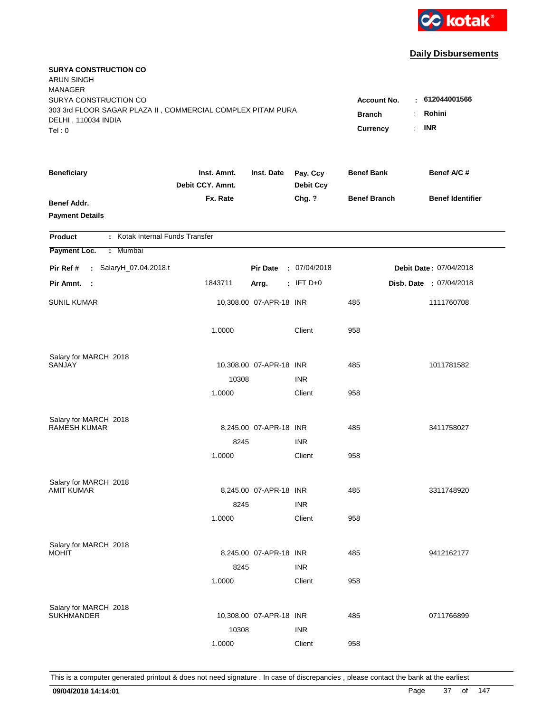

| <b>SURYA CONSTRUCTION CO</b><br><b>ARUN SINGH</b><br><b>MANAGER</b>                  |                                                                       |                         |                              |                     |                         |
|--------------------------------------------------------------------------------------|-----------------------------------------------------------------------|-------------------------|------------------------------|---------------------|-------------------------|
| SURYA CONSTRUCTION CO<br>303 3rd FLOOR SAGAR PLAZA II, COMMERCIAL COMPLEX PITAM PURA | $-612044001566$<br><b>Account No.</b><br>Rohini<br><b>Branch</b><br>÷ |                         |                              |                     |                         |
| DELHI, 110034 INDIA<br>Tel: 0                                                        |                                                                       |                         | Currency                     | <b>INR</b><br>÷.    |                         |
| <b>Beneficiary</b>                                                                   | Inst. Amnt.<br>Debit CCY. Amnt.                                       | Inst. Date              | Pay. Ccy<br><b>Debit Ccy</b> | <b>Benef Bank</b>   | Benef A/C #             |
| Benef Addr.<br><b>Payment Details</b>                                                | Fx. Rate                                                              |                         | Chg. ?                       | <b>Benef Branch</b> | <b>Benef Identifier</b> |
| : Kotak Internal Funds Transfer<br><b>Product</b>                                    |                                                                       |                         |                              |                     |                         |
| Payment Loc.<br>: Mumbai                                                             |                                                                       |                         |                              |                     |                         |
| Pir Ref #<br>: SalaryH_07.04.2018.t                                                  |                                                                       | <b>Pir Date</b>         | : 07/04/2018                 |                     | Debit Date: 07/04/2018  |
| Pir Amnt.<br>- 1                                                                     | 1843711                                                               | Arrg.                   | $:$ IFT D+0                  |                     | Disb. Date : 07/04/2018 |
| <b>SUNIL KUMAR</b>                                                                   |                                                                       | 10,308.00 07-APR-18 INR |                              | 485                 | 1111760708              |
|                                                                                      | 1.0000                                                                |                         | Client                       | 958                 |                         |
| Salary for MARCH 2018                                                                |                                                                       |                         |                              |                     |                         |
| SANJAY                                                                               |                                                                       | 10,308.00 07-APR-18 INR | <b>INR</b>                   | 485                 | 1011781582              |
|                                                                                      | 10308<br>1.0000                                                       |                         | Client                       | 958                 |                         |
|                                                                                      |                                                                       |                         |                              |                     |                         |
| Salary for MARCH 2018                                                                |                                                                       |                         |                              |                     |                         |
| <b>RAMESH KUMAR</b>                                                                  |                                                                       | 8,245.00 07-APR-18 INR  |                              | 485                 | 3411758027              |
|                                                                                      | 8245                                                                  |                         | <b>INR</b>                   |                     |                         |
|                                                                                      | 1.0000                                                                |                         | Client                       | 958                 |                         |
| Salary for MARCH 2018                                                                |                                                                       |                         |                              |                     |                         |
| <b>AMIT KUMAR</b>                                                                    |                                                                       | 8,245.00 07-APR-18 INR  |                              | 485                 | 3311748920              |
|                                                                                      | 8245                                                                  |                         | <b>INR</b>                   |                     |                         |
|                                                                                      | 1.0000                                                                |                         | Client                       | 958                 |                         |
| Salary for MARCH 2018                                                                |                                                                       |                         |                              |                     |                         |
| <b>MOHIT</b>                                                                         |                                                                       | 8,245.00 07-APR-18 INR  |                              | 485                 | 9412162177              |
|                                                                                      | 8245                                                                  |                         | <b>INR</b>                   |                     |                         |
|                                                                                      | 1.0000                                                                |                         | Client                       | 958                 |                         |
|                                                                                      |                                                                       |                         |                              |                     |                         |
| Salary for MARCH 2018<br><b>SUKHMANDER</b>                                           |                                                                       | 10,308.00 07-APR-18 INR |                              | 485                 | 0711766899              |
|                                                                                      | 10308                                                                 |                         | <b>INR</b>                   |                     |                         |
|                                                                                      | 1.0000                                                                |                         | Client                       | 958                 |                         |
|                                                                                      |                                                                       |                         |                              |                     |                         |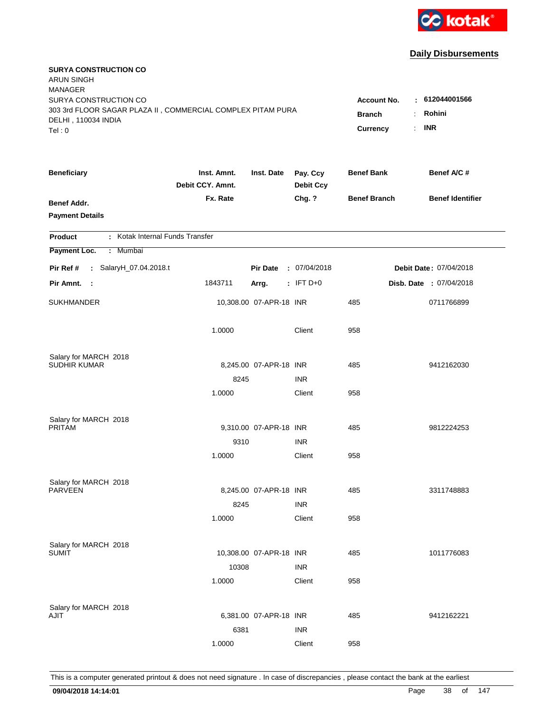

| <b>SURYA CONSTRUCTION CO</b><br><b>ARUN SINGH</b><br><b>MANAGER</b>                |                                 |                         |                              |                     |                            |
|------------------------------------------------------------------------------------|---------------------------------|-------------------------|------------------------------|---------------------|----------------------------|
| SURYA CONSTRUCTION CO                                                              |                                 |                         |                              | <b>Account No.</b>  | : 612044001566             |
| 303 3rd FLOOR SAGAR PLAZA II, COMMERCIAL COMPLEX PITAM PURA<br>DELHI, 110034 INDIA | <b>Branch</b>                   | Rohini<br>÷.            |                              |                     |                            |
| Tel:0                                                                              |                                 |                         |                              | Currency            | <b>INR</b><br>$\mathbf{r}$ |
| <b>Beneficiary</b>                                                                 | Inst. Amnt.<br>Debit CCY. Amnt. | Inst. Date              | Pay. Ccy<br><b>Debit Ccy</b> | <b>Benef Bank</b>   | Benef A/C #                |
| <b>Benef Addr.</b>                                                                 | Fx. Rate                        |                         | Chg. ?                       | <b>Benef Branch</b> | <b>Benef Identifier</b>    |
| <b>Payment Details</b>                                                             |                                 |                         |                              |                     |                            |
| : Kotak Internal Funds Transfer<br><b>Product</b>                                  |                                 |                         |                              |                     |                            |
| Payment Loc.<br>: Mumbai                                                           |                                 |                         |                              |                     |                            |
| : SalaryH_07.04.2018.t<br>Pir Ref #                                                |                                 | <b>Pir Date</b>         | : 07/04/2018                 |                     | Debit Date: 07/04/2018     |
| Pir Amnt. :                                                                        | 1843711                         | Arrg.                   | $:$ IFT D+0                  |                     | Disb. Date : 07/04/2018    |
| <b>SUKHMANDER</b>                                                                  |                                 | 10,308.00 07-APR-18 INR |                              | 485                 | 0711766899                 |
|                                                                                    | 1.0000                          |                         | Client                       | 958                 |                            |
| Salary for MARCH 2018                                                              |                                 |                         |                              |                     |                            |
| <b>SUDHIR KUMAR</b>                                                                |                                 | 8,245.00 07-APR-18 INR  |                              | 485                 | 9412162030                 |
|                                                                                    | 8245                            |                         | <b>INR</b>                   |                     |                            |
|                                                                                    | 1.0000                          |                         | Client                       | 958                 |                            |
| Salary for MARCH 2018                                                              |                                 |                         |                              |                     |                            |
| <b>PRITAM</b>                                                                      |                                 | 9,310.00 07-APR-18 INR  |                              | 485                 | 9812224253                 |
|                                                                                    | 9310                            |                         | <b>INR</b>                   |                     |                            |
|                                                                                    | 1.0000                          |                         | Client                       | 958                 |                            |
| Salary for MARCH 2018                                                              |                                 |                         |                              |                     |                            |
| <b>PARVEEN</b>                                                                     |                                 | 8,245.00 07-APR-18 INR  |                              | 485                 | 3311748883                 |
|                                                                                    | 8245                            |                         | <b>INR</b>                   |                     |                            |
|                                                                                    | 1.0000                          |                         | Client                       | 958                 |                            |
| Salary for MARCH 2018                                                              |                                 |                         |                              |                     |                            |
| <b>SUMIT</b>                                                                       |                                 | 10,308.00 07-APR-18 INR |                              | 485                 | 1011776083                 |
|                                                                                    | 10308                           |                         | <b>INR</b>                   |                     |                            |
|                                                                                    | 1.0000                          |                         | Client                       | 958                 |                            |
| Salary for MARCH 2018                                                              |                                 |                         |                              |                     |                            |
| AJIT                                                                               |                                 | 6,381.00 07-APR-18 INR  |                              | 485                 | 9412162221                 |
|                                                                                    | 6381                            |                         | <b>INR</b>                   |                     |                            |
|                                                                                    | 1.0000                          |                         | Client                       | 958                 |                            |
|                                                                                    |                                 |                         |                              |                     |                            |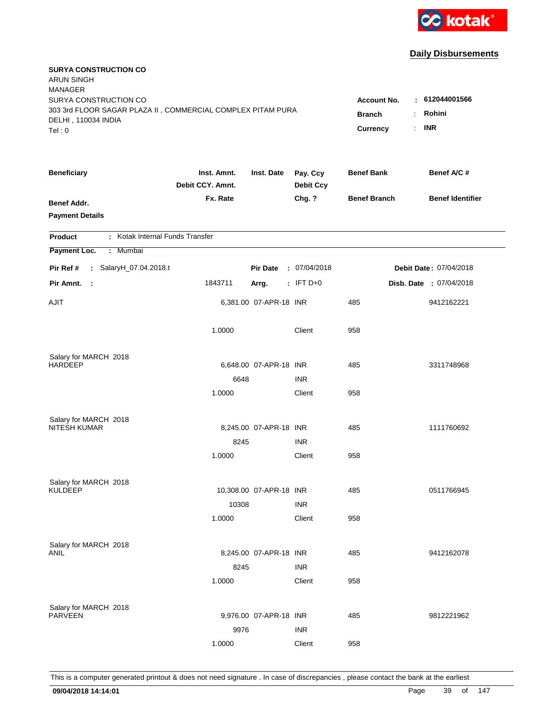

| <b>SURYA CONSTRUCTION CO</b><br><b>ARUN SINGH</b><br><b>MANAGER</b> |                                       |                         |                              |                     |                         |
|---------------------------------------------------------------------|---------------------------------------|-------------------------|------------------------------|---------------------|-------------------------|
| SURYA CONSTRUCTION CO                                               |                                       |                         |                              | <b>Account No.</b>  | : 612044001566          |
| 303 3rd FLOOR SAGAR PLAZA II, COMMERCIAL COMPLEX PITAM PURA         | <b>Branch</b><br>$\ddot{\phantom{a}}$ | Rohini                  |                              |                     |                         |
| DELHI, 110034 INDIA<br>Tel: 0                                       |                                       |                         |                              | Currency<br>÷.      | <b>INR</b>              |
|                                                                     |                                       |                         |                              |                     |                         |
| <b>Beneficiary</b>                                                  | Inst. Amnt.<br>Debit CCY. Amnt.       | Inst. Date              | Pay. Ccy<br><b>Debit Ccy</b> | <b>Benef Bank</b>   | Benef A/C #             |
| <b>Benef Addr.</b>                                                  | Fx. Rate                              |                         | Chg. ?                       | <b>Benef Branch</b> | <b>Benef Identifier</b> |
| <b>Payment Details</b>                                              |                                       |                         |                              |                     |                         |
| : Kotak Internal Funds Transfer<br><b>Product</b>                   |                                       |                         |                              |                     |                         |
| Payment Loc.<br>Mumbai<br>÷.                                        |                                       |                         |                              |                     |                         |
| : SalaryH_07.04.2018.t<br>Pir Ref #                                 |                                       | <b>Pir Date</b>         | : 07/04/2018                 |                     | Debit Date: 07/04/2018  |
| Pir Amnt.<br>- 1                                                    | 1843711                               | Arrg.                   | $:$ IFT D+0                  |                     | Disb. Date : 07/04/2018 |
| <b>AJIT</b>                                                         |                                       | 6,381.00 07-APR-18 INR  |                              | 485                 | 9412162221              |
|                                                                     | 1.0000                                |                         | Client                       | 958                 |                         |
| Salary for MARCH 2018                                               |                                       |                         |                              |                     |                         |
| <b>HARDEEP</b>                                                      |                                       | 6,648.00 07-APR-18 INR  |                              | 485                 | 3311748968              |
|                                                                     | 6648                                  |                         | <b>INR</b>                   |                     |                         |
|                                                                     | 1.0000                                |                         | Client                       | 958                 |                         |
| Salary for MARCH 2018                                               |                                       |                         |                              |                     |                         |
| <b>NITESH KUMAR</b>                                                 |                                       | 8,245.00 07-APR-18 INR  |                              | 485                 | 1111760692              |
|                                                                     | 8245                                  |                         | <b>INR</b>                   |                     |                         |
|                                                                     | 1.0000                                |                         | Client                       | 958                 |                         |
| Salary for MARCH 2018                                               |                                       |                         |                              |                     |                         |
| <b>KULDEEP</b>                                                      |                                       | 10,308.00 07-APR-18 INR |                              | 485                 | 0511766945              |
|                                                                     | 10308                                 |                         | <b>INR</b>                   |                     |                         |
|                                                                     | 1.0000                                |                         | Client                       | 958                 |                         |
| Salary for MARCH 2018                                               |                                       |                         |                              |                     |                         |
| <b>ANIL</b>                                                         |                                       | 8,245.00 07-APR-18 INR  |                              | 485                 | 9412162078              |
|                                                                     | 8245                                  |                         | <b>INR</b>                   |                     |                         |
|                                                                     | 1.0000                                |                         | Client                       | 958                 |                         |
| Salary for MARCH 2018                                               |                                       |                         |                              |                     |                         |
| <b>PARVEEN</b>                                                      |                                       | 9,976.00 07-APR-18 INR  |                              | 485                 | 9812221962              |
|                                                                     | 9976                                  |                         | <b>INR</b>                   |                     |                         |
|                                                                     | 1.0000                                |                         | Client                       | 958                 |                         |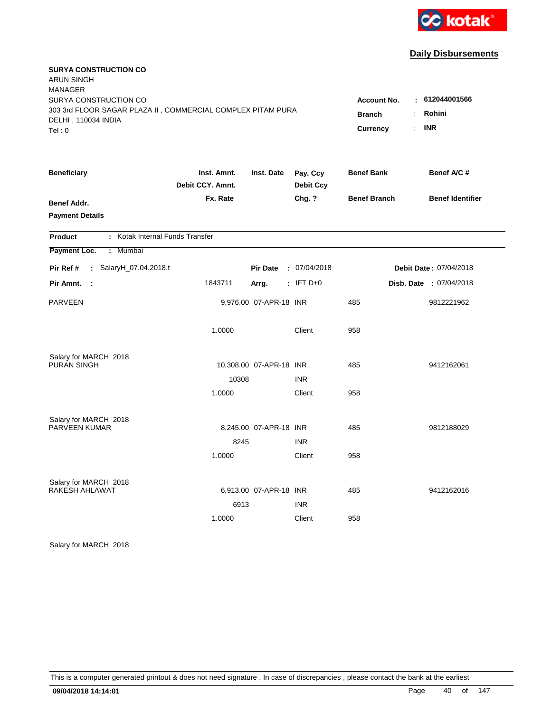

| <b>SURYA CONSTRUCTION CO</b><br><b>ARUN SINGH</b>                                  |                  |                         |                  |                         |                         |  |
|------------------------------------------------------------------------------------|------------------|-------------------------|------------------|-------------------------|-------------------------|--|
| <b>MANAGER</b>                                                                     |                  |                         |                  |                         |                         |  |
| SURYA CONSTRUCTION CO                                                              |                  |                         |                  | <b>Account No.</b>      | : 612044001566          |  |
| 303 3rd FLOOR SAGAR PLAZA II, COMMERCIAL COMPLEX PITAM PURA<br>DELHI, 110034 INDIA |                  |                         |                  | <b>Branch</b>           | Rohini<br>÷             |  |
| Tel:0                                                                              |                  |                         |                  | Currency                | <b>INR</b><br>÷         |  |
| <b>Beneficiary</b>                                                                 | Inst. Amnt.      | Inst. Date              | Pay. Ccy         | <b>Benef Bank</b>       | Benef A/C #             |  |
|                                                                                    | Debit CCY. Amnt. |                         | <b>Debit Ccy</b> |                         |                         |  |
| <b>Benef Addr.</b>                                                                 | Fx. Rate         |                         | Chg. ?           | <b>Benef Branch</b>     | <b>Benef Identifier</b> |  |
| <b>Payment Details</b>                                                             |                  |                         |                  |                         |                         |  |
| : Kotak Internal Funds Transfer<br>Product                                         |                  |                         |                  |                         |                         |  |
| Payment Loc.<br>Mumbai<br>÷.                                                       |                  |                         |                  |                         |                         |  |
| : SalaryH_07.04.2018.t<br>Pir Ref #                                                |                  | <b>Pir Date</b>         | : 07/04/2018     |                         | Debit Date: 07/04/2018  |  |
| Pir Amnt.<br>$\mathbb{R}^2$                                                        | 1843711          | $:$ IFT D+0<br>Arrg.    |                  | Disb. Date : 07/04/2018 |                         |  |
| <b>PARVEEN</b>                                                                     |                  | 9,976.00 07-APR-18 INR  |                  | 485                     | 9812221962              |  |
|                                                                                    | 1.0000           |                         | Client           | 958                     |                         |  |
| Salary for MARCH 2018                                                              |                  |                         |                  |                         |                         |  |
| PURAN SINGH                                                                        |                  | 10,308.00 07-APR-18 INR |                  | 485                     | 9412162061              |  |
|                                                                                    | 10308            |                         | <b>INR</b>       |                         |                         |  |
|                                                                                    | 1.0000           |                         | Client           | 958                     |                         |  |
| Salary for MARCH 2018<br>PARVEEN KUMAR                                             |                  | 8,245.00 07-APR-18 INR  |                  | 485                     | 9812188029              |  |
|                                                                                    | 8245             |                         | <b>INR</b>       |                         |                         |  |
|                                                                                    | 1.0000           |                         | Client           | 958                     |                         |  |
|                                                                                    |                  |                         |                  |                         |                         |  |
| Salary for MARCH 2018                                                              |                  |                         |                  |                         |                         |  |
| RAKESH AHLAWAT                                                                     |                  | 6,913.00 07-APR-18 INR  |                  | 485                     | 9412162016              |  |
|                                                                                    | 6913             |                         | <b>INR</b>       |                         |                         |  |
|                                                                                    | 1.0000           |                         | Client           | 958                     |                         |  |

Salary for MARCH 2018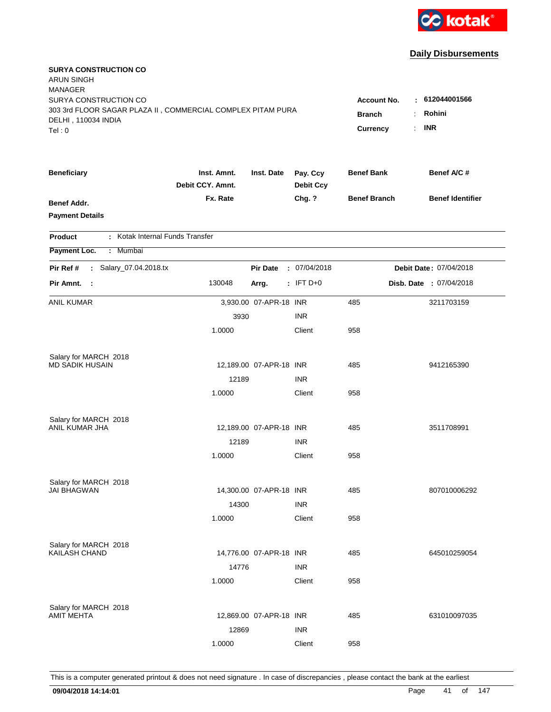

| <b>SURYA CONSTRUCTION CO</b><br><b>ARUN SINGH</b><br><b>MANAGER</b><br>SURYA CONSTRUCTION CO<br>303 3rd FLOOR SAGAR PLAZA II, COMMERCIAL COMPLEX PITAM PURA<br>DELHI, 110034 INDIA<br>Tel:0 | <b>Account No.</b><br><b>Branch</b><br>Currency | $\mathcal{L}_{\mathcal{A}}$ | 612044001566<br>Rohini<br><b>INR</b> |                     |  |                         |
|---------------------------------------------------------------------------------------------------------------------------------------------------------------------------------------------|-------------------------------------------------|-----------------------------|--------------------------------------|---------------------|--|-------------------------|
| <b>Beneficiary</b>                                                                                                                                                                          | Inst. Amnt.<br>Debit CCY. Amnt.                 | Inst. Date                  | Pay. Ccy<br><b>Debit Ccy</b>         | <b>Benef Bank</b>   |  | Benef A/C #             |
| <b>Benef Addr.</b><br><b>Payment Details</b>                                                                                                                                                | Fx. Rate                                        |                             | Chg. ?                               | <b>Benef Branch</b> |  | <b>Benef Identifier</b> |
| : Kotak Internal Funds Transfer<br><b>Product</b>                                                                                                                                           |                                                 |                             |                                      |                     |  |                         |
| Payment Loc.<br>: Mumbai                                                                                                                                                                    |                                                 |                             |                                      |                     |  |                         |
| : Salary_07.04.2018.tx<br>Pir Ref #                                                                                                                                                         |                                                 | <b>Pir Date</b>             | : 07/04/2018                         |                     |  | Debit Date: 07/04/2018  |
| Pir Amnt. :                                                                                                                                                                                 | 130048                                          | Arrg.                       | $:$ IFT D+0                          |                     |  | Disb. Date : 07/04/2018 |
| <b>ANIL KUMAR</b>                                                                                                                                                                           |                                                 | 3,930.00 07-APR-18 INR      |                                      | 485                 |  | 3211703159              |
|                                                                                                                                                                                             | 3930                                            |                             | <b>INR</b>                           |                     |  |                         |
|                                                                                                                                                                                             | 1.0000                                          |                             | Client                               | 958                 |  |                         |
| Salary for MARCH 2018                                                                                                                                                                       |                                                 |                             |                                      |                     |  |                         |
| <b>MD SADIK HUSAIN</b>                                                                                                                                                                      |                                                 | 12,189.00 07-APR-18 INR     |                                      | 485                 |  | 9412165390              |
|                                                                                                                                                                                             | 12189                                           |                             | <b>INR</b>                           |                     |  |                         |
|                                                                                                                                                                                             | 1.0000                                          |                             | Client                               | 958                 |  |                         |
| Salary for MARCH 2018                                                                                                                                                                       |                                                 |                             |                                      |                     |  |                         |
| ANIL KUMAR JHA                                                                                                                                                                              |                                                 | 12,189.00 07-APR-18 INR     |                                      | 485                 |  | 3511708991              |
|                                                                                                                                                                                             | 12189                                           |                             | <b>INR</b>                           |                     |  |                         |
|                                                                                                                                                                                             | 1.0000                                          |                             | Client                               | 958                 |  |                         |
| Salary for MARCH 2018                                                                                                                                                                       |                                                 |                             |                                      |                     |  |                         |
| <b>JAI BHAGWAN</b>                                                                                                                                                                          |                                                 | 14,300.00 07-APR-18 INR     |                                      | 485                 |  | 807010006292            |
|                                                                                                                                                                                             | 14300                                           |                             | <b>INR</b>                           |                     |  |                         |
|                                                                                                                                                                                             | 1.0000                                          |                             | Client                               | 958                 |  |                         |
| Salary for MARCH 2018                                                                                                                                                                       |                                                 |                             |                                      |                     |  |                         |
| <b>KAILASH CHAND</b>                                                                                                                                                                        |                                                 | 14,776.00 07-APR-18 INR     |                                      | 485                 |  | 645010259054            |
|                                                                                                                                                                                             | 14776                                           |                             | <b>INR</b>                           |                     |  |                         |
|                                                                                                                                                                                             | 1.0000                                          |                             | Client                               | 958                 |  |                         |
| Salary for MARCH 2018                                                                                                                                                                       |                                                 |                             |                                      |                     |  |                         |
| <b>AMIT MEHTA</b>                                                                                                                                                                           |                                                 | 12,869.00 07-APR-18 INR     |                                      | 485                 |  | 631010097035            |
|                                                                                                                                                                                             | 12869                                           |                             | <b>INR</b>                           |                     |  |                         |
|                                                                                                                                                                                             | 1.0000                                          |                             | Client                               | 958                 |  |                         |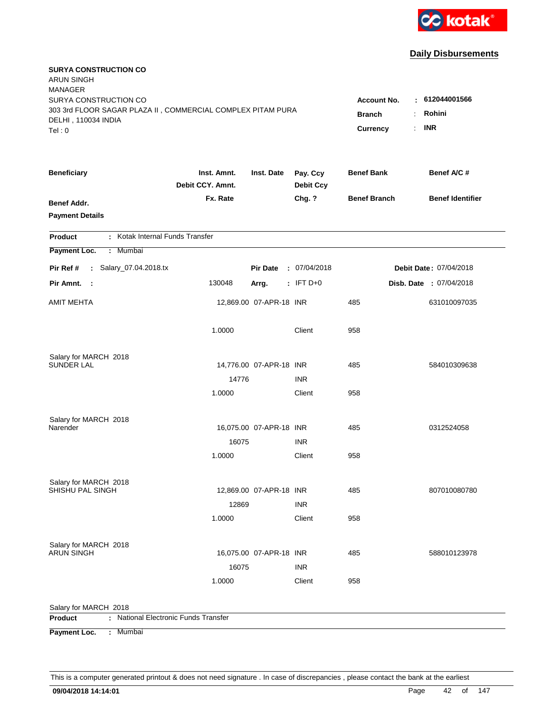

| <b>SURYA CONSTRUCTION CO</b><br><b>ARUN SINGH</b>                                    |                                 |                         |                              |                     |                         |
|--------------------------------------------------------------------------------------|---------------------------------|-------------------------|------------------------------|---------------------|-------------------------|
| <b>MANAGER</b>                                                                       |                                 |                         |                              |                     |                         |
| SURYA CONSTRUCTION CO<br>303 3rd FLOOR SAGAR PLAZA II, COMMERCIAL COMPLEX PITAM PURA | <b>Account No.</b>              | : 612044001566          |                              |                     |                         |
| DELHI, 110034 INDIA                                                                  |                                 |                         |                              | <b>Branch</b>       | Rohini<br><b>INR</b>    |
| Tel: 0                                                                               |                                 |                         |                              | Currency            | ÷.                      |
| <b>Beneficiary</b>                                                                   | Inst. Amnt.<br>Debit CCY. Amnt. | Inst. Date              | Pay. Ccy<br><b>Debit Ccy</b> | <b>Benef Bank</b>   | Benef A/C #             |
| Benef Addr.                                                                          | Fx. Rate                        |                         | Chg. ?                       | <b>Benef Branch</b> | <b>Benef Identifier</b> |
| <b>Payment Details</b>                                                               |                                 |                         |                              |                     |                         |
| : Kotak Internal Funds Transfer<br><b>Product</b>                                    |                                 |                         |                              |                     |                         |
| Payment Loc.<br>: Mumbai                                                             |                                 |                         |                              |                     |                         |
| : Salary_07.04.2018.tx<br>Pir Ref #                                                  |                                 | <b>Pir Date</b>         | : 07/04/2018                 |                     | Debit Date: 07/04/2018  |
| Pir Amnt. :                                                                          | 130048                          | Arrg.                   | $:$ IFT D+0                  |                     | Disb. Date : 07/04/2018 |
| <b>AMIT MEHTA</b>                                                                    |                                 | 12,869.00 07-APR-18 INR |                              | 485                 | 631010097035            |
|                                                                                      | 1.0000                          |                         | Client                       | 958                 |                         |
| Salary for MARCH 2018<br><b>SUNDER LAL</b>                                           |                                 | 14,776.00 07-APR-18 INR |                              | 485                 | 584010309638            |
|                                                                                      | 14776                           |                         | <b>INR</b>                   |                     |                         |
|                                                                                      | 1.0000                          |                         | Client                       | 958                 |                         |
| Salary for MARCH 2018<br>Narender                                                    |                                 | 16,075.00 07-APR-18 INR |                              | 485                 | 0312524058              |
|                                                                                      | 16075                           |                         | <b>INR</b>                   |                     |                         |
|                                                                                      | 1.0000                          |                         | Client                       | 958                 |                         |
| Salary for MARCH 2018                                                                |                                 |                         |                              |                     |                         |
| SHISHU PAL SINGH                                                                     |                                 | 12,869.00 07-APR-18 INR |                              | 485                 | 807010080780            |
|                                                                                      | 12869<br>1.0000                 |                         | <b>INR</b><br>Client         | 958                 |                         |
|                                                                                      |                                 |                         |                              |                     |                         |
| Salary for MARCH 2018                                                                |                                 |                         |                              |                     |                         |
| <b>ARUN SINGH</b>                                                                    |                                 | 16,075.00 07-APR-18 INR |                              | 485                 | 588010123978            |
|                                                                                      | 16075                           |                         | <b>INR</b>                   |                     |                         |
|                                                                                      | 1.0000                          |                         | Client                       | 958                 |                         |
| Salary for MARCH 2018                                                                |                                 |                         |                              |                     |                         |
| : National Electronic Funds Transfer<br><b>Product</b>                               |                                 |                         |                              |                     |                         |
| Payment Loc.<br>: Mumbai                                                             |                                 |                         |                              |                     |                         |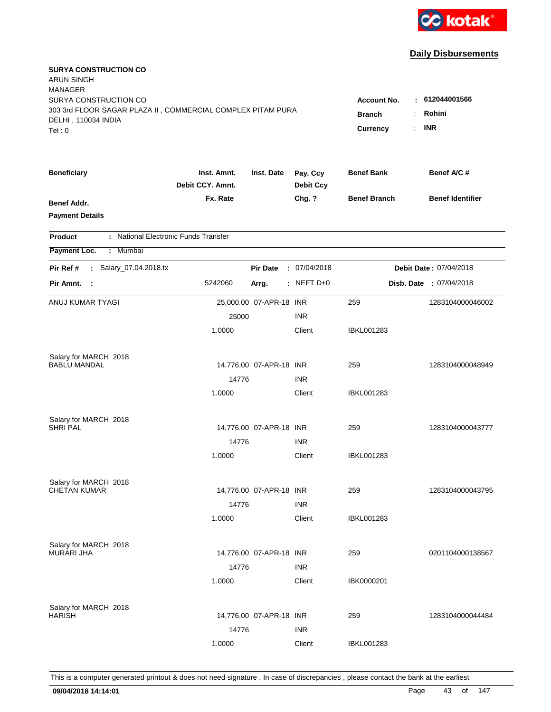

| <b>SURYA CONSTRUCTION CO</b><br><b>ARUN SINGH</b><br><b>MANAGER</b>                  |                                 |                         |                                    |                      |                         |  |
|--------------------------------------------------------------------------------------|---------------------------------|-------------------------|------------------------------------|----------------------|-------------------------|--|
| SURYA CONSTRUCTION CO<br>303 3rd FLOOR SAGAR PLAZA II, COMMERCIAL COMPLEX PITAM PURA |                                 |                         | 612044001566<br><b>Account No.</b> |                      |                         |  |
| DELHI, 110034 INDIA                                                                  |                                 |                         |                                    | <b>Branch</b>        | Rohini                  |  |
| Tel:0                                                                                |                                 |                         |                                    | <b>Currency</b><br>÷ | <b>INR</b>              |  |
| <b>Beneficiary</b>                                                                   | Inst. Amnt.<br>Debit CCY. Amnt. | Inst. Date              | Pay. Ccy<br><b>Debit Ccy</b>       | <b>Benef Bank</b>    | Benef A/C #             |  |
| <b>Benef Addr.</b><br><b>Payment Details</b>                                         | Fx. Rate                        |                         | Chg. ?                             | <b>Benef Branch</b>  | <b>Benef Identifier</b> |  |
| : National Electronic Funds Transfer<br><b>Product</b>                               |                                 |                         |                                    |                      |                         |  |
| Payment Loc.<br>: Mumbai                                                             |                                 |                         |                                    |                      |                         |  |
| : Salary_07.04.2018.tx<br>Pir Ref #                                                  |                                 | <b>Pir Date</b>         | : 07/04/2018                       |                      | Debit Date: 07/04/2018  |  |
| Pir Amnt.<br>- 1                                                                     | 5242060                         | Arrg.                   | : NEFT $D+0$                       |                      | Disb. Date : 07/04/2018 |  |
| ANUJ KUMAR TYAGI                                                                     |                                 | 25,000.00 07-APR-18 INR |                                    | 259                  | 1283104000046002        |  |
|                                                                                      | 25000                           |                         | <b>INR</b>                         |                      |                         |  |
|                                                                                      | 1.0000                          |                         | Client                             | IBKL001283           |                         |  |
| Salary for MARCH 2018                                                                |                                 |                         |                                    |                      |                         |  |
| <b>BABLU MANDAL</b>                                                                  |                                 | 14,776.00 07-APR-18 INR |                                    | 259                  | 1283104000048949        |  |
|                                                                                      | 14776                           |                         | <b>INR</b>                         |                      |                         |  |
|                                                                                      | 1.0000                          |                         | Client                             | <b>IBKL001283</b>    |                         |  |
| Salary for MARCH 2018                                                                |                                 |                         |                                    |                      |                         |  |
| <b>SHRI PAL</b>                                                                      |                                 | 14,776.00 07-APR-18 INR |                                    | 259                  | 1283104000043777        |  |
|                                                                                      | 14776                           |                         | <b>INR</b>                         |                      |                         |  |
|                                                                                      | 1.0000                          |                         | Client                             | IBKL001283           |                         |  |
| Salary for MARCH 2018                                                                |                                 |                         |                                    |                      |                         |  |
| <b>CHETAN KUMAR</b>                                                                  |                                 | 14,776.00 07-APR-18 INR |                                    | 259                  | 1283104000043795        |  |
|                                                                                      | 14776                           |                         | <b>INR</b>                         |                      |                         |  |
|                                                                                      | 1.0000                          |                         | Client                             | <b>IBKL001283</b>    |                         |  |
| Salary for MARCH 2018                                                                |                                 |                         |                                    |                      |                         |  |
| <b>MURARI JHA</b>                                                                    |                                 | 14,776.00 07-APR-18 INR |                                    | 259                  | 0201104000138567        |  |
|                                                                                      | 14776                           |                         | <b>INR</b>                         |                      |                         |  |
|                                                                                      | 1.0000                          |                         | Client                             | IBK0000201           |                         |  |
| Salary for MARCH 2018                                                                |                                 |                         |                                    |                      |                         |  |
| <b>HARISH</b>                                                                        |                                 | 14,776.00 07-APR-18 INR |                                    | 259                  | 1283104000044484        |  |
|                                                                                      | 14776                           |                         | <b>INR</b>                         |                      |                         |  |
|                                                                                      | 1.0000                          |                         | Client                             | <b>IBKL001283</b>    |                         |  |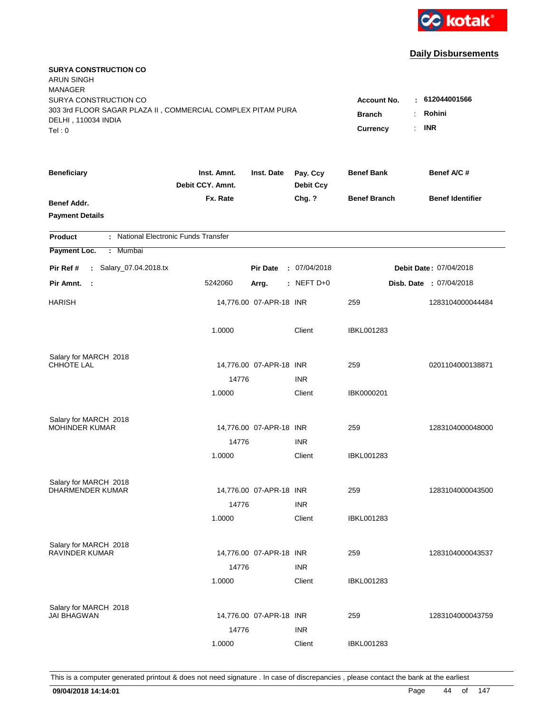

| <b>SURYA CONSTRUCTION CO</b><br><b>ARUN SINGH</b><br><b>MANAGER</b>                                         |                                                                       |                                        |                              |                     |                         |
|-------------------------------------------------------------------------------------------------------------|-----------------------------------------------------------------------|----------------------------------------|------------------------------|---------------------|-------------------------|
| SURYA CONSTRUCTION CO<br>303 3rd FLOOR SAGAR PLAZA II, COMMERCIAL COMPLEX PITAM PURA<br>DELHI, 110034 INDIA | <b>Account No.</b><br><b>Branch</b><br>÷<br>$\mathbb{R}^{\mathbb{Z}}$ | : 612044001566<br>Rohini<br><b>INR</b> |                              |                     |                         |
| Tel: 0                                                                                                      |                                                                       |                                        |                              | <b>Currency</b>     |                         |
| <b>Beneficiary</b>                                                                                          | Inst. Amnt.<br>Debit CCY. Amnt.                                       | Inst. Date                             | Pay. Ccy<br><b>Debit Ccy</b> | <b>Benef Bank</b>   | Benef A/C #             |
| Benef Addr.<br><b>Payment Details</b>                                                                       | Fx. Rate                                                              |                                        | Chg. ?                       | <b>Benef Branch</b> | <b>Benef Identifier</b> |
| : National Electronic Funds Transfer<br><b>Product</b>                                                      |                                                                       |                                        |                              |                     |                         |
| Payment Loc.<br>Mumbai<br>÷                                                                                 |                                                                       |                                        |                              |                     |                         |
| : Salary_07.04.2018.tx<br>Pir Ref #                                                                         |                                                                       | <b>Pir Date</b>                        | : 07/04/2018                 |                     | Debit Date: 07/04/2018  |
| Pir Amnt.<br>$\mathbb{R}^2$                                                                                 | 5242060                                                               | Arrg.                                  | : NEFT D+0                   |                     | Disb. Date: 07/04/2018  |
| <b>HARISH</b>                                                                                               |                                                                       | 14,776.00 07-APR-18 INR                |                              | 259                 | 1283104000044484        |
|                                                                                                             | 1.0000                                                                |                                        | Client                       | <b>IBKL001283</b>   |                         |
| Salary for MARCH 2018                                                                                       |                                                                       |                                        |                              |                     |                         |
| CHHOTE LAL                                                                                                  | 14776                                                                 | 14,776.00 07-APR-18 INR                | <b>INR</b>                   | 259                 | 0201104000138871        |
|                                                                                                             | 1.0000                                                                |                                        | Client                       | IBK0000201          |                         |
|                                                                                                             |                                                                       |                                        |                              |                     |                         |
| Salary for MARCH 2018                                                                                       |                                                                       |                                        |                              |                     |                         |
| <b>MOHINDER KUMAR</b>                                                                                       |                                                                       | 14,776.00 07-APR-18 INR                |                              | 259                 | 1283104000048000        |
|                                                                                                             | 14776                                                                 |                                        | <b>INR</b>                   |                     |                         |
|                                                                                                             | 1.0000                                                                |                                        | Client                       | <b>IBKL001283</b>   |                         |
| Salary for MARCH 2018                                                                                       |                                                                       |                                        |                              |                     |                         |
| <b>DHARMENDER KUMAR</b>                                                                                     |                                                                       | 14,776.00 07-APR-18 INR                |                              | 259                 | 1283104000043500        |
|                                                                                                             | 14776                                                                 |                                        | <b>INR</b>                   |                     |                         |
|                                                                                                             | 1.0000                                                                |                                        | Client                       | IBKL001283          |                         |
| Salary for MARCH 2018                                                                                       |                                                                       |                                        |                              |                     |                         |
| <b>RAVINDER KUMAR</b>                                                                                       |                                                                       | 14,776.00 07-APR-18 INR                |                              | 259                 | 1283104000043537        |
|                                                                                                             | 14776                                                                 |                                        | <b>INR</b>                   |                     |                         |
|                                                                                                             | 1.0000                                                                |                                        | Client                       | <b>IBKL001283</b>   |                         |
|                                                                                                             |                                                                       |                                        |                              |                     |                         |
| Salary for MARCH 2018<br><b>JAI BHAGWAN</b>                                                                 |                                                                       | 14,776.00 07-APR-18 INR                |                              | 259                 | 1283104000043759        |
|                                                                                                             | 14776                                                                 |                                        | <b>INR</b>                   |                     |                         |
|                                                                                                             | 1.0000                                                                |                                        | Client                       | <b>IBKL001283</b>   |                         |
|                                                                                                             |                                                                       |                                        |                              |                     |                         |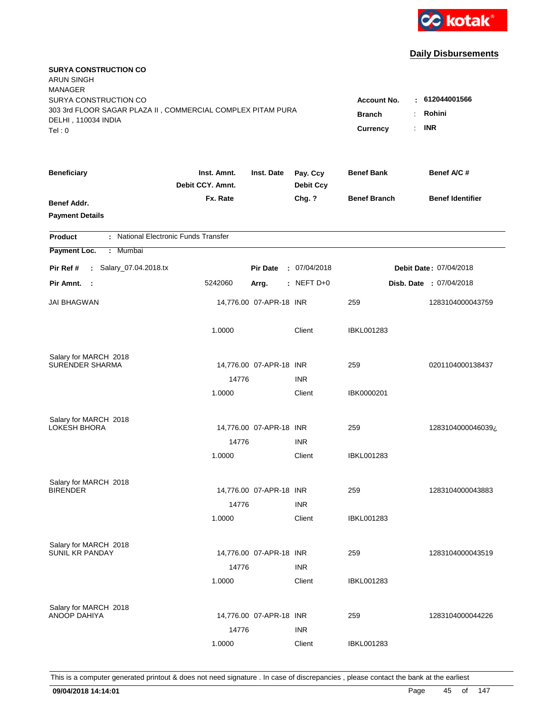

| <b>SURYA CONSTRUCTION CO</b><br><b>ARUN SINGH</b><br><b>MANAGER</b><br>SURYA CONSTRUCTION CO |                                 |                         |                              | <b>Account No.</b>                                             | $-612044001566$                |
|----------------------------------------------------------------------------------------------|---------------------------------|-------------------------|------------------------------|----------------------------------------------------------------|--------------------------------|
| 303 3rd FLOOR SAGAR PLAZA II, COMMERCIAL COMPLEX PITAM PURA<br>DELHI, 110034 INDIA<br>Tel: 0 |                                 |                         |                              | <b>Branch</b><br>$\ddot{\phantom{a}}$<br><b>Currency</b><br>÷. | Rohini<br><b>INR</b>           |
| <b>Beneficiary</b>                                                                           | Inst. Amnt.<br>Debit CCY. Amnt. | Inst. Date              | Pay. Ccy<br><b>Debit Ccy</b> | <b>Benef Bank</b>                                              | Benef A/C#                     |
| Benef Addr.<br><b>Payment Details</b>                                                        | Fx. Rate                        |                         | Chg. ?                       | <b>Benef Branch</b>                                            | <b>Benef Identifier</b>        |
| : National Electronic Funds Transfer<br><b>Product</b>                                       |                                 |                         |                              |                                                                |                                |
| Payment Loc.<br>: Mumbai                                                                     |                                 |                         |                              |                                                                |                                |
| : Salary_07.04.2018.tx<br>Pir Ref #                                                          |                                 | <b>Pir Date</b>         | : 07/04/2018                 |                                                                | Debit Date: 07/04/2018         |
| Pir Amnt. :                                                                                  | 5242060                         | Arrg.                   | $:$ NEFT D+0                 |                                                                | <b>Disb. Date : 07/04/2018</b> |
| JAI BHAGWAN                                                                                  |                                 | 14,776.00 07-APR-18 INR |                              | 259                                                            | 1283104000043759               |
|                                                                                              | 1.0000                          |                         | Client                       | <b>IBKL001283</b>                                              |                                |
| Salary for MARCH 2018<br><b>SURENDER SHARMA</b>                                              |                                 |                         |                              |                                                                |                                |
|                                                                                              | 14776                           | 14,776.00 07-APR-18 INR | <b>INR</b>                   | 259                                                            | 0201104000138437               |
|                                                                                              | 1.0000                          |                         | Client                       | IBK0000201                                                     |                                |
| Salary for MARCH 2018<br>LOKESH BHORA                                                        |                                 | 14,776.00 07-APR-18 INR |                              | 259                                                            | 1283104000046039¿              |
|                                                                                              | 14776                           |                         | <b>INR</b>                   |                                                                |                                |
|                                                                                              | 1.0000                          |                         | Client                       | <b>IBKL001283</b>                                              |                                |
| Salary for MARCH 2018                                                                        |                                 |                         |                              |                                                                |                                |
| <b>BIRENDER</b>                                                                              |                                 | 14,776.00 07-APR-18 INR |                              | 259                                                            | 1283104000043883               |
|                                                                                              | 14776<br>1.0000                 |                         | <b>INR</b><br>Client         | IBKL001283                                                     |                                |
| Salary for MARCH 2018                                                                        |                                 |                         |                              |                                                                |                                |
| <b>SUNIL KR PANDAY</b>                                                                       |                                 | 14,776.00 07-APR-18 INR |                              | 259                                                            | 1283104000043519               |
|                                                                                              | 14776<br>1.0000                 |                         | <b>INR</b><br>Client         | <b>IBKL001283</b>                                              |                                |
| Salary for MARCH 2018<br><b>ANOOP DAHIYA</b>                                                 |                                 | 14,776.00 07-APR-18 INR |                              | 259                                                            | 1283104000044226               |
|                                                                                              | 14776                           |                         | <b>INR</b>                   |                                                                |                                |
|                                                                                              | 1.0000                          |                         | Client                       | <b>IBKL001283</b>                                              |                                |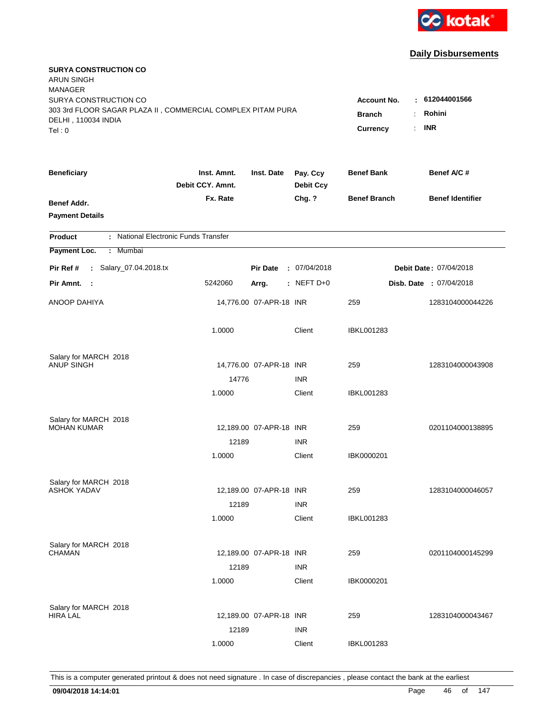

| <b>SURYA CONSTRUCTION CO</b><br><b>ARUN SINGH</b><br><b>MANAGER</b><br>SURYA CONSTRUCTION CO<br>303 3rd FLOOR SAGAR PLAZA II, COMMERCIAL COMPLEX PITAM PURA<br>DELHI, 110034 INDIA<br>Tel: 0 | <b>Account No.</b><br><b>Branch</b><br>$\ddot{\cdot}$<br><b>Currency</b><br>÷. | $-612044001566$<br>Rohini<br><b>INR</b> |                              |                     |                         |
|----------------------------------------------------------------------------------------------------------------------------------------------------------------------------------------------|--------------------------------------------------------------------------------|-----------------------------------------|------------------------------|---------------------|-------------------------|
| <b>Beneficiary</b>                                                                                                                                                                           | Inst. Amnt.<br>Debit CCY. Amnt.                                                | Inst. Date                              | Pay. Ccy<br><b>Debit Ccy</b> | <b>Benef Bank</b>   | Benef A/C#              |
| Benef Addr.<br><b>Payment Details</b>                                                                                                                                                        | Fx. Rate                                                                       |                                         | Chg. ?                       | <b>Benef Branch</b> | <b>Benef Identifier</b> |
| : National Electronic Funds Transfer<br><b>Product</b>                                                                                                                                       |                                                                                |                                         |                              |                     |                         |
| Payment Loc.<br>: Mumbai                                                                                                                                                                     |                                                                                |                                         |                              |                     |                         |
| : Salary_07.04.2018.tx<br>Pir Ref #                                                                                                                                                          |                                                                                | <b>Pir Date</b>                         | : 07/04/2018                 |                     | Debit Date: 07/04/2018  |
| Pir Amnt. :                                                                                                                                                                                  | 5242060                                                                        | Arrg.                                   | $:$ NEFT D+0                 |                     | Disb. Date: 07/04/2018  |
| ANOOP DAHIYA                                                                                                                                                                                 |                                                                                | 14,776.00 07-APR-18 INR                 |                              | 259                 | 1283104000044226        |
|                                                                                                                                                                                              | 1.0000                                                                         |                                         | Client                       | <b>IBKL001283</b>   |                         |
| Salary for MARCH 2018                                                                                                                                                                        |                                                                                |                                         |                              |                     |                         |
| <b>ANUP SINGH</b>                                                                                                                                                                            |                                                                                | 14,776.00 07-APR-18 INR                 |                              | 259                 | 1283104000043908        |
|                                                                                                                                                                                              | 14776                                                                          |                                         | <b>INR</b><br>Client         |                     |                         |
|                                                                                                                                                                                              | 1.0000                                                                         |                                         |                              | <b>IBKL001283</b>   |                         |
| Salary for MARCH 2018                                                                                                                                                                        |                                                                                |                                         |                              |                     |                         |
| <b>MOHAN KUMAR</b>                                                                                                                                                                           |                                                                                | 12,189.00 07-APR-18 INR                 |                              | 259                 | 0201104000138895        |
|                                                                                                                                                                                              | 12189                                                                          |                                         | <b>INR</b>                   |                     |                         |
|                                                                                                                                                                                              | 1.0000                                                                         |                                         | Client                       | IBK0000201          |                         |
| Salary for MARCH 2018                                                                                                                                                                        |                                                                                |                                         |                              |                     |                         |
| <b>ASHOK YADAV</b>                                                                                                                                                                           |                                                                                | 12,189.00 07-APR-18 INR                 |                              | 259                 | 1283104000046057        |
|                                                                                                                                                                                              | 12189                                                                          |                                         | <b>INR</b>                   |                     |                         |
|                                                                                                                                                                                              | 1.0000                                                                         |                                         | Client                       | IBKL001283          |                         |
|                                                                                                                                                                                              |                                                                                |                                         |                              |                     |                         |
| Salary for MARCH 2018<br><b>CHAMAN</b>                                                                                                                                                       |                                                                                | 12,189.00 07-APR-18 INR                 |                              | 259                 | 0201104000145299        |
|                                                                                                                                                                                              | 12189                                                                          |                                         | <b>INR</b>                   |                     |                         |
|                                                                                                                                                                                              | 1.0000                                                                         |                                         | Client                       | IBK0000201          |                         |
|                                                                                                                                                                                              |                                                                                |                                         |                              |                     |                         |
| Salary for MARCH 2018<br><b>HIRA LAL</b>                                                                                                                                                     |                                                                                | 12,189.00 07-APR-18 INR                 |                              | 259                 | 1283104000043467        |
|                                                                                                                                                                                              | 12189                                                                          |                                         | <b>INR</b>                   |                     |                         |
|                                                                                                                                                                                              | 1.0000                                                                         |                                         | Client                       | <b>IBKL001283</b>   |                         |
|                                                                                                                                                                                              |                                                                                |                                         |                              |                     |                         |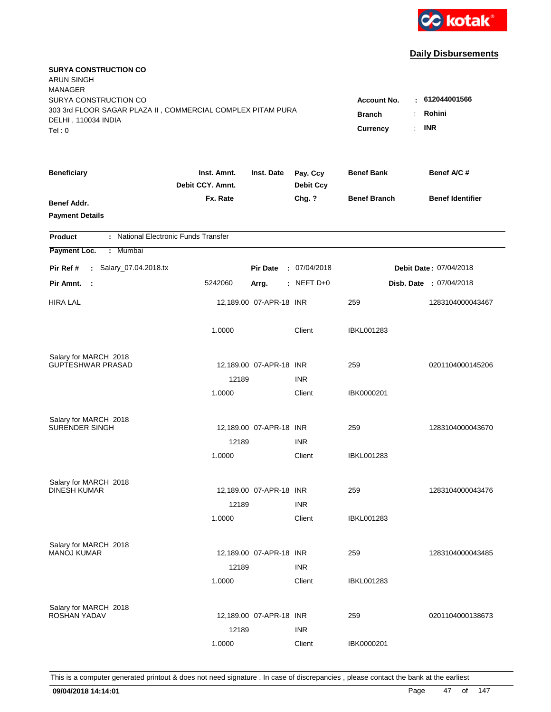

| <b>SURYA CONSTRUCTION CO</b><br><b>ARUN SINGH</b><br><b>MANAGER</b><br>SURYA CONSTRUCTION CO<br>303 3rd FLOOR SAGAR PLAZA II, COMMERCIAL COMPLEX PITAM PURA<br>DELHI, 110034 INDIA<br>Tel: 0 | <b>Account No.</b><br><b>Branch</b><br>Currency | $-612044001566$<br>Rohini<br>÷<br><b>INR</b><br>$\mathbf{r}$ |                              |                     |                               |
|----------------------------------------------------------------------------------------------------------------------------------------------------------------------------------------------|-------------------------------------------------|--------------------------------------------------------------|------------------------------|---------------------|-------------------------------|
| <b>Beneficiary</b>                                                                                                                                                                           | Inst. Amnt.<br>Debit CCY. Amnt.                 | Inst. Date                                                   | Pay. Ccy<br><b>Debit Ccy</b> | <b>Benef Bank</b>   | Benef A/C #                   |
| Benef Addr.<br><b>Payment Details</b>                                                                                                                                                        | Fx. Rate                                        |                                                              | Chg. ?                       | <b>Benef Branch</b> | <b>Benef Identifier</b>       |
| : National Electronic Funds Transfer<br><b>Product</b>                                                                                                                                       |                                                 |                                                              |                              |                     |                               |
| Payment Loc.<br>Mumbai<br>÷.                                                                                                                                                                 |                                                 |                                                              |                              |                     |                               |
| : Salary_07.04.2018.tx<br>Pir Ref #                                                                                                                                                          |                                                 | <b>Pir Date</b>                                              | : 07/04/2018                 |                     | <b>Debit Date: 07/04/2018</b> |
| Pir Amnt.<br>- 1                                                                                                                                                                             | 5242060                                         | Arrg.                                                        | $:$ NEFT D+0                 |                     | Disb. Date: 07/04/2018        |
| <b>HIRA LAL</b>                                                                                                                                                                              |                                                 | 12,189.00 07-APR-18 INR                                      |                              | 259                 | 1283104000043467              |
|                                                                                                                                                                                              | 1.0000                                          |                                                              | Client                       | <b>IBKL001283</b>   |                               |
| Salary for MARCH 2018                                                                                                                                                                        |                                                 |                                                              |                              |                     |                               |
| <b>GUPTESHWAR PRASAD</b>                                                                                                                                                                     |                                                 | 12,189.00 07-APR-18 INR                                      |                              | 259                 | 0201104000145206              |
|                                                                                                                                                                                              | 12189                                           |                                                              | <b>INR</b>                   |                     |                               |
|                                                                                                                                                                                              | 1.0000                                          |                                                              | Client                       | IBK0000201          |                               |
| Salary for MARCH 2018                                                                                                                                                                        |                                                 |                                                              |                              |                     |                               |
| <b>SURENDER SINGH</b>                                                                                                                                                                        |                                                 | 12,189.00 07-APR-18 INR                                      |                              | 259                 | 1283104000043670              |
|                                                                                                                                                                                              | 12189                                           |                                                              | <b>INR</b>                   |                     |                               |
|                                                                                                                                                                                              | 1.0000                                          |                                                              | Client                       | IBKL001283          |                               |
| Salary for MARCH 2018                                                                                                                                                                        |                                                 |                                                              |                              |                     |                               |
| <b>DINESH KUMAR</b>                                                                                                                                                                          |                                                 | 12,189.00 07-APR-18 INR                                      |                              | 259                 | 1283104000043476              |
|                                                                                                                                                                                              | 12189                                           |                                                              | <b>INR</b>                   |                     |                               |
|                                                                                                                                                                                              | 1.0000                                          |                                                              | Client                       | <b>IBKL001283</b>   |                               |
|                                                                                                                                                                                              |                                                 |                                                              |                              |                     |                               |
| Salary for MARCH 2018<br><b>MANOJ KUMAR</b>                                                                                                                                                  |                                                 | 12,189.00 07-APR-18 INR                                      |                              | 259                 | 1283104000043485              |
|                                                                                                                                                                                              | 12189                                           |                                                              | <b>INR</b>                   |                     |                               |
|                                                                                                                                                                                              | 1.0000                                          |                                                              | Client                       | <b>IBKL001283</b>   |                               |
|                                                                                                                                                                                              |                                                 |                                                              |                              |                     |                               |
| Salary for MARCH 2018<br>ROSHAN YADAV                                                                                                                                                        |                                                 | 12,189.00 07-APR-18 INR                                      |                              | 259                 | 0201104000138673              |
|                                                                                                                                                                                              | 12189                                           |                                                              | <b>INR</b>                   |                     |                               |
|                                                                                                                                                                                              | 1.0000                                          |                                                              | Client                       | IBK0000201          |                               |
|                                                                                                                                                                                              |                                                 |                                                              |                              |                     |                               |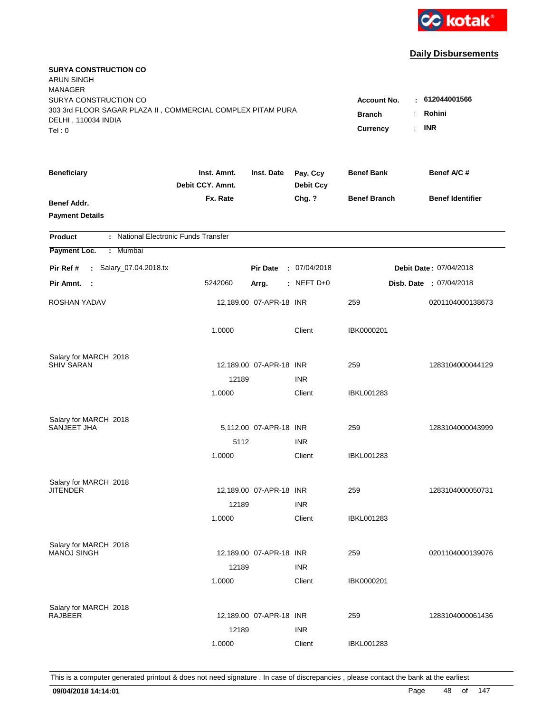

| <b>SURYA CONSTRUCTION CO</b><br><b>ARUN SINGH</b><br><b>MANAGER</b><br>SURYA CONSTRUCTION CO |                                 |                         |                              | <b>Account No.</b>        | : 612044001566                   |
|----------------------------------------------------------------------------------------------|---------------------------------|-------------------------|------------------------------|---------------------------|----------------------------------|
| 303 3rd FLOOR SAGAR PLAZA II, COMMERCIAL COMPLEX PITAM PURA<br>DELHI, 110034 INDIA<br>Tel: 0 |                                 |                         |                              | <b>Branch</b><br>Currency | Rohini<br>÷.<br><b>INR</b><br>t. |
| <b>Beneficiary</b>                                                                           | Inst. Amnt.<br>Debit CCY. Amnt. | Inst. Date              | Pay. Ccy<br><b>Debit Ccy</b> | <b>Benef Bank</b>         | Benef A/C #                      |
| Benef Addr.<br><b>Payment Details</b>                                                        | Fx. Rate                        |                         | Chg. ?                       | <b>Benef Branch</b>       | <b>Benef Identifier</b>          |
| : National Electronic Funds Transfer<br><b>Product</b>                                       |                                 |                         |                              |                           |                                  |
| Payment Loc.<br>: Mumbai                                                                     |                                 |                         |                              |                           |                                  |
| : Salary_07.04.2018.tx<br>Pir Ref #                                                          |                                 | <b>Pir Date</b>         | : 07/04/2018                 |                           | Debit Date: 07/04/2018           |
| Pir Amnt. :                                                                                  | 5242060                         | Arrg.                   | $:$ NEFT D+0                 |                           | Disb. Date: 07/04/2018           |
| ROSHAN YADAV                                                                                 |                                 | 12,189.00 07-APR-18 INR |                              | 259                       | 0201104000138673                 |
|                                                                                              | 1.0000                          |                         | Client                       | IBK0000201                |                                  |
| Salary for MARCH 2018                                                                        |                                 |                         |                              |                           |                                  |
| <b>SHIV SARAN</b>                                                                            | 12189                           | 12,189.00 07-APR-18 INR | <b>INR</b>                   | 259                       | 1283104000044129                 |
|                                                                                              | 1.0000                          |                         | Client                       | IBKL001283                |                                  |
| Salary for MARCH 2018                                                                        |                                 |                         |                              |                           |                                  |
| SANJEET JHA                                                                                  |                                 | 5,112.00 07-APR-18 INR  |                              | 259                       | 1283104000043999                 |
|                                                                                              | 5112                            |                         | <b>INR</b>                   |                           |                                  |
|                                                                                              | 1.0000                          |                         | Client                       | IBKL001283                |                                  |
| Salary for MARCH 2018                                                                        |                                 |                         |                              |                           |                                  |
| <b>JITENDER</b>                                                                              |                                 | 12,189.00 07-APR-18 INR |                              | 259                       | 1283104000050731                 |
|                                                                                              | 12189                           |                         | <b>INR</b>                   |                           |                                  |
|                                                                                              | 1.0000                          |                         | Client                       | <b>IBKL001283</b>         |                                  |
| Salary for MARCH 2018                                                                        |                                 |                         |                              |                           |                                  |
| <b>MANOJ SINGH</b>                                                                           |                                 | 12,189.00 07-APR-18 INR |                              | 259                       | 0201104000139076                 |
|                                                                                              | 12189<br>1.0000                 |                         | <b>INR</b><br>Client         | IBK0000201                |                                  |
|                                                                                              |                                 |                         |                              |                           |                                  |
| Salary for MARCH 2018                                                                        |                                 |                         |                              |                           |                                  |
| <b>RAJBEER</b>                                                                               |                                 | 12,189.00 07-APR-18 INR |                              | 259                       | 1283104000061436                 |
|                                                                                              | 12189                           |                         | <b>INR</b>                   |                           |                                  |
|                                                                                              | 1.0000                          |                         | Client                       | <b>IBKL001283</b>         |                                  |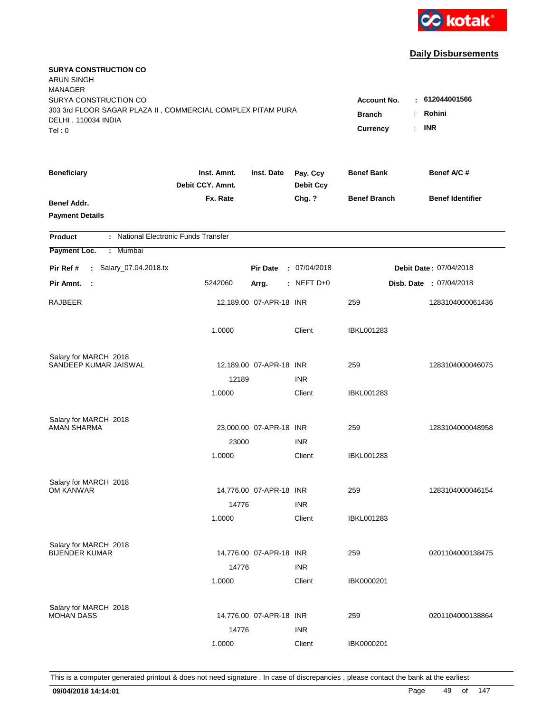

| <b>SURYA CONSTRUCTION CO</b><br><b>ARUN SINGH</b><br><b>MANAGER</b><br>SURYA CONSTRUCTION CO |                                 |                                                                         |                              | Account No.         | $-612044001566$               |
|----------------------------------------------------------------------------------------------|---------------------------------|-------------------------------------------------------------------------|------------------------------|---------------------|-------------------------------|
| 303 3rd FLOOR SAGAR PLAZA II, COMMERCIAL COMPLEX PITAM PURA<br>DELHI, 110034 INDIA<br>Tel: 0 |                                 | Rohini<br><b>Branch</b><br>÷.<br><b>INR</b><br>Currency<br>$\mathbf{r}$ |                              |                     |                               |
| <b>Beneficiary</b>                                                                           | Inst. Amnt.<br>Debit CCY. Amnt. | Inst. Date                                                              | Pay. Ccy<br><b>Debit Ccy</b> | <b>Benef Bank</b>   | Benef A/C #                   |
| Benef Addr.<br><b>Payment Details</b>                                                        | Fx. Rate                        |                                                                         | Chg. ?                       | <b>Benef Branch</b> | <b>Benef Identifier</b>       |
| : National Electronic Funds Transfer<br><b>Product</b>                                       |                                 |                                                                         |                              |                     |                               |
| Payment Loc.<br>Mumbai<br>÷.                                                                 |                                 |                                                                         |                              |                     |                               |
| : Salary_07.04.2018.tx<br>Pir Ref #                                                          |                                 | <b>Pir Date</b>                                                         | : 07/04/2018                 |                     | <b>Debit Date: 07/04/2018</b> |
| Pir Amnt.<br>- 1                                                                             | 5242060                         | Arrg.                                                                   | $:$ NEFT D+0                 |                     | Disb. Date: 07/04/2018        |
| RAJBEER                                                                                      |                                 | 12,189.00 07-APR-18 INR                                                 |                              | 259                 | 1283104000061436              |
|                                                                                              | 1.0000                          |                                                                         | Client                       | <b>IBKL001283</b>   |                               |
| Salary for MARCH 2018<br>SANDEEP KUMAR JAISWAL                                               |                                 |                                                                         |                              |                     |                               |
|                                                                                              | 12189                           | 12,189.00 07-APR-18 INR                                                 | <b>INR</b>                   | 259                 | 1283104000046075              |
|                                                                                              | 1.0000                          |                                                                         | Client                       | IBKL001283          |                               |
| Salary for MARCH 2018<br>AMAN SHARMA                                                         |                                 | 23,000.00 07-APR-18 INR                                                 |                              | 259                 | 1283104000048958              |
|                                                                                              | 23000                           |                                                                         | <b>INR</b>                   |                     |                               |
|                                                                                              | 1.0000                          |                                                                         | Client                       | IBKL001283          |                               |
| Salary for MARCH 2018                                                                        |                                 |                                                                         |                              |                     |                               |
| OM KANWAR                                                                                    |                                 | 14,776.00 07-APR-18 INR                                                 |                              | 259                 | 1283104000046154              |
|                                                                                              | 14776                           |                                                                         | <b>INR</b>                   |                     |                               |
|                                                                                              | 1.0000                          |                                                                         | Client                       | IBKL001283          |                               |
| Salary for MARCH 2018                                                                        |                                 |                                                                         |                              |                     |                               |
| <b>BIJENDER KUMAR</b>                                                                        |                                 | 14,776.00 07-APR-18 INR                                                 |                              | 259                 | 0201104000138475              |
|                                                                                              | 14776<br>1.0000                 |                                                                         | <b>INR</b><br>Client         | IBK0000201          |                               |
|                                                                                              |                                 |                                                                         |                              |                     |                               |
| Salary for MARCH 2018                                                                        |                                 |                                                                         |                              |                     |                               |
| <b>MOHAN DASS</b>                                                                            |                                 | 14,776.00 07-APR-18 INR                                                 |                              | 259                 | 0201104000138864              |
|                                                                                              | 14776                           |                                                                         | <b>INR</b>                   |                     |                               |
|                                                                                              | 1.0000                          |                                                                         | Client                       | IBK0000201          |                               |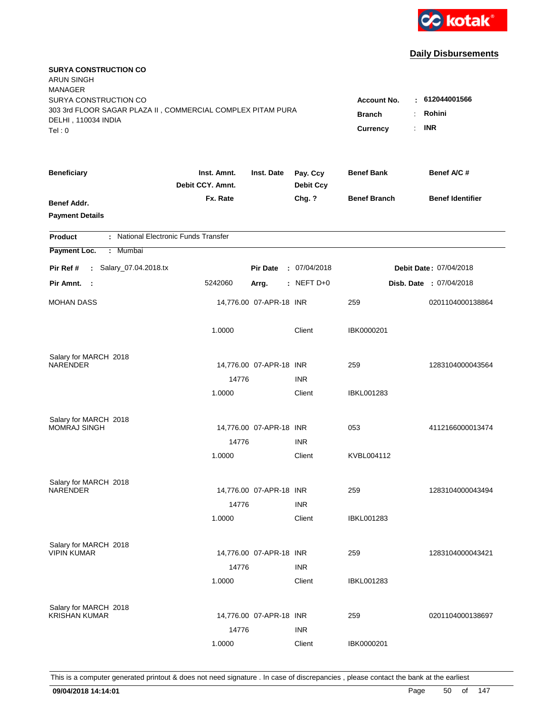

| <b>SURYA CONSTRUCTION CO</b><br><b>ARUN SINGH</b><br><b>MANAGER</b><br>SURYA CONSTRUCTION CO |                                                                     |                         |                              | <b>Account No.</b>  | : 612044001566          |
|----------------------------------------------------------------------------------------------|---------------------------------------------------------------------|-------------------------|------------------------------|---------------------|-------------------------|
| 303 3rd FLOOR SAGAR PLAZA II, COMMERCIAL COMPLEX PITAM PURA<br>DELHI, 110034 INDIA<br>Tel: 0 | Rohini<br><b>Branch</b><br>÷<br><b>INR</b><br><b>Currency</b><br>÷. |                         |                              |                     |                         |
| <b>Beneficiary</b>                                                                           | Inst. Amnt.<br>Debit CCY. Amnt.                                     | Inst. Date              | Pay. Ccy<br><b>Debit Ccy</b> | <b>Benef Bank</b>   | Benef A/C #             |
| Benef Addr.<br><b>Payment Details</b>                                                        | Fx. Rate                                                            |                         | Chg. ?                       | <b>Benef Branch</b> | <b>Benef Identifier</b> |
| : National Electronic Funds Transfer<br><b>Product</b>                                       |                                                                     |                         |                              |                     |                         |
| Payment Loc.<br>Mumbai<br>÷                                                                  |                                                                     |                         |                              |                     |                         |
| : Salary_07.04.2018.tx<br>Pir Ref #                                                          |                                                                     | <b>Pir Date</b>         | : 07/04/2018                 |                     | Debit Date: 07/04/2018  |
| Pir Amnt.<br>$\sim$ :                                                                        | 5242060                                                             | Arrg.                   | : NEFT D+0                   |                     | Disb. Date: 07/04/2018  |
| <b>MOHAN DASS</b>                                                                            |                                                                     | 14,776.00 07-APR-18 INR |                              | 259                 | 0201104000138864        |
|                                                                                              | 1.0000                                                              |                         | Client                       | IBK0000201          |                         |
| Salary for MARCH 2018<br>NARENDER                                                            |                                                                     |                         |                              |                     |                         |
|                                                                                              | 14776                                                               | 14,776.00 07-APR-18 INR | <b>INR</b>                   | 259                 | 1283104000043564        |
|                                                                                              | 1.0000                                                              |                         | Client                       | <b>IBKL001283</b>   |                         |
| Salary for MARCH 2018<br><b>MOMRAJ SINGH</b>                                                 |                                                                     | 14,776.00 07-APR-18 INR |                              | 053                 | 4112166000013474        |
|                                                                                              | 14776                                                               |                         | <b>INR</b>                   |                     |                         |
|                                                                                              | 1.0000                                                              |                         | Client                       | KVBL004112          |                         |
| Salary for MARCH 2018                                                                        |                                                                     |                         |                              |                     |                         |
| <b>NARENDER</b>                                                                              |                                                                     | 14,776.00 07-APR-18 INR |                              | 259                 | 1283104000043494        |
|                                                                                              | 14776                                                               |                         | <b>INR</b>                   |                     |                         |
|                                                                                              | 1.0000                                                              |                         | Client                       | IBKL001283          |                         |
| Salary for MARCH 2018                                                                        |                                                                     |                         |                              |                     |                         |
| <b>VIPIN KUMAR</b>                                                                           |                                                                     | 14,776.00 07-APR-18 INR |                              | 259                 | 1283104000043421        |
|                                                                                              | 14776<br>1.0000                                                     |                         | <b>INR</b><br>Client         | <b>IBKL001283</b>   |                         |
|                                                                                              |                                                                     |                         |                              |                     |                         |
| Salary for MARCH 2018                                                                        |                                                                     |                         |                              |                     |                         |
| <b>KRISHAN KUMAR</b>                                                                         |                                                                     | 14,776.00 07-APR-18 INR |                              | 259                 | 0201104000138697        |
|                                                                                              | 14776                                                               |                         | <b>INR</b>                   |                     |                         |
|                                                                                              | 1.0000                                                              |                         | Client                       | IBK0000201          |                         |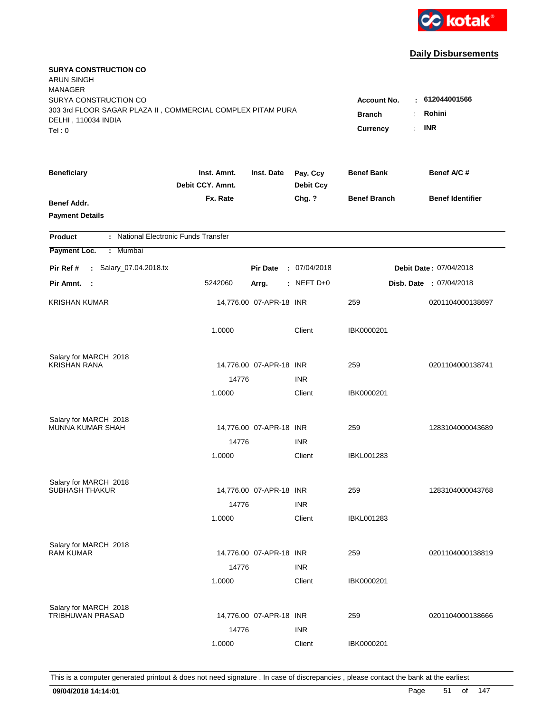

| <b>SURYA CONSTRUCTION CO</b><br><b>ARUN SINGH</b><br><b>MANAGER</b><br>SURYA CONSTRUCTION CO<br>303 3rd FLOOR SAGAR PLAZA II, COMMERCIAL COMPLEX PITAM PURA<br>DELHI, 110034 INDIA<br>Tel: 0 | <b>Account No.</b><br><b>Branch</b><br>Currency | : 612044001566<br>Rohini<br>÷.<br><b>INR</b><br>$\mathbf{r}$ |                              |                     |                               |
|----------------------------------------------------------------------------------------------------------------------------------------------------------------------------------------------|-------------------------------------------------|--------------------------------------------------------------|------------------------------|---------------------|-------------------------------|
| <b>Beneficiary</b>                                                                                                                                                                           | Inst. Amnt.<br>Debit CCY. Amnt.                 | Inst. Date                                                   | Pay. Ccy<br><b>Debit Ccy</b> | <b>Benef Bank</b>   | Benef A/C #                   |
| Benef Addr.<br><b>Payment Details</b>                                                                                                                                                        | Fx. Rate                                        |                                                              | Chg. ?                       | <b>Benef Branch</b> | <b>Benef Identifier</b>       |
| : National Electronic Funds Transfer<br><b>Product</b>                                                                                                                                       |                                                 |                                                              |                              |                     |                               |
| Payment Loc.<br>Mumbai<br>÷.                                                                                                                                                                 |                                                 |                                                              |                              |                     |                               |
| : Salary_07.04.2018.tx<br>Pir Ref #                                                                                                                                                          |                                                 | <b>Pir Date</b>                                              | : 07/04/2018                 |                     | <b>Debit Date: 07/04/2018</b> |
| Pir Amnt. :                                                                                                                                                                                  | 5242060                                         | Arrg.                                                        | $:$ NEFT D+0                 |                     | Disb. Date: 07/04/2018        |
| <b>KRISHAN KUMAR</b>                                                                                                                                                                         |                                                 | 14,776.00 07-APR-18 INR                                      |                              | 259                 | 0201104000138697              |
|                                                                                                                                                                                              | 1.0000                                          |                                                              | Client                       | IBK0000201          |                               |
| Salary for MARCH 2018                                                                                                                                                                        |                                                 |                                                              |                              |                     |                               |
| <b>KRISHAN RANA</b>                                                                                                                                                                          |                                                 | 14,776.00 07-APR-18 INR                                      |                              | 259                 | 0201104000138741              |
|                                                                                                                                                                                              | 14776                                           |                                                              | <b>INR</b>                   |                     |                               |
|                                                                                                                                                                                              | 1.0000                                          |                                                              | Client                       | IBK0000201          |                               |
| Salary for MARCH 2018                                                                                                                                                                        |                                                 |                                                              |                              |                     |                               |
| MUNNA KUMAR SHAH                                                                                                                                                                             |                                                 | 14,776.00 07-APR-18 INR                                      |                              | 259                 | 1283104000043689              |
|                                                                                                                                                                                              | 14776                                           |                                                              | <b>INR</b>                   |                     |                               |
|                                                                                                                                                                                              | 1.0000                                          |                                                              | Client                       | IBKL001283          |                               |
| Salary for MARCH 2018                                                                                                                                                                        |                                                 |                                                              |                              |                     |                               |
| <b>SUBHASH THAKUR</b>                                                                                                                                                                        |                                                 | 14,776.00 07-APR-18 INR                                      |                              | 259                 | 1283104000043768              |
|                                                                                                                                                                                              | 14776                                           |                                                              | <b>INR</b>                   |                     |                               |
|                                                                                                                                                                                              | 1.0000                                          |                                                              | Client                       | <b>IBKL001283</b>   |                               |
| Salary for MARCH 2018                                                                                                                                                                        |                                                 |                                                              |                              |                     |                               |
| <b>RAM KUMAR</b>                                                                                                                                                                             |                                                 | 14,776.00 07-APR-18 INR                                      |                              | 259                 | 0201104000138819              |
|                                                                                                                                                                                              | 14776                                           |                                                              | <b>INR</b>                   |                     |                               |
|                                                                                                                                                                                              | 1.0000                                          |                                                              | Client                       | IBK0000201          |                               |
| Salary for MARCH 2018                                                                                                                                                                        |                                                 |                                                              |                              |                     |                               |
| TRIBHUWAN PRASAD                                                                                                                                                                             |                                                 | 14,776.00 07-APR-18 INR                                      |                              | 259                 | 0201104000138666              |
|                                                                                                                                                                                              | 14776                                           |                                                              | <b>INR</b>                   |                     |                               |
|                                                                                                                                                                                              | 1.0000                                          |                                                              | Client                       | IBK0000201          |                               |
|                                                                                                                                                                                              |                                                 |                                                              |                              |                     |                               |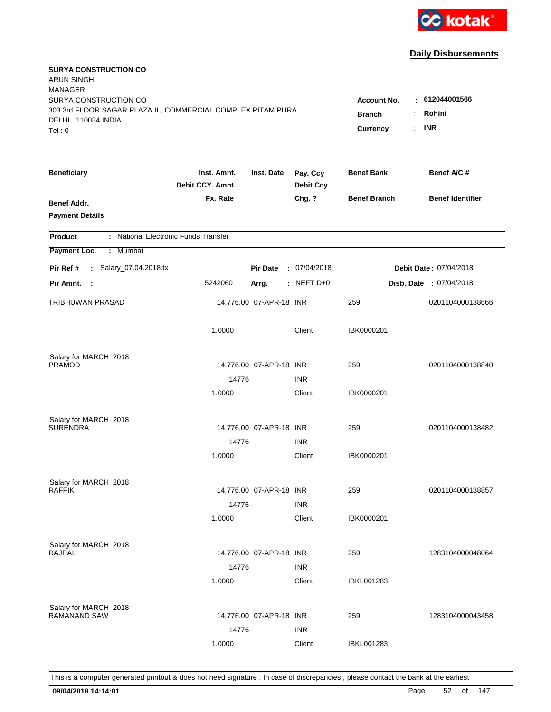

| <b>SURYA CONSTRUCTION CO</b><br><b>ARUN SINGH</b><br><b>MANAGER</b>                                                   |                                                            |                                         |                              |                     |                         |
|-----------------------------------------------------------------------------------------------------------------------|------------------------------------------------------------|-----------------------------------------|------------------------------|---------------------|-------------------------|
| SURYA CONSTRUCTION CO<br>303 3rd FLOOR SAGAR PLAZA II, COMMERCIAL COMPLEX PITAM PURA<br>DELHI, 110034 INDIA<br>Tel: 0 | <b>Account No.</b><br><b>Branch</b><br>÷<br>Currency<br>÷. | $-612044001566$<br>Rohini<br><b>INR</b> |                              |                     |                         |
| <b>Beneficiary</b>                                                                                                    | Inst. Amnt.<br>Debit CCY. Amnt.                            | Inst. Date                              | Pay. Ccy<br><b>Debit Ccy</b> | <b>Benef Bank</b>   | Benef A/C #             |
| Benef Addr.<br><b>Payment Details</b>                                                                                 | Fx. Rate                                                   |                                         | Chg. ?                       | <b>Benef Branch</b> | <b>Benef Identifier</b> |
| : National Electronic Funds Transfer<br><b>Product</b>                                                                |                                                            |                                         |                              |                     |                         |
| Payment Loc.<br>: Mumbai                                                                                              |                                                            |                                         |                              |                     |                         |
| : Salary_07.04.2018.tx<br>Pir Ref #                                                                                   |                                                            | <b>Pir Date</b>                         | : 07/04/2018                 |                     | Debit Date: 07/04/2018  |
| Pir Amnt.<br>- 1                                                                                                      | 5242060                                                    | Arrg.                                   | : NEFT $D+0$                 |                     | Disb. Date : 07/04/2018 |
| <b>TRIBHUWAN PRASAD</b>                                                                                               |                                                            | 14,776.00 07-APR-18 INR                 |                              | 259                 | 0201104000138666        |
|                                                                                                                       | 1.0000                                                     |                                         | Client                       | IBK0000201          |                         |
| Salary for MARCH 2018                                                                                                 |                                                            |                                         |                              |                     |                         |
| <b>PRAMOD</b>                                                                                                         |                                                            | 14,776.00 07-APR-18 INR                 |                              | 259                 | 0201104000138840        |
|                                                                                                                       | 14776<br>1.0000                                            |                                         | <b>INR</b><br>Client         | IBK0000201          |                         |
|                                                                                                                       |                                                            |                                         |                              |                     |                         |
| Salary for MARCH 2018<br><b>SURENDRA</b>                                                                              |                                                            | 14,776.00 07-APR-18 INR                 |                              | 259                 | 0201104000138482        |
|                                                                                                                       | 14776                                                      |                                         | <b>INR</b>                   |                     |                         |
|                                                                                                                       | 1.0000                                                     |                                         | Client                       | IBK0000201          |                         |
|                                                                                                                       |                                                            |                                         |                              |                     |                         |
| Salary for MARCH 2018<br><b>RAFFIK</b>                                                                                |                                                            | 14,776.00 07-APR-18 INR                 |                              | 259                 | 0201104000138857        |
|                                                                                                                       | 14776                                                      |                                         | <b>INR</b>                   |                     |                         |
|                                                                                                                       | 1.0000                                                     |                                         | Client                       | IBK0000201          |                         |
|                                                                                                                       |                                                            |                                         |                              |                     |                         |
| Salary for MARCH 2018<br><b>RAJPAL</b>                                                                                |                                                            | 14,776.00 07-APR-18 INR                 |                              | 259                 | 1283104000048064        |
|                                                                                                                       | 14776                                                      |                                         | <b>INR</b>                   |                     |                         |
|                                                                                                                       | 1.0000                                                     |                                         | Client                       | <b>IBKL001283</b>   |                         |
|                                                                                                                       |                                                            |                                         |                              |                     |                         |
| Salary for MARCH 2018<br>RAMANAND SAW                                                                                 |                                                            | 14,776.00 07-APR-18 INR                 |                              | 259                 | 1283104000043458        |
|                                                                                                                       | 14776                                                      |                                         | <b>INR</b>                   |                     |                         |
|                                                                                                                       | 1.0000                                                     |                                         | Client                       | <b>IBKL001283</b>   |                         |
|                                                                                                                       |                                                            |                                         |                              |                     |                         |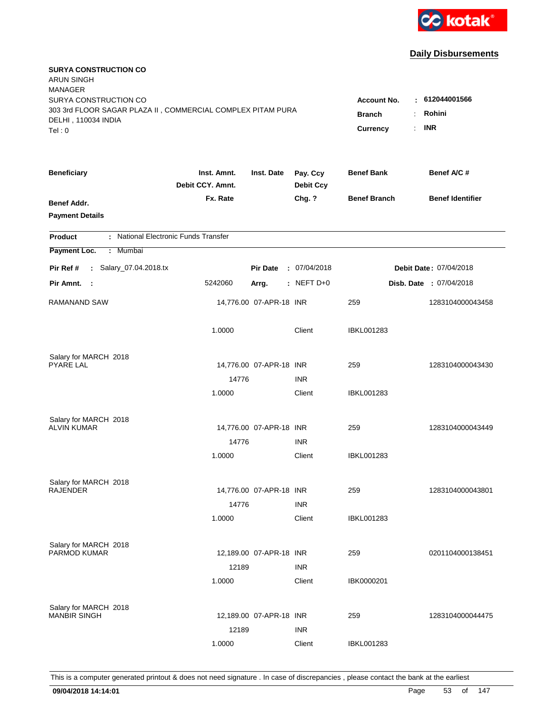

| <b>SURYA CONSTRUCTION CO</b><br><b>ARUN SINGH</b><br><b>MANAGER</b><br>SURYA CONSTRUCTION CO |                                                                    |                         |                              | <b>Account No.</b>  | : 612044001566          |
|----------------------------------------------------------------------------------------------|--------------------------------------------------------------------|-------------------------|------------------------------|---------------------|-------------------------|
| 303 3rd FLOOR SAGAR PLAZA II, COMMERCIAL COMPLEX PITAM PURA<br>DELHI, 110034 INDIA<br>Tel: 0 | <b>Branch</b><br>÷<br>$\mathbb{R}^{\mathbb{Z}}$<br><b>Currency</b> | Rohini<br><b>INR</b>    |                              |                     |                         |
| <b>Beneficiary</b>                                                                           | Inst. Amnt.<br>Debit CCY. Amnt.                                    | Inst. Date              | Pay. Ccy<br><b>Debit Ccy</b> | <b>Benef Bank</b>   | Benef A/C #             |
| Benef Addr.<br><b>Payment Details</b>                                                        | Fx. Rate                                                           |                         | Chg. ?                       | <b>Benef Branch</b> | <b>Benef Identifier</b> |
| : National Electronic Funds Transfer<br><b>Product</b>                                       |                                                                    |                         |                              |                     |                         |
| Payment Loc.<br>Mumbai<br>÷                                                                  |                                                                    |                         |                              |                     |                         |
| : Salary_07.04.2018.tx<br>Pir Ref #                                                          |                                                                    | <b>Pir Date</b>         | : 07/04/2018                 |                     | Debit Date: 07/04/2018  |
| Pir Amnt.<br>$\sim$ :                                                                        | 5242060                                                            | Arrg.                   | : NEFT D+0                   |                     | Disb. Date: 07/04/2018  |
| RAMANAND SAW                                                                                 |                                                                    | 14,776.00 07-APR-18 INR |                              | 259                 | 1283104000043458        |
|                                                                                              | 1.0000                                                             |                         | Client                       | <b>IBKL001283</b>   |                         |
| Salary for MARCH 2018<br><b>PYARE LAL</b>                                                    |                                                                    | 14,776.00 07-APR-18 INR |                              | 259                 | 1283104000043430        |
|                                                                                              | 14776                                                              |                         | <b>INR</b>                   |                     |                         |
|                                                                                              | 1.0000                                                             |                         | Client                       | <b>IBKL001283</b>   |                         |
| Salary for MARCH 2018<br><b>ALVIN KUMAR</b>                                                  |                                                                    | 14,776.00 07-APR-18 INR |                              | 259                 | 1283104000043449        |
|                                                                                              | 14776                                                              |                         | <b>INR</b>                   |                     |                         |
|                                                                                              | 1.0000                                                             |                         | Client                       | <b>IBKL001283</b>   |                         |
| Salary for MARCH 2018<br><b>RAJENDER</b>                                                     |                                                                    | 14,776.00 07-APR-18 INR |                              | 259                 | 1283104000043801        |
|                                                                                              | 14776                                                              |                         | <b>INR</b>                   |                     |                         |
|                                                                                              | 1.0000                                                             |                         | Client                       | IBKL001283          |                         |
| Salary for MARCH 2018<br><b>PARMOD KUMAR</b>                                                 |                                                                    | 12,189.00 07-APR-18 INR |                              | 259                 | 0201104000138451        |
|                                                                                              | 12189<br>1.0000                                                    |                         | <b>INR</b><br>Client         | IBK0000201          |                         |
| Salary for MARCH 2018<br><b>MANBIR SINGH</b>                                                 | 12189                                                              | 12,189.00 07-APR-18 INR | <b>INR</b>                   | 259                 | 1283104000044475        |
|                                                                                              | 1.0000                                                             |                         | Client                       | <b>IBKL001283</b>   |                         |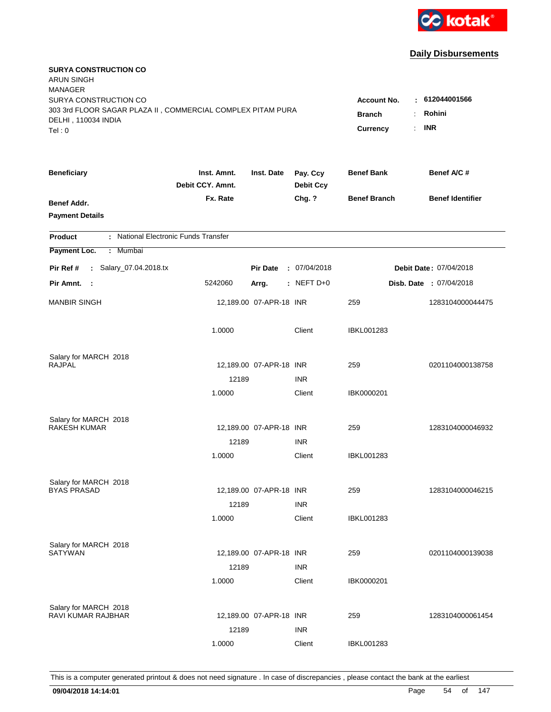

| <b>SURYA CONSTRUCTION CO</b><br><b>ARUN SINGH</b><br><b>MANAGER</b><br>SURYA CONSTRUCTION CO |                                 |                                                              |                              | <b>Account No.</b>  | : 612044001566          |
|----------------------------------------------------------------------------------------------|---------------------------------|--------------------------------------------------------------|------------------------------|---------------------|-------------------------|
| 303 3rd FLOOR SAGAR PLAZA II, COMMERCIAL COMPLEX PITAM PURA<br>DELHI, 110034 INDIA<br>Tel: 0 |                                 | Rohini<br><b>Branch</b><br>÷<br><b>INR</b><br>Currency<br>÷. |                              |                     |                         |
| <b>Beneficiary</b>                                                                           | Inst. Amnt.<br>Debit CCY. Amnt. | Inst. Date                                                   | Pay. Ccy<br><b>Debit Ccy</b> | <b>Benef Bank</b>   | Benef A/C #             |
| Benef Addr.<br><b>Payment Details</b>                                                        | Fx. Rate                        |                                                              | Chg. ?                       | <b>Benef Branch</b> | <b>Benef Identifier</b> |
| : National Electronic Funds Transfer<br><b>Product</b>                                       |                                 |                                                              |                              |                     |                         |
| Payment Loc.<br>: Mumbai                                                                     |                                 |                                                              |                              |                     |                         |
| : Salary_07.04.2018.tx<br>Pir Ref #                                                          |                                 | <b>Pir Date</b>                                              | : 07/04/2018                 |                     | Debit Date: 07/04/2018  |
| Pir Amnt. :                                                                                  | 5242060                         | Arrg.                                                        | $:$ NEFT D+0                 |                     | Disb. Date : 07/04/2018 |
| <b>MANBIR SINGH</b>                                                                          |                                 | 12,189.00 07-APR-18 INR                                      |                              | 259                 | 1283104000044475        |
|                                                                                              | 1.0000                          |                                                              | Client                       | <b>IBKL001283</b>   |                         |
| Salary for MARCH 2018                                                                        |                                 |                                                              |                              |                     |                         |
| <b>RAJPAL</b>                                                                                | 12189                           | 12,189.00 07-APR-18 INR                                      |                              | 259                 | 0201104000138758        |
|                                                                                              | 1.0000                          |                                                              | <b>INR</b><br>Client         | IBK0000201          |                         |
| Salary for MARCH 2018                                                                        |                                 |                                                              |                              |                     |                         |
| <b>RAKESH KUMAR</b>                                                                          |                                 | 12,189.00 07-APR-18 INR                                      | <b>INR</b>                   | 259                 | 1283104000046932        |
|                                                                                              | 12189<br>1.0000                 |                                                              | Client                       | <b>IBKL001283</b>   |                         |
| Salary for MARCH 2018                                                                        |                                 |                                                              |                              |                     |                         |
| <b>BYAS PRASAD</b>                                                                           |                                 | 12,189.00 07-APR-18 INR                                      |                              | 259                 | 1283104000046215        |
|                                                                                              | 12189                           |                                                              | <b>INR</b>                   |                     |                         |
|                                                                                              | 1.0000                          |                                                              | Client                       | <b>IBKL001283</b>   |                         |
| Salary for MARCH 2018                                                                        |                                 |                                                              |                              |                     |                         |
| <b>SATYWAN</b>                                                                               |                                 | 12,189.00 07-APR-18 INR                                      |                              | 259                 | 0201104000139038        |
|                                                                                              | 12189<br>1.0000                 |                                                              | <b>INR</b><br>Client         | IBK0000201          |                         |
| Salary for MARCH 2018<br><b>RAVI KUMAR RAJBHAR</b>                                           |                                 | 12,189.00 07-APR-18 INR                                      |                              | 259                 | 1283104000061454        |
|                                                                                              | 12189                           |                                                              | <b>INR</b>                   |                     |                         |
|                                                                                              | 1.0000                          |                                                              | Client                       | <b>IBKL001283</b>   |                         |
|                                                                                              |                                 |                                                              |                              |                     |                         |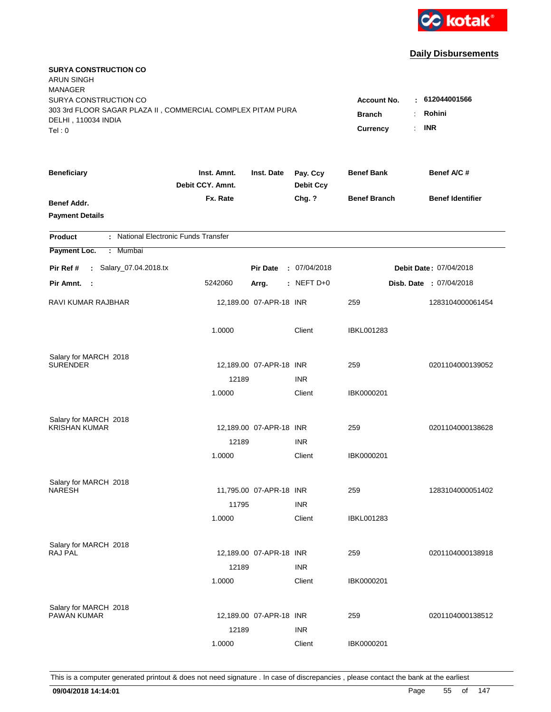

| <b>SURYA CONSTRUCTION CO</b><br><b>ARUN SINGH</b><br><b>MANAGER</b><br>SURYA CONSTRUCTION CO |                                 |                                                              |                              | <b>Account No.</b>  | : 612044001566          |
|----------------------------------------------------------------------------------------------|---------------------------------|--------------------------------------------------------------|------------------------------|---------------------|-------------------------|
| 303 3rd FLOOR SAGAR PLAZA II, COMMERCIAL COMPLEX PITAM PURA<br>DELHI, 110034 INDIA<br>Tel: 0 |                                 | Rohini<br><b>Branch</b><br>÷<br><b>INR</b><br>Currency<br>÷. |                              |                     |                         |
| <b>Beneficiary</b>                                                                           | Inst. Amnt.<br>Debit CCY. Amnt. | Inst. Date                                                   | Pay. Ccy<br><b>Debit Ccy</b> | <b>Benef Bank</b>   | Benef A/C #             |
| Benef Addr.<br><b>Payment Details</b>                                                        | Fx. Rate                        |                                                              | Chg. ?                       | <b>Benef Branch</b> | <b>Benef Identifier</b> |
| : National Electronic Funds Transfer<br><b>Product</b>                                       |                                 |                                                              |                              |                     |                         |
| Payment Loc.<br>: Mumbai                                                                     |                                 |                                                              |                              |                     |                         |
| : Salary_07.04.2018.tx<br>Pir Ref #                                                          |                                 | <b>Pir Date</b>                                              | : 07/04/2018                 |                     | Debit Date: 07/04/2018  |
| Pir Amnt.<br>- 1                                                                             | 5242060                         | Arrg.                                                        | : NEFT $D+0$                 |                     | Disb. Date : 07/04/2018 |
| RAVI KUMAR RAJBHAR                                                                           |                                 | 12,189.00 07-APR-18 INR                                      |                              | 259                 | 1283104000061454        |
|                                                                                              | 1.0000                          |                                                              | Client                       | <b>IBKL001283</b>   |                         |
| Salary for MARCH 2018                                                                        |                                 |                                                              |                              |                     |                         |
| <b>SURENDER</b>                                                                              | 12189                           | 12,189.00 07-APR-18 INR                                      | <b>INR</b>                   | 259                 | 0201104000139052        |
|                                                                                              | 1.0000                          |                                                              | Client                       | IBK0000201          |                         |
| Salary for MARCH 2018                                                                        |                                 |                                                              |                              |                     |                         |
| <b>KRISHAN KUMAR</b>                                                                         |                                 | 12,189.00 07-APR-18 INR                                      |                              | 259                 | 0201104000138628        |
|                                                                                              | 12189                           |                                                              | <b>INR</b>                   |                     |                         |
|                                                                                              | 1.0000                          |                                                              | Client                       | IBK0000201          |                         |
| Salary for MARCH 2018                                                                        |                                 |                                                              |                              |                     |                         |
| <b>NARESH</b>                                                                                |                                 | 11,795.00 07-APR-18 INR                                      |                              | 259                 | 1283104000051402        |
|                                                                                              | 11795                           |                                                              | <b>INR</b>                   |                     |                         |
|                                                                                              | 1.0000                          |                                                              | Client                       | <b>IBKL001283</b>   |                         |
| Salary for MARCH 2018                                                                        |                                 |                                                              |                              |                     |                         |
| RAJ PAL                                                                                      |                                 | 12,189.00 07-APR-18 INR                                      |                              | 259                 | 0201104000138918        |
|                                                                                              | 12189                           |                                                              | <b>INR</b>                   |                     |                         |
|                                                                                              | 1.0000                          |                                                              | Client                       | IBK0000201          |                         |
| Salary for MARCH 2018                                                                        |                                 |                                                              |                              |                     |                         |
| <b>PAWAN KUMAR</b>                                                                           |                                 | 12,189.00 07-APR-18 INR                                      |                              | 259                 | 0201104000138512        |
|                                                                                              | 12189                           |                                                              | <b>INR</b>                   |                     |                         |
|                                                                                              | 1.0000                          |                                                              | Client                       | IBK0000201          |                         |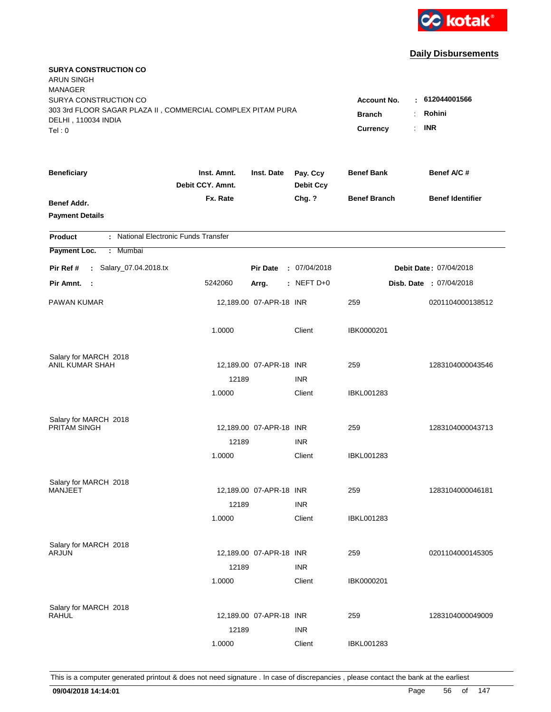

| <b>SURYA CONSTRUCTION CO</b><br><b>ARUN SINGH</b><br><b>MANAGER</b>                                                   |                                                 |                                                              |                              |                     |                                |
|-----------------------------------------------------------------------------------------------------------------------|-------------------------------------------------|--------------------------------------------------------------|------------------------------|---------------------|--------------------------------|
| SURYA CONSTRUCTION CO<br>303 3rd FLOOR SAGAR PLAZA II, COMMERCIAL COMPLEX PITAM PURA<br>DELHI, 110034 INDIA<br>Tel: 0 | <b>Account No.</b><br><b>Branch</b><br>Currency | : 612044001566<br>Rohini<br>÷.<br><b>INR</b><br>$\mathbf{r}$ |                              |                     |                                |
| <b>Beneficiary</b>                                                                                                    | Inst. Amnt.<br>Debit CCY. Amnt.                 | Inst. Date                                                   | Pay. Ccy<br><b>Debit Ccy</b> | <b>Benef Bank</b>   | Benef A/C #                    |
| Benef Addr.<br><b>Payment Details</b>                                                                                 | Fx. Rate                                        |                                                              | Chg. ?                       | <b>Benef Branch</b> | <b>Benef Identifier</b>        |
| : National Electronic Funds Transfer<br><b>Product</b>                                                                |                                                 |                                                              |                              |                     |                                |
| Payment Loc.<br>Mumbai<br>÷.                                                                                          |                                                 |                                                              |                              |                     |                                |
| : Salary_07.04.2018.tx<br>Pir Ref #                                                                                   |                                                 | <b>Pir Date</b>                                              | : 07/04/2018                 |                     | <b>Debit Date: 07/04/2018</b>  |
| Pir Amnt. :                                                                                                           | 5242060                                         | Arrg.                                                        | $:$ NEFT D+0                 |                     | <b>Disb. Date : 07/04/2018</b> |
| PAWAN KUMAR                                                                                                           |                                                 | 12,189.00 07-APR-18 INR                                      |                              | 259                 | 0201104000138512               |
|                                                                                                                       | 1.0000                                          |                                                              | Client                       | IBK0000201          |                                |
| Salary for MARCH 2018                                                                                                 |                                                 |                                                              |                              |                     |                                |
| ANIL KUMAR SHAH                                                                                                       |                                                 | 12,189.00 07-APR-18 INR                                      |                              | 259                 | 1283104000043546               |
|                                                                                                                       | 12189                                           |                                                              | <b>INR</b>                   |                     |                                |
|                                                                                                                       | 1.0000                                          |                                                              | Client                       | IBKL001283          |                                |
| Salary for MARCH 2018                                                                                                 |                                                 |                                                              |                              |                     |                                |
| PRITAM SINGH                                                                                                          |                                                 | 12,189.00 07-APR-18 INR                                      |                              | 259                 | 1283104000043713               |
|                                                                                                                       | 12189                                           |                                                              | <b>INR</b>                   |                     |                                |
|                                                                                                                       | 1.0000                                          |                                                              | Client                       | IBKL001283          |                                |
| Salary for MARCH 2018                                                                                                 |                                                 |                                                              |                              |                     |                                |
| <b>MANJEET</b>                                                                                                        |                                                 | 12,189.00 07-APR-18 INR                                      |                              | 259                 | 1283104000046181               |
|                                                                                                                       | 12189                                           |                                                              | <b>INR</b>                   |                     |                                |
|                                                                                                                       | 1.0000                                          |                                                              | Client                       | <b>IBKL001283</b>   |                                |
| Salary for MARCH 2018                                                                                                 |                                                 |                                                              |                              |                     |                                |
| ARJUN                                                                                                                 |                                                 | 12,189.00 07-APR-18 INR                                      |                              | 259                 | 0201104000145305               |
|                                                                                                                       | 12189                                           |                                                              | <b>INR</b>                   |                     |                                |
|                                                                                                                       | 1.0000                                          |                                                              | Client                       | IBK0000201          |                                |
|                                                                                                                       |                                                 |                                                              |                              |                     |                                |
| Salary for MARCH 2018<br><b>RAHUL</b>                                                                                 |                                                 | 12,189.00 07-APR-18 INR                                      |                              | 259                 | 1283104000049009               |
|                                                                                                                       | 12189                                           |                                                              | <b>INR</b>                   |                     |                                |
|                                                                                                                       | 1.0000                                          |                                                              | Client                       | <b>IBKL001283</b>   |                                |
|                                                                                                                       |                                                 |                                                              |                              |                     |                                |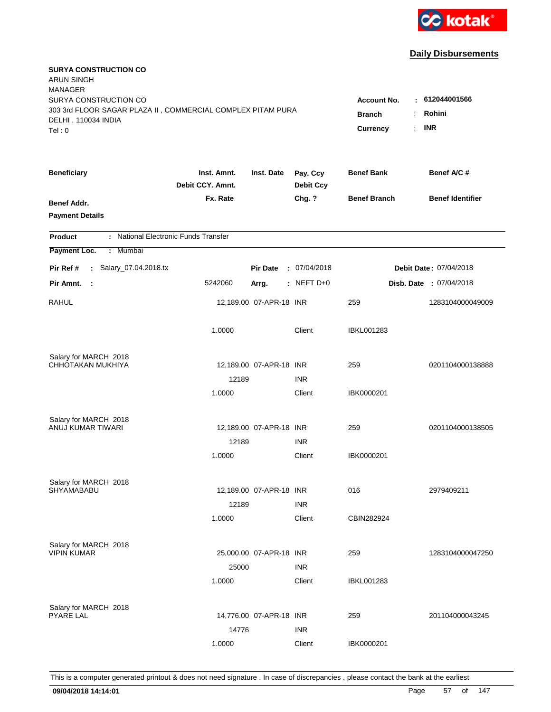

| <b>SURYA CONSTRUCTION CO</b><br><b>ARUN SINGH</b><br><b>MANAGER</b>                                                   |                                                                |                                         |                              |                     |                               |
|-----------------------------------------------------------------------------------------------------------------------|----------------------------------------------------------------|-----------------------------------------|------------------------------|---------------------|-------------------------------|
| SURYA CONSTRUCTION CO<br>303 3rd FLOOR SAGAR PLAZA II, COMMERCIAL COMPLEX PITAM PURA<br>DELHI, 110034 INDIA<br>Tel: 0 | Account No.<br><b>Branch</b><br>÷.<br>Currency<br>$\mathbf{r}$ | $-612044001566$<br>Rohini<br><b>INR</b> |                              |                     |                               |
|                                                                                                                       |                                                                |                                         |                              |                     |                               |
| <b>Beneficiary</b>                                                                                                    | Inst. Amnt.<br>Debit CCY. Amnt.                                | Inst. Date                              | Pay. Ccy<br><b>Debit Ccy</b> | <b>Benef Bank</b>   | Benef A/C #                   |
| Benef Addr.<br><b>Payment Details</b>                                                                                 | Fx. Rate                                                       |                                         | Chg. ?                       | <b>Benef Branch</b> | <b>Benef Identifier</b>       |
| : National Electronic Funds Transfer<br><b>Product</b>                                                                |                                                                |                                         |                              |                     |                               |
| Payment Loc.<br>Mumbai<br>÷.                                                                                          |                                                                |                                         |                              |                     |                               |
| : Salary_07.04.2018.tx<br>Pir Ref #                                                                                   |                                                                | <b>Pir Date</b>                         | : 07/04/2018                 |                     | <b>Debit Date: 07/04/2018</b> |
| Pir Amnt.<br>- 1                                                                                                      | 5242060                                                        | Arrg.                                   | $:$ NEFT D+0                 |                     | Disb. Date: 07/04/2018        |
| <b>RAHUL</b>                                                                                                          |                                                                | 12,189.00 07-APR-18 INR                 |                              | 259                 | 1283104000049009              |
|                                                                                                                       | 1.0000                                                         |                                         | Client                       | <b>IBKL001283</b>   |                               |
| Salary for MARCH 2018                                                                                                 |                                                                |                                         |                              |                     |                               |
| CHHOTAKAN MUKHIYA                                                                                                     |                                                                | 12,189.00 07-APR-18 INR                 |                              | 259                 | 0201104000138888              |
|                                                                                                                       | 12189<br>1.0000                                                |                                         | <b>INR</b><br>Client         | IBK0000201          |                               |
|                                                                                                                       |                                                                |                                         |                              |                     |                               |
| Salary for MARCH 2018                                                                                                 |                                                                |                                         |                              |                     |                               |
| ANUJ KUMAR TIWARI                                                                                                     |                                                                | 12,189.00 07-APR-18 INR                 |                              | 259                 | 0201104000138505              |
|                                                                                                                       | 12189                                                          |                                         | <b>INR</b>                   |                     |                               |
|                                                                                                                       | 1.0000                                                         |                                         | Client                       | IBK0000201          |                               |
| Salary for MARCH 2018                                                                                                 |                                                                |                                         |                              |                     |                               |
| SHYAMABABU                                                                                                            |                                                                | 12,189.00 07-APR-18 INR                 |                              | 016                 | 2979409211                    |
|                                                                                                                       | 12189                                                          |                                         | <b>INR</b>                   |                     |                               |
|                                                                                                                       | 1.0000                                                         |                                         | Client                       | CBIN282924          |                               |
| Salary for MARCH 2018                                                                                                 |                                                                |                                         |                              |                     |                               |
| <b>VIPIN KUMAR</b>                                                                                                    |                                                                | 25,000.00 07-APR-18 INR                 |                              | 259                 | 1283104000047250              |
|                                                                                                                       | 25000                                                          |                                         | <b>INR</b>                   |                     |                               |
|                                                                                                                       | 1.0000                                                         |                                         | Client                       | <b>IBKL001283</b>   |                               |
|                                                                                                                       |                                                                |                                         |                              |                     |                               |
| Salary for MARCH 2018<br><b>PYARE LAL</b>                                                                             |                                                                | 14,776.00 07-APR-18 INR                 |                              | 259                 | 201104000043245               |
|                                                                                                                       | 14776                                                          |                                         | <b>INR</b>                   |                     |                               |
|                                                                                                                       | 1.0000                                                         |                                         | Client                       | IBK0000201          |                               |
|                                                                                                                       |                                                                |                                         |                              |                     |                               |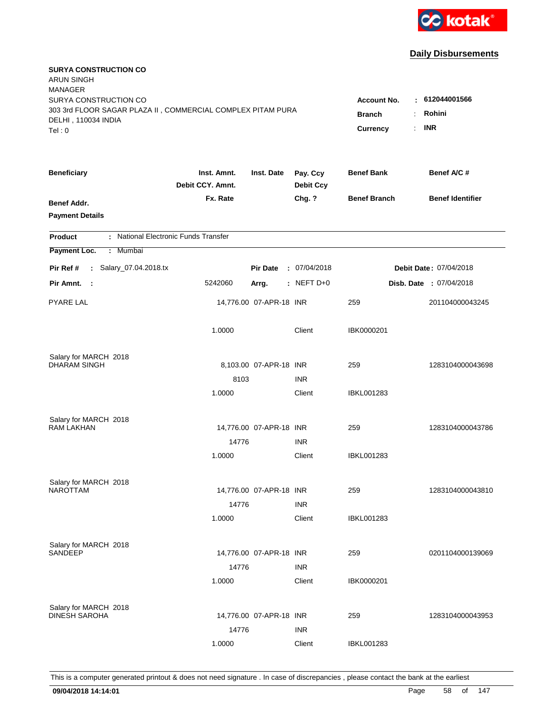

| <b>SURYA CONSTRUCTION CO</b><br><b>ARUN SINGH</b><br><b>MANAGER</b><br>SURYA CONSTRUCTION CO<br>303 3rd FLOOR SAGAR PLAZA II, COMMERCIAL COMPLEX PITAM PURA |                                 |                         |                              | <b>Account No.</b><br><b>Branch</b> | : 612044001566<br>Rohini<br>÷. |
|-------------------------------------------------------------------------------------------------------------------------------------------------------------|---------------------------------|-------------------------|------------------------------|-------------------------------------|--------------------------------|
| DELHI, 110034 INDIA<br>Tel: 0                                                                                                                               |                                 |                         |                              | Currency                            | <b>INR</b><br>$\mathbf{r}$     |
| <b>Beneficiary</b>                                                                                                                                          | Inst. Amnt.<br>Debit CCY. Amnt. | Inst. Date              | Pay. Ccy<br><b>Debit Ccy</b> | <b>Benef Bank</b>                   | Benef A/C #                    |
| Benef Addr.<br><b>Payment Details</b>                                                                                                                       | Fx. Rate                        |                         | Chg. ?                       | <b>Benef Branch</b>                 | <b>Benef Identifier</b>        |
| : National Electronic Funds Transfer<br><b>Product</b>                                                                                                      |                                 |                         |                              |                                     |                                |
| Payment Loc.<br>Mumbai<br>÷.                                                                                                                                |                                 |                         |                              |                                     |                                |
| : Salary_07.04.2018.tx<br>Pir Ref #                                                                                                                         |                                 | <b>Pir Date</b>         | : 07/04/2018                 |                                     | <b>Debit Date: 07/04/2018</b>  |
| Pir Amnt. :                                                                                                                                                 | 5242060                         | Arrg.                   | $:$ NEFT D+0                 |                                     | <b>Disb. Date : 07/04/2018</b> |
| PYARE LAL                                                                                                                                                   |                                 | 14,776.00 07-APR-18 INR |                              | 259                                 | 201104000043245                |
|                                                                                                                                                             | 1.0000                          |                         | Client                       | IBK0000201                          |                                |
| Salary for MARCH 2018                                                                                                                                       |                                 |                         |                              |                                     |                                |
| <b>DHARAM SINGH</b>                                                                                                                                         |                                 | 8,103.00 07-APR-18 INR  |                              | 259                                 | 1283104000043698               |
|                                                                                                                                                             | 8103<br>1.0000                  |                         | <b>INR</b><br>Client         | IBKL001283                          |                                |
|                                                                                                                                                             |                                 |                         |                              |                                     |                                |
| Salary for MARCH 2018                                                                                                                                       |                                 |                         |                              |                                     |                                |
| <b>RAM LAKHAN</b>                                                                                                                                           |                                 | 14,776.00 07-APR-18 INR |                              | 259                                 | 1283104000043786               |
|                                                                                                                                                             | 14776<br>1.0000                 |                         | <b>INR</b><br>Client         | IBKL001283                          |                                |
|                                                                                                                                                             |                                 |                         |                              |                                     |                                |
| Salary for MARCH 2018                                                                                                                                       |                                 |                         |                              |                                     |                                |
| <b>NAROTTAM</b>                                                                                                                                             |                                 | 14,776.00 07-APR-18 INR |                              | 259                                 | 1283104000043810               |
|                                                                                                                                                             | 14776                           |                         | <b>INR</b>                   |                                     |                                |
|                                                                                                                                                             | 1.0000                          |                         | Client                       | <b>IBKL001283</b>                   |                                |
| Salary for MARCH 2018                                                                                                                                       |                                 |                         |                              |                                     |                                |
| SANDEEP                                                                                                                                                     |                                 | 14,776.00 07-APR-18 INR |                              | 259                                 | 0201104000139069               |
|                                                                                                                                                             | 14776                           |                         | <b>INR</b>                   |                                     |                                |
|                                                                                                                                                             | 1.0000                          |                         | Client                       | IBK0000201                          |                                |
| Salary for MARCH 2018                                                                                                                                       |                                 |                         |                              |                                     |                                |
| <b>DINESH SAROHA</b>                                                                                                                                        |                                 | 14,776.00 07-APR-18 INR |                              | 259                                 | 1283104000043953               |
|                                                                                                                                                             | 14776                           |                         | <b>INR</b>                   |                                     |                                |
|                                                                                                                                                             | 1.0000                          |                         | Client                       | <b>IBKL001283</b>                   |                                |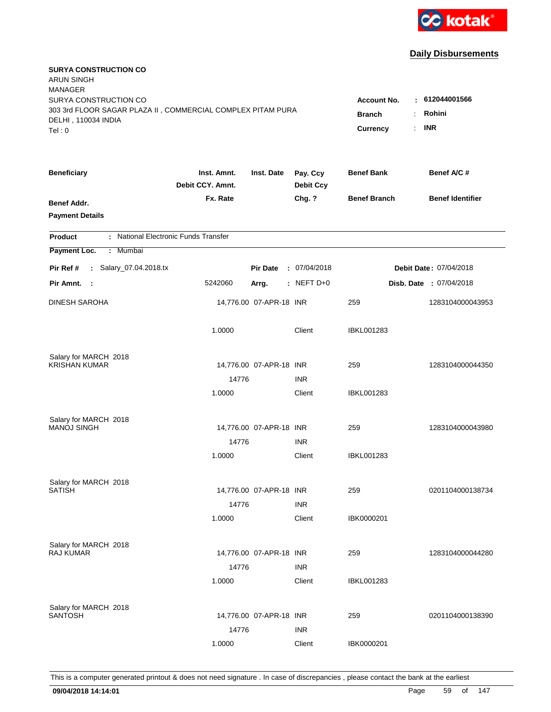

| <b>SURYA CONSTRUCTION CO</b><br><b>ARUN SINGH</b><br><b>MANAGER</b><br>SURYA CONSTRUCTION CO<br>303 3rd FLOOR SAGAR PLAZA II, COMMERCIAL COMPLEX PITAM PURA<br>DELHI, 110034 INDIA |                                 |                         |                              | <b>Account No.</b><br><b>Branch</b><br>÷<br>$\mathbb{R}^{\mathbb{Z}}$<br><b>Currency</b> | : 612044001566<br>Rohini<br><b>INR</b> |
|------------------------------------------------------------------------------------------------------------------------------------------------------------------------------------|---------------------------------|-------------------------|------------------------------|------------------------------------------------------------------------------------------|----------------------------------------|
| Tel: 0                                                                                                                                                                             |                                 |                         |                              |                                                                                          |                                        |
| <b>Beneficiary</b>                                                                                                                                                                 | Inst. Amnt.<br>Debit CCY. Amnt. | Inst. Date              | Pay. Ccy<br><b>Debit Ccy</b> | <b>Benef Bank</b>                                                                        | Benef A/C #                            |
| Benef Addr.<br><b>Payment Details</b>                                                                                                                                              | Fx. Rate                        |                         | Chg. ?                       | <b>Benef Branch</b>                                                                      | <b>Benef Identifier</b>                |
| : National Electronic Funds Transfer<br><b>Product</b>                                                                                                                             |                                 |                         |                              |                                                                                          |                                        |
| Payment Loc.<br>Mumbai<br>÷                                                                                                                                                        |                                 |                         |                              |                                                                                          |                                        |
| : Salary_07.04.2018.tx<br>Pir Ref #                                                                                                                                                |                                 | <b>Pir Date</b>         | : 07/04/2018                 |                                                                                          | Debit Date: 07/04/2018                 |
| Pir Amnt.<br>$\sim$ 1                                                                                                                                                              | 5242060                         | Arrg.                   | : NEFT D+0                   |                                                                                          | Disb. Date: 07/04/2018                 |
| <b>DINESH SAROHA</b>                                                                                                                                                               |                                 | 14,776.00 07-APR-18 INR |                              | 259                                                                                      | 1283104000043953                       |
|                                                                                                                                                                                    | 1.0000                          |                         | Client                       | <b>IBKL001283</b>                                                                        |                                        |
| Salary for MARCH 2018                                                                                                                                                              |                                 |                         |                              |                                                                                          |                                        |
| <b>KRISHAN KUMAR</b>                                                                                                                                                               |                                 | 14,776.00 07-APR-18 INR |                              | 259                                                                                      | 1283104000044350                       |
|                                                                                                                                                                                    | 14776<br>1.0000                 |                         | <b>INR</b><br>Client         | <b>IBKL001283</b>                                                                        |                                        |
|                                                                                                                                                                                    |                                 |                         |                              |                                                                                          |                                        |
| Salary for MARCH 2018                                                                                                                                                              |                                 |                         |                              |                                                                                          |                                        |
| <b>MANOJ SINGH</b>                                                                                                                                                                 |                                 | 14,776.00 07-APR-18 INR |                              | 259                                                                                      | 1283104000043980                       |
|                                                                                                                                                                                    | 14776                           |                         | <b>INR</b>                   |                                                                                          |                                        |
|                                                                                                                                                                                    | 1.0000                          |                         | Client                       | <b>IBKL001283</b>                                                                        |                                        |
| Salary for MARCH 2018                                                                                                                                                              |                                 |                         |                              |                                                                                          |                                        |
| <b>SATISH</b>                                                                                                                                                                      |                                 | 14,776.00 07-APR-18 INR |                              | 259                                                                                      | 0201104000138734                       |
|                                                                                                                                                                                    | 14776                           |                         | <b>INR</b>                   |                                                                                          |                                        |
|                                                                                                                                                                                    | 1.0000                          |                         | Client                       | IBK0000201                                                                               |                                        |
|                                                                                                                                                                                    |                                 |                         |                              |                                                                                          |                                        |
| Salary for MARCH 2018<br><b>RAJ KUMAR</b>                                                                                                                                          |                                 | 14,776.00 07-APR-18 INR |                              | 259                                                                                      | 1283104000044280                       |
|                                                                                                                                                                                    | 14776                           |                         | <b>INR</b>                   |                                                                                          |                                        |
|                                                                                                                                                                                    | 1.0000                          |                         | Client                       | <b>IBKL001283</b>                                                                        |                                        |
|                                                                                                                                                                                    |                                 |                         |                              |                                                                                          |                                        |
| Salary for MARCH 2018<br><b>SANTOSH</b>                                                                                                                                            |                                 | 14,776.00 07-APR-18 INR |                              | 259                                                                                      | 0201104000138390                       |
|                                                                                                                                                                                    | 14776                           |                         | <b>INR</b>                   |                                                                                          |                                        |
|                                                                                                                                                                                    | 1.0000                          |                         | Client                       | IBK0000201                                                                               |                                        |
|                                                                                                                                                                                    |                                 |                         |                              |                                                                                          |                                        |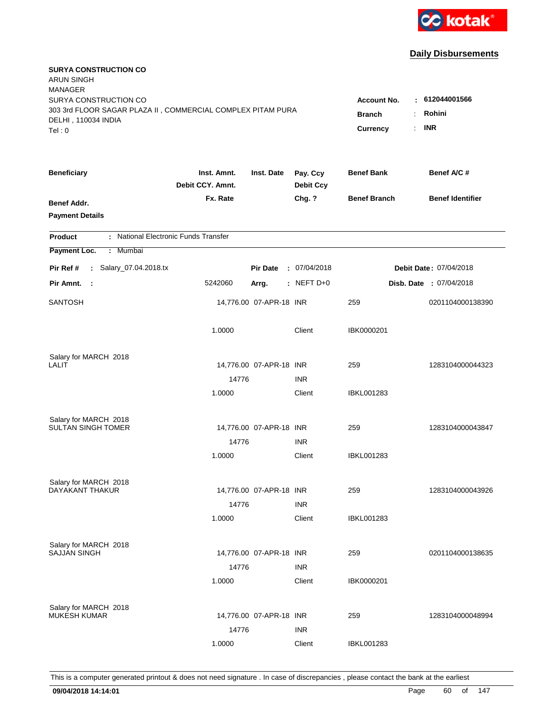

| <b>SURYA CONSTRUCTION CO</b><br><b>ARUN SINGH</b><br><b>MANAGER</b><br>SURYA CONSTRUCTION CO |                                 |                                            |                              | <b>Account No.</b>  | $-612044001566$                |
|----------------------------------------------------------------------------------------------|---------------------------------|--------------------------------------------|------------------------------|---------------------|--------------------------------|
| 303 3rd FLOOR SAGAR PLAZA II, COMMERCIAL COMPLEX PITAM PURA<br>DELHI, 110034 INDIA<br>Tel: 0 | <b>Branch</b><br>Currency       | Rohini<br>÷.<br><b>INR</b><br>$\mathbf{r}$ |                              |                     |                                |
| <b>Beneficiary</b>                                                                           | Inst. Amnt.<br>Debit CCY. Amnt. | Inst. Date                                 | Pay. Ccy<br><b>Debit Ccy</b> | <b>Benef Bank</b>   | Benef A/C #                    |
| Benef Addr.<br><b>Payment Details</b>                                                        | Fx. Rate                        |                                            | Chg. ?                       | <b>Benef Branch</b> | <b>Benef Identifier</b>        |
| : National Electronic Funds Transfer<br><b>Product</b>                                       |                                 |                                            |                              |                     |                                |
| Payment Loc.<br>Mumbai<br>÷.                                                                 |                                 |                                            |                              |                     |                                |
| : Salary_07.04.2018.tx<br>Pir Ref #                                                          |                                 | <b>Pir Date</b>                            | : 07/04/2018                 |                     | <b>Debit Date: 07/04/2018</b>  |
| Pir Amnt.<br>$\sim$ 1                                                                        | 5242060                         | Arrg.                                      | $:$ NEFT D+0                 |                     | <b>Disb. Date : 07/04/2018</b> |
| <b>SANTOSH</b>                                                                               |                                 | 14,776.00 07-APR-18 INR                    |                              | 259                 | 0201104000138390               |
|                                                                                              | 1.0000                          |                                            | Client                       | IBK0000201          |                                |
| Salary for MARCH 2018<br><b>LALIT</b>                                                        |                                 |                                            |                              |                     |                                |
|                                                                                              | 14776                           | 14,776.00 07-APR-18 INR                    | <b>INR</b>                   | 259                 | 1283104000044323               |
|                                                                                              | 1.0000                          |                                            | Client                       | IBKL001283          |                                |
| Salary for MARCH 2018<br><b>SULTAN SINGH TOMER</b>                                           |                                 | 14,776.00 07-APR-18 INR                    |                              | 259                 | 1283104000043847               |
|                                                                                              | 14776                           |                                            | <b>INR</b>                   |                     |                                |
|                                                                                              | 1.0000                          |                                            | Client                       | IBKL001283          |                                |
| Salary for MARCH 2018                                                                        |                                 |                                            |                              |                     |                                |
| DAYAKANT THAKUR                                                                              |                                 | 14,776.00 07-APR-18 INR                    |                              | 259                 | 1283104000043926               |
|                                                                                              | 14776                           |                                            | <b>INR</b>                   |                     |                                |
|                                                                                              | 1.0000                          |                                            | Client                       | IBKL001283          |                                |
| Salary for MARCH 2018                                                                        |                                 |                                            |                              |                     |                                |
| <b>SAJJAN SINGH</b>                                                                          |                                 | 14,776.00 07-APR-18 INR                    |                              | 259                 | 0201104000138635               |
|                                                                                              | 14776                           |                                            | <b>INR</b>                   |                     |                                |
|                                                                                              | 1.0000                          |                                            | Client                       | IBK0000201          |                                |
| Salary for MARCH 2018                                                                        |                                 |                                            |                              |                     |                                |
| <b>MUKESH KUMAR</b>                                                                          |                                 | 14,776.00 07-APR-18 INR                    |                              | 259                 | 1283104000048994               |
|                                                                                              | 14776                           |                                            | <b>INR</b>                   |                     |                                |
|                                                                                              | 1.0000                          |                                            | Client                       | <b>IBKL001283</b>   |                                |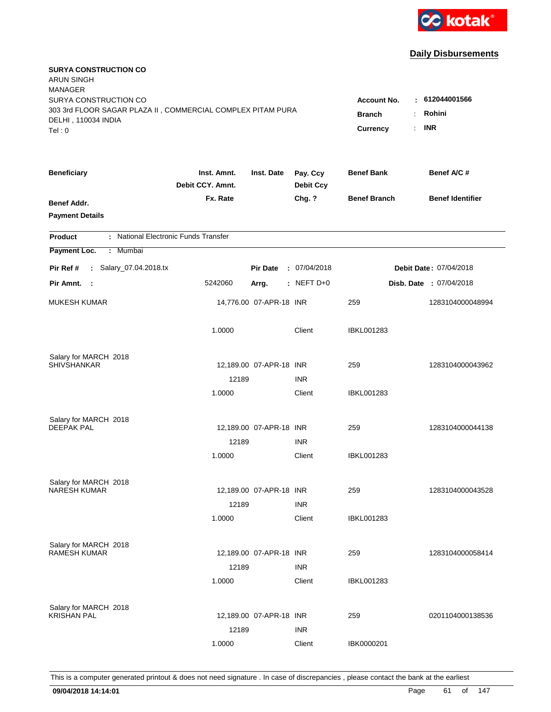

| <b>SURYA CONSTRUCTION CO</b><br><b>ARUN SINGH</b><br><b>MANAGER</b><br>SURYA CONSTRUCTION CO<br>303 3rd FLOOR SAGAR PLAZA II, COMMERCIAL COMPLEX PITAM PURA<br>DELHI, 110034 INDIA<br>Tel: 0 | <b>Account No.</b><br><b>Branch</b><br>$\ddot{\cdot}$<br><b>Currency</b><br>÷. | $-612044001566$<br>Rohini<br><b>INR</b> |                              |                     |                         |
|----------------------------------------------------------------------------------------------------------------------------------------------------------------------------------------------|--------------------------------------------------------------------------------|-----------------------------------------|------------------------------|---------------------|-------------------------|
| <b>Beneficiary</b>                                                                                                                                                                           | Inst. Amnt.<br>Debit CCY. Amnt.                                                | Inst. Date                              | Pay. Ccy<br><b>Debit Ccy</b> | <b>Benef Bank</b>   | Benef A/C#              |
| Benef Addr.<br><b>Payment Details</b>                                                                                                                                                        | Fx. Rate                                                                       |                                         | Chg. ?                       | <b>Benef Branch</b> | <b>Benef Identifier</b> |
| : National Electronic Funds Transfer<br><b>Product</b>                                                                                                                                       |                                                                                |                                         |                              |                     |                         |
| Payment Loc.<br>: Mumbai                                                                                                                                                                     |                                                                                |                                         |                              |                     |                         |
| : Salary_07.04.2018.tx<br>Pir Ref #                                                                                                                                                          |                                                                                | <b>Pir Date</b>                         | : 07/04/2018                 |                     | Debit Date: 07/04/2018  |
| Pir Amnt. :                                                                                                                                                                                  | 5242060                                                                        | Arrg.                                   | $:$ NEFT D+0                 |                     | Disb. Date: 07/04/2018  |
| <b>MUKESH KUMAR</b>                                                                                                                                                                          |                                                                                | 14,776.00 07-APR-18 INR                 |                              | 259                 | 1283104000048994        |
|                                                                                                                                                                                              | 1.0000                                                                         |                                         | Client                       | <b>IBKL001283</b>   |                         |
| Salary for MARCH 2018                                                                                                                                                                        |                                                                                |                                         |                              |                     |                         |
| <b>SHIVSHANKAR</b>                                                                                                                                                                           |                                                                                | 12,189.00 07-APR-18 INR                 |                              | 259                 | 1283104000043962        |
|                                                                                                                                                                                              | 12189<br>1.0000                                                                |                                         | <b>INR</b><br>Client         | <b>IBKL001283</b>   |                         |
|                                                                                                                                                                                              |                                                                                |                                         |                              |                     |                         |
| Salary for MARCH 2018                                                                                                                                                                        |                                                                                |                                         |                              |                     |                         |
| <b>DEEPAK PAL</b>                                                                                                                                                                            |                                                                                | 12,189.00 07-APR-18 INR                 |                              | 259                 | 1283104000044138        |
|                                                                                                                                                                                              | 12189                                                                          |                                         | <b>INR</b>                   |                     |                         |
|                                                                                                                                                                                              | 1.0000                                                                         |                                         | Client                       | <b>IBKL001283</b>   |                         |
| Salary for MARCH 2018                                                                                                                                                                        |                                                                                |                                         |                              |                     |                         |
| <b>NARESH KUMAR</b>                                                                                                                                                                          |                                                                                | 12,189.00 07-APR-18 INR                 |                              | 259                 | 1283104000043528        |
|                                                                                                                                                                                              | 12189                                                                          |                                         | <b>INR</b>                   |                     |                         |
|                                                                                                                                                                                              | 1.0000                                                                         |                                         | Client                       | IBKL001283          |                         |
| Salary for MARCH 2018                                                                                                                                                                        |                                                                                |                                         |                              |                     |                         |
| <b>RAMESH KUMAR</b>                                                                                                                                                                          |                                                                                | 12,189.00 07-APR-18 INR                 |                              | 259                 | 1283104000058414        |
|                                                                                                                                                                                              | 12189                                                                          |                                         | <b>INR</b>                   |                     |                         |
|                                                                                                                                                                                              | 1.0000                                                                         |                                         | Client                       | <b>IBKL001283</b>   |                         |
|                                                                                                                                                                                              |                                                                                |                                         |                              |                     |                         |
| Salary for MARCH 2018<br><b>KRISHAN PAL</b>                                                                                                                                                  |                                                                                | 12,189.00 07-APR-18 INR                 |                              | 259                 | 0201104000138536        |
|                                                                                                                                                                                              | 12189                                                                          |                                         | <b>INR</b>                   |                     |                         |
|                                                                                                                                                                                              | 1.0000                                                                         |                                         | Client                       | IBK0000201          |                         |
|                                                                                                                                                                                              |                                                                                |                                         |                              |                     |                         |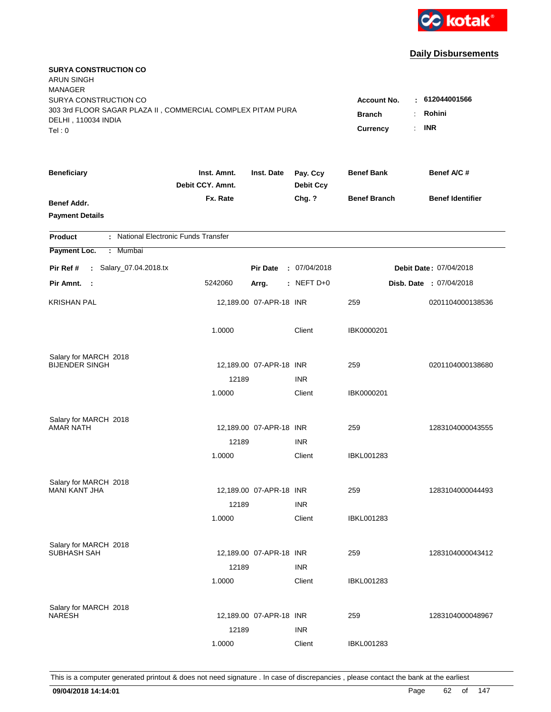

| <b>SURYA CONSTRUCTION CO</b><br><b>ARUN SINGH</b><br><b>MANAGER</b><br>SURYA CONSTRUCTION CO |                                 |                         |                              | <b>Account No.</b>                          | : 612044001566          |
|----------------------------------------------------------------------------------------------|---------------------------------|-------------------------|------------------------------|---------------------------------------------|-------------------------|
| 303 3rd FLOOR SAGAR PLAZA II, COMMERCIAL COMPLEX PITAM PURA<br>DELHI, 110034 INDIA<br>Tel: 0 |                                 |                         |                              | <b>Branch</b><br>÷<br><b>Currency</b><br>÷. | Rohini<br><b>INR</b>    |
| <b>Beneficiary</b>                                                                           | Inst. Amnt.<br>Debit CCY. Amnt. | Inst. Date              | Pay. Ccy<br><b>Debit Ccy</b> | <b>Benef Bank</b>                           | Benef A/C #             |
| Benef Addr.<br><b>Payment Details</b>                                                        | Fx. Rate                        |                         | Chg. ?                       | <b>Benef Branch</b>                         | <b>Benef Identifier</b> |
| : National Electronic Funds Transfer<br><b>Product</b>                                       |                                 |                         |                              |                                             |                         |
| Payment Loc.<br>Mumbai<br>÷                                                                  |                                 |                         |                              |                                             |                         |
| : Salary_07.04.2018.tx<br>Pir Ref #                                                          |                                 | <b>Pir Date</b>         | : 07/04/2018                 |                                             | Debit Date: 07/04/2018  |
| Pir Amnt.<br>$\sim$ 1                                                                        | 5242060                         | Arrg.                   | : NEFT D+0                   |                                             | Disb. Date: 07/04/2018  |
| <b>KRISHAN PAL</b>                                                                           |                                 | 12,189.00 07-APR-18 INR |                              | 259                                         | 0201104000138536        |
|                                                                                              | 1.0000                          |                         | Client                       | IBK0000201                                  |                         |
| Salary for MARCH 2018<br><b>BIJENDER SINGH</b>                                               |                                 | 12,189.00 07-APR-18 INR |                              | 259                                         | 0201104000138680        |
|                                                                                              | 12189                           |                         | <b>INR</b>                   |                                             |                         |
|                                                                                              | 1.0000                          |                         | Client                       | IBK0000201                                  |                         |
| Salary for MARCH 2018<br><b>AMAR NATH</b>                                                    |                                 | 12,189.00 07-APR-18 INR |                              | 259                                         | 1283104000043555        |
|                                                                                              | 12189                           |                         | <b>INR</b>                   |                                             |                         |
|                                                                                              | 1.0000                          |                         | Client                       | <b>IBKL001283</b>                           |                         |
| Salary for MARCH 2018                                                                        |                                 |                         |                              |                                             |                         |
| <b>MANI KANT JHA</b>                                                                         |                                 | 12,189.00 07-APR-18 INR |                              | 259                                         | 1283104000044493        |
|                                                                                              | 12189<br>1.0000                 |                         | <b>INR</b><br>Client         | IBKL001283                                  |                         |
|                                                                                              |                                 |                         |                              |                                             |                         |
| Salary for MARCH 2018<br>SUBHASH SAH                                                         |                                 | 12,189.00 07-APR-18 INR |                              | 259                                         | 1283104000043412        |
|                                                                                              | 12189                           |                         | <b>INR</b>                   |                                             |                         |
|                                                                                              | 1.0000                          |                         | Client                       | <b>IBKL001283</b>                           |                         |
| Salary for MARCH 2018<br><b>NARESH</b>                                                       |                                 | 12,189.00 07-APR-18 INR |                              | 259                                         | 1283104000048967        |
|                                                                                              | 12189                           |                         | <b>INR</b>                   |                                             |                         |
|                                                                                              | 1.0000                          |                         | Client                       | <b>IBKL001283</b>                           |                         |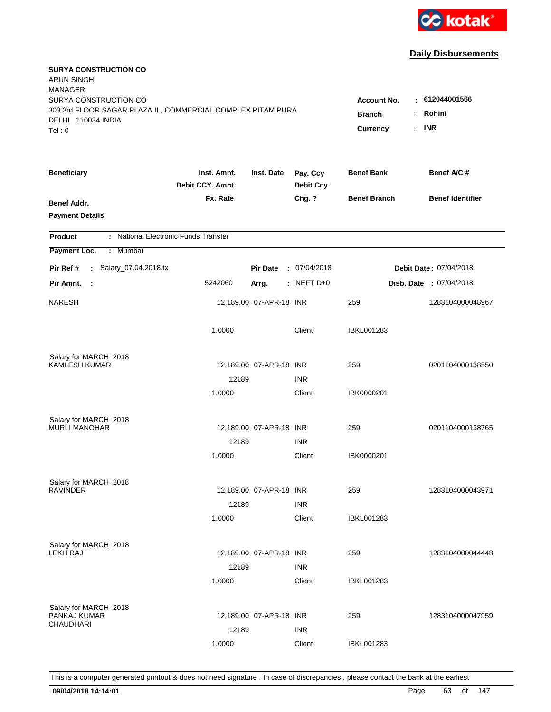

| <b>SURYA CONSTRUCTION CO</b><br><b>ARUN SINGH</b><br><b>MANAGER</b><br>SURYA CONSTRUCTION CO |                                                                                                             |                         |                              |                     |                         |
|----------------------------------------------------------------------------------------------|-------------------------------------------------------------------------------------------------------------|-------------------------|------------------------------|---------------------|-------------------------|
| 303 3rd FLOOR SAGAR PLAZA II, COMMERCIAL COMPLEX PITAM PURA<br>DELHI, 110034 INDIA<br>Tel: 0 | : 612044001566<br><b>Account No.</b><br>Rohini<br><b>Branch</b><br>÷<br><b>INR</b><br><b>Currency</b><br>÷. |                         |                              |                     |                         |
| <b>Beneficiary</b>                                                                           | Inst. Amnt.<br>Debit CCY. Amnt.                                                                             | Inst. Date              | Pay. Ccy<br><b>Debit Ccy</b> | <b>Benef Bank</b>   | Benef A/C #             |
| Benef Addr.<br><b>Payment Details</b>                                                        | Fx. Rate                                                                                                    |                         | Chg. ?                       | <b>Benef Branch</b> | <b>Benef Identifier</b> |
| : National Electronic Funds Transfer<br><b>Product</b>                                       |                                                                                                             |                         |                              |                     |                         |
| Payment Loc.<br>Mumbai<br>÷                                                                  |                                                                                                             |                         |                              |                     |                         |
| : Salary_07.04.2018.tx<br>Pir Ref #                                                          |                                                                                                             | <b>Pir Date</b>         | : 07/04/2018                 |                     | Debit Date: 07/04/2018  |
| Pir Amnt.<br>$\mathbb{R}^2$                                                                  | 5242060                                                                                                     | Arrg.                   | : NEFT D+0                   |                     | Disb. Date: 07/04/2018  |
| <b>NARESH</b>                                                                                |                                                                                                             | 12,189.00 07-APR-18 INR |                              | 259                 | 1283104000048967        |
|                                                                                              | 1.0000                                                                                                      |                         | Client                       | <b>IBKL001283</b>   |                         |
| Salary for MARCH 2018                                                                        |                                                                                                             |                         |                              |                     |                         |
| <b>KAMLESH KUMAR</b>                                                                         |                                                                                                             | 12,189.00 07-APR-18 INR |                              | 259                 | 0201104000138550        |
|                                                                                              | 12189                                                                                                       |                         | <b>INR</b><br>Client         |                     |                         |
|                                                                                              | 1.0000                                                                                                      |                         |                              | IBK0000201          |                         |
| Salary for MARCH 2018                                                                        |                                                                                                             |                         |                              |                     |                         |
| <b>MURLI MANOHAR</b>                                                                         |                                                                                                             | 12,189.00 07-APR-18 INR |                              | 259                 | 0201104000138765        |
|                                                                                              | 12189                                                                                                       |                         | <b>INR</b>                   |                     |                         |
|                                                                                              | 1.0000                                                                                                      |                         | Client                       | IBK0000201          |                         |
| Salary for MARCH 2018                                                                        |                                                                                                             |                         |                              |                     |                         |
| <b>RAVINDER</b>                                                                              |                                                                                                             | 12,189.00 07-APR-18 INR |                              | 259                 | 1283104000043971        |
|                                                                                              | 12189                                                                                                       |                         | <b>INR</b>                   |                     |                         |
|                                                                                              | 1.0000                                                                                                      |                         | Client                       | <b>IBKL001283</b>   |                         |
|                                                                                              |                                                                                                             |                         |                              |                     |                         |
| Salary for MARCH 2018<br>LEKH RAJ                                                            |                                                                                                             | 12,189.00 07-APR-18 INR |                              | 259                 | 1283104000044448        |
|                                                                                              | 12189                                                                                                       |                         | <b>INR</b>                   |                     |                         |
|                                                                                              | 1.0000                                                                                                      |                         | Client                       | <b>IBKL001283</b>   |                         |
|                                                                                              |                                                                                                             |                         |                              |                     |                         |
| Salary for MARCH 2018<br>PANKAJ KUMAR                                                        |                                                                                                             | 12,189.00 07-APR-18 INR |                              | 259                 | 1283104000047959        |
| CHAUDHARI                                                                                    | 12189                                                                                                       |                         | <b>INR</b>                   |                     |                         |
|                                                                                              | 1.0000                                                                                                      |                         | Client                       | <b>IBKL001283</b>   |                         |
|                                                                                              |                                                                                                             |                         |                              |                     |                         |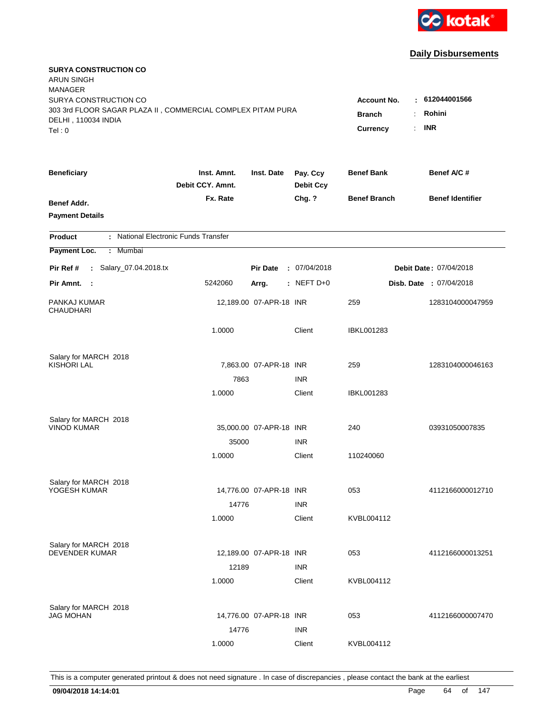

| <b>SURYA CONSTRUCTION CO</b><br><b>ARUN SINGH</b>           |                                 |                         |                              |                          |                               |
|-------------------------------------------------------------|---------------------------------|-------------------------|------------------------------|--------------------------|-------------------------------|
| <b>MANAGER</b><br>SURYA CONSTRUCTION CO                     |                                 |                         |                              | Account No.              | : 612044001566                |
| 303 3rd FLOOR SAGAR PLAZA II, COMMERCIAL COMPLEX PITAM PURA |                                 |                         | Rohini                       |                          |                               |
| DELHI, 110034 INDIA                                         |                                 |                         | <b>Branch</b><br>÷.          |                          |                               |
| Tel: 0                                                      |                                 |                         |                              | Currency<br>$\mathbf{r}$ | <b>INR</b>                    |
| <b>Beneficiary</b>                                          | Inst. Amnt.<br>Debit CCY. Amnt. | Inst. Date              | Pay. Ccy<br><b>Debit Ccy</b> | <b>Benef Bank</b>        | Benef A/C #                   |
| Benef Addr.                                                 | Fx. Rate                        |                         | Chg. ?                       | <b>Benef Branch</b>      | <b>Benef Identifier</b>       |
| <b>Payment Details</b>                                      |                                 |                         |                              |                          |                               |
| : National Electronic Funds Transfer<br><b>Product</b>      |                                 |                         |                              |                          |                               |
| Payment Loc.<br>Mumbai<br>÷.                                |                                 |                         |                              |                          |                               |
| : Salary_07.04.2018.tx<br>Pir Ref #                         |                                 | <b>Pir Date</b>         | : 07/04/2018                 |                          | <b>Debit Date: 07/04/2018</b> |
| Pir Amnt. :                                                 | 5242060                         | Arrg.                   | $:$ NEFT D+0                 |                          | Disb. Date: 07/04/2018        |
| PANKAJ KUMAR<br><b>CHAUDHARI</b>                            |                                 | 12,189.00 07-APR-18 INR |                              | 259                      | 1283104000047959              |
|                                                             | 1.0000                          |                         | Client                       | <b>IBKL001283</b>        |                               |
| Salary for MARCH 2018                                       |                                 |                         |                              |                          |                               |
| <b>KISHORI LAL</b>                                          |                                 | 7,863.00 07-APR-18 INR  |                              | 259                      | 1283104000046163              |
|                                                             | 7863                            |                         | <b>INR</b>                   |                          |                               |
|                                                             | 1.0000                          |                         | Client                       | IBKL001283               |                               |
| Salary for MARCH 2018                                       |                                 |                         |                              |                          |                               |
| <b>VINOD KUMAR</b>                                          |                                 | 35,000.00 07-APR-18 INR |                              | 240                      | 03931050007835                |
|                                                             | 35000                           |                         | <b>INR</b>                   |                          |                               |
|                                                             | 1.0000                          |                         | Client                       | 110240060                |                               |
| Salary for MARCH 2018                                       |                                 |                         |                              |                          |                               |
| YOGESH KUMAR                                                |                                 | 14,776.00 07-APR-18 INR |                              | 053                      | 4112166000012710              |
|                                                             | 14776                           |                         | <b>INR</b>                   |                          |                               |
|                                                             | 1.0000                          |                         | Client                       | KVBL004112               |                               |
| Salary for MARCH 2018                                       |                                 |                         |                              |                          |                               |
| <b>DEVENDER KUMAR</b>                                       |                                 | 12,189.00 07-APR-18 INR |                              | 053                      | 4112166000013251              |
|                                                             | 12189                           |                         | <b>INR</b>                   |                          |                               |
|                                                             | 1.0000                          |                         | Client                       | KVBL004112               |                               |
| Salary for MARCH 2018                                       |                                 |                         |                              |                          |                               |
| <b>JAG MOHAN</b>                                            |                                 | 14,776.00 07-APR-18 INR |                              | 053                      | 4112166000007470              |
|                                                             | 14776                           |                         | <b>INR</b>                   |                          |                               |
|                                                             | 1.0000                          |                         | Client                       | KVBL004112               |                               |
|                                                             |                                 |                         |                              |                          |                               |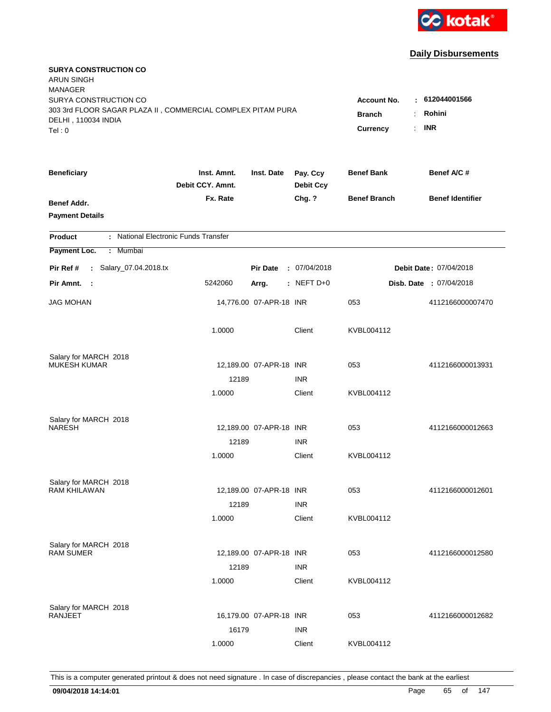

| <b>SURYA CONSTRUCTION CO</b><br><b>ARUN SINGH</b><br><b>MANAGER</b><br>SURYA CONSTRUCTION CO |                                 |                         |                              | Account No.               | : 612044001566                             |
|----------------------------------------------------------------------------------------------|---------------------------------|-------------------------|------------------------------|---------------------------|--------------------------------------------|
| 303 3rd FLOOR SAGAR PLAZA II, COMMERCIAL COMPLEX PITAM PURA<br>DELHI, 110034 INDIA<br>Tel: 0 |                                 |                         |                              | <b>Branch</b><br>Currency | Rohini<br>÷.<br><b>INR</b><br>$\mathbf{r}$ |
| <b>Beneficiary</b>                                                                           | Inst. Amnt.<br>Debit CCY. Amnt. | Inst. Date              | Pay. Ccy<br><b>Debit Ccy</b> | <b>Benef Bank</b>         | Benef A/C #                                |
| Benef Addr.<br><b>Payment Details</b>                                                        | Fx. Rate                        |                         | Chg. ?                       | <b>Benef Branch</b>       | <b>Benef Identifier</b>                    |
| : National Electronic Funds Transfer<br><b>Product</b>                                       |                                 |                         |                              |                           |                                            |
| Payment Loc.<br>Mumbai<br>÷.                                                                 |                                 |                         |                              |                           |                                            |
| : Salary_07.04.2018.tx<br>Pir Ref #                                                          |                                 | <b>Pir Date</b>         | : 07/04/2018                 |                           | <b>Debit Date: 07/04/2018</b>              |
| Pir Amnt. :                                                                                  | 5242060                         | Arrg.                   | : NEFT $D+0$                 |                           | Disb. Date: 07/04/2018                     |
| <b>JAG MOHAN</b>                                                                             |                                 | 14,776.00 07-APR-18 INR |                              | 053                       | 4112166000007470                           |
|                                                                                              | 1.0000                          |                         | Client                       | KVBL004112                |                                            |
| Salary for MARCH 2018                                                                        |                                 |                         |                              |                           |                                            |
| <b>MUKESH KUMAR</b>                                                                          |                                 | 12,189.00 07-APR-18 INR |                              | 053                       | 4112166000013931                           |
|                                                                                              | 12189<br>1.0000                 |                         | <b>INR</b><br>Client         | KVBL004112                |                                            |
|                                                                                              |                                 |                         |                              |                           |                                            |
| Salary for MARCH 2018                                                                        |                                 |                         |                              |                           |                                            |
| <b>NARESH</b>                                                                                |                                 | 12,189.00 07-APR-18 INR |                              | 053                       | 4112166000012663                           |
|                                                                                              | 12189                           |                         | <b>INR</b>                   |                           |                                            |
|                                                                                              | 1.0000                          |                         | Client                       | KVBL004112                |                                            |
| Salary for MARCH 2018                                                                        |                                 |                         |                              |                           |                                            |
| <b>RAM KHILAWAN</b>                                                                          |                                 | 12,189.00 07-APR-18 INR |                              | 053                       | 4112166000012601                           |
|                                                                                              | 12189                           |                         | <b>INR</b>                   |                           |                                            |
|                                                                                              | 1.0000                          |                         | Client                       | KVBL004112                |                                            |
| Salary for MARCH 2018                                                                        |                                 |                         |                              |                           |                                            |
| <b>RAM SUMER</b>                                                                             |                                 | 12,189.00 07-APR-18 INR |                              | 053                       | 4112166000012580                           |
|                                                                                              | 12189                           |                         | <b>INR</b>                   |                           |                                            |
|                                                                                              | 1.0000                          |                         | Client                       | KVBL004112                |                                            |
|                                                                                              |                                 |                         |                              |                           |                                            |
| Salary for MARCH 2018<br><b>RANJEET</b>                                                      |                                 | 16,179.00 07-APR-18 INR |                              | 053                       | 4112166000012682                           |
|                                                                                              | 16179                           |                         | <b>INR</b>                   |                           |                                            |
|                                                                                              | 1.0000                          |                         | Client                       | KVBL004112                |                                            |
|                                                                                              |                                 |                         |                              |                           |                                            |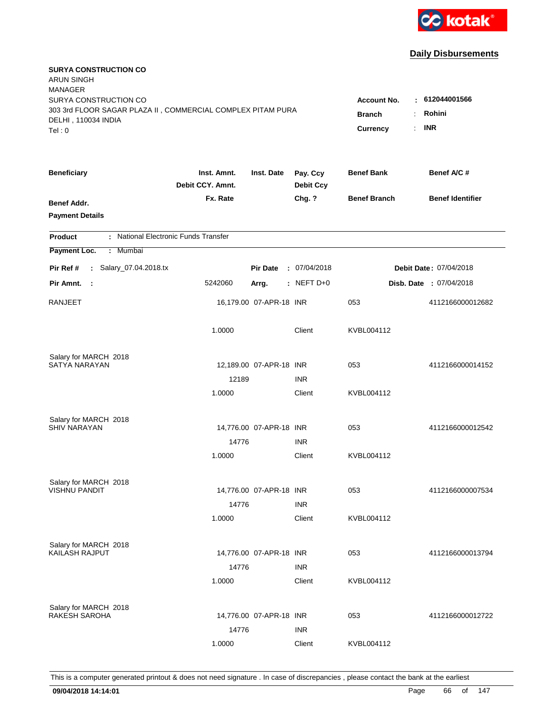

| <b>SURYA CONSTRUCTION CO</b><br><b>ARUN SINGH</b><br><b>MANAGER</b>                                                   |                                                                                |                                         |                  |                     |                         |
|-----------------------------------------------------------------------------------------------------------------------|--------------------------------------------------------------------------------|-----------------------------------------|------------------|---------------------|-------------------------|
| SURYA CONSTRUCTION CO<br>303 3rd FLOOR SAGAR PLAZA II, COMMERCIAL COMPLEX PITAM PURA<br>DELHI, 110034 INDIA<br>Tel: 0 | <b>Account No.</b><br><b>Branch</b><br>$\ddot{\cdot}$<br>÷.<br><b>Currency</b> | $-612044001566$<br>Rohini<br><b>INR</b> |                  |                     |                         |
| <b>Beneficiary</b>                                                                                                    | Inst. Amnt.                                                                    | Inst. Date                              | Pay. Ccy         | <b>Benef Bank</b>   | Benef A/C#              |
|                                                                                                                       | Debit CCY. Amnt.                                                               |                                         | <b>Debit Ccy</b> |                     |                         |
| Benef Addr.<br><b>Payment Details</b>                                                                                 | Fx. Rate                                                                       |                                         | Chg. ?           | <b>Benef Branch</b> | <b>Benef Identifier</b> |
| : National Electronic Funds Transfer<br><b>Product</b>                                                                |                                                                                |                                         |                  |                     |                         |
| Payment Loc.<br>: Mumbai                                                                                              |                                                                                |                                         |                  |                     |                         |
| : Salary_07.04.2018.tx<br>Pir Ref #                                                                                   |                                                                                | <b>Pir Date</b>                         | : 07/04/2018     |                     | Debit Date: 07/04/2018  |
| Pir Amnt.<br>$\sim$ 1.                                                                                                | 5242060                                                                        | Arrg.                                   | $:$ NEFT D+0     |                     | Disb. Date : 07/04/2018 |
| <b>RANJEET</b>                                                                                                        |                                                                                | 16,179.00 07-APR-18 INR                 |                  | 053                 | 4112166000012682        |
|                                                                                                                       | 1.0000                                                                         |                                         | Client           | KVBL004112          |                         |
| Salary for MARCH 2018                                                                                                 |                                                                                |                                         |                  |                     |                         |
| SATYA NARAYAN                                                                                                         |                                                                                | 12,189.00 07-APR-18 INR                 |                  | 053                 | 4112166000014152        |
|                                                                                                                       | 12189                                                                          |                                         | <b>INR</b>       |                     |                         |
|                                                                                                                       | 1.0000                                                                         |                                         | Client           | KVBL004112          |                         |
| Salary for MARCH 2018                                                                                                 |                                                                                |                                         |                  |                     |                         |
| <b>SHIV NARAYAN</b>                                                                                                   |                                                                                | 14,776.00 07-APR-18 INR                 |                  | 053                 | 4112166000012542        |
|                                                                                                                       | 14776                                                                          |                                         | <b>INR</b>       |                     |                         |
|                                                                                                                       | 1.0000                                                                         |                                         | Client           | KVBL004112          |                         |
| Salary for MARCH 2018                                                                                                 |                                                                                |                                         |                  |                     |                         |
| <b>VISHNU PANDIT</b>                                                                                                  |                                                                                | 14,776.00 07-APR-18 INR                 |                  | 053                 | 4112166000007534        |
|                                                                                                                       | 14776                                                                          |                                         | <b>INR</b>       |                     |                         |
|                                                                                                                       | 1.0000                                                                         |                                         | Client           | KVBL004112          |                         |
| Salary for MARCH 2018                                                                                                 |                                                                                |                                         |                  |                     |                         |
| KAILASH RAJPUT                                                                                                        |                                                                                | 14,776.00 07-APR-18 INR                 |                  | 053                 | 4112166000013794        |
|                                                                                                                       | 14776                                                                          |                                         | <b>INR</b>       |                     |                         |
|                                                                                                                       | 1.0000                                                                         |                                         | Client           | KVBL004112          |                         |
| Salary for MARCH 2018                                                                                                 |                                                                                |                                         |                  |                     |                         |
| RAKESH SAROHA                                                                                                         |                                                                                | 14,776.00 07-APR-18 INR                 |                  | 053                 | 4112166000012722        |
|                                                                                                                       | 14776                                                                          |                                         | <b>INR</b>       |                     |                         |
|                                                                                                                       | 1.0000                                                                         |                                         | Client           | KVBL004112          |                         |
|                                                                                                                       |                                                                                |                                         |                  |                     |                         |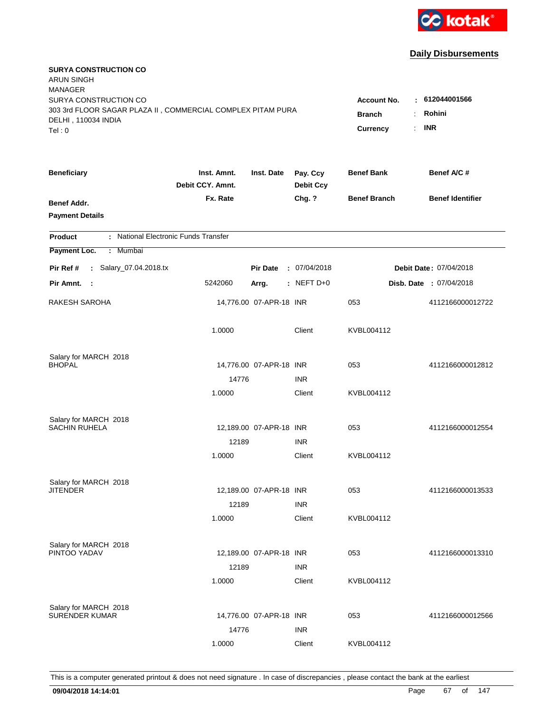

| <b>SURYA CONSTRUCTION CO</b><br><b>ARUN SINGH</b><br><b>MANAGER</b><br>SURYA CONSTRUCTION CO<br>303 3rd FLOOR SAGAR PLAZA II, COMMERCIAL COMPLEX PITAM PURA<br>DELHI, 110034 INDIA<br>Tel: 0 | <b>Account No.</b><br><b>Branch</b><br>÷<br>Currency<br>÷. | : 612044001566<br>Rohini<br><b>INR</b> |                              |                     |                         |
|----------------------------------------------------------------------------------------------------------------------------------------------------------------------------------------------|------------------------------------------------------------|----------------------------------------|------------------------------|---------------------|-------------------------|
| <b>Beneficiary</b>                                                                                                                                                                           | Inst. Amnt.<br>Debit CCY. Amnt.                            | Inst. Date                             | Pay. Ccy<br><b>Debit Ccy</b> | <b>Benef Bank</b>   | Benef A/C #             |
| Benef Addr.<br><b>Payment Details</b>                                                                                                                                                        | Fx. Rate                                                   |                                        | Chg. ?                       | <b>Benef Branch</b> | <b>Benef Identifier</b> |
| : National Electronic Funds Transfer<br><b>Product</b>                                                                                                                                       |                                                            |                                        |                              |                     |                         |
| Payment Loc.<br>: Mumbai                                                                                                                                                                     |                                                            |                                        |                              |                     |                         |
| : Salary_07.04.2018.tx<br>Pir Ref #                                                                                                                                                          |                                                            | <b>Pir Date</b>                        | : 07/04/2018                 |                     | Debit Date: 07/04/2018  |
| Pir Amnt.<br>$\sim$ 1                                                                                                                                                                        | 5242060                                                    | Arrg.                                  | : NEFT D+0                   |                     | Disb. Date : 07/04/2018 |
| RAKESH SAROHA                                                                                                                                                                                |                                                            | 14,776.00 07-APR-18 INR                |                              | 053                 | 4112166000012722        |
|                                                                                                                                                                                              | 1.0000                                                     |                                        | Client                       | KVBL004112          |                         |
| Salary for MARCH 2018                                                                                                                                                                        |                                                            |                                        |                              |                     |                         |
| <b>BHOPAL</b>                                                                                                                                                                                |                                                            | 14,776.00 07-APR-18 INR                |                              | 053                 | 4112166000012812        |
|                                                                                                                                                                                              | 14776<br>1.0000                                            |                                        | <b>INR</b><br>Client         | KVBL004112          |                         |
| Salary for MARCH 2018<br><b>SACHIN RUHELA</b>                                                                                                                                                |                                                            | 12,189.00 07-APR-18 INR                |                              | 053                 | 4112166000012554        |
|                                                                                                                                                                                              | 12189                                                      |                                        | <b>INR</b>                   |                     |                         |
|                                                                                                                                                                                              | 1.0000                                                     |                                        | Client                       | KVBL004112          |                         |
| Salary for MARCH 2018                                                                                                                                                                        |                                                            |                                        |                              |                     |                         |
| <b>JITENDER</b>                                                                                                                                                                              |                                                            | 12,189.00 07-APR-18 INR                |                              | 053                 | 4112166000013533        |
|                                                                                                                                                                                              | 12189                                                      |                                        | <b>INR</b>                   |                     |                         |
|                                                                                                                                                                                              | 1.0000                                                     |                                        | Client                       | KVBL004112          |                         |
| Salary for MARCH 2018                                                                                                                                                                        |                                                            |                                        |                              |                     |                         |
| PINTOO YADAV                                                                                                                                                                                 |                                                            | 12,189.00 07-APR-18 INR                |                              | 053                 | 4112166000013310        |
|                                                                                                                                                                                              | 12189<br>1.0000                                            |                                        | <b>INR</b><br>Client         | KVBL004112          |                         |
| Salary for MARCH 2018                                                                                                                                                                        |                                                            |                                        |                              |                     |                         |
| <b>SURENDER KUMAR</b>                                                                                                                                                                        |                                                            | 14,776.00 07-APR-18 INR                |                              | 053                 | 4112166000012566        |
|                                                                                                                                                                                              | 14776                                                      |                                        | <b>INR</b>                   |                     |                         |
|                                                                                                                                                                                              | 1.0000                                                     |                                        | Client                       | KVBL004112          |                         |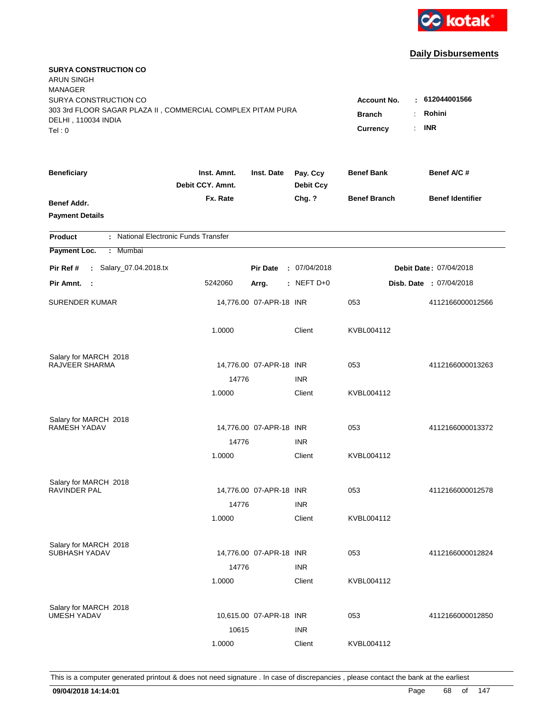

| <b>SURYA CONSTRUCTION CO</b><br><b>ARUN SINGH</b><br><b>MANAGER</b>                                                   |                                                                                                                                                 |                         |                              |                     |                         |
|-----------------------------------------------------------------------------------------------------------------------|-------------------------------------------------------------------------------------------------------------------------------------------------|-------------------------|------------------------------|---------------------|-------------------------|
| SURYA CONSTRUCTION CO<br>303 3rd FLOOR SAGAR PLAZA II, COMMERCIAL COMPLEX PITAM PURA<br>DELHI, 110034 INDIA<br>Tel: 0 | : 612044001566<br><b>Account No.</b><br>Rohini<br><b>Branch</b><br>$\ddot{\cdot}$<br><b>INR</b><br>$\mathbb{R}^{\mathbb{Z}}$<br><b>Currency</b> |                         |                              |                     |                         |
| <b>Beneficiary</b>                                                                                                    | Inst. Amnt.<br>Debit CCY. Amnt.                                                                                                                 | Inst. Date              | Pay. Ccy<br><b>Debit Ccy</b> | <b>Benef Bank</b>   | Benef A/C#              |
| Benef Addr.<br><b>Payment Details</b>                                                                                 | Fx. Rate                                                                                                                                        |                         | Chg. ?                       | <b>Benef Branch</b> | <b>Benef Identifier</b> |
| : National Electronic Funds Transfer<br><b>Product</b>                                                                |                                                                                                                                                 |                         |                              |                     |                         |
| Payment Loc.<br>: Mumbai                                                                                              |                                                                                                                                                 |                         |                              |                     |                         |
| : Salary_07.04.2018.tx<br>Pir Ref #                                                                                   |                                                                                                                                                 | <b>Pir Date</b>         | : 07/04/2018                 |                     | Debit Date: 07/04/2018  |
| Pir Amnt. :                                                                                                           | 5242060                                                                                                                                         | Arrg.                   | $:$ NEFT D+0                 |                     | Disb. Date : 07/04/2018 |
| <b>SURENDER KUMAR</b>                                                                                                 |                                                                                                                                                 | 14,776.00 07-APR-18 INR |                              | 053                 | 4112166000012566        |
|                                                                                                                       | 1.0000                                                                                                                                          |                         | Client                       | KVBL004112          |                         |
| Salary for MARCH 2018                                                                                                 |                                                                                                                                                 |                         |                              |                     |                         |
| RAJVEER SHARMA                                                                                                        |                                                                                                                                                 | 14,776.00 07-APR-18 INR |                              | 053                 | 4112166000013263        |
|                                                                                                                       | 14776<br>1.0000                                                                                                                                 |                         | <b>INR</b><br>Client         | KVBL004112          |                         |
|                                                                                                                       |                                                                                                                                                 |                         |                              |                     |                         |
| Salary for MARCH 2018                                                                                                 |                                                                                                                                                 |                         |                              |                     |                         |
| RAMESH YADAV                                                                                                          |                                                                                                                                                 | 14,776.00 07-APR-18 INR |                              | 053                 | 4112166000013372        |
|                                                                                                                       | 14776                                                                                                                                           |                         | <b>INR</b>                   |                     |                         |
|                                                                                                                       | 1.0000                                                                                                                                          |                         | Client                       | KVBL004112          |                         |
| Salary for MARCH 2018                                                                                                 |                                                                                                                                                 |                         |                              |                     |                         |
| <b>RAVINDER PAL</b>                                                                                                   |                                                                                                                                                 | 14,776.00 07-APR-18 INR |                              | 053                 | 4112166000012578        |
|                                                                                                                       | 14776                                                                                                                                           |                         | <b>INR</b>                   |                     |                         |
|                                                                                                                       | 1.0000                                                                                                                                          |                         | Client                       | KVBL004112          |                         |
| Salary for MARCH 2018                                                                                                 |                                                                                                                                                 |                         |                              |                     |                         |
| SUBHASH YADAV                                                                                                         |                                                                                                                                                 | 14,776.00 07-APR-18 INR |                              | 053                 | 4112166000012824        |
|                                                                                                                       | 14776                                                                                                                                           |                         | <b>INR</b>                   |                     |                         |
|                                                                                                                       | 1.0000                                                                                                                                          |                         | Client                       | KVBL004112          |                         |
|                                                                                                                       |                                                                                                                                                 |                         |                              |                     |                         |
| Salary for MARCH 2018<br><b>UMESH YADAV</b>                                                                           |                                                                                                                                                 | 10,615.00 07-APR-18 INR |                              | 053                 | 4112166000012850        |
|                                                                                                                       | 10615                                                                                                                                           |                         | <b>INR</b>                   |                     |                         |
|                                                                                                                       | 1.0000                                                                                                                                          |                         | Client                       | KVBL004112          |                         |
|                                                                                                                       |                                                                                                                                                 |                         |                              |                     |                         |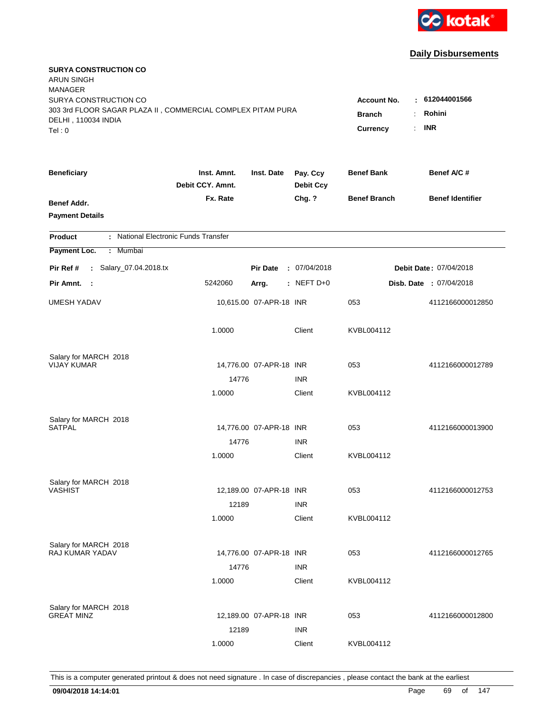

| <b>SURYA CONSTRUCTION CO</b><br><b>ARUN SINGH</b><br><b>MANAGER</b><br>SURYA CONSTRUCTION CO<br>303 3rd FLOOR SAGAR PLAZA II, COMMERCIAL COMPLEX PITAM PURA |                                 |                         |                              | <b>Account No.</b>                                                 | : 612044001566          |
|-------------------------------------------------------------------------------------------------------------------------------------------------------------|---------------------------------|-------------------------|------------------------------|--------------------------------------------------------------------|-------------------------|
| DELHI, 110034 INDIA<br>Tel: 0                                                                                                                               |                                 |                         |                              | <b>Branch</b><br>÷<br>$\mathbb{R}^{\mathbb{Z}}$<br><b>Currency</b> | Rohini<br><b>INR</b>    |
| <b>Beneficiary</b>                                                                                                                                          | Inst. Amnt.<br>Debit CCY. Amnt. | Inst. Date              | Pay. Ccy<br><b>Debit Ccy</b> | <b>Benef Bank</b>                                                  | Benef A/C #             |
| Benef Addr.<br><b>Payment Details</b>                                                                                                                       | Fx. Rate                        |                         | Chg. ?                       | <b>Benef Branch</b>                                                | <b>Benef Identifier</b> |
| : National Electronic Funds Transfer<br><b>Product</b>                                                                                                      |                                 |                         |                              |                                                                    |                         |
| Payment Loc.<br>Mumbai<br>÷                                                                                                                                 |                                 |                         |                              |                                                                    |                         |
| : Salary_07.04.2018.tx<br>Pir Ref #                                                                                                                         |                                 | <b>Pir Date</b>         | : 07/04/2018                 |                                                                    | Debit Date: 07/04/2018  |
| Pir Amnt.<br>$\sim$ 1                                                                                                                                       | 5242060                         | Arrg.                   | : NEFT D+0                   |                                                                    | Disb. Date: 07/04/2018  |
| <b>UMESH YADAV</b>                                                                                                                                          |                                 | 10,615.00 07-APR-18 INR |                              | 053                                                                | 4112166000012850        |
|                                                                                                                                                             | 1.0000                          |                         | Client                       | KVBL004112                                                         |                         |
| Salary for MARCH 2018<br><b>VIJAY KUMAR</b>                                                                                                                 |                                 |                         |                              |                                                                    |                         |
|                                                                                                                                                             | 14776                           | 14,776.00 07-APR-18 INR | <b>INR</b>                   | 053                                                                | 4112166000012789        |
|                                                                                                                                                             | 1.0000                          |                         | Client                       | KVBL004112                                                         |                         |
| Salary for MARCH 2018<br><b>SATPAL</b>                                                                                                                      |                                 | 14,776.00 07-APR-18 INR |                              | 053                                                                | 4112166000013900        |
|                                                                                                                                                             | 14776                           |                         | <b>INR</b>                   |                                                                    |                         |
|                                                                                                                                                             | 1.0000                          |                         | Client                       | KVBL004112                                                         |                         |
| Salary for MARCH 2018                                                                                                                                       |                                 |                         |                              |                                                                    |                         |
| <b>VASHIST</b>                                                                                                                                              | 12189                           | 12,189.00 07-APR-18 INR | <b>INR</b>                   | 053                                                                | 4112166000012753        |
|                                                                                                                                                             | 1.0000                          |                         | Client                       | KVBL004112                                                         |                         |
| Salary for MARCH 2018<br><b>RAJ KUMAR YADAV</b>                                                                                                             | 14776                           | 14,776.00 07-APR-18 INR | <b>INR</b>                   | 053                                                                | 4112166000012765        |
|                                                                                                                                                             | 1.0000                          |                         | Client                       | KVBL004112                                                         |                         |
| Salary for MARCH 2018<br><b>GREAT MINZ</b>                                                                                                                  | 12189                           | 12,189.00 07-APR-18 INR | <b>INR</b>                   | 053                                                                | 4112166000012800        |
|                                                                                                                                                             | 1.0000                          |                         | Client                       | KVBL004112                                                         |                         |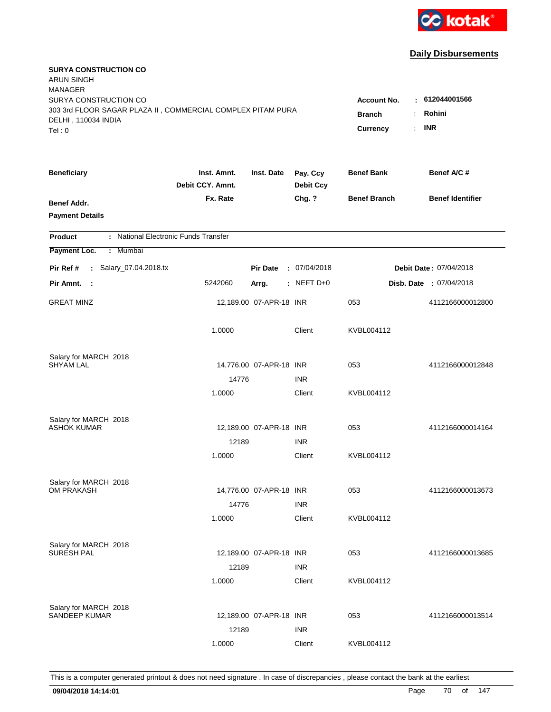

| <b>SURYA CONSTRUCTION CO</b><br><b>ARUN SINGH</b><br><b>MANAGER</b>                                         |                                                                                           |                                        |                              |                     |                                |
|-------------------------------------------------------------------------------------------------------------|-------------------------------------------------------------------------------------------|----------------------------------------|------------------------------|---------------------|--------------------------------|
| SURYA CONSTRUCTION CO<br>303 3rd FLOOR SAGAR PLAZA II, COMMERCIAL COMPLEX PITAM PURA<br>DELHI, 110034 INDIA | <b>Account No.</b><br><b>Branch</b><br>÷.<br>$\mathbb{R}^{\mathbb{Z}}$<br><b>Currency</b> | : 612044001566<br>Rohini<br><b>INR</b> |                              |                     |                                |
| Tel: 0                                                                                                      |                                                                                           |                                        |                              |                     |                                |
| <b>Beneficiary</b>                                                                                          | Inst. Amnt.<br>Debit CCY, Amnt.                                                           | Inst. Date                             | Pay. Ccy<br><b>Debit Ccy</b> | <b>Benef Bank</b>   | Benef A/C #                    |
| Benef Addr.<br><b>Payment Details</b>                                                                       | Fx. Rate                                                                                  |                                        | Chg. ?                       | <b>Benef Branch</b> | <b>Benef Identifier</b>        |
| : National Electronic Funds Transfer<br><b>Product</b>                                                      |                                                                                           |                                        |                              |                     |                                |
| Payment Loc.<br>Mumbai<br>÷.                                                                                |                                                                                           |                                        |                              |                     |                                |
| : Salary_07.04.2018.tx<br>Pir Ref #                                                                         |                                                                                           | <b>Pir Date</b>                        | : 07/04/2018                 |                     | Debit Date: 07/04/2018         |
| Pir Amnt. :                                                                                                 | 5242060                                                                                   | Arrg.                                  | : NEFT D+0                   |                     | <b>Disb. Date : 07/04/2018</b> |
| <b>GREAT MINZ</b>                                                                                           |                                                                                           | 12,189.00 07-APR-18 INR                |                              | 053                 | 4112166000012800               |
|                                                                                                             | 1.0000                                                                                    |                                        | Client                       | KVBL004112          |                                |
| Salary for MARCH 2018                                                                                       |                                                                                           |                                        |                              |                     |                                |
| <b>SHYAM LAL</b>                                                                                            |                                                                                           | 14,776.00 07-APR-18 INR                |                              | 053                 | 4112166000012848               |
|                                                                                                             | 14776<br>1.0000                                                                           |                                        | <b>INR</b><br>Client         | KVBL004112          |                                |
|                                                                                                             |                                                                                           |                                        |                              |                     |                                |
| Salary for MARCH 2018                                                                                       |                                                                                           |                                        |                              |                     |                                |
| <b>ASHOK KUMAR</b>                                                                                          |                                                                                           | 12,189.00 07-APR-18 INR                |                              | 053                 | 4112166000014164               |
|                                                                                                             | 12189                                                                                     |                                        | <b>INR</b>                   |                     |                                |
|                                                                                                             | 1.0000                                                                                    |                                        | Client                       | KVBL004112          |                                |
| Salary for MARCH 2018                                                                                       |                                                                                           |                                        |                              |                     |                                |
| OM PRAKASH                                                                                                  |                                                                                           | 14,776.00 07-APR-18 INR                |                              | 053                 | 4112166000013673               |
|                                                                                                             | 14776                                                                                     |                                        | <b>INR</b>                   |                     |                                |
|                                                                                                             | 1.0000                                                                                    |                                        | Client                       | KVBL004112          |                                |
| Salary for MARCH 2018                                                                                       |                                                                                           |                                        |                              |                     |                                |
| <b>SURESH PAL</b>                                                                                           |                                                                                           | 12,189.00 07-APR-18 INR                |                              | 053                 | 4112166000013685               |
|                                                                                                             | 12189                                                                                     |                                        | <b>INR</b>                   |                     |                                |
|                                                                                                             | 1.0000                                                                                    |                                        | Client                       | KVBL004112          |                                |
|                                                                                                             |                                                                                           |                                        |                              |                     |                                |
| Salary for MARCH 2018<br>SANDEEP KUMAR                                                                      |                                                                                           | 12,189.00 07-APR-18 INR                |                              | 053                 | 4112166000013514               |
|                                                                                                             | 12189                                                                                     |                                        | <b>INR</b>                   |                     |                                |
|                                                                                                             | 1.0000                                                                                    |                                        | Client                       | KVBL004112          |                                |
|                                                                                                             |                                                                                           |                                        |                              |                     |                                |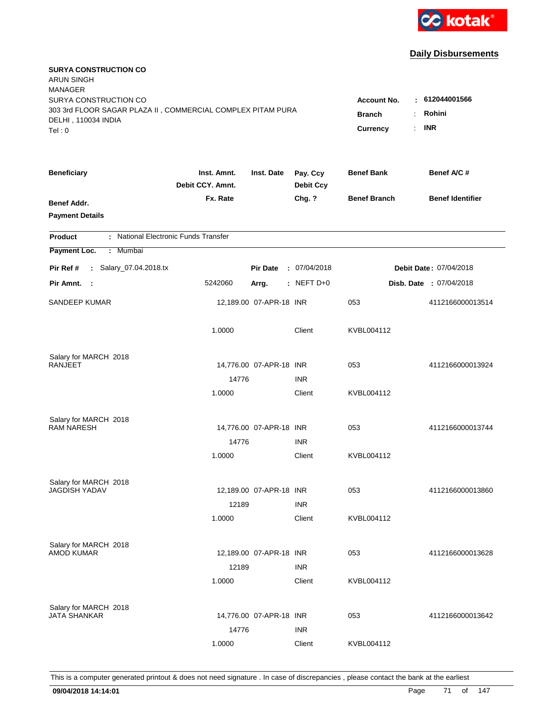

| <b>SURYA CONSTRUCTION CO</b><br><b>ARUN SINGH</b><br><b>MANAGER</b><br>SURYA CONSTRUCTION CO |                                 |                         |                              | <b>Account No.</b>                                       | $-612044001566$         |
|----------------------------------------------------------------------------------------------|---------------------------------|-------------------------|------------------------------|----------------------------------------------------------|-------------------------|
| 303 3rd FLOOR SAGAR PLAZA II, COMMERCIAL COMPLEX PITAM PURA<br>DELHI, 110034 INDIA<br>Tel: 0 |                                 |                         |                              | <b>Branch</b><br>$\ddot{\cdot}$<br><b>Currency</b><br>÷. | Rohini<br><b>INR</b>    |
| <b>Beneficiary</b>                                                                           | Inst. Amnt.<br>Debit CCY. Amnt. | Inst. Date              | Pay. Ccy<br><b>Debit Ccy</b> | <b>Benef Bank</b>                                        | Benef A/C #             |
| Benef Addr.<br><b>Payment Details</b>                                                        | Fx. Rate                        |                         | Chg. ?                       | <b>Benef Branch</b>                                      | <b>Benef Identifier</b> |
| : National Electronic Funds Transfer<br><b>Product</b>                                       |                                 |                         |                              |                                                          |                         |
| Payment Loc.<br>: Mumbai                                                                     |                                 |                         |                              |                                                          |                         |
| : Salary_07.04.2018.tx<br>Pir Ref #                                                          |                                 | <b>Pir Date</b>         | : 07/04/2018                 |                                                          | Debit Date: 07/04/2018  |
| Pir Amnt.<br>- 1                                                                             | 5242060                         | Arrg.                   | $:$ NEFT D+0                 |                                                          | Disb. Date : 07/04/2018 |
| SANDEEP KUMAR                                                                                |                                 | 12,189.00 07-APR-18 INR |                              | 053                                                      | 4112166000013514        |
|                                                                                              | 1.0000                          |                         | Client                       | KVBL004112                                               |                         |
| Salary for MARCH 2018<br><b>RANJEET</b>                                                      |                                 |                         |                              | 053                                                      | 4112166000013924        |
|                                                                                              | 14776                           | 14,776.00 07-APR-18 INR | <b>INR</b>                   |                                                          |                         |
|                                                                                              | 1.0000                          |                         | Client                       | KVBL004112                                               |                         |
| Salary for MARCH 2018<br><b>RAM NARESH</b>                                                   |                                 | 14,776.00 07-APR-18 INR |                              | 053                                                      | 4112166000013744        |
|                                                                                              | 14776                           |                         | <b>INR</b>                   |                                                          |                         |
|                                                                                              | 1.0000                          |                         | Client                       | KVBL004112                                               |                         |
| Salary for MARCH 2018<br><b>JAGDISH YADAV</b>                                                |                                 | 12,189.00 07-APR-18 INR |                              |                                                          |                         |
|                                                                                              |                                 |                         | <b>INR</b>                   | 053                                                      | 4112166000013860        |
|                                                                                              | 12189<br>1.0000                 |                         | Client                       | KVBL004112                                               |                         |
| Salary for MARCH 2018<br><b>AMOD KUMAR</b>                                                   |                                 | 12,189.00 07-APR-18 INR |                              | 053                                                      | 4112166000013628        |
|                                                                                              | 12189<br>1.0000                 |                         | <b>INR</b><br>Client         | KVBL004112                                               |                         |
| Salary for MARCH 2018<br><b>JATA SHANKAR</b>                                                 | 14776                           | 14,776.00 07-APR-18 INR | <b>INR</b>                   | 053                                                      | 4112166000013642        |
|                                                                                              | 1.0000                          |                         | Client                       | KVBL004112                                               |                         |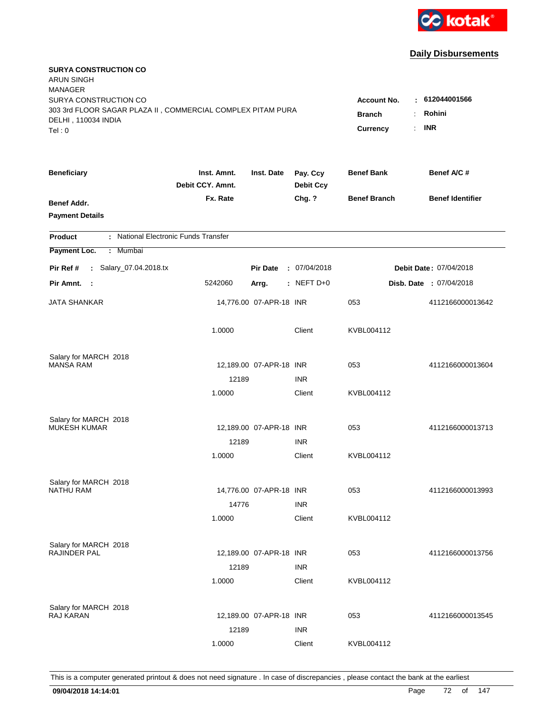

| <b>SURYA CONSTRUCTION CO</b><br><b>ARUN SINGH</b><br><b>MANAGER</b><br>SURYA CONSTRUCTION CO |                                 |                         |                              | <b>Account No.</b>                                       | $-612044001566$         |
|----------------------------------------------------------------------------------------------|---------------------------------|-------------------------|------------------------------|----------------------------------------------------------|-------------------------|
| 303 3rd FLOOR SAGAR PLAZA II, COMMERCIAL COMPLEX PITAM PURA<br>DELHI, 110034 INDIA<br>Tel: 0 |                                 |                         |                              | <b>Branch</b><br>$\ddot{\cdot}$<br><b>Currency</b><br>÷. | Rohini<br><b>INR</b>    |
| <b>Beneficiary</b>                                                                           | Inst. Amnt.<br>Debit CCY. Amnt. | Inst. Date              | Pay. Ccy<br><b>Debit Ccy</b> | <b>Benef Bank</b>                                        | Benef A/C#              |
| Benef Addr.<br><b>Payment Details</b>                                                        | Fx. Rate                        |                         | Chg. ?                       | <b>Benef Branch</b>                                      | <b>Benef Identifier</b> |
| : National Electronic Funds Transfer<br><b>Product</b>                                       |                                 |                         |                              |                                                          |                         |
| Payment Loc.<br>: Mumbai                                                                     |                                 |                         |                              |                                                          |                         |
| : Salary_07.04.2018.tx<br>Pir Ref #                                                          |                                 | <b>Pir Date</b>         | : 07/04/2018                 |                                                          | Debit Date: 07/04/2018  |
| Pir Amnt. :                                                                                  | 5242060                         | Arrg.                   | : NEFT D+0                   |                                                          | Disb. Date : 07/04/2018 |
| JATA SHANKAR                                                                                 |                                 | 14,776.00 07-APR-18 INR |                              | 053                                                      | 4112166000013642        |
|                                                                                              | 1.0000                          |                         | Client                       | KVBL004112                                               |                         |
| Salary for MARCH 2018                                                                        |                                 |                         |                              |                                                          |                         |
| <b>MANSA RAM</b>                                                                             | 12189                           | 12,189.00 07-APR-18 INR | <b>INR</b>                   | 053                                                      | 4112166000013604        |
|                                                                                              | 1.0000                          |                         | Client                       | KVBL004112                                               |                         |
| Salary for MARCH 2018                                                                        |                                 |                         |                              |                                                          |                         |
| <b>MUKESH KUMAR</b>                                                                          |                                 | 12,189.00 07-APR-18 INR |                              | 053                                                      | 4112166000013713        |
|                                                                                              | 12189                           |                         | <b>INR</b>                   |                                                          |                         |
|                                                                                              | 1.0000                          |                         | Client                       | KVBL004112                                               |                         |
| Salary for MARCH 2018                                                                        |                                 |                         |                              |                                                          |                         |
| <b>NATHU RAM</b>                                                                             |                                 | 14,776.00 07-APR-18 INR |                              | 053                                                      | 4112166000013993        |
|                                                                                              | 14776                           |                         | <b>INR</b>                   |                                                          |                         |
|                                                                                              | 1.0000                          |                         | Client                       | KVBL004112                                               |                         |
| Salary for MARCH 2018                                                                        |                                 |                         |                              |                                                          |                         |
| RAJINDER PAL                                                                                 | 12189                           | 12,189.00 07-APR-18 INR |                              | 053                                                      | 4112166000013756        |
|                                                                                              | 1.0000                          |                         | <b>INR</b><br>Client         | KVBL004112                                               |                         |
|                                                                                              |                                 |                         |                              |                                                          |                         |
| Salary for MARCH 2018<br><b>RAJ KARAN</b>                                                    |                                 | 12,189.00 07-APR-18 INR |                              | 053                                                      | 4112166000013545        |
|                                                                                              | 12189                           |                         | <b>INR</b>                   |                                                          |                         |
|                                                                                              | 1.0000                          |                         | Client                       | KVBL004112                                               |                         |
|                                                                                              |                                 |                         |                              |                                                          |                         |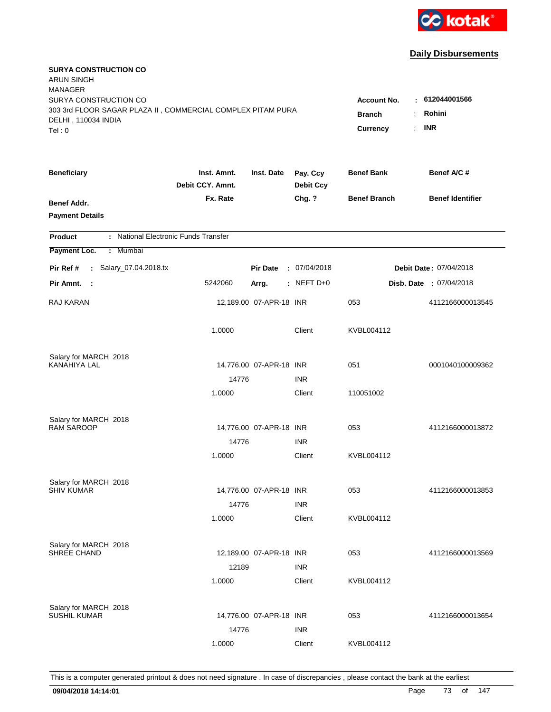

| <b>SURYA CONSTRUCTION CO</b><br><b>ARUN SINGH</b><br><b>MANAGER</b>                                                   |                                                                                |                                         |                              |                     |                         |
|-----------------------------------------------------------------------------------------------------------------------|--------------------------------------------------------------------------------|-----------------------------------------|------------------------------|---------------------|-------------------------|
| SURYA CONSTRUCTION CO<br>303 3rd FLOOR SAGAR PLAZA II, COMMERCIAL COMPLEX PITAM PURA<br>DELHI, 110034 INDIA<br>Tel: 0 | <b>Account No.</b><br><b>Branch</b><br>$\ddot{\cdot}$<br><b>Currency</b><br>÷. | $-612044001566$<br>Rohini<br><b>INR</b> |                              |                     |                         |
| <b>Beneficiary</b>                                                                                                    | Inst. Amnt.<br>Debit CCY. Amnt.                                                | Inst. Date                              | Pay. Ccy<br><b>Debit Ccy</b> | <b>Benef Bank</b>   | Benef A/C #             |
| Benef Addr.<br><b>Payment Details</b>                                                                                 | Fx. Rate                                                                       |                                         | Chg. ?                       | <b>Benef Branch</b> | <b>Benef Identifier</b> |
| : National Electronic Funds Transfer<br><b>Product</b>                                                                |                                                                                |                                         |                              |                     |                         |
| Payment Loc.<br>: Mumbai                                                                                              |                                                                                |                                         |                              |                     |                         |
| : Salary_07.04.2018.tx<br>Pir Ref #                                                                                   |                                                                                | <b>Pir Date</b>                         | : 07/04/2018                 |                     | Debit Date: 07/04/2018  |
| Pir Amnt. :                                                                                                           | 5242060                                                                        | Arrg.                                   | $:$ NEFT D+0                 |                     | Disb. Date : 07/04/2018 |
| RAJ KARAN                                                                                                             |                                                                                | 12,189.00 07-APR-18 INR                 |                              | 053                 | 4112166000013545        |
|                                                                                                                       | 1.0000                                                                         |                                         | Client                       | KVBL004112          |                         |
| Salary for MARCH 2018                                                                                                 |                                                                                |                                         |                              |                     |                         |
| <b>KANAHIYA LAL</b>                                                                                                   |                                                                                | 14,776.00 07-APR-18 INR                 |                              | 051                 | 0001040100009362        |
|                                                                                                                       | 14776<br>1.0000                                                                |                                         | <b>INR</b><br>Client         | 110051002           |                         |
|                                                                                                                       |                                                                                |                                         |                              |                     |                         |
| Salary for MARCH 2018                                                                                                 |                                                                                |                                         |                              |                     |                         |
| <b>RAM SAROOP</b>                                                                                                     |                                                                                | 14,776.00 07-APR-18 INR                 |                              | 053                 | 4112166000013872        |
|                                                                                                                       | 14776                                                                          |                                         | <b>INR</b>                   |                     |                         |
|                                                                                                                       | 1.0000                                                                         |                                         | Client                       | KVBL004112          |                         |
| Salary for MARCH 2018                                                                                                 |                                                                                |                                         |                              |                     |                         |
| <b>SHIV KUMAR</b>                                                                                                     |                                                                                | 14,776.00 07-APR-18 INR                 |                              | 053                 | 4112166000013853        |
|                                                                                                                       | 14776                                                                          |                                         | <b>INR</b>                   |                     |                         |
|                                                                                                                       | 1.0000                                                                         |                                         | Client                       | KVBL004112          |                         |
| Salary for MARCH 2018                                                                                                 |                                                                                |                                         |                              |                     |                         |
| SHREE CHAND                                                                                                           |                                                                                | 12,189.00 07-APR-18 INR                 |                              | 053                 | 4112166000013569        |
|                                                                                                                       | 12189                                                                          |                                         | <b>INR</b>                   |                     |                         |
|                                                                                                                       | 1.0000                                                                         |                                         | Client                       | KVBL004112          |                         |
|                                                                                                                       |                                                                                |                                         |                              |                     |                         |
| Salary for MARCH 2018<br><b>SUSHIL KUMAR</b>                                                                          |                                                                                | 14,776.00 07-APR-18 INR                 |                              | 053                 | 4112166000013654        |
|                                                                                                                       | 14776                                                                          |                                         | <b>INR</b>                   |                     |                         |
|                                                                                                                       | 1.0000                                                                         |                                         | Client                       | KVBL004112          |                         |
|                                                                                                                       |                                                                                |                                         |                              |                     |                         |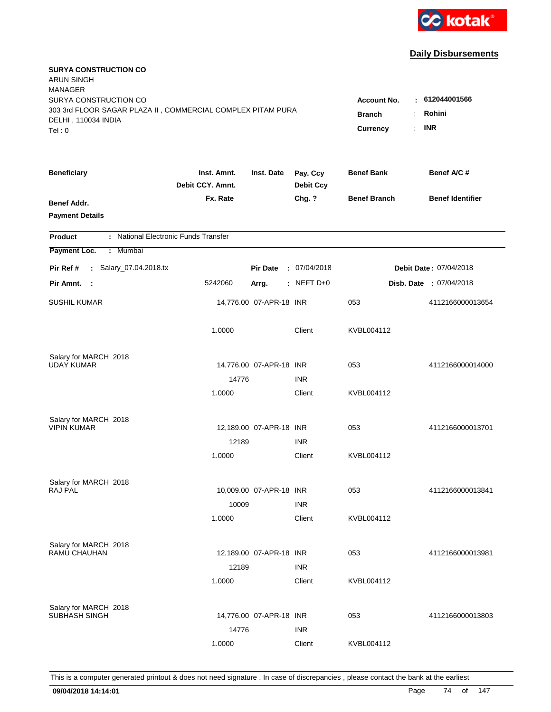

| <b>SURYA CONSTRUCTION CO</b><br><b>ARUN SINGH</b><br><b>MANAGER</b><br>SURYA CONSTRUCTION CO<br>303 3rd FLOOR SAGAR PLAZA II, COMMERCIAL COMPLEX PITAM PURA |                                 |                         |                              | <b>Account No.</b><br><b>Branch</b><br>$\ddot{\cdot}$ | $-612044001566$<br>Rohini |
|-------------------------------------------------------------------------------------------------------------------------------------------------------------|---------------------------------|-------------------------|------------------------------|-------------------------------------------------------|---------------------------|
| DELHI, 110034 INDIA<br>Tel: 0                                                                                                                               |                                 |                         |                              | <b>Currency</b><br>÷.                                 | <b>INR</b>                |
| <b>Beneficiary</b>                                                                                                                                          | Inst. Amnt.<br>Debit CCY. Amnt. | Inst. Date              | Pay. Ccy<br><b>Debit Ccy</b> | <b>Benef Bank</b>                                     | Benef A/C#                |
| Benef Addr.<br><b>Payment Details</b>                                                                                                                       | Fx. Rate                        |                         | Chg. ?                       | <b>Benef Branch</b>                                   | <b>Benef Identifier</b>   |
| : National Electronic Funds Transfer<br><b>Product</b>                                                                                                      |                                 |                         |                              |                                                       |                           |
| Payment Loc.<br>: Mumbai                                                                                                                                    |                                 |                         |                              |                                                       |                           |
| : Salary_07.04.2018.tx<br>Pir Ref #                                                                                                                         |                                 | <b>Pir Date</b>         | : 07/04/2018                 |                                                       | Debit Date: 07/04/2018    |
| Pir Amnt. :                                                                                                                                                 | 5242060                         | Arrg.                   | $:$ NEFT D+0                 |                                                       | Disb. Date : 07/04/2018   |
| <b>SUSHIL KUMAR</b>                                                                                                                                         |                                 | 14,776.00 07-APR-18 INR |                              | 053                                                   | 4112166000013654          |
|                                                                                                                                                             | 1.0000                          |                         | Client                       | KVBL004112                                            |                           |
| Salary for MARCH 2018                                                                                                                                       |                                 |                         |                              |                                                       |                           |
| <b>UDAY KUMAR</b>                                                                                                                                           | 14776                           | 14,776.00 07-APR-18 INR | <b>INR</b>                   | 053                                                   | 4112166000014000          |
|                                                                                                                                                             | 1.0000                          |                         | Client                       | KVBL004112                                            |                           |
| Salary for MARCH 2018<br><b>VIPIN KUMAR</b>                                                                                                                 |                                 | 12,189.00 07-APR-18 INR |                              | 053                                                   | 4112166000013701          |
|                                                                                                                                                             | 12189                           |                         | <b>INR</b>                   |                                                       |                           |
|                                                                                                                                                             | 1.0000                          |                         | Client                       | KVBL004112                                            |                           |
| Salary for MARCH 2018                                                                                                                                       |                                 |                         |                              |                                                       |                           |
| RAJ PAL                                                                                                                                                     |                                 | 10,009.00 07-APR-18 INR |                              | 053                                                   | 4112166000013841          |
|                                                                                                                                                             | 10009<br>1.0000                 |                         | <b>INR</b><br>Client         | KVBL004112                                            |                           |
|                                                                                                                                                             |                                 |                         |                              |                                                       |                           |
| Salary for MARCH 2018<br>RAMU CHAUHAN                                                                                                                       |                                 | 12,189.00 07-APR-18 INR |                              |                                                       |                           |
|                                                                                                                                                             | 12189                           |                         | <b>INR</b>                   | 053                                                   | 4112166000013981          |
|                                                                                                                                                             | 1.0000                          |                         | Client                       | KVBL004112                                            |                           |
| Salary for MARCH 2018<br>SUBHASH SINGH                                                                                                                      |                                 | 14,776.00 07-APR-18 INR |                              | 053                                                   | 4112166000013803          |
|                                                                                                                                                             | 14776                           |                         | <b>INR</b>                   |                                                       |                           |
|                                                                                                                                                             | 1.0000                          |                         | Client                       | KVBL004112                                            |                           |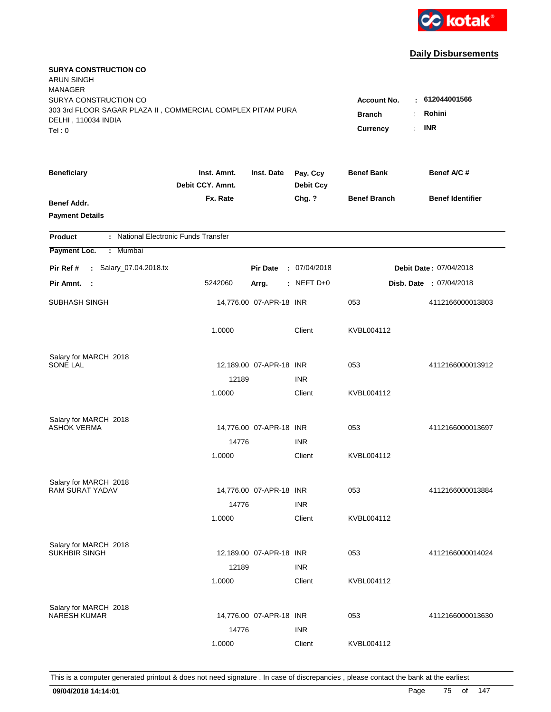

| <b>SURYA CONSTRUCTION CO</b><br><b>ARUN SINGH</b><br><b>MANAGER</b> |                                 |                         |                              |                                              |                                |
|---------------------------------------------------------------------|---------------------------------|-------------------------|------------------------------|----------------------------------------------|--------------------------------|
| SURYA CONSTRUCTION CO                                               |                                 |                         |                              | <b>Account No.</b>                           | : 612044001566                 |
| 303 3rd FLOOR SAGAR PLAZA II, COMMERCIAL COMPLEX PITAM PURA         |                                 |                         |                              | <b>Branch</b><br>÷.                          | Rohini                         |
| DELHI, 110034 INDIA<br>Tel: 0                                       |                                 |                         |                              | $\mathbb{R}^{\mathbb{Z}}$<br><b>Currency</b> | <b>INR</b>                     |
|                                                                     |                                 |                         |                              |                                              |                                |
| <b>Beneficiary</b>                                                  | Inst. Amnt.<br>Debit CCY, Amnt. | Inst. Date              | Pay. Ccy<br><b>Debit Ccy</b> | <b>Benef Bank</b>                            | Benef A/C #                    |
| Benef Addr.                                                         | Fx. Rate                        |                         | Chg. ?                       | <b>Benef Branch</b>                          | <b>Benef Identifier</b>        |
| <b>Payment Details</b>                                              |                                 |                         |                              |                                              |                                |
| : National Electronic Funds Transfer<br><b>Product</b>              |                                 |                         |                              |                                              |                                |
| Payment Loc.<br>: Mumbai                                            |                                 |                         |                              |                                              |                                |
| : Salary_07.04.2018.tx<br>Pir Ref #                                 |                                 | <b>Pir Date</b>         | : 07/04/2018                 |                                              | Debit Date: 07/04/2018         |
| Pir Amnt. :                                                         | 5242060                         | Arrg.                   | $:$ NEFT D+0                 |                                              | <b>Disb. Date : 07/04/2018</b> |
| SUBHASH SINGH                                                       |                                 | 14,776.00 07-APR-18 INR |                              | 053                                          | 4112166000013803               |
|                                                                     | 1.0000                          |                         | Client                       | KVBL004112                                   |                                |
| Salary for MARCH 2018                                               |                                 |                         |                              |                                              |                                |
| <b>SONE LAL</b>                                                     |                                 | 12,189.00 07-APR-18 INR |                              | 053                                          | 4112166000013912               |
|                                                                     | 12189                           |                         | <b>INR</b>                   |                                              |                                |
|                                                                     | 1.0000                          |                         | Client                       | KVBL004112                                   |                                |
| Salary for MARCH 2018                                               |                                 |                         |                              |                                              |                                |
| ASHOK VERMA                                                         |                                 | 14,776.00 07-APR-18 INR |                              | 053                                          | 4112166000013697               |
|                                                                     | 14776                           |                         | <b>INR</b>                   |                                              |                                |
|                                                                     | 1.0000                          |                         | Client                       | KVBL004112                                   |                                |
| Salary for MARCH 2018                                               |                                 |                         |                              |                                              |                                |
| <b>RAM SURAT YADAV</b>                                              |                                 | 14,776.00 07-APR-18 INR |                              | 053                                          | 4112166000013884               |
|                                                                     | 14776                           |                         | <b>INR</b>                   |                                              |                                |
|                                                                     | 1.0000                          |                         | Client                       | KVBL004112                                   |                                |
| Salary for MARCH 2018                                               |                                 |                         |                              |                                              |                                |
| <b>SUKHBIR SINGH</b>                                                |                                 | 12,189.00 07-APR-18 INR |                              | 053                                          | 4112166000014024               |
|                                                                     | 12189                           |                         | <b>INR</b>                   |                                              |                                |
|                                                                     | 1.0000                          |                         | Client                       | KVBL004112                                   |                                |
| Salary for MARCH 2018                                               |                                 |                         |                              |                                              |                                |
| <b>NARESH KUMAR</b>                                                 |                                 | 14,776.00 07-APR-18 INR |                              | 053                                          | 4112166000013630               |
|                                                                     | 14776                           |                         | <b>INR</b>                   |                                              |                                |
|                                                                     | 1.0000                          |                         | Client                       | KVBL004112                                   |                                |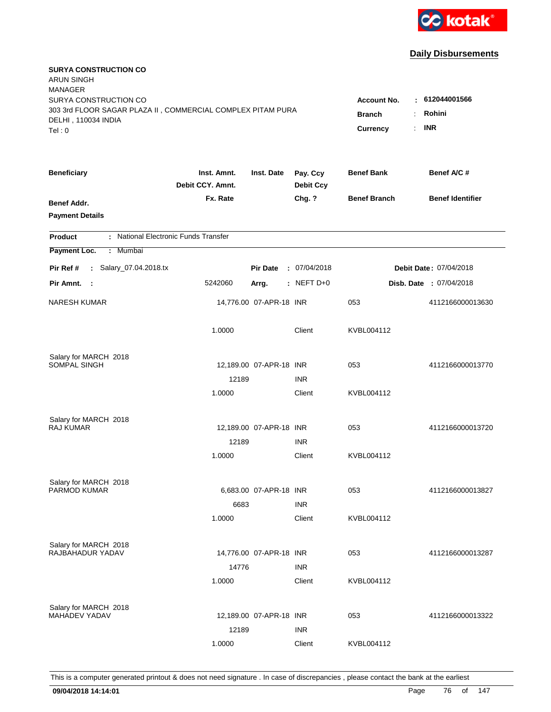

| <b>SURYA CONSTRUCTION CO</b><br><b>ARUN SINGH</b><br><b>MANAGER</b><br>SURYA CONSTRUCTION CO<br>303 3rd FLOOR SAGAR PLAZA II, COMMERCIAL COMPLEX PITAM PURA<br>DELHI, 110034 INDIA<br>Tel: 0 | <b>Account No.</b><br><b>Branch</b><br><b>Currency</b> | $-612044001566$<br>Rohini<br>$\ddot{\cdot}$<br><b>INR</b><br>÷. |                              |                     |                         |
|----------------------------------------------------------------------------------------------------------------------------------------------------------------------------------------------|--------------------------------------------------------|-----------------------------------------------------------------|------------------------------|---------------------|-------------------------|
| <b>Beneficiary</b>                                                                                                                                                                           | Inst. Amnt.<br>Debit CCY. Amnt.                        | Inst. Date                                                      | Pay. Ccy<br><b>Debit Ccy</b> | <b>Benef Bank</b>   | Benef A/C #             |
| Benef Addr.<br><b>Payment Details</b>                                                                                                                                                        | Fx. Rate                                               |                                                                 | Chg. ?                       | <b>Benef Branch</b> | <b>Benef Identifier</b> |
| : National Electronic Funds Transfer<br><b>Product</b>                                                                                                                                       |                                                        |                                                                 |                              |                     |                         |
| Payment Loc.<br>: Mumbai                                                                                                                                                                     |                                                        |                                                                 |                              |                     |                         |
| : Salary_07.04.2018.tx<br>Pir Ref #                                                                                                                                                          |                                                        | <b>Pir Date</b>                                                 | : 07/04/2018                 |                     | Debit Date: 07/04/2018  |
| Pir Amnt.<br>- 1                                                                                                                                                                             | 5242060                                                | Arrg.                                                           | $:$ NEFT D+0                 |                     | Disb. Date : 07/04/2018 |
| <b>NARESH KUMAR</b>                                                                                                                                                                          |                                                        | 14,776.00 07-APR-18 INR                                         |                              | 053                 | 4112166000013630        |
|                                                                                                                                                                                              | 1.0000                                                 |                                                                 | Client                       | KVBL004112          |                         |
| Salary for MARCH 2018                                                                                                                                                                        |                                                        |                                                                 |                              |                     |                         |
| <b>SOMPAL SINGH</b>                                                                                                                                                                          |                                                        | 12,189.00 07-APR-18 INR                                         |                              | 053                 | 4112166000013770        |
|                                                                                                                                                                                              | 12189<br>1.0000                                        |                                                                 | <b>INR</b><br>Client         | KVBL004112          |                         |
|                                                                                                                                                                                              |                                                        |                                                                 |                              |                     |                         |
| Salary for MARCH 2018                                                                                                                                                                        |                                                        |                                                                 |                              |                     |                         |
| RAJ KUMAR                                                                                                                                                                                    |                                                        | 12,189.00 07-APR-18 INR                                         |                              | 053                 | 4112166000013720        |
|                                                                                                                                                                                              | 12189                                                  |                                                                 | <b>INR</b>                   |                     |                         |
|                                                                                                                                                                                              | 1.0000                                                 |                                                                 | Client                       | KVBL004112          |                         |
| Salary for MARCH 2018                                                                                                                                                                        |                                                        |                                                                 |                              |                     |                         |
| PARMOD KUMAR                                                                                                                                                                                 |                                                        | 6,683.00 07-APR-18 INR                                          |                              | 053                 | 4112166000013827        |
|                                                                                                                                                                                              | 6683                                                   |                                                                 | <b>INR</b>                   |                     |                         |
|                                                                                                                                                                                              | 1.0000                                                 |                                                                 | Client                       | KVBL004112          |                         |
| Salary for MARCH 2018                                                                                                                                                                        |                                                        |                                                                 |                              |                     |                         |
| RAJBAHADUR YADAV                                                                                                                                                                             |                                                        | 14,776.00 07-APR-18 INR                                         |                              | 053                 | 4112166000013287        |
|                                                                                                                                                                                              | 14776                                                  |                                                                 | <b>INR</b>                   |                     |                         |
|                                                                                                                                                                                              | 1.0000                                                 |                                                                 | Client                       | KVBL004112          |                         |
|                                                                                                                                                                                              |                                                        |                                                                 |                              |                     |                         |
| Salary for MARCH 2018<br><b>MAHADEV YADAV</b>                                                                                                                                                |                                                        | 12,189.00 07-APR-18 INR                                         |                              | 053                 | 4112166000013322        |
|                                                                                                                                                                                              | 12189                                                  |                                                                 | <b>INR</b>                   |                     |                         |
|                                                                                                                                                                                              | 1.0000                                                 |                                                                 | Client                       | KVBL004112          |                         |
|                                                                                                                                                                                              |                                                        |                                                                 |                              |                     |                         |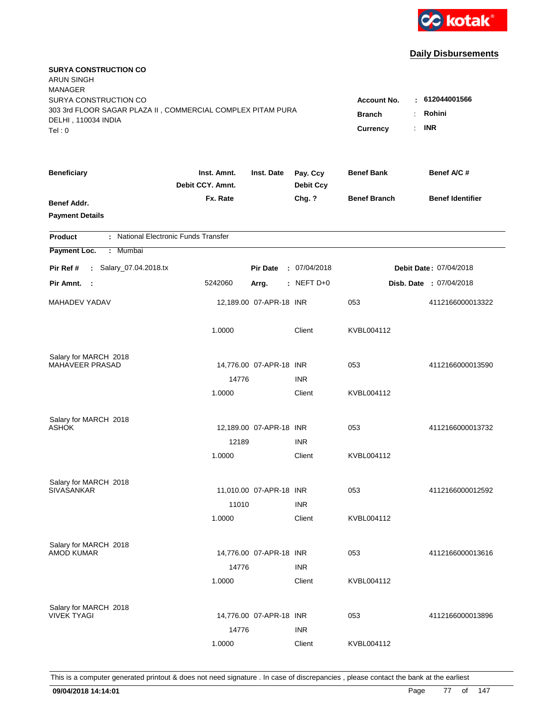

| <b>SURYA CONSTRUCTION CO</b><br><b>ARUN SINGH</b><br><b>MANAGER</b><br>SURYA CONSTRUCTION CO<br>303 3rd FLOOR SAGAR PLAZA II, COMMERCIAL COMPLEX PITAM PURA<br>DELHI, 110034 INDIA<br>Tel: 0 | <b>Account No.</b><br><b>Branch</b><br>÷<br><b>Currency</b> | : 612044001566<br>Rohini<br><b>INR</b><br>$\mathbb{R}^{\mathbb{Z}}$ |                              |                     |                         |
|----------------------------------------------------------------------------------------------------------------------------------------------------------------------------------------------|-------------------------------------------------------------|---------------------------------------------------------------------|------------------------------|---------------------|-------------------------|
| <b>Beneficiary</b>                                                                                                                                                                           | Inst. Amnt.<br>Debit CCY. Amnt.                             | Inst. Date                                                          | Pay. Ccy<br><b>Debit Ccy</b> | <b>Benef Bank</b>   | Benef A/C #             |
| Benef Addr.<br><b>Payment Details</b>                                                                                                                                                        | Fx. Rate                                                    |                                                                     | Chg. ?                       | <b>Benef Branch</b> | <b>Benef Identifier</b> |
| : National Electronic Funds Transfer<br><b>Product</b>                                                                                                                                       |                                                             |                                                                     |                              |                     |                         |
| Payment Loc.<br>Mumbai<br>÷                                                                                                                                                                  |                                                             |                                                                     |                              |                     |                         |
| : Salary_07.04.2018.tx<br>Pir Ref #                                                                                                                                                          |                                                             | <b>Pir Date</b>                                                     | : 07/04/2018                 |                     | Debit Date: 07/04/2018  |
| Pir Amnt.<br>$\sim$ 1                                                                                                                                                                        | 5242060                                                     | Arrg.                                                               | : NEFT D+0                   |                     | Disb. Date: 07/04/2018  |
| MAHADEV YADAV                                                                                                                                                                                |                                                             | 12,189.00 07-APR-18 INR                                             |                              | 053                 | 4112166000013322        |
|                                                                                                                                                                                              | 1.0000                                                      |                                                                     | Client                       | KVBL004112          |                         |
| Salary for MARCH 2018<br>MAHAVEER PRASAD                                                                                                                                                     |                                                             |                                                                     |                              |                     |                         |
|                                                                                                                                                                                              | 14776                                                       | 14,776.00 07-APR-18 INR                                             | <b>INR</b>                   | 053                 | 4112166000013590        |
|                                                                                                                                                                                              | 1.0000                                                      |                                                                     | Client                       | KVBL004112          |                         |
| Salary for MARCH 2018<br><b>ASHOK</b>                                                                                                                                                        | 12189                                                       | 12,189.00 07-APR-18 INR                                             | <b>INR</b>                   | 053                 | 4112166000013732        |
|                                                                                                                                                                                              | 1.0000                                                      |                                                                     | Client                       | KVBL004112          |                         |
| Salary for MARCH 2018<br><b>SIVASANKAR</b>                                                                                                                                                   | 11010                                                       | 11,010.00 07-APR-18 INR                                             | <b>INR</b>                   | 053                 | 4112166000012592        |
|                                                                                                                                                                                              | 1.0000                                                      |                                                                     | Client                       | KVBL004112          |                         |
| Salary for MARCH 2018<br><b>AMOD KUMAR</b>                                                                                                                                                   | 14776<br>1.0000                                             | 14,776.00 07-APR-18 INR                                             | <b>INR</b><br>Client         | 053<br>KVBL004112   | 4112166000013616        |
| Salary for MARCH 2018<br><b>VIVEK TYAGI</b>                                                                                                                                                  | 14776<br>1.0000                                             | 14,776.00 07-APR-18 INR                                             | <b>INR</b><br>Client         | 053                 | 4112166000013896        |
|                                                                                                                                                                                              |                                                             |                                                                     |                              | KVBL004112          |                         |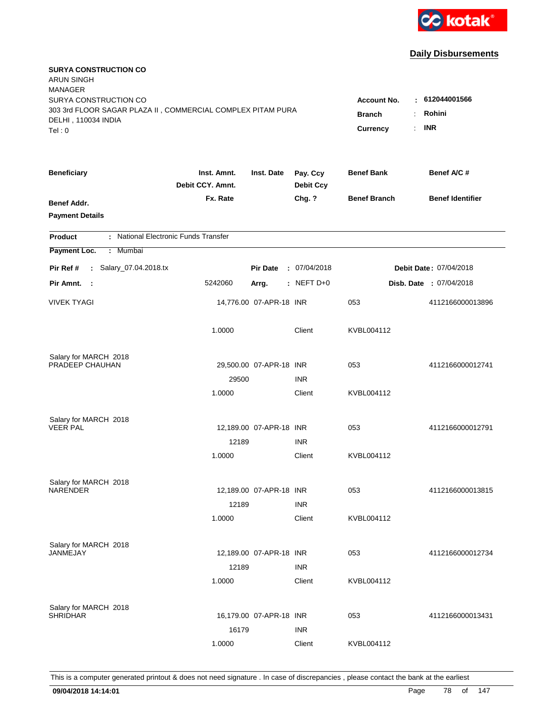

| <b>SURYA CONSTRUCTION CO</b><br><b>ARUN SINGH</b><br><b>MANAGER</b>                                                   |                                                                                |                                         |                              |                     |                         |
|-----------------------------------------------------------------------------------------------------------------------|--------------------------------------------------------------------------------|-----------------------------------------|------------------------------|---------------------|-------------------------|
| SURYA CONSTRUCTION CO<br>303 3rd FLOOR SAGAR PLAZA II, COMMERCIAL COMPLEX PITAM PURA<br>DELHI, 110034 INDIA<br>Tel: 0 | <b>Account No.</b><br><b>Branch</b><br>$\ddot{\cdot}$<br><b>Currency</b><br>÷. | $-612044001566$<br>Rohini<br><b>INR</b> |                              |                     |                         |
| <b>Beneficiary</b>                                                                                                    | Inst. Amnt.<br>Debit CCY. Amnt.                                                | Inst. Date                              | Pay. Ccy<br><b>Debit Ccy</b> | <b>Benef Bank</b>   | Benef A/C#              |
| Benef Addr.<br><b>Payment Details</b>                                                                                 | Fx. Rate                                                                       |                                         | Chg. ?                       | <b>Benef Branch</b> | <b>Benef Identifier</b> |
| : National Electronic Funds Transfer<br><b>Product</b>                                                                |                                                                                |                                         |                              |                     |                         |
| Payment Loc.<br>: Mumbai                                                                                              |                                                                                |                                         |                              |                     |                         |
| : Salary_07.04.2018.tx<br>Pir Ref #                                                                                   |                                                                                | <b>Pir Date</b>                         | : 07/04/2018                 |                     | Debit Date: 07/04/2018  |
| Pir Amnt. :                                                                                                           | 5242060                                                                        | Arrg.                                   | $:$ NEFT D+0                 |                     | Disb. Date : 07/04/2018 |
| <b>VIVEK TYAGI</b>                                                                                                    |                                                                                | 14,776.00 07-APR-18 INR                 |                              | 053                 | 4112166000013896        |
|                                                                                                                       | 1.0000                                                                         |                                         | Client                       | KVBL004112          |                         |
| Salary for MARCH 2018                                                                                                 |                                                                                |                                         |                              |                     |                         |
| PRADEEP CHAUHAN                                                                                                       |                                                                                | 29,500.00 07-APR-18 INR                 |                              | 053                 | 4112166000012741        |
|                                                                                                                       | 29500<br>1.0000                                                                |                                         | <b>INR</b><br>Client         | KVBL004112          |                         |
| Salary for MARCH 2018<br><b>VEER PAL</b>                                                                              |                                                                                | 12,189.00 07-APR-18 INR                 |                              | 053                 | 4112166000012791        |
|                                                                                                                       | 12189<br>1.0000                                                                |                                         | <b>INR</b><br>Client         | KVBL004112          |                         |
| Salary for MARCH 2018<br><b>NARENDER</b>                                                                              | 12189                                                                          | 12,189.00 07-APR-18 INR                 | <b>INR</b>                   | 053                 | 4112166000013815        |
|                                                                                                                       | 1.0000                                                                         |                                         | Client                       | KVBL004112          |                         |
| Salary for MARCH 2018<br>JANMEJAY                                                                                     | 12189                                                                          | 12,189.00 07-APR-18 INR                 | <b>INR</b>                   | 053                 | 4112166000012734        |
|                                                                                                                       | 1.0000                                                                         |                                         | Client                       | KVBL004112          |                         |
| Salary for MARCH 2018<br><b>SHRIDHAR</b>                                                                              | 16179<br>1.0000                                                                | 16,179.00 07-APR-18 INR                 | <b>INR</b><br>Client         | 053<br>KVBL004112   | 4112166000013431        |
|                                                                                                                       |                                                                                |                                         |                              |                     |                         |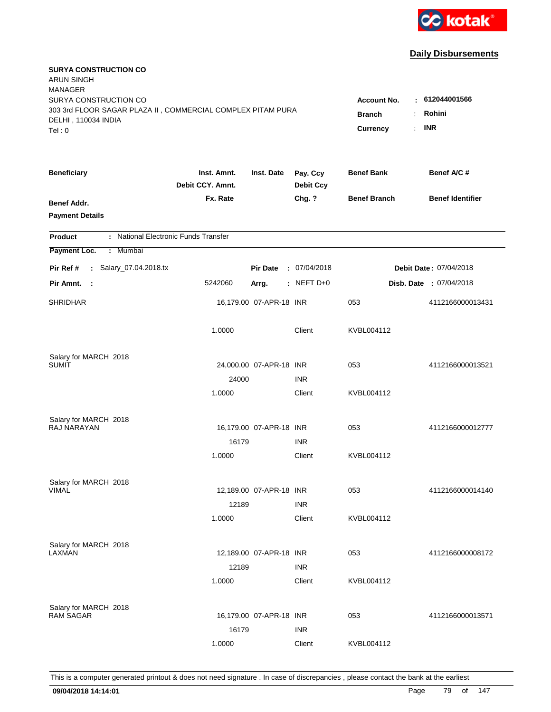

| <b>SURYA CONSTRUCTION CO</b><br><b>ARUN SINGH</b><br><b>MANAGER</b><br>SURYA CONSTRUCTION CO |                                                            |                         |                              |                     | : 612044001566          |
|----------------------------------------------------------------------------------------------|------------------------------------------------------------|-------------------------|------------------------------|---------------------|-------------------------|
| 303 3rd FLOOR SAGAR PLAZA II, COMMERCIAL COMPLEX PITAM PURA<br>DELHI, 110034 INDIA<br>Tel: 0 | <b>Account No.</b><br><b>Branch</b><br>÷<br>Currency<br>÷. | Rohini<br><b>INR</b>    |                              |                     |                         |
| <b>Beneficiary</b>                                                                           | Inst. Amnt.<br>Debit CCY. Amnt.                            | Inst. Date              | Pay. Ccy<br><b>Debit Ccy</b> | <b>Benef Bank</b>   | Benef A/C #             |
| Benef Addr.<br><b>Payment Details</b>                                                        | Fx. Rate                                                   |                         | Chg. ?                       | <b>Benef Branch</b> | <b>Benef Identifier</b> |
| : National Electronic Funds Transfer<br><b>Product</b>                                       |                                                            |                         |                              |                     |                         |
| Payment Loc.<br>Mumbai<br>÷.                                                                 |                                                            |                         |                              |                     |                         |
| : Salary_07.04.2018.tx<br>Pir Ref #                                                          |                                                            | <b>Pir Date</b>         | : 07/04/2018                 |                     | Debit Date: 07/04/2018  |
| Pir Amnt.<br>$\sim$ 1                                                                        | 5242060                                                    | Arrg.                   | : NEFT D+0                   |                     | Disb. Date : 07/04/2018 |
| <b>SHRIDHAR</b>                                                                              |                                                            | 16,179.00 07-APR-18 INR |                              | 053                 | 4112166000013431        |
|                                                                                              | 1.0000                                                     |                         | Client                       | KVBL004112          |                         |
| Salary for MARCH 2018                                                                        |                                                            |                         |                              |                     |                         |
| <b>SUMIT</b>                                                                                 |                                                            | 24,000.00 07-APR-18 INR |                              | 053                 | 4112166000013521        |
|                                                                                              | 24000<br>1.0000                                            |                         | <b>INR</b><br>Client         | KVBL004112          |                         |
|                                                                                              |                                                            |                         |                              |                     |                         |
| Salary for MARCH 2018<br>RAJ NARAYAN                                                         |                                                            |                         |                              |                     |                         |
|                                                                                              |                                                            | 16,179.00 07-APR-18 INR |                              | 053                 | 4112166000012777        |
|                                                                                              | 16179                                                      |                         | <b>INR</b>                   |                     |                         |
|                                                                                              | 1.0000                                                     |                         | Client                       | KVBL004112          |                         |
| Salary for MARCH 2018                                                                        |                                                            |                         |                              |                     |                         |
| <b>VIMAL</b>                                                                                 |                                                            | 12,189.00 07-APR-18 INR |                              | 053                 | 4112166000014140        |
|                                                                                              | 12189                                                      |                         | <b>INR</b>                   |                     |                         |
|                                                                                              | 1.0000                                                     |                         | Client                       | KVBL004112          |                         |
| Salary for MARCH 2018                                                                        |                                                            |                         |                              |                     |                         |
| LAXMAN                                                                                       |                                                            | 12,189.00 07-APR-18 INR |                              | 053                 | 4112166000008172        |
|                                                                                              | 12189                                                      |                         | <b>INR</b>                   |                     |                         |
|                                                                                              | 1.0000                                                     |                         | Client                       | KVBL004112          |                         |
|                                                                                              |                                                            |                         |                              |                     |                         |
| Salary for MARCH 2018<br><b>RAM SAGAR</b>                                                    |                                                            | 16,179.00 07-APR-18 INR |                              | 053                 | 4112166000013571        |
|                                                                                              | 16179                                                      |                         | <b>INR</b>                   |                     |                         |
|                                                                                              | 1.0000                                                     |                         | Client                       | KVBL004112          |                         |
|                                                                                              |                                                            |                         |                              |                     |                         |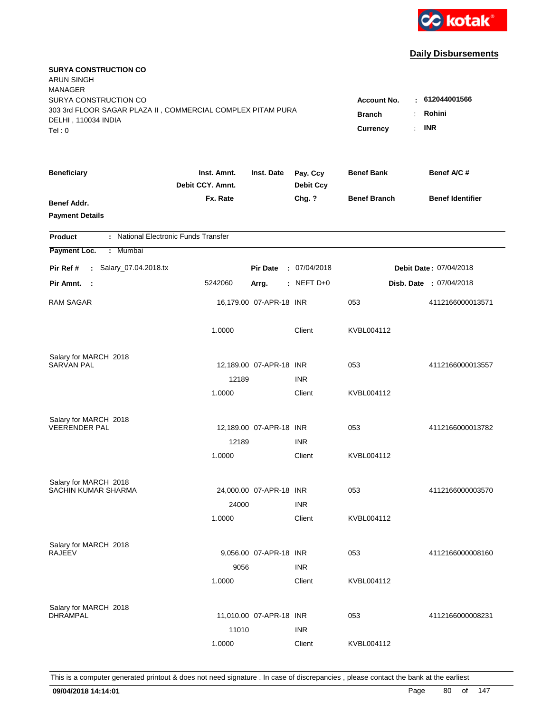

| <b>SURYA CONSTRUCTION CO</b><br><b>ARUN SINGH</b><br><b>MANAGER</b><br>SURYA CONSTRUCTION CO |                                 |                                            |                              | <b>Account No.</b>  | : 612044001566                 |
|----------------------------------------------------------------------------------------------|---------------------------------|--------------------------------------------|------------------------------|---------------------|--------------------------------|
| 303 3rd FLOOR SAGAR PLAZA II, COMMERCIAL COMPLEX PITAM PURA<br>DELHI, 110034 INDIA<br>Tel: 0 | <b>Branch</b><br>Currency       | Rohini<br>÷.<br><b>INR</b><br>$\mathbf{r}$ |                              |                     |                                |
| <b>Beneficiary</b>                                                                           | Inst. Amnt.<br>Debit CCY. Amnt. | Inst. Date                                 | Pay. Ccy<br><b>Debit Ccy</b> | <b>Benef Bank</b>   | Benef A/C #                    |
| Benef Addr.<br><b>Payment Details</b>                                                        | Fx. Rate                        |                                            | Chg. ?                       | <b>Benef Branch</b> | <b>Benef Identifier</b>        |
| : National Electronic Funds Transfer<br><b>Product</b>                                       |                                 |                                            |                              |                     |                                |
| Payment Loc.<br>Mumbai<br>÷.                                                                 |                                 |                                            |                              |                     |                                |
| : Salary_07.04.2018.tx<br>Pir Ref #                                                          |                                 | <b>Pir Date</b>                            | : 07/04/2018                 |                     | Debit Date: 07/04/2018         |
| Pir Amnt. :                                                                                  | 5242060                         | Arrg.                                      | $:$ NEFT D+0                 |                     | <b>Disb. Date : 07/04/2018</b> |
| <b>RAM SAGAR</b>                                                                             |                                 | 16,179.00 07-APR-18 INR                    |                              | 053                 | 4112166000013571               |
|                                                                                              | 1.0000                          |                                            | Client                       | KVBL004112          |                                |
| Salary for MARCH 2018                                                                        |                                 |                                            |                              |                     |                                |
| <b>SARVAN PAL</b>                                                                            |                                 | 12,189.00 07-APR-18 INR                    |                              | 053                 | 4112166000013557               |
|                                                                                              | 12189<br>1.0000                 |                                            | <b>INR</b><br>Client         | KVBL004112          |                                |
| Salary for MARCH 2018                                                                        |                                 |                                            |                              |                     |                                |
| <b>VEERENDER PAL</b>                                                                         |                                 | 12,189.00 07-APR-18 INR                    |                              | 053                 | 4112166000013782               |
|                                                                                              | 12189<br>1.0000                 |                                            | <b>INR</b><br>Client         | KVBL004112          |                                |
|                                                                                              |                                 |                                            |                              |                     |                                |
| Salary for MARCH 2018                                                                        |                                 |                                            |                              |                     |                                |
| SACHIN KUMAR SHARMA                                                                          |                                 | 24,000.00 07-APR-18 INR                    |                              | 053                 | 4112166000003570               |
|                                                                                              | 24000<br>1.0000                 |                                            | <b>INR</b><br>Client         | KVBL004112          |                                |
|                                                                                              |                                 |                                            |                              |                     |                                |
| Salary for MARCH 2018                                                                        |                                 |                                            |                              |                     |                                |
| <b>RAJEEV</b>                                                                                |                                 | 9,056.00 07-APR-18 INR                     |                              | 053                 | 4112166000008160               |
|                                                                                              | 9056<br>1.0000                  |                                            | <b>INR</b><br>Client         | KVBL004112          |                                |
| Salary for MARCH 2018                                                                        |                                 |                                            |                              |                     |                                |
| <b>DHRAMPAL</b>                                                                              |                                 | 11,010.00 07-APR-18 INR                    |                              | 053                 | 4112166000008231               |
|                                                                                              | 11010                           |                                            | <b>INR</b>                   |                     |                                |
|                                                                                              | 1.0000                          |                                            | Client                       | KVBL004112          |                                |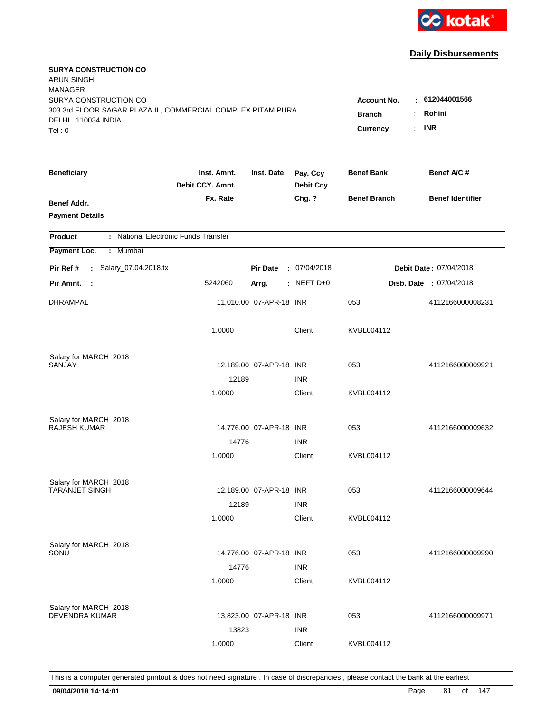

| <b>SURYA CONSTRUCTION CO</b><br><b>ARUN SINGH</b><br><b>MANAGER</b>                                                   |                                                            |                                         |                              |                     |                         |
|-----------------------------------------------------------------------------------------------------------------------|------------------------------------------------------------|-----------------------------------------|------------------------------|---------------------|-------------------------|
| SURYA CONSTRUCTION CO<br>303 3rd FLOOR SAGAR PLAZA II, COMMERCIAL COMPLEX PITAM PURA<br>DELHI, 110034 INDIA<br>Tel: 0 | <b>Account No.</b><br><b>Branch</b><br>÷<br>Currency<br>÷. | $-612044001566$<br>Rohini<br><b>INR</b> |                              |                     |                         |
| <b>Beneficiary</b>                                                                                                    | Inst. Amnt.<br>Debit CCY. Amnt.                            | Inst. Date                              | Pay. Ccy<br><b>Debit Ccy</b> | <b>Benef Bank</b>   | Benef A/C #             |
| Benef Addr.<br><b>Payment Details</b>                                                                                 | Fx. Rate                                                   |                                         | Chg. ?                       | <b>Benef Branch</b> | <b>Benef Identifier</b> |
| : National Electronic Funds Transfer<br><b>Product</b>                                                                |                                                            |                                         |                              |                     |                         |
| Payment Loc.<br>: Mumbai                                                                                              |                                                            |                                         |                              |                     |                         |
| : Salary_07.04.2018.tx<br>Pir Ref #                                                                                   |                                                            | <b>Pir Date</b>                         | : 07/04/2018                 |                     | Debit Date: 07/04/2018  |
| Pir Amnt. :                                                                                                           | 5242060                                                    | Arrg.                                   | $:$ NEFT D+0                 |                     | Disb. Date : 07/04/2018 |
| DHRAMPAL                                                                                                              |                                                            | 11,010.00 07-APR-18 INR                 |                              | 053                 | 4112166000008231        |
|                                                                                                                       | 1.0000                                                     |                                         | Client                       | KVBL004112          |                         |
| Salary for MARCH 2018                                                                                                 |                                                            |                                         |                              |                     |                         |
| SANJAY                                                                                                                |                                                            | 12,189.00 07-APR-18 INR                 |                              | 053                 | 4112166000009921        |
|                                                                                                                       | 12189                                                      |                                         | <b>INR</b>                   |                     |                         |
|                                                                                                                       | 1.0000                                                     |                                         | Client                       | KVBL004112          |                         |
| Salary for MARCH 2018                                                                                                 |                                                            |                                         |                              |                     |                         |
| RAJESH KUMAR                                                                                                          |                                                            | 14,776.00 07-APR-18 INR                 |                              | 053                 | 4112166000009632        |
|                                                                                                                       | 14776                                                      |                                         | <b>INR</b>                   |                     |                         |
|                                                                                                                       | 1.0000                                                     |                                         | Client                       | KVBL004112          |                         |
| Salary for MARCH 2018                                                                                                 |                                                            |                                         |                              |                     |                         |
| <b>TARANJET SINGH</b>                                                                                                 |                                                            | 12,189.00 07-APR-18 INR                 |                              | 053                 | 4112166000009644        |
|                                                                                                                       | 12189                                                      |                                         | <b>INR</b>                   |                     |                         |
|                                                                                                                       | 1.0000                                                     |                                         | Client                       | KVBL004112          |                         |
| Salary for MARCH 2018                                                                                                 |                                                            |                                         |                              |                     |                         |
| SONU                                                                                                                  |                                                            | 14,776.00 07-APR-18 INR                 |                              | 053                 | 4112166000009990        |
|                                                                                                                       | 14776                                                      |                                         | <b>INR</b>                   |                     |                         |
|                                                                                                                       | 1.0000                                                     |                                         | Client                       | KVBL004112          |                         |
|                                                                                                                       |                                                            |                                         |                              |                     |                         |
| Salary for MARCH 2018<br><b>DEVENDRA KUMAR</b>                                                                        |                                                            | 13,823.00 07-APR-18 INR                 |                              | 053                 | 4112166000009971        |
|                                                                                                                       | 13823                                                      |                                         | <b>INR</b>                   |                     |                         |
|                                                                                                                       | 1.0000                                                     |                                         | Client                       | KVBL004112          |                         |
|                                                                                                                       |                                                            |                                         |                              |                     |                         |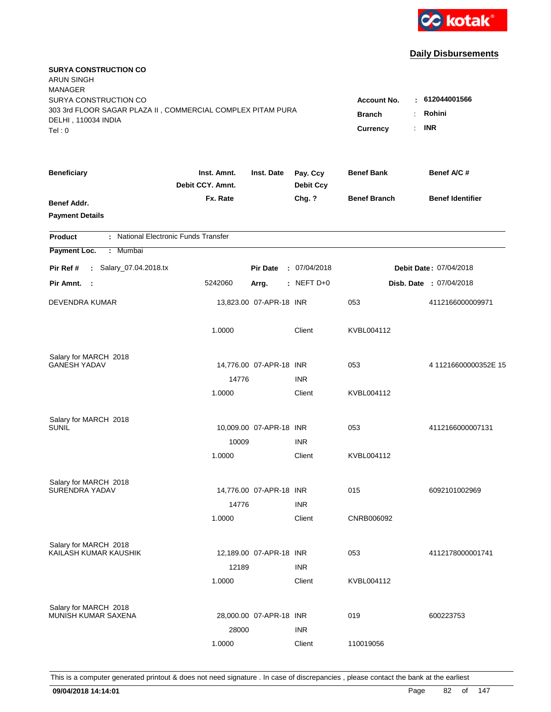

| <b>SURYA CONSTRUCTION CO</b><br><b>ARUN SINGH</b><br><b>MANAGER</b><br>SURYA CONSTRUCTION CO<br>303 3rd FLOOR SAGAR PLAZA II, COMMERCIAL COMPLEX PITAM PURA<br>DELHI, 110034 INDIA<br>Tel: 0 | <b>Account No.</b><br><b>Branch</b><br>Currency | 612044001566<br>Rohini<br>$\cdot$ INR |                              |                     |                         |
|----------------------------------------------------------------------------------------------------------------------------------------------------------------------------------------------|-------------------------------------------------|---------------------------------------|------------------------------|---------------------|-------------------------|
| <b>Beneficiary</b>                                                                                                                                                                           | Inst. Amnt.<br>Debit CCY. Amnt.                 | Inst. Date                            | Pay. Ccy<br><b>Debit Ccy</b> | <b>Benef Bank</b>   | Benef A/C #             |
| <b>Benef Addr.</b><br><b>Payment Details</b>                                                                                                                                                 | Fx. Rate                                        |                                       | Chg. ?                       | <b>Benef Branch</b> | <b>Benef Identifier</b> |
| : National Electronic Funds Transfer<br><b>Product</b>                                                                                                                                       |                                                 |                                       |                              |                     |                         |
| Payment Loc.<br>Mumbai<br>÷.                                                                                                                                                                 |                                                 |                                       |                              |                     |                         |
| : Salary_07.04.2018.tx<br>Pir Ref #                                                                                                                                                          |                                                 | <b>Pir Date</b>                       | : 07/04/2018                 |                     | Debit Date: 07/04/2018  |
| Pir Amnt.<br>$\sim$ 1                                                                                                                                                                        | 5242060                                         | Arrg.                                 | $:$ NEFT D+0                 |                     | Disb. Date: 07/04/2018  |
| DEVENDRA KUMAR                                                                                                                                                                               |                                                 | 13,823.00 07-APR-18 INR               |                              | 053                 | 4112166000009971        |
|                                                                                                                                                                                              | 1.0000                                          |                                       | Client                       | KVBL004112          |                         |
| Salary for MARCH 2018                                                                                                                                                                        |                                                 |                                       |                              |                     |                         |
| <b>GANESH YADAV</b>                                                                                                                                                                          |                                                 | 14,776.00 07-APR-18 INR               |                              | 053                 | 4 11216600000352E 15    |
|                                                                                                                                                                                              | 14776                                           |                                       | <b>INR</b>                   |                     |                         |
|                                                                                                                                                                                              | 1.0000                                          |                                       | Client                       | KVBL004112          |                         |
| Salary for MARCH 2018                                                                                                                                                                        |                                                 |                                       |                              |                     |                         |
| <b>SUNIL</b>                                                                                                                                                                                 |                                                 | 10,009.00 07-APR-18 INR               |                              | 053                 | 4112166000007131        |
|                                                                                                                                                                                              | 10009                                           |                                       | <b>INR</b>                   |                     |                         |
|                                                                                                                                                                                              | 1.0000                                          |                                       | Client                       | KVBL004112          |                         |
| Salary for MARCH 2018                                                                                                                                                                        |                                                 |                                       |                              |                     |                         |
| SURENDRA YADAV                                                                                                                                                                               |                                                 | 14,776.00 07-APR-18 INR               |                              | 015                 | 6092101002969           |
|                                                                                                                                                                                              | 14776                                           |                                       | <b>INR</b>                   |                     |                         |
|                                                                                                                                                                                              | 1.0000                                          |                                       | Client                       | CNRB006092          |                         |
| Salary for MARCH 2018                                                                                                                                                                        |                                                 |                                       |                              |                     |                         |
| KAILASH KUMAR KAUSHIK                                                                                                                                                                        |                                                 | 12,189.00 07-APR-18 INR               |                              | 053                 | 4112178000001741        |
|                                                                                                                                                                                              | 12189                                           |                                       | <b>INR</b>                   |                     |                         |
|                                                                                                                                                                                              | 1.0000                                          |                                       | Client                       | KVBL004112          |                         |
| Salary for MARCH 2018                                                                                                                                                                        |                                                 |                                       |                              |                     |                         |
| MUNISH KUMAR SAXENA                                                                                                                                                                          |                                                 | 28,000.00 07-APR-18 INR               |                              | 019                 | 600223753               |
|                                                                                                                                                                                              | 28000                                           |                                       | <b>INR</b>                   |                     |                         |
|                                                                                                                                                                                              | 1.0000                                          |                                       | Client                       | 110019056           |                         |
|                                                                                                                                                                                              |                                                 |                                       |                              |                     |                         |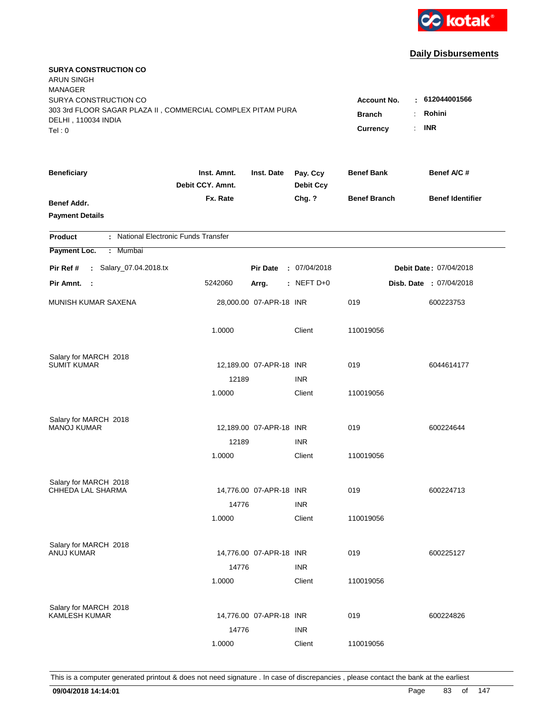

| <b>SURYA CONSTRUCTION CO</b><br><b>ARUN SINGH</b><br><b>MANAGER</b>                                         |                                 |                         |                              |                                     |                                |
|-------------------------------------------------------------------------------------------------------------|---------------------------------|-------------------------|------------------------------|-------------------------------------|--------------------------------|
| SURYA CONSTRUCTION CO<br>303 3rd FLOOR SAGAR PLAZA II, COMMERCIAL COMPLEX PITAM PURA<br>DELHI, 110034 INDIA |                                 |                         |                              | <b>Account No.</b><br><b>Branch</b> | : 612044001566<br>Rohini<br>÷. |
| Tel: 0                                                                                                      |                                 |                         |                              | Currency                            | <b>INR</b><br>÷.               |
| <b>Beneficiary</b>                                                                                          | Inst. Amnt.<br>Debit CCY. Amnt. | Inst. Date              | Pay. Ccy<br><b>Debit Ccy</b> | <b>Benef Bank</b>                   | Benef A/C #                    |
| Benef Addr.<br><b>Payment Details</b>                                                                       | Fx. Rate                        |                         | Chg. ?                       | <b>Benef Branch</b>                 | <b>Benef Identifier</b>        |
| : National Electronic Funds Transfer<br><b>Product</b>                                                      |                                 |                         |                              |                                     |                                |
| Payment Loc.<br>: Mumbai                                                                                    |                                 |                         |                              |                                     |                                |
| : Salary_07.04.2018.tx<br>Pir Ref #                                                                         |                                 | <b>Pir Date</b>         | : 07/04/2018                 |                                     | Debit Date: 07/04/2018         |
| Pir Amnt. :                                                                                                 | 5242060                         | Arrg.                   | : NEFT $D+0$                 |                                     | Disb. Date : 07/04/2018        |
| MUNISH KUMAR SAXENA                                                                                         |                                 | 28,000.00 07-APR-18 INR |                              | 019                                 | 600223753                      |
|                                                                                                             | 1.0000                          |                         | Client                       | 110019056                           |                                |
| Salary for MARCH 2018                                                                                       |                                 |                         |                              |                                     |                                |
| <b>SUMIT KUMAR</b>                                                                                          |                                 | 12,189.00 07-APR-18 INR |                              | 019                                 | 6044614177                     |
|                                                                                                             | 12189                           |                         | <b>INR</b>                   |                                     |                                |
|                                                                                                             | 1.0000                          |                         | Client                       | 110019056                           |                                |
| Salary for MARCH 2018                                                                                       |                                 |                         |                              |                                     |                                |
| <b>MANOJ KUMAR</b>                                                                                          |                                 | 12,189.00 07-APR-18 INR |                              | 019                                 | 600224644                      |
|                                                                                                             | 12189                           |                         | <b>INR</b>                   |                                     |                                |
|                                                                                                             | 1.0000                          |                         | Client                       | 110019056                           |                                |
| Salary for MARCH 2018                                                                                       |                                 |                         |                              |                                     |                                |
| CHHEDA LAL SHARMA                                                                                           |                                 | 14,776.00 07-APR-18 INR |                              | 019                                 | 600224713                      |
|                                                                                                             | 14776                           |                         | <b>INR</b>                   |                                     |                                |
|                                                                                                             | 1.0000                          |                         | Client                       | 110019056                           |                                |
| Salary for MARCH 2018                                                                                       |                                 |                         |                              |                                     |                                |
| ANUJ KUMAR                                                                                                  |                                 | 14,776.00 07-APR-18 INR |                              | 019                                 | 600225127                      |
|                                                                                                             | 14776                           |                         | <b>INR</b>                   |                                     |                                |
|                                                                                                             | 1.0000                          |                         | Client                       | 110019056                           |                                |
| Salary for MARCH 2018                                                                                       |                                 |                         |                              |                                     |                                |
| <b>KAMLESH KUMAR</b>                                                                                        |                                 | 14,776.00 07-APR-18 INR |                              | 019                                 | 600224826                      |
|                                                                                                             | 14776                           |                         | <b>INR</b>                   |                                     |                                |
|                                                                                                             | 1.0000                          |                         | Client                       | 110019056                           |                                |
|                                                                                                             |                                 |                         |                              |                                     |                                |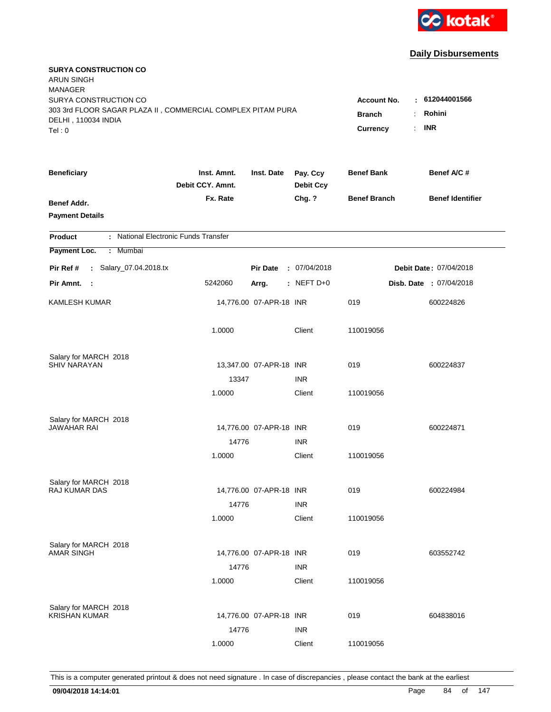

| <b>SURYA CONSTRUCTION CO</b><br><b>ARUN SINGH</b><br><b>MANAGER</b>                                                   |                                                 |                                                     |                              |                     |                         |
|-----------------------------------------------------------------------------------------------------------------------|-------------------------------------------------|-----------------------------------------------------|------------------------------|---------------------|-------------------------|
| SURYA CONSTRUCTION CO<br>303 3rd FLOOR SAGAR PLAZA II, COMMERCIAL COMPLEX PITAM PURA<br>DELHI, 110034 INDIA<br>Tel: 0 | <b>Account No.</b><br><b>Branch</b><br>Currency | $-612044001566$<br>Rohini<br>÷.<br><b>INR</b><br>t. |                              |                     |                         |
| <b>Beneficiary</b>                                                                                                    | Inst. Amnt.<br>Debit CCY. Amnt.                 | Inst. Date                                          | Pay. Ccy<br><b>Debit Ccy</b> | <b>Benef Bank</b>   | Benef A/C #             |
| Benef Addr.<br><b>Payment Details</b>                                                                                 | Fx. Rate                                        |                                                     | Chg. ?                       | <b>Benef Branch</b> | <b>Benef Identifier</b> |
| : National Electronic Funds Transfer<br><b>Product</b>                                                                |                                                 |                                                     |                              |                     |                         |
| Payment Loc.<br>: Mumbai                                                                                              |                                                 |                                                     |                              |                     |                         |
| : Salary_07.04.2018.tx<br>Pir Ref #                                                                                   |                                                 | <b>Pir Date</b>                                     | : 07/04/2018                 |                     | Debit Date: 07/04/2018  |
| Pir Amnt. :                                                                                                           | 5242060                                         | Arrg.                                               | $:$ NEFT D+0                 |                     | Disb. Date: 07/04/2018  |
| <b>KAMLESH KUMAR</b>                                                                                                  |                                                 | 14,776.00 07-APR-18 INR                             |                              | 019                 | 600224826               |
|                                                                                                                       | 1.0000                                          |                                                     | Client                       | 110019056           |                         |
| Salary for MARCH 2018                                                                                                 |                                                 |                                                     |                              |                     |                         |
| <b>SHIV NARAYAN</b>                                                                                                   |                                                 | 13,347.00 07-APR-18 INR                             |                              | 019                 | 600224837               |
|                                                                                                                       | 13347                                           |                                                     | <b>INR</b>                   |                     |                         |
|                                                                                                                       | 1.0000                                          |                                                     | Client                       | 110019056           |                         |
| Salary for MARCH 2018                                                                                                 |                                                 |                                                     |                              |                     |                         |
| <b>JAWAHAR RAI</b>                                                                                                    |                                                 | 14,776.00 07-APR-18 INR                             |                              | 019                 | 600224871               |
|                                                                                                                       | 14776                                           |                                                     | <b>INR</b>                   |                     |                         |
|                                                                                                                       | 1.0000                                          |                                                     | Client                       | 110019056           |                         |
| Salary for MARCH 2018                                                                                                 |                                                 |                                                     |                              |                     |                         |
| RAJ KUMAR DAS                                                                                                         |                                                 | 14,776.00 07-APR-18 INR                             |                              | 019                 | 600224984               |
|                                                                                                                       | 14776                                           |                                                     | <b>INR</b>                   |                     |                         |
|                                                                                                                       | 1.0000                                          |                                                     | Client                       | 110019056           |                         |
| Salary for MARCH 2018                                                                                                 |                                                 |                                                     |                              |                     |                         |
| <b>AMAR SINGH</b>                                                                                                     |                                                 | 14,776.00 07-APR-18 INR                             |                              | 019                 | 603552742               |
|                                                                                                                       | 14776                                           |                                                     | <b>INR</b>                   |                     |                         |
|                                                                                                                       | 1.0000                                          |                                                     | Client                       | 110019056           |                         |
| Salary for MARCH 2018                                                                                                 |                                                 |                                                     |                              |                     |                         |
| <b>KRISHAN KUMAR</b>                                                                                                  |                                                 | 14,776.00 07-APR-18 INR                             |                              | 019                 | 604838016               |
|                                                                                                                       | 14776                                           |                                                     | <b>INR</b>                   |                     |                         |
|                                                                                                                       | 1.0000                                          |                                                     | Client                       | 110019056           |                         |
|                                                                                                                       |                                                 |                                                     |                              |                     |                         |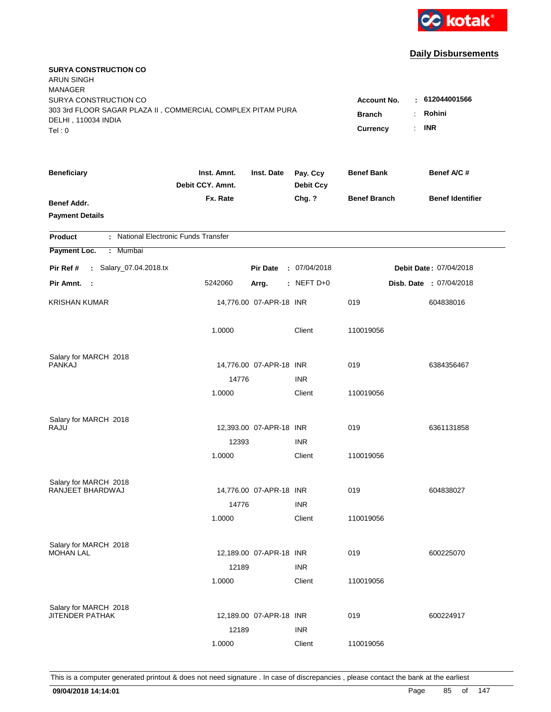

| <b>SURYA CONSTRUCTION CO</b><br><b>ARUN SINGH</b><br><b>MANAGER</b> |                                 |                                         |                              |                     |                                |
|---------------------------------------------------------------------|---------------------------------|-----------------------------------------|------------------------------|---------------------|--------------------------------|
| SURYA CONSTRUCTION CO                                               |                                 |                                         |                              | <b>Account No.</b>  | : 612044001566                 |
| 303 3rd FLOOR SAGAR PLAZA II, COMMERCIAL COMPLEX PITAM PURA         |                                 | <b>Branch</b>                           | Rohini<br>÷.                 |                     |                                |
| DELHI, 110034 INDIA                                                 |                                 | <b>INR</b><br>$\mathbb{R}^{\mathbb{Z}}$ |                              |                     |                                |
| Tel: 0                                                              |                                 |                                         |                              | Currency            |                                |
| <b>Beneficiary</b>                                                  | Inst. Amnt.<br>Debit CCY. Amnt. | Inst. Date                              | Pay. Ccy<br><b>Debit Ccy</b> | <b>Benef Bank</b>   | Benef A/C #                    |
| Benef Addr.                                                         | Fx. Rate                        |                                         | Chg. ?                       | <b>Benef Branch</b> | <b>Benef Identifier</b>        |
| <b>Payment Details</b>                                              |                                 |                                         |                              |                     |                                |
| : National Electronic Funds Transfer<br><b>Product</b>              |                                 |                                         |                              |                     |                                |
| Payment Loc.<br>: Mumbai                                            |                                 |                                         |                              |                     |                                |
| : Salary_07.04.2018.tx<br>Pir Ref #                                 |                                 | <b>Pir Date</b>                         | : 07/04/2018                 |                     | Debit Date: 07/04/2018         |
| Pir Amnt. :                                                         | 5242060                         | Arrg.                                   | : NEFT $D+0$                 |                     | <b>Disb. Date : 07/04/2018</b> |
| <b>KRISHAN KUMAR</b>                                                |                                 | 14,776.00 07-APR-18 INR                 |                              | 019                 | 604838016                      |
|                                                                     | 1.0000                          |                                         | Client                       | 110019056           |                                |
| Salary for MARCH 2018                                               |                                 |                                         |                              |                     |                                |
| <b>PANKAJ</b>                                                       |                                 | 14,776.00 07-APR-18 INR                 |                              | 019                 | 6384356467                     |
|                                                                     | 14776                           |                                         | <b>INR</b>                   |                     |                                |
|                                                                     | 1.0000                          |                                         | Client                       | 110019056           |                                |
| Salary for MARCH 2018                                               |                                 |                                         |                              |                     |                                |
| RAJU                                                                |                                 | 12,393.00 07-APR-18 INR                 |                              | 019                 | 6361131858                     |
|                                                                     | 12393                           |                                         | <b>INR</b>                   |                     |                                |
|                                                                     | 1.0000                          |                                         | Client                       | 110019056           |                                |
| Salary for MARCH 2018                                               |                                 |                                         |                              |                     |                                |
| RANJEET BHARDWAJ                                                    |                                 | 14,776.00 07-APR-18 INR                 |                              | 019                 | 604838027                      |
|                                                                     | 14776                           |                                         | <b>INR</b>                   |                     |                                |
|                                                                     | 1.0000                          |                                         | Client                       | 110019056           |                                |
| Salary for MARCH 2018                                               |                                 |                                         |                              |                     |                                |
| <b>MOHAN LAL</b>                                                    |                                 | 12,189.00 07-APR-18 INR                 |                              | 019                 | 600225070                      |
|                                                                     | 12189                           |                                         | <b>INR</b>                   |                     |                                |
|                                                                     | 1.0000                          |                                         | Client                       | 110019056           |                                |
| Salary for MARCH 2018                                               |                                 |                                         |                              |                     |                                |
| <b>JITENDER PATHAK</b>                                              |                                 | 12,189.00 07-APR-18 INR                 |                              | 019                 | 600224917                      |
|                                                                     | 12189                           |                                         | <b>INR</b>                   |                     |                                |
|                                                                     | 1.0000                          |                                         | Client                       | 110019056           |                                |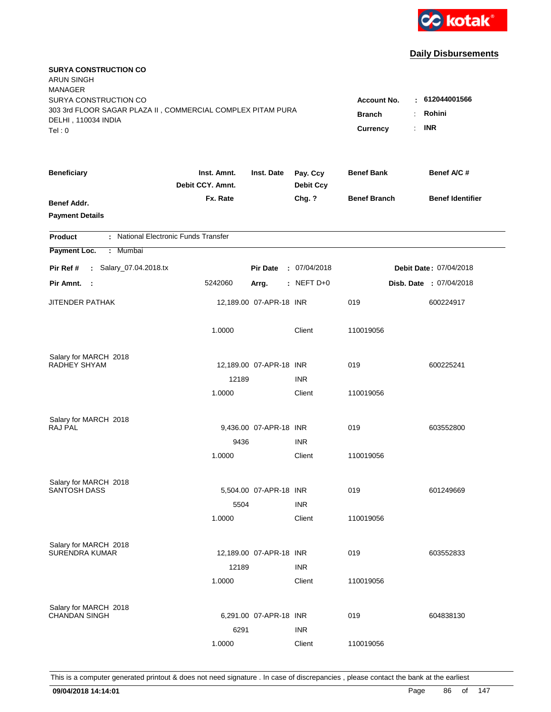

| <b>SURYA CONSTRUCTION CO</b><br><b>ARUN SINGH</b><br><b>MANAGER</b>                  |                                 |                           |                                                         |                     |                         |
|--------------------------------------------------------------------------------------|---------------------------------|---------------------------|---------------------------------------------------------|---------------------|-------------------------|
| SURYA CONSTRUCTION CO<br>303 3rd FLOOR SAGAR PLAZA II, COMMERCIAL COMPLEX PITAM PURA |                                 |                           |                                                         | <b>Account No.</b>  | : 612044001566          |
| DELHI, 110034 INDIA<br>Tel: 0                                                        |                                 | <b>Branch</b><br>Currency | Rohini<br>÷.<br><b>INR</b><br>$\mathbb{R}^{\mathbb{Z}}$ |                     |                         |
| <b>Beneficiary</b>                                                                   | Inst. Amnt.<br>Debit CCY. Amnt. | Inst. Date                | Pay. Ccy<br><b>Debit Ccy</b>                            | <b>Benef Bank</b>   | Benef A/C #             |
| Benef Addr.<br><b>Payment Details</b>                                                | Fx. Rate                        |                           | Chg. ?                                                  | <b>Benef Branch</b> | <b>Benef Identifier</b> |
| : National Electronic Funds Transfer<br><b>Product</b>                               |                                 |                           |                                                         |                     |                         |
| Payment Loc.<br>: Mumbai                                                             |                                 |                           |                                                         |                     |                         |
| : Salary_07.04.2018.tx<br>Pir Ref #                                                  |                                 | <b>Pir Date</b>           | : 07/04/2018                                            |                     | Debit Date: 07/04/2018  |
| Pir Amnt. :                                                                          | 5242060                         | Arrg.                     | : NEFT $D+0$                                            |                     | Disb. Date : 07/04/2018 |
| <b>JITENDER PATHAK</b>                                                               |                                 | 12,189.00 07-APR-18 INR   |                                                         | 019                 | 600224917               |
|                                                                                      | 1.0000                          |                           | Client                                                  | 110019056           |                         |
| Salary for MARCH 2018                                                                |                                 |                           |                                                         |                     |                         |
| RADHEY SHYAM                                                                         |                                 | 12,189.00 07-APR-18 INR   |                                                         | 019                 | 600225241               |
|                                                                                      | 12189                           |                           | <b>INR</b>                                              |                     |                         |
|                                                                                      | 1.0000                          |                           | Client                                                  | 110019056           |                         |
| Salary for MARCH 2018                                                                |                                 |                           |                                                         |                     |                         |
| <b>RAJ PAL</b>                                                                       |                                 | 9,436.00 07-APR-18 INR    |                                                         | 019                 | 603552800               |
|                                                                                      | 9436                            |                           | <b>INR</b>                                              |                     |                         |
|                                                                                      | 1.0000                          |                           | Client                                                  | 110019056           |                         |
| Salary for MARCH 2018                                                                |                                 |                           |                                                         |                     |                         |
| <b>SANTOSH DASS</b>                                                                  |                                 | 5,504.00 07-APR-18 INR    |                                                         | 019                 | 601249669               |
|                                                                                      | 5504                            |                           | <b>INR</b>                                              |                     |                         |
|                                                                                      | 1.0000                          |                           | Client                                                  | 110019056           |                         |
| Salary for MARCH 2018                                                                |                                 |                           |                                                         |                     |                         |
| <b>SURENDRA KUMAR</b>                                                                |                                 | 12,189.00 07-APR-18 INR   |                                                         | 019                 | 603552833               |
|                                                                                      | 12189                           |                           | <b>INR</b>                                              |                     |                         |
|                                                                                      | 1.0000                          |                           | Client                                                  | 110019056           |                         |
| Salary for MARCH 2018                                                                |                                 |                           |                                                         |                     |                         |
| <b>CHANDAN SINGH</b>                                                                 |                                 | 6,291.00 07-APR-18 INR    |                                                         | 019                 | 604838130               |
|                                                                                      | 6291                            |                           | <b>INR</b>                                              |                     |                         |
|                                                                                      | 1.0000                          |                           | Client                                                  | 110019056           |                         |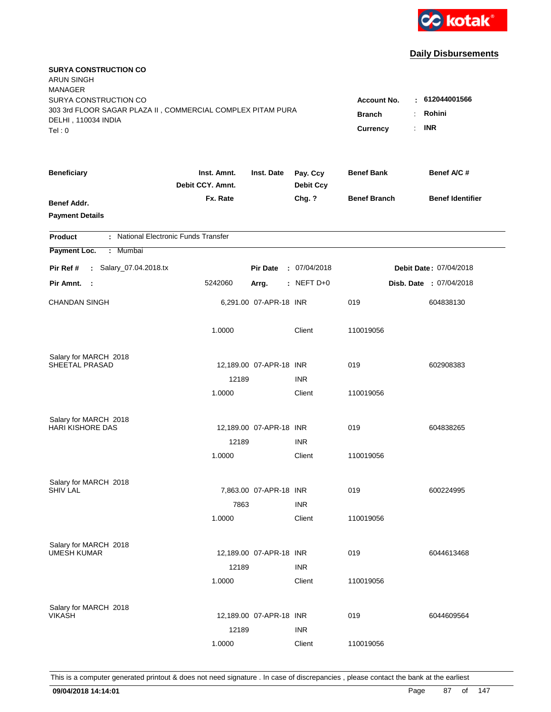

| <b>SURYA CONSTRUCTION CO</b><br><b>ARUN SINGH</b><br><b>MANAGER</b> |                                 |                         |                              |                     |                               |
|---------------------------------------------------------------------|---------------------------------|-------------------------|------------------------------|---------------------|-------------------------------|
| SURYA CONSTRUCTION CO                                               |                                 |                         |                              | <b>Account No.</b>  | : 612044001566                |
| 303 3rd FLOOR SAGAR PLAZA II, COMMERCIAL COMPLEX PITAM PURA         |                                 | <b>Branch</b><br>÷.     | Rohini                       |                     |                               |
| DELHI, 110034 INDIA                                                 |                                 |                         |                              | Currency            | <b>INR</b><br>÷.              |
| Tel: 0                                                              |                                 |                         |                              |                     |                               |
| <b>Beneficiary</b>                                                  | Inst. Amnt.<br>Debit CCY. Amnt. | Inst. Date              | Pay. Ccy<br><b>Debit Ccy</b> | <b>Benef Bank</b>   | Benef A/C #                   |
| Benef Addr.                                                         | Fx. Rate                        |                         | Chg. ?                       | <b>Benef Branch</b> | <b>Benef Identifier</b>       |
| <b>Payment Details</b>                                              |                                 |                         |                              |                     |                               |
| : National Electronic Funds Transfer<br><b>Product</b>              |                                 |                         |                              |                     |                               |
| Payment Loc.<br>: Mumbai                                            |                                 |                         |                              |                     |                               |
| : Salary_07.04.2018.tx<br>Pir Ref #                                 |                                 | <b>Pir Date</b>         | : 07/04/2018                 |                     | <b>Debit Date: 07/04/2018</b> |
| Pir Amnt. :                                                         | 5242060                         | Arrg.                   | : NEFT $D+0$                 |                     | Disb. Date : 07/04/2018       |
| <b>CHANDAN SINGH</b>                                                |                                 | 6,291.00 07-APR-18 INR  |                              | 019                 | 604838130                     |
|                                                                     | 1.0000                          |                         | Client                       | 110019056           |                               |
| Salary for MARCH 2018                                               |                                 |                         |                              |                     |                               |
| SHEETAL PRASAD                                                      |                                 | 12,189.00 07-APR-18 INR |                              | 019                 | 602908383                     |
|                                                                     | 12189                           |                         | <b>INR</b>                   |                     |                               |
|                                                                     | 1.0000                          |                         | Client                       | 110019056           |                               |
| Salary for MARCH 2018                                               |                                 |                         |                              |                     |                               |
| <b>HARI KISHORE DAS</b>                                             |                                 | 12,189.00 07-APR-18 INR |                              | 019                 | 604838265                     |
|                                                                     | 12189                           |                         | <b>INR</b>                   |                     |                               |
|                                                                     | 1.0000                          |                         | Client                       | 110019056           |                               |
| Salary for MARCH 2018                                               |                                 |                         |                              |                     |                               |
| <b>SHIV LAL</b>                                                     |                                 | 7,863.00 07-APR-18 INR  |                              | 019                 | 600224995                     |
|                                                                     | 7863                            |                         | <b>INR</b>                   |                     |                               |
|                                                                     | 1.0000                          |                         | Client                       | 110019056           |                               |
| Salary for MARCH 2018                                               |                                 |                         |                              |                     |                               |
| <b>UMESH KUMAR</b>                                                  |                                 | 12,189.00 07-APR-18 INR |                              | 019                 | 6044613468                    |
|                                                                     | 12189                           |                         | <b>INR</b>                   |                     |                               |
|                                                                     | 1.0000                          |                         | Client                       | 110019056           |                               |
| Salary for MARCH 2018                                               |                                 |                         |                              |                     |                               |
| <b>VIKASH</b>                                                       |                                 | 12,189.00 07-APR-18 INR |                              | 019                 | 6044609564                    |
|                                                                     | 12189                           |                         | <b>INR</b>                   |                     |                               |
|                                                                     | 1.0000                          |                         | Client                       | 110019056           |                               |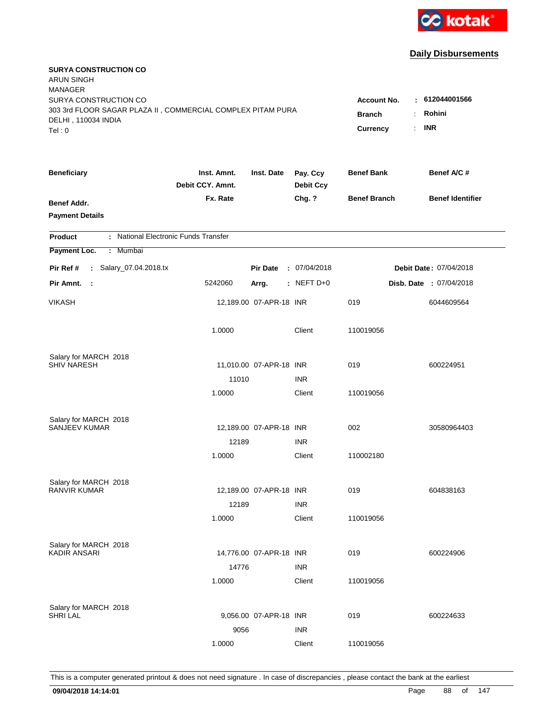

| <b>SURYA CONSTRUCTION CO</b><br><b>ARUN SINGH</b><br><b>MANAGER</b><br>SURYA CONSTRUCTION CO |                                 |                         |                              | <b>Account No.</b>  | : 612044001566                 |
|----------------------------------------------------------------------------------------------|---------------------------------|-------------------------|------------------------------|---------------------|--------------------------------|
| 303 3rd FLOOR SAGAR PLAZA II, COMMERCIAL COMPLEX PITAM PURA<br>DELHI, 110034 INDIA<br>Tel: 0 | <b>Branch</b><br>Currency       | Rohini<br>÷.<br>$:$ INR |                              |                     |                                |
| <b>Beneficiary</b>                                                                           | Inst. Amnt.<br>Debit CCY. Amnt. | Inst. Date              | Pay. Ccy<br><b>Debit Ccy</b> | <b>Benef Bank</b>   | Benef A/C #                    |
| Benef Addr.<br><b>Payment Details</b>                                                        | Fx. Rate                        |                         | Chg. ?                       | <b>Benef Branch</b> | <b>Benef Identifier</b>        |
| : National Electronic Funds Transfer<br><b>Product</b>                                       |                                 |                         |                              |                     |                                |
| Payment Loc.<br>: Mumbai                                                                     |                                 |                         |                              |                     |                                |
| : Salary_07.04.2018.tx<br>Pir Ref #                                                          |                                 | <b>Pir Date</b>         | : 07/04/2018                 |                     | Debit Date: 07/04/2018         |
| Pir Amnt.<br>$\mathbf{L}$                                                                    | 5242060                         | Arrg.                   | : NEFT $D+0$                 |                     | <b>Disb. Date : 07/04/2018</b> |
| VIKASH                                                                                       |                                 | 12,189.00 07-APR-18 INR |                              | 019                 | 6044609564                     |
|                                                                                              | 1.0000                          |                         | Client                       | 110019056           |                                |
| Salary for MARCH 2018                                                                        |                                 |                         |                              |                     |                                |
| <b>SHIV NARESH</b>                                                                           |                                 | 11,010.00 07-APR-18 INR | <b>INR</b>                   | 019                 | 600224951                      |
|                                                                                              | 11010<br>1.0000                 |                         | Client                       | 110019056           |                                |
| Salary for MARCH 2018                                                                        |                                 |                         |                              |                     |                                |
| SANJEEV KUMAR                                                                                |                                 | 12,189.00 07-APR-18 INR |                              | 002                 | 30580964403                    |
|                                                                                              | 12189                           |                         | <b>INR</b>                   |                     |                                |
|                                                                                              | 1.0000                          |                         | Client                       | 110002180           |                                |
| Salary for MARCH 2018                                                                        |                                 |                         |                              |                     |                                |
| <b>RANVIR KUMAR</b>                                                                          |                                 | 12,189.00 07-APR-18 INR |                              | 019                 | 604838163                      |
|                                                                                              | 12189<br>1.0000                 |                         | <b>INR</b>                   |                     |                                |
|                                                                                              |                                 |                         | Client                       | 110019056           |                                |
| Salary for MARCH 2018                                                                        |                                 |                         |                              |                     |                                |
| <b>KADIR ANSARI</b>                                                                          |                                 | 14,776.00 07-APR-18 INR |                              | 019                 | 600224906                      |
|                                                                                              | 14776                           |                         | <b>INR</b>                   |                     |                                |
|                                                                                              | 1.0000                          |                         | Client                       | 110019056           |                                |
| Salary for MARCH 2018                                                                        |                                 |                         |                              |                     |                                |
| <b>SHRI LAL</b>                                                                              |                                 | 9,056.00 07-APR-18 INR  |                              | 019                 | 600224633                      |
|                                                                                              | 9056                            |                         | <b>INR</b>                   |                     |                                |
|                                                                                              | 1.0000                          |                         | Client                       | 110019056           |                                |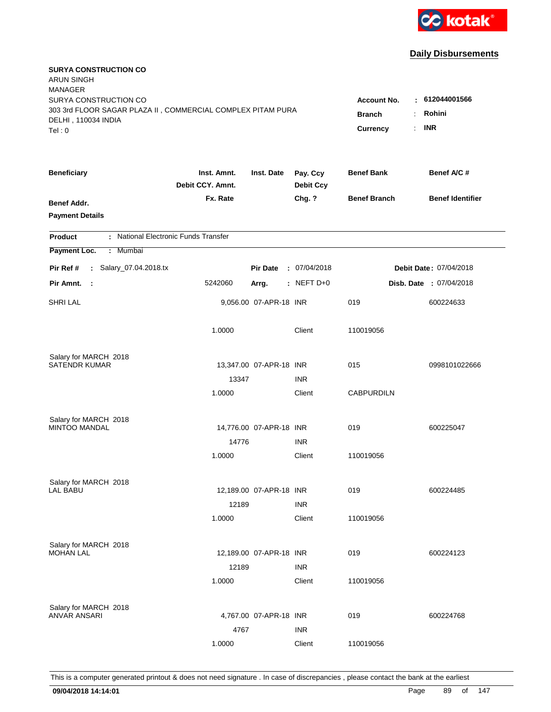

| <b>SURYA CONSTRUCTION CO</b><br><b>ARUN SINGH</b><br><b>MANAGER</b>                                         |                                           |                          |                              |                     |                         |
|-------------------------------------------------------------------------------------------------------------|-------------------------------------------|--------------------------|------------------------------|---------------------|-------------------------|
| SURYA CONSTRUCTION CO<br>303 3rd FLOOR SAGAR PLAZA II, COMMERCIAL COMPLEX PITAM PURA<br>DELHI, 110034 INDIA | <b>Account No.</b><br><b>Branch</b><br>÷. | : 612044001566<br>Rohini |                              |                     |                         |
| Tel: 0                                                                                                      |                                           |                          |                              | Currency<br>÷.      | <b>INR</b>              |
| <b>Beneficiary</b>                                                                                          | Inst. Amnt.<br>Debit CCY. Amnt.           | Inst. Date               | Pay. Ccy<br><b>Debit Ccy</b> | <b>Benef Bank</b>   | Benef A/C #             |
| Benef Addr.<br><b>Payment Details</b>                                                                       | Fx. Rate                                  |                          | Chg. ?                       | <b>Benef Branch</b> | <b>Benef Identifier</b> |
| : National Electronic Funds Transfer<br><b>Product</b>                                                      |                                           |                          |                              |                     |                         |
| Payment Loc.<br>Mumbai<br>÷.                                                                                |                                           |                          |                              |                     |                         |
| : Salary_07.04.2018.tx<br>Pir Ref #                                                                         |                                           | <b>Pir Date</b>          | : 07/04/2018                 |                     | Debit Date: 07/04/2018  |
| Pir Amnt.<br>- 1                                                                                            | 5242060                                   | Arrg.                    | : NEFT D+0                   |                     | Disb. Date : 07/04/2018 |
| <b>SHRI LAL</b>                                                                                             |                                           | 9,056.00 07-APR-18 INR   |                              | 019                 | 600224633               |
|                                                                                                             | 1.0000                                    |                          | Client                       | 110019056           |                         |
| Salary for MARCH 2018                                                                                       |                                           |                          |                              |                     |                         |
| <b>SATENDR KUMAR</b>                                                                                        |                                           | 13,347.00 07-APR-18 INR  |                              | 015                 | 0998101022666           |
|                                                                                                             | 13347                                     |                          | <b>INR</b>                   |                     |                         |
|                                                                                                             | 1.0000                                    |                          | Client                       | <b>CABPURDILN</b>   |                         |
| Salary for MARCH 2018                                                                                       |                                           |                          |                              |                     |                         |
| <b>MINTOO MANDAL</b>                                                                                        |                                           | 14,776.00 07-APR-18 INR  |                              | 019                 | 600225047               |
|                                                                                                             | 14776                                     |                          | <b>INR</b>                   |                     |                         |
|                                                                                                             | 1.0000                                    |                          | Client                       | 110019056           |                         |
| Salary for MARCH 2018                                                                                       |                                           |                          |                              |                     |                         |
| LAL BABU                                                                                                    |                                           | 12,189.00 07-APR-18 INR  |                              | 019                 | 600224485               |
|                                                                                                             | 12189                                     |                          | <b>INR</b>                   |                     |                         |
|                                                                                                             | 1.0000                                    |                          | Client                       | 110019056           |                         |
| Salary for MARCH 2018                                                                                       |                                           |                          |                              |                     |                         |
| <b>MOHAN LAL</b>                                                                                            |                                           | 12,189.00 07-APR-18 INR  |                              | 019                 | 600224123               |
|                                                                                                             | 12189                                     |                          | <b>INR</b>                   |                     |                         |
|                                                                                                             | 1.0000                                    |                          | Client                       | 110019056           |                         |
|                                                                                                             |                                           |                          |                              |                     |                         |
| Salary for MARCH 2018<br><b>ANVAR ANSARI</b>                                                                |                                           | 4,767.00 07-APR-18 INR   |                              | 019                 | 600224768               |
|                                                                                                             | 4767                                      |                          | <b>INR</b>                   |                     |                         |
|                                                                                                             | 1.0000                                    |                          | Client                       | 110019056           |                         |
|                                                                                                             |                                           |                          |                              |                     |                         |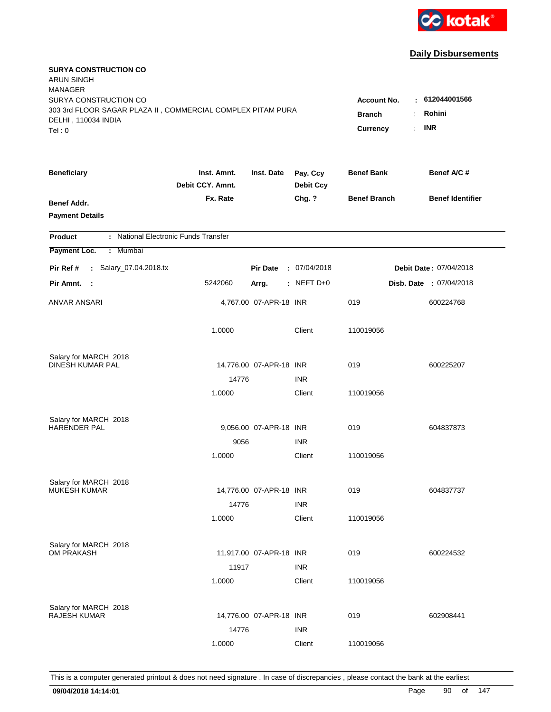

| <b>SURYA CONSTRUCTION CO</b><br><b>ARUN SINGH</b><br><b>MANAGER</b>                                                   |                                                 |                                                   |                              |                     |                         |
|-----------------------------------------------------------------------------------------------------------------------|-------------------------------------------------|---------------------------------------------------|------------------------------|---------------------|-------------------------|
| SURYA CONSTRUCTION CO<br>303 3rd FLOOR SAGAR PLAZA II, COMMERCIAL COMPLEX PITAM PURA<br>DELHI, 110034 INDIA<br>Tel: 0 | <b>Account No.</b><br><b>Branch</b><br>Currency | : 612044001566<br>Rohini<br>÷<br><b>INR</b><br>÷. |                              |                     |                         |
| <b>Beneficiary</b>                                                                                                    | Inst. Amnt.<br>Debit CCY. Amnt.                 | Inst. Date                                        | Pay. Ccy<br><b>Debit Ccy</b> | <b>Benef Bank</b>   | Benef A/C #             |
| Benef Addr.<br><b>Payment Details</b>                                                                                 | Fx. Rate                                        |                                                   | Chg. ?                       | <b>Benef Branch</b> | <b>Benef Identifier</b> |
| : National Electronic Funds Transfer<br><b>Product</b>                                                                |                                                 |                                                   |                              |                     |                         |
| Payment Loc.<br>: Mumbai                                                                                              |                                                 |                                                   |                              |                     |                         |
| : Salary_07.04.2018.tx<br>Pir Ref #                                                                                   |                                                 | <b>Pir Date</b>                                   | : 07/04/2018                 |                     | Debit Date: 07/04/2018  |
| Pir Amnt. :                                                                                                           | 5242060                                         | Arrg.                                             | : NEFT $D+0$                 |                     | Disb. Date : 07/04/2018 |
| ANVAR ANSARI                                                                                                          |                                                 | 4,767.00 07-APR-18 INR                            |                              | 019                 | 600224768               |
|                                                                                                                       | 1.0000                                          |                                                   | Client                       | 110019056           |                         |
| Salary for MARCH 2018                                                                                                 |                                                 |                                                   |                              |                     |                         |
| DINESH KUMAR PAL                                                                                                      |                                                 | 14,776.00 07-APR-18 INR                           |                              | 019                 | 600225207               |
|                                                                                                                       | 14776                                           |                                                   | <b>INR</b>                   |                     |                         |
|                                                                                                                       | 1.0000                                          |                                                   | Client                       | 110019056           |                         |
| Salary for MARCH 2018                                                                                                 |                                                 |                                                   |                              |                     |                         |
| <b>HARENDER PAL</b>                                                                                                   |                                                 | 9,056.00 07-APR-18 INR                            |                              | 019                 | 604837873               |
|                                                                                                                       | 9056                                            |                                                   | <b>INR</b>                   |                     |                         |
|                                                                                                                       | 1.0000                                          |                                                   | Client                       | 110019056           |                         |
| Salary for MARCH 2018                                                                                                 |                                                 |                                                   |                              |                     |                         |
| <b>MUKESH KUMAR</b>                                                                                                   |                                                 | 14,776.00 07-APR-18 INR                           |                              | 019                 | 604837737               |
|                                                                                                                       | 14776                                           |                                                   | <b>INR</b>                   |                     |                         |
|                                                                                                                       | 1.0000                                          |                                                   | Client                       | 110019056           |                         |
| Salary for MARCH 2018                                                                                                 |                                                 |                                                   |                              |                     |                         |
| <b>OM PRAKASH</b>                                                                                                     |                                                 | 11,917.00 07-APR-18 INR                           |                              | 019                 | 600224532               |
|                                                                                                                       | 11917                                           |                                                   | <b>INR</b>                   |                     |                         |
|                                                                                                                       | 1.0000                                          |                                                   | Client                       | 110019056           |                         |
| Salary for MARCH 2018                                                                                                 |                                                 |                                                   |                              |                     |                         |
| <b>RAJESH KUMAR</b>                                                                                                   |                                                 | 14,776.00 07-APR-18 INR                           |                              | 019                 | 602908441               |
|                                                                                                                       | 14776                                           |                                                   | <b>INR</b>                   |                     |                         |
|                                                                                                                       | 1.0000                                          |                                                   | Client                       | 110019056           |                         |
|                                                                                                                       |                                                 |                                                   |                              |                     |                         |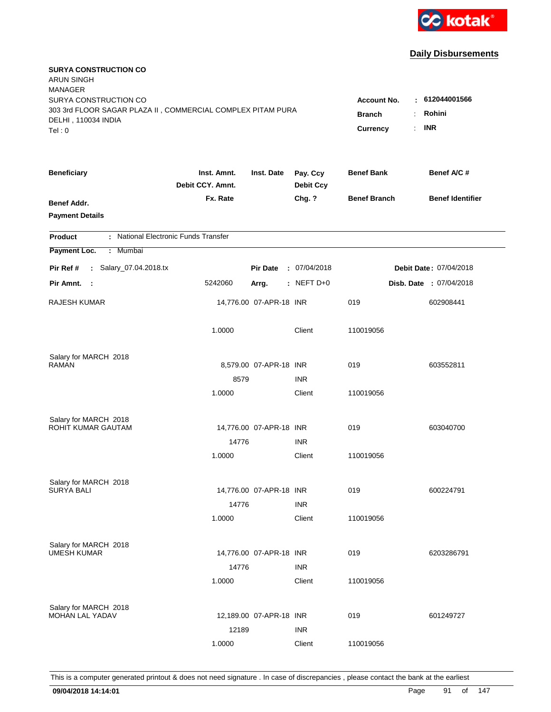

| <b>SURYA CONSTRUCTION CO</b><br><b>ARUN SINGH</b><br><b>MANAGER</b>                  |                                 |                         |                              |                                  |                         |
|--------------------------------------------------------------------------------------|---------------------------------|-------------------------|------------------------------|----------------------------------|-------------------------|
| SURYA CONSTRUCTION CO<br>303 3rd FLOOR SAGAR PLAZA II, COMMERCIAL COMPLEX PITAM PURA |                                 |                         |                              | <b>Account No.</b>               | $-612044001566$         |
| DELHI, 110034 INDIA<br>Tel: 0                                                        |                                 |                         | <b>Branch</b><br>Currency    | Rohini<br>÷.<br><b>INR</b><br>÷. |                         |
| <b>Beneficiary</b>                                                                   | Inst. Amnt.<br>Debit CCY. Amnt. | Inst. Date              | Pay. Ccy<br><b>Debit Ccy</b> | <b>Benef Bank</b>                | Benef A/C #             |
| Benef Addr.<br><b>Payment Details</b>                                                | Fx. Rate                        |                         | Chg. ?                       | <b>Benef Branch</b>              | <b>Benef Identifier</b> |
| : National Electronic Funds Transfer<br><b>Product</b>                               |                                 |                         |                              |                                  |                         |
| Payment Loc.<br>: Mumbai                                                             |                                 |                         |                              |                                  |                         |
| : Salary_07.04.2018.tx<br>Pir Ref #                                                  |                                 | <b>Pir Date</b>         | : 07/04/2018                 |                                  | Debit Date: 07/04/2018  |
| Pir Amnt. :                                                                          | 5242060                         | Arrg.                   | : NEFT $D+0$                 |                                  | Disb. Date : 07/04/2018 |
| RAJESH KUMAR                                                                         |                                 | 14,776.00 07-APR-18 INR |                              | 019                              | 602908441               |
|                                                                                      | 1.0000                          |                         | Client                       | 110019056                        |                         |
| Salary for MARCH 2018                                                                |                                 |                         |                              |                                  |                         |
| <b>RAMAN</b>                                                                         |                                 | 8,579.00 07-APR-18 INR  |                              | 019                              | 603552811               |
|                                                                                      | 8579                            |                         | <b>INR</b>                   |                                  |                         |
|                                                                                      | 1.0000                          |                         | Client                       | 110019056                        |                         |
| Salary for MARCH 2018                                                                |                                 |                         |                              |                                  |                         |
| ROHIT KUMAR GAUTAM                                                                   |                                 | 14,776.00 07-APR-18 INR |                              | 019                              | 603040700               |
|                                                                                      | 14776                           |                         | <b>INR</b>                   |                                  |                         |
|                                                                                      | 1.0000                          |                         | Client                       | 110019056                        |                         |
| Salary for MARCH 2018                                                                |                                 |                         |                              |                                  |                         |
| <b>SURYA BALI</b>                                                                    |                                 | 14,776.00 07-APR-18 INR |                              | 019                              | 600224791               |
|                                                                                      | 14776                           |                         | <b>INR</b>                   |                                  |                         |
|                                                                                      | 1.0000                          |                         | Client                       | 110019056                        |                         |
| Salary for MARCH 2018                                                                |                                 |                         |                              |                                  |                         |
| <b>UMESH KUMAR</b>                                                                   |                                 | 14,776.00 07-APR-18 INR |                              | 019                              | 6203286791              |
|                                                                                      | 14776                           |                         | <b>INR</b>                   |                                  |                         |
|                                                                                      | 1.0000                          |                         | Client                       | 110019056                        |                         |
| Salary for MARCH 2018                                                                |                                 |                         |                              |                                  |                         |
| MOHAN LAL YADAV                                                                      |                                 | 12,189.00 07-APR-18 INR |                              | 019                              | 601249727               |
|                                                                                      | 12189                           |                         | <b>INR</b>                   |                                  |                         |
|                                                                                      | 1.0000                          |                         | Client                       | 110019056                        |                         |
|                                                                                      |                                 |                         |                              |                                  |                         |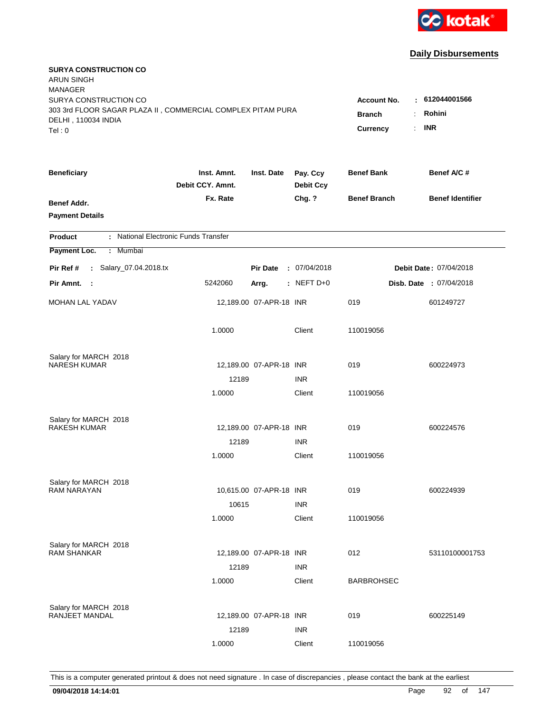

| <b>SURYA CONSTRUCTION CO</b><br><b>ARUN SINGH</b><br><b>MANAGER</b><br>SURYA CONSTRUCTION CO<br>303 3rd FLOOR SAGAR PLAZA II, COMMERCIAL COMPLEX PITAM PURA<br>DELHI, 110034 INDIA<br>Tel: 0 | <b>Account No.</b><br><b>Branch</b><br>Currency | : 612044001566<br>Rohini<br><b>INR</b><br>÷. |                              |                     |                               |
|----------------------------------------------------------------------------------------------------------------------------------------------------------------------------------------------|-------------------------------------------------|----------------------------------------------|------------------------------|---------------------|-------------------------------|
| <b>Beneficiary</b>                                                                                                                                                                           | Inst. Amnt.<br>Debit CCY. Amnt.                 | Inst. Date                                   | Pay. Ccy<br><b>Debit Ccy</b> | <b>Benef Bank</b>   | Benef A/C #                   |
| Benef Addr.<br><b>Payment Details</b>                                                                                                                                                        | Fx. Rate                                        |                                              | Chg. ?                       | <b>Benef Branch</b> | <b>Benef Identifier</b>       |
| : National Electronic Funds Transfer<br><b>Product</b>                                                                                                                                       |                                                 |                                              |                              |                     |                               |
| Payment Loc.<br>: Mumbai                                                                                                                                                                     |                                                 |                                              |                              |                     |                               |
| : Salary_07.04.2018.tx<br>Pir Ref #                                                                                                                                                          |                                                 | <b>Pir Date</b>                              | : 07/04/2018                 |                     | <b>Debit Date: 07/04/2018</b> |
| Pir Amnt. :                                                                                                                                                                                  | 5242060                                         | Arrg.                                        | : NEFT D+0                   |                     | Disb. Date : 07/04/2018       |
| <b>MOHAN LAL YADAV</b>                                                                                                                                                                       |                                                 | 12,189.00 07-APR-18 INR                      |                              | 019                 | 601249727                     |
|                                                                                                                                                                                              | 1.0000                                          |                                              | Client                       | 110019056           |                               |
| Salary for MARCH 2018<br><b>NARESH KUMAR</b>                                                                                                                                                 |                                                 |                                              |                              | 019                 |                               |
|                                                                                                                                                                                              | 12189                                           | 12,189.00 07-APR-18 INR                      | <b>INR</b>                   |                     | 600224973                     |
|                                                                                                                                                                                              | 1.0000                                          |                                              | Client                       | 110019056           |                               |
| Salary for MARCH 2018<br><b>RAKESH KUMAR</b>                                                                                                                                                 |                                                 | 12,189.00 07-APR-18 INR                      |                              | 019                 | 600224576                     |
|                                                                                                                                                                                              | 12189                                           |                                              | <b>INR</b>                   |                     |                               |
|                                                                                                                                                                                              | 1.0000                                          |                                              | Client                       | 110019056           |                               |
| Salary for MARCH 2018                                                                                                                                                                        |                                                 |                                              |                              |                     |                               |
| <b>RAM NARAYAN</b>                                                                                                                                                                           |                                                 | 10,615.00 07-APR-18 INR                      |                              | 019                 | 600224939                     |
|                                                                                                                                                                                              | 10615                                           |                                              | <b>INR</b>                   |                     |                               |
|                                                                                                                                                                                              | 1.0000                                          |                                              | Client                       | 110019056           |                               |
| Salary for MARCH 2018                                                                                                                                                                        |                                                 |                                              |                              |                     |                               |
| <b>RAM SHANKAR</b>                                                                                                                                                                           |                                                 | 12,189.00 07-APR-18 INR                      |                              | 012                 | 53110100001753                |
|                                                                                                                                                                                              | 12189<br>1.0000                                 |                                              | <b>INR</b><br>Client         | <b>BARBROHSEC</b>   |                               |
|                                                                                                                                                                                              |                                                 |                                              |                              |                     |                               |
| Salary for MARCH 2018<br>RANJEET MANDAL                                                                                                                                                      |                                                 | 12,189.00 07-APR-18 INR                      |                              | 019                 | 600225149                     |
|                                                                                                                                                                                              | 12189                                           |                                              | <b>INR</b>                   |                     |                               |
|                                                                                                                                                                                              | 1.0000                                          |                                              | Client                       | 110019056           |                               |
|                                                                                                                                                                                              |                                                 |                                              |                              |                     |                               |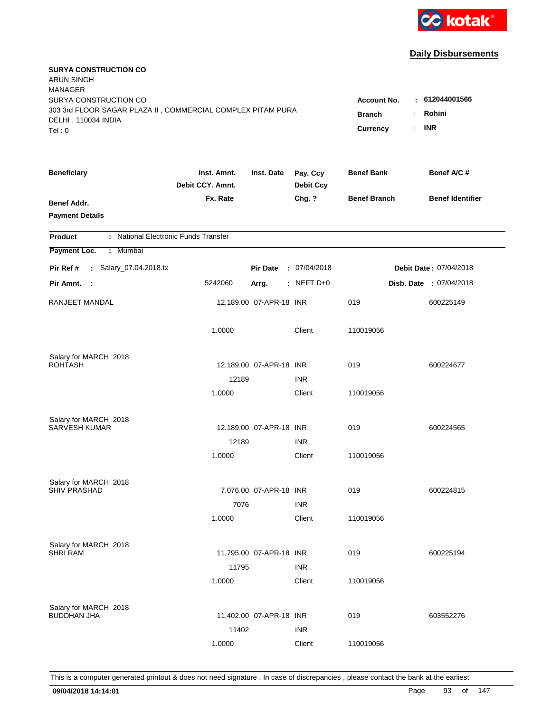

| SURYA CONSTRUCTION CO                                                                        |                                                 |                                                                           |                              |                     |                               |
|----------------------------------------------------------------------------------------------|-------------------------------------------------|---------------------------------------------------------------------------|------------------------------|---------------------|-------------------------------|
| 303 3rd FLOOR SAGAR PLAZA II, COMMERCIAL COMPLEX PITAM PURA<br>DELHI, 110034 INDIA<br>Tel: 0 | <b>Account No.</b><br><b>Branch</b><br>Currency | : 612044001566<br>Rohini<br>÷.<br><b>INR</b><br>$\mathbb{R}^{\mathbb{Z}}$ |                              |                     |                               |
| <b>Beneficiary</b>                                                                           | Inst. Amnt.<br>Debit CCY. Amnt.                 | Inst. Date                                                                | Pay. Ccy<br><b>Debit Ccy</b> | <b>Benef Bank</b>   | Benef A/C #                   |
| Benef Addr.<br><b>Payment Details</b>                                                        | Fx. Rate                                        |                                                                           | Chg. ?                       | <b>Benef Branch</b> | <b>Benef Identifier</b>       |
| <b>Product</b>                                                                               | : National Electronic Funds Transfer            |                                                                           |                              |                     |                               |
| Payment Loc.<br>: Mumbai                                                                     |                                                 |                                                                           |                              |                     |                               |
| : Salary_07.04.2018.tx<br>Pir Ref #                                                          |                                                 | <b>Pir Date</b>                                                           | : 07/04/2018                 |                     | <b>Debit Date: 07/04/2018</b> |
| Pir Amnt. :                                                                                  | 5242060                                         | Arrg.                                                                     | : NEFT $D+0$                 |                     | Disb. Date : 07/04/2018       |
| RANJEET MANDAL                                                                               |                                                 | 12,189.00 07-APR-18 INR                                                   |                              | 019                 | 600225149                     |
|                                                                                              | 1.0000                                          |                                                                           | Client                       | 110019056           |                               |
| Salary for MARCH 2018                                                                        |                                                 |                                                                           |                              |                     |                               |
| <b>ROHTASH</b>                                                                               |                                                 | 12,189.00 07-APR-18 INR                                                   |                              | 019                 | 600224677                     |
|                                                                                              | 12189                                           |                                                                           | <b>INR</b>                   |                     |                               |
|                                                                                              | 1.0000                                          |                                                                           | Client                       | 110019056           |                               |
| Salary for MARCH 2018                                                                        |                                                 |                                                                           |                              |                     |                               |
| <b>SARVESH KUMAR</b>                                                                         |                                                 | 12,189.00 07-APR-18 INR                                                   |                              | 019                 | 600224565                     |
|                                                                                              | 12189                                           |                                                                           | <b>INR</b>                   |                     |                               |
|                                                                                              | 1.0000                                          |                                                                           | Client                       | 110019056           |                               |
| Salary for MARCH 2018                                                                        |                                                 |                                                                           |                              |                     |                               |
| <b>SHIV PRASHAD</b>                                                                          |                                                 | 7,076.00 07-APR-18 INR                                                    |                              | 019                 | 600224815                     |
|                                                                                              | 7076                                            |                                                                           | <b>INR</b>                   |                     |                               |
|                                                                                              | 1.0000                                          |                                                                           | Client                       | 110019056           |                               |
| Salary for MARCH 2018                                                                        |                                                 |                                                                           |                              |                     |                               |
| <b>SHRI RAM</b>                                                                              |                                                 | 11,795.00 07-APR-18 INR                                                   |                              | 019                 | 600225194                     |
|                                                                                              | 11795                                           |                                                                           | <b>INR</b>                   |                     |                               |
|                                                                                              | 1.0000                                          |                                                                           | Client                       | 110019056           |                               |
| Salary for MARCH 2018                                                                        |                                                 |                                                                           |                              |                     |                               |
| <b>BUDDHAN JHA</b>                                                                           |                                                 | 11,402.00 07-APR-18 INR                                                   |                              | 019                 | 603552276                     |
|                                                                                              | 11402                                           |                                                                           | <b>INR</b>                   |                     |                               |
|                                                                                              | 1.0000                                          |                                                                           | Client                       | 110019056           |                               |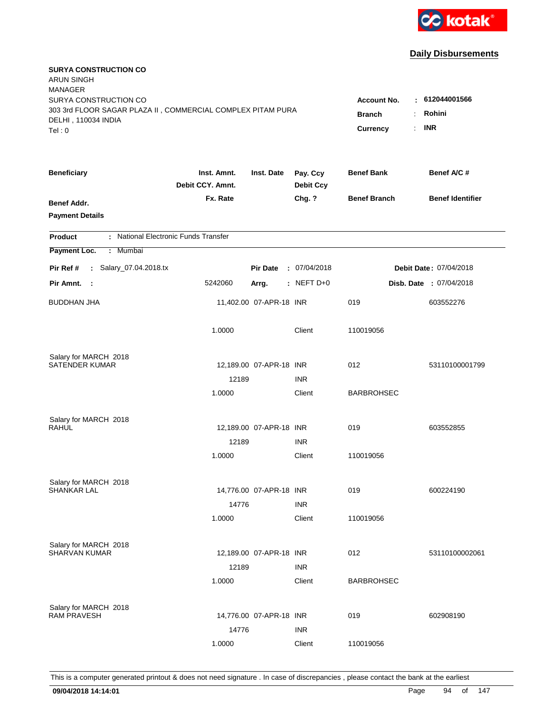

| <b>SURYA CONSTRUCTION CO</b><br><b>ARUN SINGH</b><br><b>MANAGER</b>                  |                                 |                         |                              |                                           |                               |
|--------------------------------------------------------------------------------------|---------------------------------|-------------------------|------------------------------|-------------------------------------------|-------------------------------|
| SURYA CONSTRUCTION CO<br>303 3rd FLOOR SAGAR PLAZA II, COMMERCIAL COMPLEX PITAM PURA |                                 |                         |                              | <b>Account No.</b><br><b>Branch</b><br>÷. | : 612044001566<br>Rohini      |
| DELHI, 110034 INDIA<br>Tel: 0                                                        |                                 |                         |                              | Currency<br>÷.                            | <b>INR</b>                    |
| <b>Beneficiary</b>                                                                   | Inst. Amnt.<br>Debit CCY. Amnt. | Inst. Date              | Pay. Ccy<br><b>Debit Ccy</b> | <b>Benef Bank</b>                         | Benef A/C #                   |
| Benef Addr.<br><b>Payment Details</b>                                                | Fx. Rate                        |                         | Chg. ?                       | <b>Benef Branch</b>                       | <b>Benef Identifier</b>       |
| : National Electronic Funds Transfer<br><b>Product</b>                               |                                 |                         |                              |                                           |                               |
| Payment Loc.<br>: Mumbai                                                             |                                 |                         |                              |                                           |                               |
| : Salary_07.04.2018.tx<br>Pir Ref #                                                  |                                 | <b>Pir Date</b>         | : 07/04/2018                 |                                           | <b>Debit Date: 07/04/2018</b> |
| Pir Amnt. :                                                                          | 5242060                         | Arrg.                   | : NEFT $D+0$                 |                                           | Disb. Date : 07/04/2018       |
| <b>BUDDHAN JHA</b>                                                                   |                                 | 11,402.00 07-APR-18 INR |                              | 019                                       | 603552276                     |
|                                                                                      | 1.0000                          |                         | Client                       | 110019056                                 |                               |
| Salary for MARCH 2018                                                                |                                 |                         |                              |                                           |                               |
| <b>SATENDER KUMAR</b>                                                                |                                 | 12,189.00 07-APR-18 INR |                              | 012                                       | 53110100001799                |
|                                                                                      | 12189                           |                         | <b>INR</b>                   |                                           |                               |
|                                                                                      | 1.0000                          |                         | Client                       | <b>BARBROHSEC</b>                         |                               |
| Salary for MARCH 2018                                                                |                                 |                         |                              |                                           |                               |
| <b>RAHUL</b>                                                                         |                                 | 12,189.00 07-APR-18 INR |                              | 019                                       | 603552855                     |
|                                                                                      | 12189                           |                         | <b>INR</b>                   |                                           |                               |
|                                                                                      | 1.0000                          |                         | Client                       | 110019056                                 |                               |
| Salary for MARCH 2018                                                                |                                 |                         |                              |                                           |                               |
| <b>SHANKAR LAL</b>                                                                   |                                 | 14,776.00 07-APR-18 INR |                              | 019                                       | 600224190                     |
|                                                                                      | 14776                           |                         | <b>INR</b>                   |                                           |                               |
|                                                                                      | 1.0000                          |                         | Client                       | 110019056                                 |                               |
| Salary for MARCH 2018                                                                |                                 |                         |                              |                                           |                               |
| <b>SHARVAN KUMAR</b>                                                                 |                                 | 12,189.00 07-APR-18 INR |                              | 012                                       | 53110100002061                |
|                                                                                      | 12189                           |                         | <b>INR</b>                   |                                           |                               |
|                                                                                      | 1.0000                          |                         | Client                       | <b>BARBROHSEC</b>                         |                               |
|                                                                                      |                                 |                         |                              |                                           |                               |
| Salary for MARCH 2018<br><b>RAM PRAVESH</b>                                          |                                 | 14,776.00 07-APR-18 INR |                              | 019                                       | 602908190                     |
|                                                                                      | 14776                           |                         | <b>INR</b>                   |                                           |                               |
|                                                                                      | 1.0000                          |                         | Client                       | 110019056                                 |                               |
|                                                                                      |                                 |                         |                              |                                           |                               |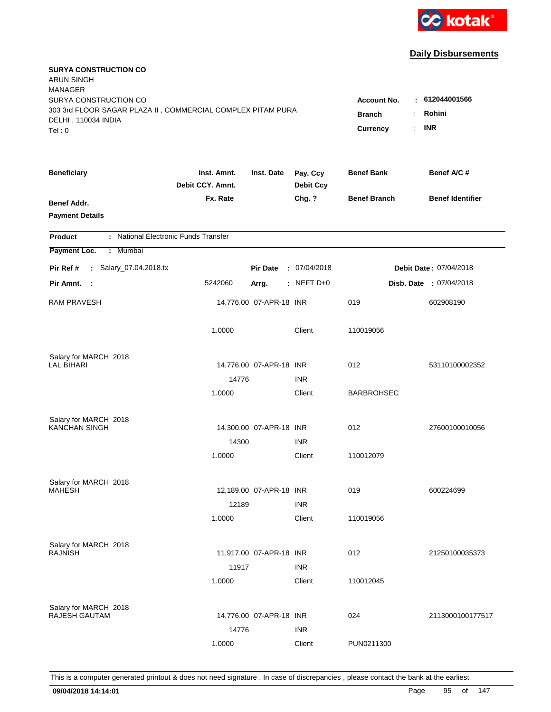

| <b>SURYA CONSTRUCTION CO</b><br><b>ARUN SINGH</b><br><b>MANAGER</b><br>SURYA CONSTRUCTION CO |                                               |                         |                              |                     | 612044001566            |
|----------------------------------------------------------------------------------------------|-----------------------------------------------|-------------------------|------------------------------|---------------------|-------------------------|
| 303 3rd FLOOR SAGAR PLAZA II, COMMERCIAL COMPLEX PITAM PURA<br>DELHI, 110034 INDIA<br>Tel: 0 | Account No.<br>÷<br><b>Branch</b><br>Currency | Rohini<br><b>INR</b>    |                              |                     |                         |
| <b>Beneficiary</b>                                                                           | Inst. Amnt.<br>Debit CCY. Amnt.               | Inst. Date              | Pay. Ccy<br><b>Debit Ccy</b> | <b>Benef Bank</b>   | Benef A/C #             |
| Benef Addr.<br><b>Payment Details</b>                                                        | Fx. Rate                                      |                         | Chg. ?                       | <b>Benef Branch</b> | <b>Benef Identifier</b> |
| : National Electronic Funds Transfer<br><b>Product</b>                                       |                                               |                         |                              |                     |                         |
| Payment Loc.<br>: Mumbai                                                                     |                                               |                         |                              |                     |                         |
| : Salary_07.04.2018.tx<br>Pir Ref #                                                          |                                               | <b>Pir Date</b>         | : 07/04/2018                 |                     | Debit Date: 07/04/2018  |
| Pir Amnt. :                                                                                  | 5242060                                       | Arrg.                   | $:$ NEFT D+0                 |                     | Disb. Date : 07/04/2018 |
| <b>RAM PRAVESH</b>                                                                           |                                               | 14,776.00 07-APR-18 INR |                              | 019                 | 602908190               |
|                                                                                              | 1.0000                                        |                         | Client                       | 110019056           |                         |
| Salary for MARCH 2018                                                                        |                                               |                         |                              |                     |                         |
| <b>LAL BIHARI</b>                                                                            |                                               | 14,776.00 07-APR-18 INR |                              | 012                 | 53110100002352          |
|                                                                                              | 14776<br>1.0000                               |                         | <b>INR</b><br>Client         | <b>BARBROHSEC</b>   |                         |
|                                                                                              |                                               |                         |                              |                     |                         |
| Salary for MARCH 2018<br><b>KANCHAN SINGH</b>                                                |                                               | 14,300.00 07-APR-18 INR |                              | 012                 | 27600100010056          |
|                                                                                              | 14300                                         |                         | <b>INR</b>                   |                     |                         |
|                                                                                              | 1.0000                                        |                         | Client                       | 110012079           |                         |
|                                                                                              |                                               |                         |                              |                     |                         |
| Salary for MARCH 2018                                                                        |                                               |                         |                              |                     |                         |
| <b>MAHESH</b>                                                                                |                                               | 12,189.00 07-APR-18 INR |                              | 019                 | 600224699               |
|                                                                                              | 12189<br>1.0000                               |                         | <b>INR</b><br>Client         | 110019056           |                         |
|                                                                                              |                                               |                         |                              |                     |                         |
| Salary for MARCH 2018                                                                        |                                               |                         |                              |                     |                         |
| <b>RAJNISH</b>                                                                               |                                               | 11,917.00 07-APR-18 INR |                              | 012                 | 21250100035373          |
|                                                                                              | 11917                                         |                         | <b>INR</b>                   |                     |                         |
|                                                                                              | 1.0000                                        |                         | Client                       | 110012045           |                         |
| Salary for MARCH 2018                                                                        |                                               |                         |                              |                     |                         |
| RAJESH GAUTAM                                                                                |                                               | 14,776.00 07-APR-18 INR |                              | 024                 | 2113000100177517        |
|                                                                                              | 14776                                         |                         | <b>INR</b>                   |                     |                         |
|                                                                                              | 1.0000                                        |                         | Client                       | PUN0211300          |                         |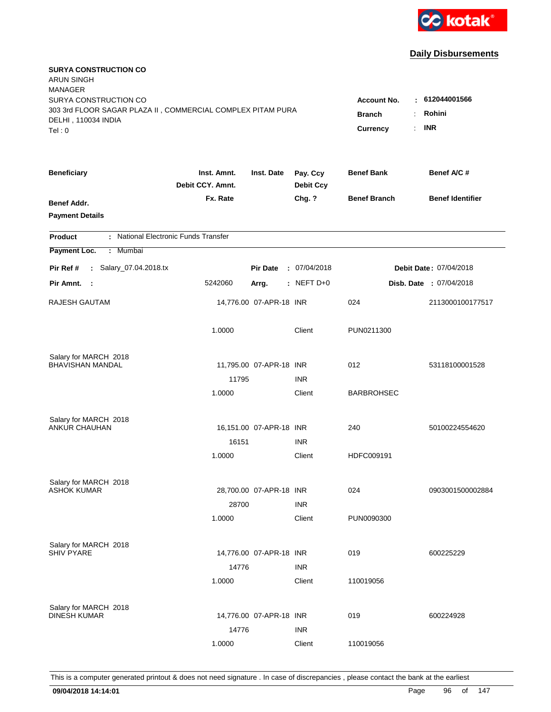

| <b>SURYA CONSTRUCTION CO</b><br>ARUN SINGH<br><b>MANAGER</b> |                                 |                         |                              |                     |                                |
|--------------------------------------------------------------|---------------------------------|-------------------------|------------------------------|---------------------|--------------------------------|
| SURYA CONSTRUCTION CO                                        |                                 |                         |                              | <b>Account No.</b>  | : 612044001566                 |
| 303 3rd FLOOR SAGAR PLAZA II, COMMERCIAL COMPLEX PITAM PURA  |                                 |                         |                              | <b>Branch</b><br>÷. | Rohini                         |
| DELHI, 110034 INDIA                                          |                                 |                         |                              | Currency<br>÷.      | <b>INR</b>                     |
| Tel: 0                                                       |                                 |                         |                              |                     |                                |
| <b>Beneficiary</b>                                           | Inst. Amnt.<br>Debit CCY. Amnt. | Inst. Date              | Pay. Ccy<br><b>Debit Ccy</b> | <b>Benef Bank</b>   | Benef A/C #                    |
| Benef Addr.                                                  | Fx. Rate                        |                         | Chg. ?                       | <b>Benef Branch</b> | <b>Benef Identifier</b>        |
| <b>Payment Details</b>                                       |                                 |                         |                              |                     |                                |
| : National Electronic Funds Transfer<br><b>Product</b>       |                                 |                         |                              |                     |                                |
| Payment Loc.<br>: Mumbai                                     |                                 |                         |                              |                     |                                |
| : Salary_07.04.2018.tx<br>Pir Ref #                          |                                 | <b>Pir Date</b>         | : 07/04/2018                 |                     | Debit Date: 07/04/2018         |
| Pir Amnt.<br>$\sim$ 1                                        | 5242060                         | Arrg.                   | $:$ NEFT D+0                 |                     | <b>Disb. Date : 07/04/2018</b> |
| RAJESH GAUTAM                                                |                                 | 14,776.00 07-APR-18 INR |                              | 024                 | 2113000100177517               |
|                                                              | 1.0000                          |                         | Client                       | PUN0211300          |                                |
| Salary for MARCH 2018                                        |                                 |                         |                              |                     |                                |
| <b>BHAVISHAN MANDAL</b>                                      |                                 | 11,795.00 07-APR-18 INR |                              | 012                 | 53118100001528                 |
|                                                              | 11795                           |                         | <b>INR</b>                   |                     |                                |
|                                                              | 1.0000                          |                         | Client                       | <b>BARBROHSEC</b>   |                                |
| Salary for MARCH 2018                                        |                                 |                         |                              |                     |                                |
| <b>ANKUR CHAUHAN</b>                                         |                                 | 16,151.00 07-APR-18 INR |                              | 240                 | 50100224554620                 |
|                                                              | 16151                           |                         | <b>INR</b>                   |                     |                                |
|                                                              | 1.0000                          |                         | Client                       | HDFC009191          |                                |
| Salary for MARCH 2018                                        |                                 |                         |                              |                     |                                |
| <b>ASHOK KUMAR</b>                                           |                                 | 28,700.00 07-APR-18 INR |                              | 024                 | 0903001500002884               |
|                                                              | 28700                           |                         | <b>INR</b>                   |                     |                                |
|                                                              | 1.0000                          |                         | Client                       | PUN0090300          |                                |
| Salary for MARCH 2018                                        |                                 |                         |                              |                     |                                |
| <b>SHIV PYARE</b>                                            |                                 | 14,776.00 07-APR-18 INR |                              | 019                 | 600225229                      |
|                                                              | 14776                           |                         | <b>INR</b>                   |                     |                                |
|                                                              | 1.0000                          |                         | Client                       | 110019056           |                                |
| Salary for MARCH 2018                                        |                                 |                         |                              |                     |                                |
| <b>DINESH KUMAR</b>                                          |                                 | 14,776.00 07-APR-18 INR |                              | 019                 | 600224928                      |
|                                                              | 14776                           |                         | <b>INR</b>                   |                     |                                |
|                                                              | 1.0000                          |                         | Client                       | 110019056           |                                |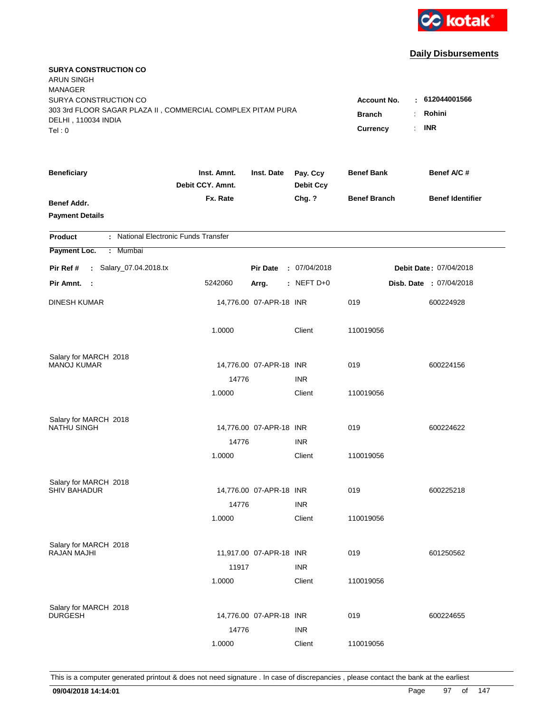

| <b>SURYA CONSTRUCTION CO</b><br><b>ARUN SINGH</b><br><b>MANAGER</b>                  |                                 |                         |                              |                           |                                 |
|--------------------------------------------------------------------------------------|---------------------------------|-------------------------|------------------------------|---------------------------|---------------------------------|
| SURYA CONSTRUCTION CO<br>303 3rd FLOOR SAGAR PLAZA II, COMMERCIAL COMPLEX PITAM PURA |                                 |                         |                              | <b>Account No.</b>        | $-612044001566$<br>Rohini<br>÷. |
| DELHI, 110034 INDIA<br>Tel: 0                                                        |                                 |                         |                              | <b>Branch</b><br>Currency | <b>INR</b><br>t.                |
| <b>Beneficiary</b>                                                                   | Inst. Amnt.<br>Debit CCY. Amnt. | Inst. Date              | Pay. Ccy<br><b>Debit Ccy</b> | <b>Benef Bank</b>         | Benef A/C #                     |
| Benef Addr.<br><b>Payment Details</b>                                                | Fx. Rate                        |                         | Chg. ?                       | <b>Benef Branch</b>       | <b>Benef Identifier</b>         |
| : National Electronic Funds Transfer<br><b>Product</b>                               |                                 |                         |                              |                           |                                 |
| Payment Loc.<br>: Mumbai                                                             |                                 |                         |                              |                           |                                 |
| : Salary_07.04.2018.tx<br>Pir Ref #                                                  |                                 | <b>Pir Date</b>         | : 07/04/2018                 |                           | Debit Date: 07/04/2018          |
| Pir Amnt. :                                                                          | 5242060                         | Arrg.                   | $:$ NEFT D+0                 |                           | Disb. Date: 07/04/2018          |
| <b>DINESH KUMAR</b>                                                                  |                                 | 14,776.00 07-APR-18 INR |                              | 019                       | 600224928                       |
|                                                                                      | 1.0000                          |                         | Client                       | 110019056                 |                                 |
| Salary for MARCH 2018                                                                |                                 |                         |                              |                           |                                 |
| <b>MANOJ KUMAR</b>                                                                   |                                 | 14,776.00 07-APR-18 INR |                              | 019                       | 600224156                       |
|                                                                                      | 14776                           |                         | <b>INR</b>                   |                           |                                 |
|                                                                                      | 1.0000                          |                         | Client                       | 110019056                 |                                 |
| Salary for MARCH 2018                                                                |                                 |                         |                              |                           |                                 |
| NATHU SINGH                                                                          |                                 | 14,776.00 07-APR-18 INR |                              | 019                       | 600224622                       |
|                                                                                      | 14776                           |                         | <b>INR</b>                   |                           |                                 |
|                                                                                      | 1.0000                          |                         | Client                       | 110019056                 |                                 |
| Salary for MARCH 2018                                                                |                                 |                         |                              |                           |                                 |
| <b>SHIV BAHADUR</b>                                                                  |                                 | 14,776.00 07-APR-18 INR |                              | 019                       | 600225218                       |
|                                                                                      | 14776                           |                         | <b>INR</b>                   |                           |                                 |
|                                                                                      | 1.0000                          |                         | Client                       | 110019056                 |                                 |
| Salary for MARCH 2018                                                                |                                 |                         |                              |                           |                                 |
| <b>RAJAN MAJHI</b>                                                                   |                                 | 11,917.00 07-APR-18 INR |                              | 019                       | 601250562                       |
|                                                                                      | 11917                           |                         | <b>INR</b>                   |                           |                                 |
|                                                                                      | 1.0000                          |                         | Client                       | 110019056                 |                                 |
| Salary for MARCH 2018                                                                |                                 |                         |                              |                           |                                 |
| <b>DURGESH</b>                                                                       |                                 | 14,776.00 07-APR-18 INR |                              | 019                       | 600224655                       |
|                                                                                      | 14776                           |                         | <b>INR</b>                   |                           |                                 |
|                                                                                      | 1.0000                          |                         | Client                       | 110019056                 |                                 |
|                                                                                      |                                 |                         |                              |                           |                                 |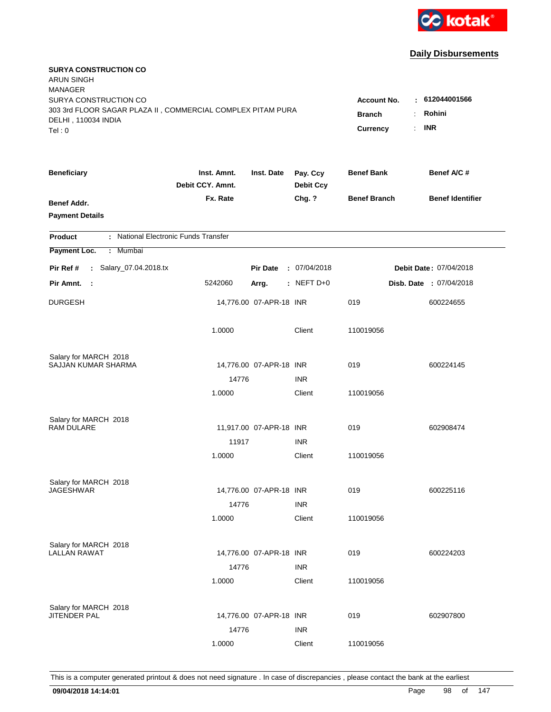

| <b>SURYA CONSTRUCTION CO</b><br><b>ARUN SINGH</b><br><b>MANAGER</b> |                                 |                         |                              |                     |                         |
|---------------------------------------------------------------------|---------------------------------|-------------------------|------------------------------|---------------------|-------------------------|
| SURYA CONSTRUCTION CO                                               |                                 |                         |                              | <b>Account No.</b>  | $\pm 612044001566$      |
| 303 3rd FLOOR SAGAR PLAZA II, COMMERCIAL COMPLEX PITAM PURA         |                                 | <b>Branch</b>           | Rohini                       |                     |                         |
| DELHI, 110034 INDIA                                                 |                                 |                         |                              |                     | <b>INR</b>              |
| Tel: 0                                                              |                                 |                         |                              | <b>Currency</b>     | ÷.                      |
| <b>Beneficiary</b>                                                  | Inst. Amnt.<br>Debit CCY. Amnt. | Inst. Date              | Pay. Ccy<br><b>Debit Ccy</b> | <b>Benef Bank</b>   | Benef A/C #             |
| Benef Addr.                                                         | Fx. Rate                        |                         | Chg. ?                       | <b>Benef Branch</b> | <b>Benef Identifier</b> |
| <b>Payment Details</b>                                              |                                 |                         |                              |                     |                         |
| : National Electronic Funds Transfer<br><b>Product</b>              |                                 |                         |                              |                     |                         |
| Payment Loc.<br>Mumbai<br>÷.                                        |                                 |                         |                              |                     |                         |
| : Salary_07.04.2018.tx<br>Pir Ref #                                 |                                 | <b>Pir Date</b>         | : 07/04/2018                 |                     | Debit Date: 07/04/2018  |
| Pir Amnt.<br>$\sim$ 1                                               | 5242060                         | Arrg.                   | : NEFT D+0                   |                     | Disb. Date : 07/04/2018 |
| <b>DURGESH</b>                                                      |                                 | 14,776.00 07-APR-18 INR |                              | 019                 | 600224655               |
|                                                                     | 1.0000                          |                         | Client                       | 110019056           |                         |
| Salary for MARCH 2018                                               |                                 |                         |                              |                     |                         |
| SAJJAN KUMAR SHARMA                                                 |                                 | 14,776.00 07-APR-18 INR |                              | 019                 | 600224145               |
|                                                                     | 14776                           |                         | <b>INR</b>                   |                     |                         |
|                                                                     | 1.0000                          |                         | Client                       | 110019056           |                         |
| Salary for MARCH 2018                                               |                                 |                         |                              |                     |                         |
| <b>RAM DULARE</b>                                                   |                                 | 11,917.00 07-APR-18 INR |                              | 019                 | 602908474               |
|                                                                     | 11917                           |                         | <b>INR</b>                   |                     |                         |
|                                                                     | 1.0000                          |                         | Client                       | 110019056           |                         |
| Salary for MARCH 2018                                               |                                 |                         |                              |                     |                         |
| <b>JAGESHWAR</b>                                                    |                                 | 14,776.00 07-APR-18 INR |                              | 019                 | 600225116               |
|                                                                     | 14776                           |                         | <b>INR</b>                   |                     |                         |
|                                                                     | 1.0000                          |                         | Client                       | 110019056           |                         |
| Salary for MARCH 2018                                               |                                 |                         |                              |                     |                         |
| <b>LALLAN RAWAT</b>                                                 |                                 | 14,776.00 07-APR-18 INR |                              | 019                 | 600224203               |
|                                                                     | 14776                           |                         | <b>INR</b>                   |                     |                         |
|                                                                     | 1.0000                          |                         | Client                       | 110019056           |                         |
| Salary for MARCH 2018                                               |                                 |                         |                              |                     |                         |
| JITENDER PAL                                                        |                                 | 14,776.00 07-APR-18 INR |                              | 019                 | 602907800               |
|                                                                     | 14776                           |                         | <b>INR</b>                   |                     |                         |
|                                                                     | 1.0000                          |                         | Client                       | 110019056           |                         |
|                                                                     |                                 |                         |                              |                     |                         |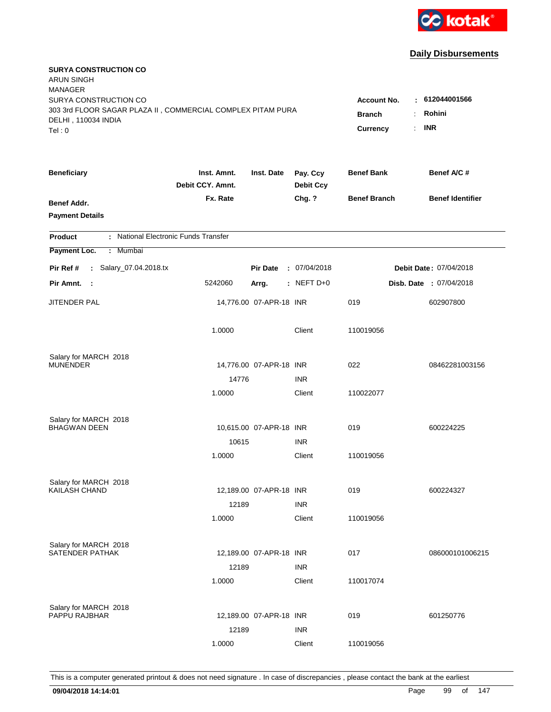

| <b>SURYA CONSTRUCTION CO</b><br><b>ARUN SINGH</b><br><b>MANAGER</b><br>SURYA CONSTRUCTION CO<br>303 3rd FLOOR SAGAR PLAZA II, COMMERCIAL COMPLEX PITAM PURA<br>DELHI, 110034 INDIA<br>Tel: 0 | <b>Account No.</b><br><b>Branch</b><br>Currency<br>÷. | $-612044001566$<br>Rohini<br><b>INR</b> |                              |                     |                                |
|----------------------------------------------------------------------------------------------------------------------------------------------------------------------------------------------|-------------------------------------------------------|-----------------------------------------|------------------------------|---------------------|--------------------------------|
| <b>Beneficiary</b>                                                                                                                                                                           | Inst. Amnt.<br>Debit CCY. Amnt.                       | Inst. Date                              | Pay. Ccy<br><b>Debit Ccy</b> | <b>Benef Bank</b>   | Benef A/C #                    |
| Benef Addr.<br><b>Payment Details</b>                                                                                                                                                        | Fx. Rate                                              |                                         | Chg. ?                       | <b>Benef Branch</b> | <b>Benef Identifier</b>        |
| : National Electronic Funds Transfer<br><b>Product</b>                                                                                                                                       |                                                       |                                         |                              |                     |                                |
| Payment Loc.<br>: Mumbai                                                                                                                                                                     |                                                       |                                         |                              |                     |                                |
| : Salary_07.04.2018.tx<br>Pir Ref #                                                                                                                                                          |                                                       | <b>Pir Date</b>                         | : 07/04/2018                 |                     | Debit Date: 07/04/2018         |
| Pir Amnt.<br>$\sim$ 1                                                                                                                                                                        | 5242060                                               | Arrg.                                   | : NEFT $D+0$                 |                     | <b>Disb. Date : 07/04/2018</b> |
| JITENDER PAL                                                                                                                                                                                 |                                                       | 14,776.00 07-APR-18 INR                 |                              | 019                 | 602907800                      |
|                                                                                                                                                                                              | 1.0000                                                |                                         | Client                       | 110019056           |                                |
| Salary for MARCH 2018                                                                                                                                                                        |                                                       |                                         |                              |                     |                                |
| <b>MUNENDER</b>                                                                                                                                                                              | 14776                                                 | 14,776.00 07-APR-18 INR                 | <b>INR</b>                   | 022                 | 08462281003156                 |
|                                                                                                                                                                                              | 1.0000                                                |                                         | Client                       | 110022077           |                                |
| Salary for MARCH 2018                                                                                                                                                                        |                                                       |                                         |                              |                     |                                |
| <b>BHAGWAN DEEN</b>                                                                                                                                                                          |                                                       | 10,615.00 07-APR-18 INR                 |                              | 019                 | 600224225                      |
|                                                                                                                                                                                              | 10615                                                 |                                         | <b>INR</b>                   |                     |                                |
|                                                                                                                                                                                              | 1.0000                                                |                                         | Client                       | 110019056           |                                |
| Salary for MARCH 2018                                                                                                                                                                        |                                                       |                                         |                              |                     |                                |
| <b>KAILASH CHAND</b>                                                                                                                                                                         |                                                       | 12,189.00 07-APR-18 INR                 |                              | 019                 | 600224327                      |
|                                                                                                                                                                                              | 12189<br>1.0000                                       |                                         | <b>INR</b><br>Client         | 110019056           |                                |
|                                                                                                                                                                                              |                                                       |                                         |                              |                     |                                |
| Salary for MARCH 2018                                                                                                                                                                        |                                                       |                                         |                              |                     |                                |
| SATENDER PATHAK                                                                                                                                                                              |                                                       | 12,189.00 07-APR-18 INR                 |                              | 017                 | 086000101006215                |
|                                                                                                                                                                                              | 12189<br>1.0000                                       |                                         | <b>INR</b><br>Client         | 110017074           |                                |
|                                                                                                                                                                                              |                                                       |                                         |                              |                     |                                |
| Salary for MARCH 2018<br>PAPPU RAJBHAR                                                                                                                                                       |                                                       |                                         |                              |                     |                                |
|                                                                                                                                                                                              |                                                       | 12,189.00 07-APR-18 INR                 |                              | 019                 | 601250776                      |
|                                                                                                                                                                                              | 12189<br>1.0000                                       |                                         | <b>INR</b><br>Client         | 110019056           |                                |
|                                                                                                                                                                                              |                                                       |                                         |                              |                     |                                |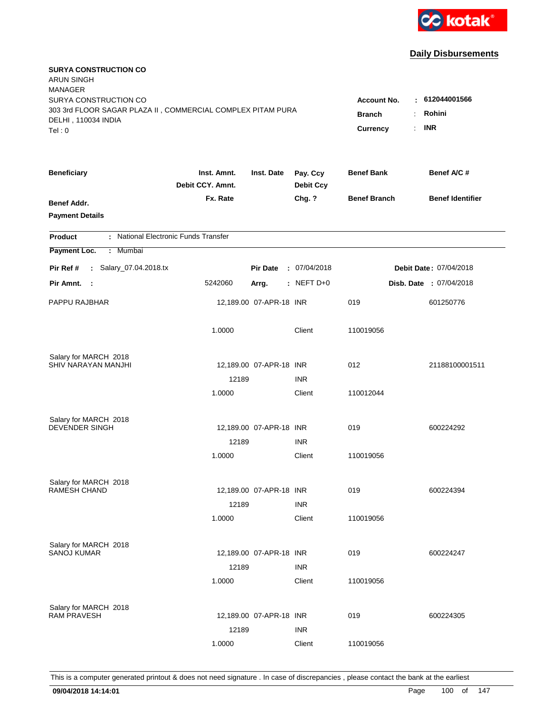

| <b>SURYA CONSTRUCTION CO</b><br><b>ARUN SINGH</b><br><b>MANAGER</b>                                                   |                                                                                |                         |                              |                     | $-612044001566$               |
|-----------------------------------------------------------------------------------------------------------------------|--------------------------------------------------------------------------------|-------------------------|------------------------------|---------------------|-------------------------------|
| SURYA CONSTRUCTION CO<br>303 3rd FLOOR SAGAR PLAZA II, COMMERCIAL COMPLEX PITAM PURA<br>DELHI, 110034 INDIA<br>Tel: 0 | <b>Account No.</b><br><b>Branch</b><br>$\ddot{\cdot}$<br>÷.<br><b>Currency</b> | Rohini<br><b>INR</b>    |                              |                     |                               |
| <b>Beneficiary</b>                                                                                                    | Inst. Amnt.<br>Debit CCY. Amnt.                                                | Inst. Date              | Pay. Ccy<br><b>Debit Ccy</b> | <b>Benef Bank</b>   | Benef A/C#                    |
| Benef Addr.<br><b>Payment Details</b>                                                                                 | Fx. Rate                                                                       |                         | Chg. ?                       | <b>Benef Branch</b> | <b>Benef Identifier</b>       |
| : National Electronic Funds Transfer<br><b>Product</b>                                                                |                                                                                |                         |                              |                     |                               |
| Payment Loc.<br>: Mumbai                                                                                              |                                                                                |                         |                              |                     |                               |
| : Salary_07.04.2018.tx<br>Pir Ref #                                                                                   |                                                                                | <b>Pir Date</b>         | : 07/04/2018                 |                     | <b>Debit Date: 07/04/2018</b> |
| Pir Amnt. :                                                                                                           | 5242060                                                                        | Arrg.                   | : NEFT D+0                   |                     | Disb. Date : 07/04/2018       |
| PAPPU RAJBHAR                                                                                                         |                                                                                | 12,189.00 07-APR-18 INR |                              | 019                 | 601250776                     |
|                                                                                                                       | 1.0000                                                                         |                         | Client                       | 110019056           |                               |
| Salary for MARCH 2018                                                                                                 |                                                                                |                         |                              |                     |                               |
| SHIV NARAYAN MANJHI                                                                                                   |                                                                                | 12,189.00 07-APR-18 INR |                              | 012                 | 21188100001511                |
|                                                                                                                       | 12189<br>1.0000                                                                |                         | <b>INR</b><br>Client         | 110012044           |                               |
|                                                                                                                       |                                                                                |                         |                              |                     |                               |
| Salary for MARCH 2018                                                                                                 |                                                                                |                         |                              |                     |                               |
| <b>DEVENDER SINGH</b>                                                                                                 |                                                                                | 12,189.00 07-APR-18 INR |                              | 019                 | 600224292                     |
|                                                                                                                       | 12189                                                                          |                         | <b>INR</b>                   |                     |                               |
|                                                                                                                       | 1.0000                                                                         |                         | Client                       | 110019056           |                               |
| Salary for MARCH 2018                                                                                                 |                                                                                |                         |                              |                     |                               |
| <b>RAMESH CHAND</b>                                                                                                   |                                                                                | 12,189.00 07-APR-18 INR |                              | 019                 | 600224394                     |
|                                                                                                                       | 12189                                                                          |                         | <b>INR</b>                   |                     |                               |
|                                                                                                                       | 1.0000                                                                         |                         | Client                       | 110019056           |                               |
| Salary for MARCH 2018                                                                                                 |                                                                                |                         |                              |                     |                               |
| <b>SANOJ KUMAR</b>                                                                                                    |                                                                                | 12,189.00 07-APR-18 INR |                              | 019                 | 600224247                     |
|                                                                                                                       | 12189                                                                          |                         | <b>INR</b>                   |                     |                               |
|                                                                                                                       | 1.0000                                                                         |                         | Client                       | 110019056           |                               |
|                                                                                                                       |                                                                                |                         |                              |                     |                               |
| Salary for MARCH 2018<br><b>RAM PRAVESH</b>                                                                           |                                                                                | 12,189.00 07-APR-18 INR |                              | 019                 | 600224305                     |
|                                                                                                                       | 12189                                                                          |                         | <b>INR</b>                   |                     |                               |
|                                                                                                                       | 1.0000                                                                         |                         | Client                       | 110019056           |                               |
|                                                                                                                       |                                                                                |                         |                              |                     |                               |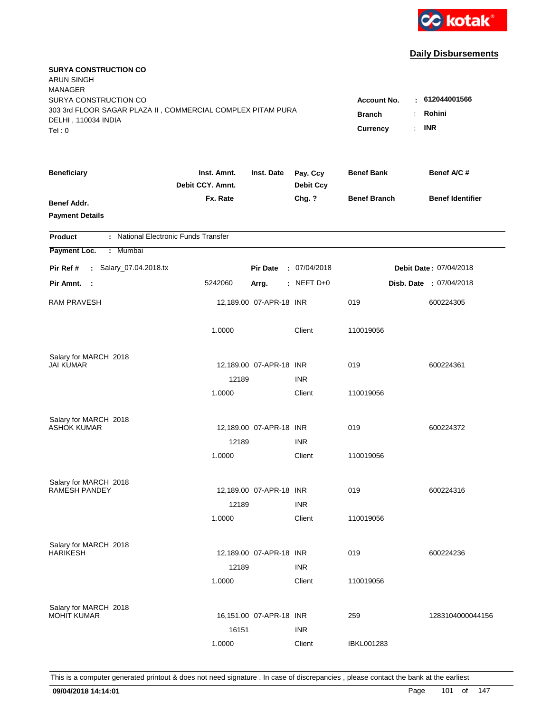

| <b>SURYA CONSTRUCTION CO</b><br><b>ARUN SINGH</b><br><b>MANAGER</b>                                         |                                     |                          |                              |                       |                                |
|-------------------------------------------------------------------------------------------------------------|-------------------------------------|--------------------------|------------------------------|-----------------------|--------------------------------|
| SURYA CONSTRUCTION CO<br>303 3rd FLOOR SAGAR PLAZA II, COMMERCIAL COMPLEX PITAM PURA<br>DELHI, 110034 INDIA | <b>Account No.</b><br><b>Branch</b> | : 612044001566<br>Rohini |                              |                       |                                |
| Tel: 0                                                                                                      |                                     |                          |                              | <b>Currency</b><br>÷. | <b>INR</b>                     |
| <b>Beneficiary</b>                                                                                          | Inst. Amnt.<br>Debit CCY. Amnt.     | Inst. Date               | Pay. Ccy<br><b>Debit Ccy</b> | <b>Benef Bank</b>     | Benef A/C #                    |
| Benef Addr.<br><b>Payment Details</b>                                                                       | Fx. Rate                            |                          | Chg. ?                       | <b>Benef Branch</b>   | <b>Benef Identifier</b>        |
| : National Electronic Funds Transfer<br><b>Product</b>                                                      |                                     |                          |                              |                       |                                |
| : Mumbai<br>Payment Loc.                                                                                    |                                     |                          |                              |                       |                                |
| : Salary_07.04.2018.tx<br>Pir Ref #                                                                         |                                     | <b>Pir Date</b>          | : 07/04/2018                 |                       | Debit Date: 07/04/2018         |
| Pir Amnt. :                                                                                                 | 5242060                             | Arrg.                    | $:$ NEFT D+0                 |                       | <b>Disb. Date : 07/04/2018</b> |
| <b>RAM PRAVESH</b>                                                                                          |                                     | 12,189.00 07-APR-18 INR  |                              | 019                   | 600224305                      |
|                                                                                                             | 1.0000                              |                          | Client                       | 110019056             |                                |
| Salary for MARCH 2018                                                                                       |                                     |                          |                              |                       |                                |
| <b>JAI KUMAR</b>                                                                                            |                                     | 12,189.00 07-APR-18 INR  |                              | 019                   | 600224361                      |
|                                                                                                             | 12189                               |                          | <b>INR</b><br>Client         |                       |                                |
|                                                                                                             | 1.0000                              |                          |                              | 110019056             |                                |
| Salary for MARCH 2018                                                                                       |                                     |                          |                              |                       |                                |
| <b>ASHOK KUMAR</b>                                                                                          |                                     | 12,189.00 07-APR-18 INR  |                              | 019                   | 600224372                      |
|                                                                                                             | 12189                               |                          | <b>INR</b>                   |                       |                                |
|                                                                                                             | 1.0000                              |                          | Client                       | 110019056             |                                |
| Salary for MARCH 2018                                                                                       |                                     |                          |                              |                       |                                |
| <b>RAMESH PANDEY</b>                                                                                        |                                     | 12,189.00 07-APR-18 INR  |                              | 019                   | 600224316                      |
|                                                                                                             | 12189                               |                          | <b>INR</b>                   |                       |                                |
|                                                                                                             | 1.0000                              |                          | Client                       | 110019056             |                                |
| Salary for MARCH 2018                                                                                       |                                     |                          |                              |                       |                                |
| <b>HARIKESH</b>                                                                                             |                                     | 12,189.00 07-APR-18 INR  |                              | 019                   | 600224236                      |
|                                                                                                             | 12189                               |                          | <b>INR</b>                   |                       |                                |
|                                                                                                             | 1.0000                              |                          | Client                       | 110019056             |                                |
|                                                                                                             |                                     |                          |                              |                       |                                |
| Salary for MARCH 2018<br><b>MOHIT KUMAR</b>                                                                 |                                     | 16,151.00 07-APR-18 INR  |                              | 259                   | 1283104000044156               |
|                                                                                                             | 16151                               |                          | <b>INR</b>                   |                       |                                |
|                                                                                                             | 1.0000                              |                          | Client                       | IBKL001283            |                                |
|                                                                                                             |                                     |                          |                              |                       |                                |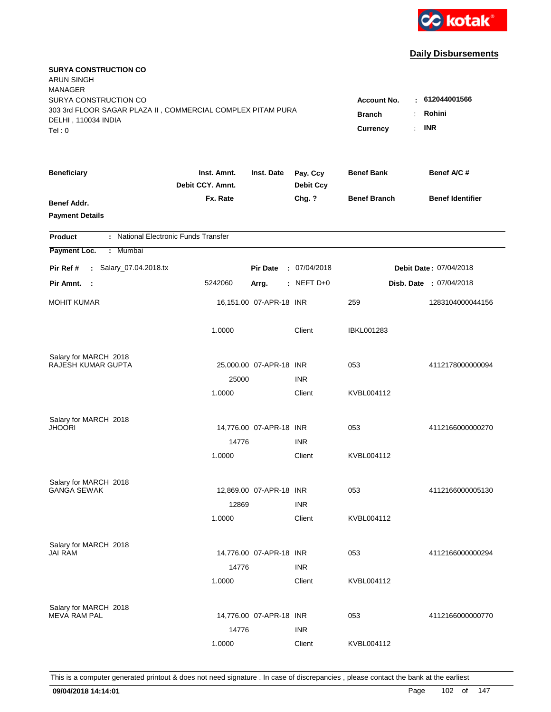

| <b>SURYA CONSTRUCTION CO</b><br><b>ARUN SINGH</b><br><b>MANAGER</b><br>SURYA CONSTRUCTION CO |                                 |                                            |                              | <b>Account No.</b>  | $-612044001566$               |
|----------------------------------------------------------------------------------------------|---------------------------------|--------------------------------------------|------------------------------|---------------------|-------------------------------|
| 303 3rd FLOOR SAGAR PLAZA II, COMMERCIAL COMPLEX PITAM PURA<br>DELHI, 110034 INDIA<br>Tel: 0 | <b>Branch</b><br>Currency       | Rohini<br>÷.<br><b>INR</b><br>$\mathbf{r}$ |                              |                     |                               |
| <b>Beneficiary</b>                                                                           | Inst. Amnt.<br>Debit CCY. Amnt. | Inst. Date                                 | Pay. Ccy<br><b>Debit Ccy</b> | <b>Benef Bank</b>   | Benef A/C #                   |
| Benef Addr.<br><b>Payment Details</b>                                                        | Fx. Rate                        |                                            | Chg. ?                       | <b>Benef Branch</b> | <b>Benef Identifier</b>       |
| : National Electronic Funds Transfer<br><b>Product</b>                                       |                                 |                                            |                              |                     |                               |
| Payment Loc.<br>Mumbai<br>÷.                                                                 |                                 |                                            |                              |                     |                               |
| : Salary_07.04.2018.tx<br>Pir Ref #                                                          |                                 | <b>Pir Date</b>                            | : 07/04/2018                 |                     | <b>Debit Date: 07/04/2018</b> |
| Pir Amnt. :                                                                                  | 5242060                         | Arrg.                                      | $:$ NEFT D+0                 |                     | Disb. Date: 07/04/2018        |
| <b>MOHIT KUMAR</b>                                                                           |                                 | 16,151.00 07-APR-18 INR                    |                              | 259                 | 1283104000044156              |
|                                                                                              | 1.0000                          |                                            | Client                       | <b>IBKL001283</b>   |                               |
| Salary for MARCH 2018                                                                        |                                 |                                            |                              |                     |                               |
| RAJESH KUMAR GUPTA                                                                           |                                 | 25,000.00 07-APR-18 INR                    |                              | 053                 | 4112178000000094              |
|                                                                                              | 25000<br>1.0000                 |                                            | <b>INR</b><br>Client         | KVBL004112          |                               |
| Salary for MARCH 2018<br><b>JHOORI</b>                                                       |                                 | 14,776.00 07-APR-18 INR                    |                              | 053                 | 4112166000000270              |
|                                                                                              | 14776                           |                                            | <b>INR</b>                   |                     |                               |
|                                                                                              | 1.0000                          |                                            | Client                       | KVBL004112          |                               |
| Salary for MARCH 2018                                                                        |                                 |                                            |                              |                     |                               |
| <b>GANGA SEWAK</b>                                                                           |                                 | 12,869.00 07-APR-18 INR                    |                              | 053                 | 4112166000005130              |
|                                                                                              | 12869                           |                                            | <b>INR</b>                   |                     |                               |
|                                                                                              | 1.0000                          |                                            | Client                       | KVBL004112          |                               |
| Salary for MARCH 2018                                                                        |                                 |                                            |                              |                     |                               |
| <b>JAI RAM</b>                                                                               |                                 | 14,776.00 07-APR-18 INR                    |                              | 053                 | 4112166000000294              |
|                                                                                              | 14776<br>1.0000                 |                                            | <b>INR</b><br>Client         | KVBL004112          |                               |
| Salary for MARCH 2018<br><b>MEVA RAM PAL</b>                                                 |                                 | 14,776.00 07-APR-18 INR                    |                              | 053                 | 4112166000000770              |
|                                                                                              | 14776                           |                                            | <b>INR</b>                   |                     |                               |
|                                                                                              | 1.0000                          |                                            | Client                       | KVBL004112          |                               |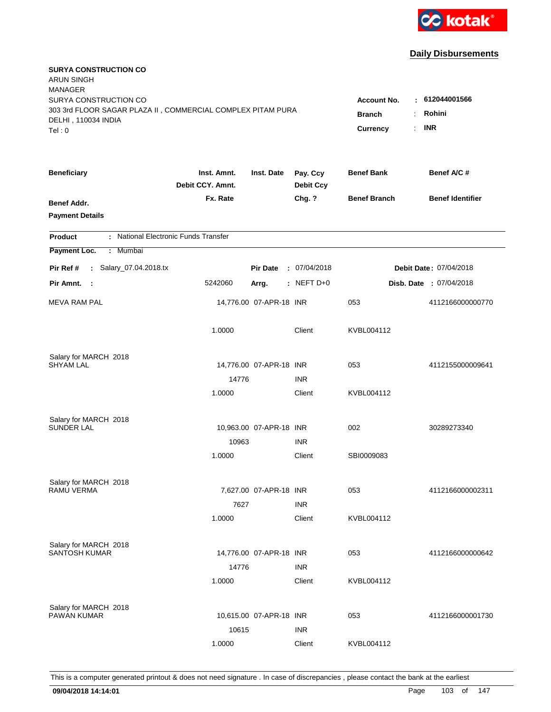

| <b>SURYA CONSTRUCTION CO</b><br><b>ARUN SINGH</b><br><b>MANAGER</b> |                                 |                         |                              |                                              |                                |
|---------------------------------------------------------------------|---------------------------------|-------------------------|------------------------------|----------------------------------------------|--------------------------------|
| SURYA CONSTRUCTION CO                                               |                                 |                         |                              | <b>Account No.</b>                           | : 612044001566                 |
| 303 3rd FLOOR SAGAR PLAZA II, COMMERCIAL COMPLEX PITAM PURA         |                                 | <b>Branch</b><br>÷.     | Rohini                       |                                              |                                |
| DELHI, 110034 INDIA<br>Tel: 0                                       |                                 |                         |                              | <b>Currency</b><br>$\mathbb{R}^{\mathbb{Z}}$ | <b>INR</b>                     |
|                                                                     |                                 |                         |                              |                                              |                                |
| <b>Beneficiary</b>                                                  | Inst. Amnt.<br>Debit CCY, Amnt. | Inst. Date              | Pay. Ccy<br><b>Debit Ccy</b> | <b>Benef Bank</b>                            | Benef A/C #                    |
| Benef Addr.                                                         | Fx. Rate                        |                         | Chg. ?                       | <b>Benef Branch</b>                          | <b>Benef Identifier</b>        |
| <b>Payment Details</b>                                              |                                 |                         |                              |                                              |                                |
| : National Electronic Funds Transfer<br><b>Product</b>              |                                 |                         |                              |                                              |                                |
| Payment Loc.<br>Mumbai<br>÷.                                        |                                 |                         |                              |                                              |                                |
| : Salary_07.04.2018.tx<br>Pir Ref #                                 |                                 | <b>Pir Date</b>         | : 07/04/2018                 |                                              | Debit Date: 07/04/2018         |
| Pir Amnt. :                                                         | 5242060                         | Arrg.                   | : NEFT D+0                   |                                              | <b>Disb. Date : 07/04/2018</b> |
| <b>MEVA RAM PAL</b>                                                 |                                 | 14,776.00 07-APR-18 INR |                              | 053                                          | 4112166000000770               |
|                                                                     | 1.0000                          |                         | Client                       | KVBL004112                                   |                                |
| Salary for MARCH 2018                                               |                                 |                         |                              |                                              |                                |
| <b>SHYAM LAL</b>                                                    |                                 | 14,776.00 07-APR-18 INR |                              | 053                                          | 4112155000009641               |
|                                                                     | 14776                           |                         | <b>INR</b>                   |                                              |                                |
|                                                                     | 1.0000                          |                         | Client                       | KVBL004112                                   |                                |
| Salary for MARCH 2018                                               |                                 |                         |                              |                                              |                                |
| <b>SUNDER LAL</b>                                                   |                                 | 10,963.00 07-APR-18 INR |                              | 002                                          | 30289273340                    |
|                                                                     | 10963                           |                         | <b>INR</b>                   |                                              |                                |
|                                                                     | 1.0000                          |                         | Client                       | SBI0009083                                   |                                |
| Salary for MARCH 2018                                               |                                 |                         |                              |                                              |                                |
| RAMU VERMA                                                          |                                 | 7,627.00 07-APR-18 INR  |                              | 053                                          | 4112166000002311               |
|                                                                     | 7627                            |                         | <b>INR</b>                   |                                              |                                |
|                                                                     | 1.0000                          |                         | Client                       | KVBL004112                                   |                                |
| Salary for MARCH 2018                                               |                                 |                         |                              |                                              |                                |
| SANTOSH KUMAR                                                       |                                 | 14,776.00 07-APR-18 INR |                              | 053                                          | 4112166000000642               |
|                                                                     | 14776                           |                         | <b>INR</b>                   |                                              |                                |
|                                                                     | 1.0000                          |                         | Client                       | KVBL004112                                   |                                |
| Salary for MARCH 2018                                               |                                 |                         |                              |                                              |                                |
| <b>PAWAN KUMAR</b>                                                  |                                 | 10,615.00 07-APR-18 INR |                              | 053                                          | 4112166000001730               |
|                                                                     | 10615                           |                         | <b>INR</b>                   |                                              |                                |
|                                                                     | 1.0000                          |                         | Client                       | KVBL004112                                   |                                |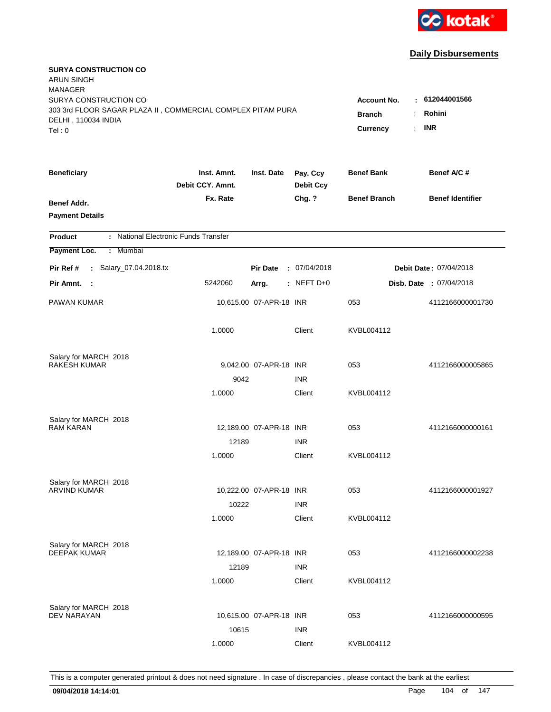

| <b>SURYA CONSTRUCTION CO</b><br><b>ARUN SINGH</b><br><b>MANAGER</b><br>SURYA CONSTRUCTION CO<br>303 3rd FLOOR SAGAR PLAZA II, COMMERCIAL COMPLEX PITAM PURA<br>DELHI, 110034 INDIA<br>Tel: 0 | <b>Account No.</b><br><b>Branch</b><br>÷<br>$\mathbb{R}^{\mathbb{Z}}$<br><b>Currency</b> | : 612044001566<br>Rohini<br><b>INR</b> |                              |                     |                                |
|----------------------------------------------------------------------------------------------------------------------------------------------------------------------------------------------|------------------------------------------------------------------------------------------|----------------------------------------|------------------------------|---------------------|--------------------------------|
|                                                                                                                                                                                              |                                                                                          |                                        |                              |                     |                                |
| <b>Beneficiary</b>                                                                                                                                                                           | Inst. Amnt.<br>Debit CCY. Amnt.                                                          | Inst. Date                             | Pay. Ccy<br><b>Debit Ccy</b> | <b>Benef Bank</b>   | Benef A/C #                    |
| Benef Addr.<br><b>Payment Details</b>                                                                                                                                                        | Fx. Rate                                                                                 |                                        | Chg. ?                       | <b>Benef Branch</b> | <b>Benef Identifier</b>        |
| : National Electronic Funds Transfer<br><b>Product</b>                                                                                                                                       |                                                                                          |                                        |                              |                     |                                |
| Payment Loc.<br>Mumbai<br>÷                                                                                                                                                                  |                                                                                          |                                        |                              |                     |                                |
| : Salary_07.04.2018.tx<br>Pir Ref #                                                                                                                                                          |                                                                                          | <b>Pir Date</b>                        | : 07/04/2018                 |                     | Debit Date: 07/04/2018         |
| Pir Amnt.<br>$\sim$ 1                                                                                                                                                                        | 5242060                                                                                  | Arrg.                                  | : NEFT D+0                   |                     | <b>Disb. Date : 07/04/2018</b> |
| PAWAN KUMAR                                                                                                                                                                                  |                                                                                          | 10,615.00 07-APR-18 INR                |                              | 053                 | 4112166000001730               |
|                                                                                                                                                                                              | 1.0000                                                                                   |                                        | Client                       | KVBL004112          |                                |
| Salary for MARCH 2018                                                                                                                                                                        |                                                                                          |                                        |                              |                     |                                |
| <b>RAKESH KUMAR</b>                                                                                                                                                                          |                                                                                          | 9,042.00 07-APR-18 INR                 |                              | 053                 | 4112166000005865               |
|                                                                                                                                                                                              | 9042<br>1.0000                                                                           |                                        | <b>INR</b><br>Client         | KVBL004112          |                                |
|                                                                                                                                                                                              |                                                                                          |                                        |                              |                     |                                |
| Salary for MARCH 2018                                                                                                                                                                        |                                                                                          |                                        |                              |                     |                                |
| <b>RAM KARAN</b>                                                                                                                                                                             |                                                                                          | 12,189.00 07-APR-18 INR                |                              | 053                 | 4112166000000161               |
|                                                                                                                                                                                              | 12189                                                                                    |                                        | <b>INR</b>                   |                     |                                |
|                                                                                                                                                                                              | 1.0000                                                                                   |                                        | Client                       | KVBL004112          |                                |
| Salary for MARCH 2018                                                                                                                                                                        |                                                                                          |                                        |                              |                     |                                |
| <b>ARVIND KUMAR</b>                                                                                                                                                                          |                                                                                          | 10,222.00 07-APR-18 INR                |                              | 053                 | 4112166000001927               |
|                                                                                                                                                                                              | 10222                                                                                    |                                        | <b>INR</b>                   |                     |                                |
|                                                                                                                                                                                              | 1.0000                                                                                   |                                        | Client                       | KVBL004112          |                                |
| Salary for MARCH 2018                                                                                                                                                                        |                                                                                          |                                        |                              |                     |                                |
| <b>DEEPAK KUMAR</b>                                                                                                                                                                          |                                                                                          | 12,189.00 07-APR-18 INR                |                              | 053                 | 4112166000002238               |
|                                                                                                                                                                                              | 12189                                                                                    |                                        | <b>INR</b>                   |                     |                                |
|                                                                                                                                                                                              | 1.0000                                                                                   |                                        | Client                       | KVBL004112          |                                |
|                                                                                                                                                                                              |                                                                                          |                                        |                              |                     |                                |
| Salary for MARCH 2018<br><b>DEV NARAYAN</b>                                                                                                                                                  |                                                                                          | 10,615.00 07-APR-18 INR                |                              | 053                 | 4112166000000595               |
|                                                                                                                                                                                              | 10615                                                                                    |                                        | <b>INR</b>                   |                     |                                |
|                                                                                                                                                                                              | 1.0000                                                                                   |                                        | Client                       | KVBL004112          |                                |
|                                                                                                                                                                                              |                                                                                          |                                        |                              |                     |                                |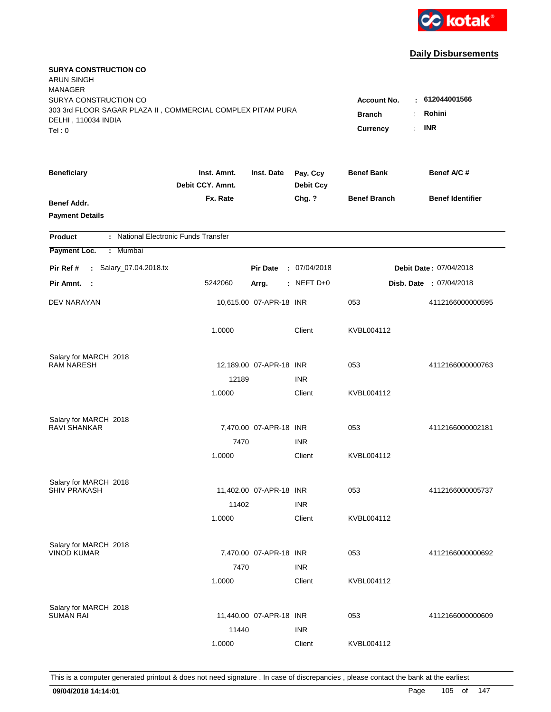

| <b>SURYA CONSTRUCTION CO</b><br><b>ARUN SINGH</b><br><b>MANAGER</b><br>SURYA CONSTRUCTION CO<br>303 3rd FLOOR SAGAR PLAZA II, COMMERCIAL COMPLEX PITAM PURA |                                                               |                         |                              | <b>Account No.</b><br>÷ | : 612044001566<br>Rohini       |
|-------------------------------------------------------------------------------------------------------------------------------------------------------------|---------------------------------------------------------------|-------------------------|------------------------------|-------------------------|--------------------------------|
| DELHI, 110034 INDIA<br>Tel: 0                                                                                                                               | <b>Branch</b><br>$\mathbb{R}^{\mathbb{Z}}$<br><b>Currency</b> | <b>INR</b>              |                              |                         |                                |
| <b>Beneficiary</b>                                                                                                                                          | Inst. Amnt.<br>Debit CCY. Amnt.                               | Inst. Date              | Pay. Ccy<br><b>Debit Ccy</b> | <b>Benef Bank</b>       | Benef A/C #                    |
| Benef Addr.<br><b>Payment Details</b>                                                                                                                       | Fx. Rate                                                      |                         | Chg. ?                       | <b>Benef Branch</b>     | <b>Benef Identifier</b>        |
| : National Electronic Funds Transfer<br><b>Product</b>                                                                                                      |                                                               |                         |                              |                         |                                |
| Payment Loc.<br>Mumbai<br>÷                                                                                                                                 |                                                               |                         |                              |                         |                                |
| : Salary_07.04.2018.tx<br>Pir Ref #                                                                                                                         |                                                               | <b>Pir Date</b>         | : 07/04/2018                 |                         | Debit Date: 07/04/2018         |
| Pir Amnt.<br>$\sim$ :                                                                                                                                       | 5242060                                                       | Arrg.                   | : NEFT D+0                   |                         | <b>Disb. Date : 07/04/2018</b> |
| DEV NARAYAN                                                                                                                                                 |                                                               | 10,615.00 07-APR-18 INR |                              | 053                     | 4112166000000595               |
|                                                                                                                                                             | 1.0000                                                        |                         | Client                       | KVBL004112              |                                |
| Salary for MARCH 2018<br><b>RAM NARESH</b>                                                                                                                  |                                                               |                         |                              |                         |                                |
|                                                                                                                                                             | 12189                                                         | 12,189.00 07-APR-18 INR | <b>INR</b>                   | 053                     | 4112166000000763               |
|                                                                                                                                                             | 1.0000                                                        |                         | Client                       | KVBL004112              |                                |
| Salary for MARCH 2018                                                                                                                                       |                                                               |                         |                              |                         |                                |
| <b>RAVI SHANKAR</b>                                                                                                                                         |                                                               | 7,470.00 07-APR-18 INR  |                              | 053                     | 4112166000002181               |
|                                                                                                                                                             | 7470                                                          |                         | <b>INR</b>                   |                         |                                |
|                                                                                                                                                             | 1.0000                                                        |                         | Client                       | KVBL004112              |                                |
| Salary for MARCH 2018                                                                                                                                       |                                                               |                         |                              |                         |                                |
| <b>SHIV PRAKASH</b>                                                                                                                                         |                                                               | 11,402.00 07-APR-18 INR |                              | 053                     | 4112166000005737               |
|                                                                                                                                                             | 11402                                                         |                         | <b>INR</b>                   |                         |                                |
|                                                                                                                                                             | 1.0000                                                        |                         | Client                       | KVBL004112              |                                |
| Salary for MARCH 2018<br><b>VINOD KUMAR</b>                                                                                                                 |                                                               |                         |                              |                         |                                |
|                                                                                                                                                             |                                                               | 7,470.00 07-APR-18 INR  | <b>INR</b>                   | 053                     | 4112166000000692               |
|                                                                                                                                                             | 7470<br>1.0000                                                |                         | Client                       | KVBL004112              |                                |
|                                                                                                                                                             |                                                               |                         |                              |                         |                                |
| Salary for MARCH 2018<br><b>SUMAN RAI</b>                                                                                                                   |                                                               | 11,440.00 07-APR-18 INR |                              | 053                     | 4112166000000609               |
|                                                                                                                                                             | 11440                                                         |                         | <b>INR</b>                   |                         |                                |
|                                                                                                                                                             | 1.0000                                                        |                         | Client                       | KVBL004112              |                                |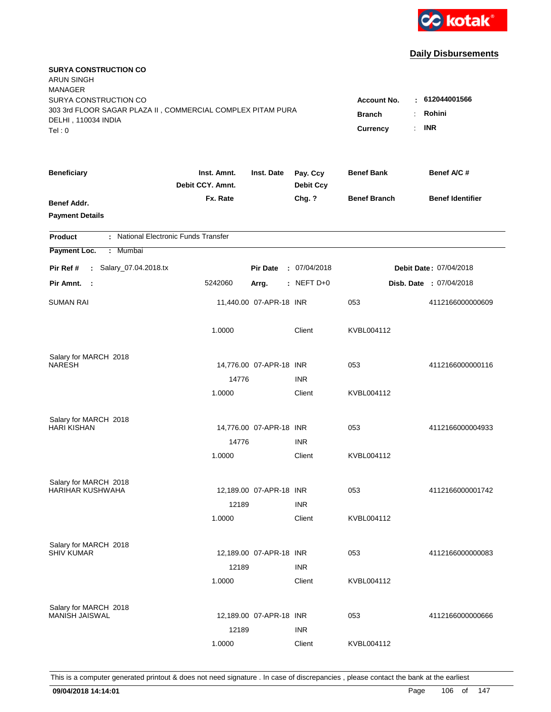

| <b>SURYA CONSTRUCTION CO</b><br><b>ARUN SINGH</b><br><b>MANAGER</b>                                         |                                 |                                                                        |                                        |                     |                                |
|-------------------------------------------------------------------------------------------------------------|---------------------------------|------------------------------------------------------------------------|----------------------------------------|---------------------|--------------------------------|
| SURYA CONSTRUCTION CO<br>303 3rd FLOOR SAGAR PLAZA II, COMMERCIAL COMPLEX PITAM PURA<br>DELHI, 110034 INDIA |                                 | <b>Account No.</b><br><b>Branch</b><br>÷.<br>$\mathbb{R}^{\mathbb{Z}}$ | : 612044001566<br>Rohini<br><b>INR</b> |                     |                                |
| Tel: 0                                                                                                      |                                 |                                                                        |                                        | <b>Currency</b>     |                                |
| <b>Beneficiary</b>                                                                                          | Inst. Amnt.<br>Debit CCY, Amnt. | Inst. Date                                                             | Pay. Ccy<br><b>Debit Ccy</b>           | <b>Benef Bank</b>   | Benef A/C #                    |
| Benef Addr.<br><b>Payment Details</b>                                                                       | Fx. Rate                        |                                                                        | Chg. ?                                 | <b>Benef Branch</b> | <b>Benef Identifier</b>        |
| : National Electronic Funds Transfer<br><b>Product</b>                                                      |                                 |                                                                        |                                        |                     |                                |
| Payment Loc.<br>Mumbai<br>÷.                                                                                |                                 |                                                                        |                                        |                     |                                |
| : Salary_07.04.2018.tx<br>Pir Ref #                                                                         |                                 | <b>Pir Date</b>                                                        | : 07/04/2018                           |                     | Debit Date: 07/04/2018         |
| Pir Amnt. :                                                                                                 | 5242060                         | Arrg.                                                                  | : NEFT D+0                             |                     | <b>Disb. Date : 07/04/2018</b> |
| <b>SUMAN RAI</b>                                                                                            |                                 | 11,440.00 07-APR-18 INR                                                |                                        | 053                 | 4112166000000609               |
|                                                                                                             | 1.0000                          |                                                                        | Client                                 | KVBL004112          |                                |
| Salary for MARCH 2018                                                                                       |                                 |                                                                        |                                        |                     |                                |
| <b>NARESH</b>                                                                                               | 14776                           | 14,776.00 07-APR-18 INR                                                | <b>INR</b>                             | 053                 | 4112166000000116               |
|                                                                                                             | 1.0000                          |                                                                        | Client                                 | KVBL004112          |                                |
| Salary for MARCH 2018<br><b>HARI KISHAN</b>                                                                 |                                 | 14,776.00 07-APR-18 INR                                                |                                        | 053                 | 4112166000004933               |
|                                                                                                             | 14776                           |                                                                        | <b>INR</b>                             |                     |                                |
|                                                                                                             | 1.0000                          |                                                                        | Client                                 | KVBL004112          |                                |
| Salary for MARCH 2018                                                                                       |                                 |                                                                        |                                        |                     |                                |
| HARIHAR KUSHWAHA                                                                                            |                                 | 12,189.00 07-APR-18 INR                                                |                                        | 053                 | 4112166000001742               |
|                                                                                                             | 12189                           |                                                                        | <b>INR</b>                             |                     |                                |
|                                                                                                             | 1.0000                          |                                                                        | Client                                 | KVBL004112          |                                |
| Salary for MARCH 2018                                                                                       |                                 |                                                                        |                                        |                     |                                |
| <b>SHIV KUMAR</b>                                                                                           |                                 | 12,189.00 07-APR-18 INR                                                |                                        | 053                 | 4112166000000083               |
|                                                                                                             | 12189<br>1.0000                 |                                                                        | <b>INR</b><br>Client                   | KVBL004112          |                                |
|                                                                                                             |                                 |                                                                        |                                        |                     |                                |
| Salary for MARCH 2018<br>MANISH JAISWAL                                                                     |                                 | 12,189.00 07-APR-18 INR                                                |                                        | 053                 | 4112166000000666               |
|                                                                                                             | 12189                           |                                                                        | <b>INR</b>                             |                     |                                |
|                                                                                                             | 1.0000                          |                                                                        | Client                                 | KVBL004112          |                                |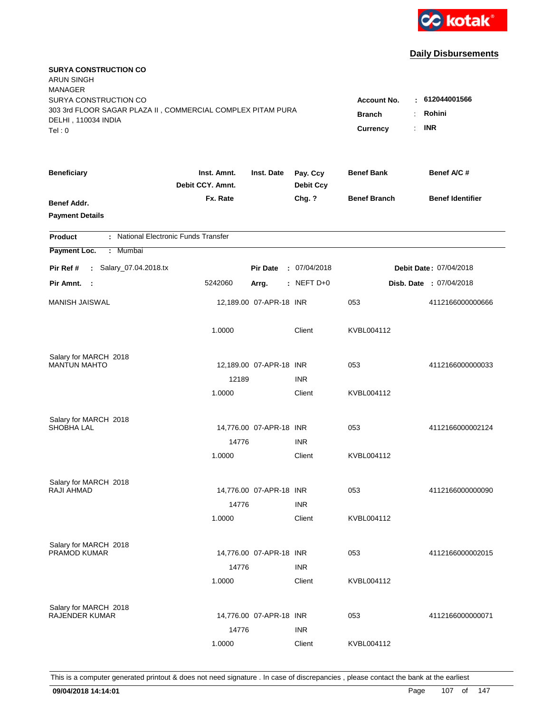

| <b>SURYA CONSTRUCTION CO</b><br><b>ARUN SINGH</b><br><b>MANAGER</b> |                                 |                         |                              |                                              |                                |
|---------------------------------------------------------------------|---------------------------------|-------------------------|------------------------------|----------------------------------------------|--------------------------------|
| SURYA CONSTRUCTION CO                                               |                                 |                         |                              | <b>Account No.</b>                           | : 612044001566                 |
| 303 3rd FLOOR SAGAR PLAZA II, COMMERCIAL COMPLEX PITAM PURA         |                                 |                         |                              | <b>Branch</b><br>÷.                          | Rohini                         |
| DELHI, 110034 INDIA<br>Tel: 0                                       |                                 |                         |                              | $\mathbb{R}^{\mathbb{Z}}$<br><b>Currency</b> | <b>INR</b>                     |
|                                                                     |                                 |                         |                              |                                              |                                |
| <b>Beneficiary</b>                                                  | Inst. Amnt.<br>Debit CCY, Amnt. | Inst. Date              | Pay. Ccy<br><b>Debit Ccy</b> | <b>Benef Bank</b>                            | Benef A/C #                    |
| Benef Addr.                                                         | Fx. Rate                        |                         | Chg. ?                       | <b>Benef Branch</b>                          | <b>Benef Identifier</b>        |
| <b>Payment Details</b>                                              |                                 |                         |                              |                                              |                                |
| : National Electronic Funds Transfer<br><b>Product</b>              |                                 |                         |                              |                                              |                                |
| Payment Loc.<br>Mumbai<br>÷.                                        |                                 |                         |                              |                                              |                                |
| : Salary_07.04.2018.tx<br>Pir Ref #                                 |                                 | <b>Pir Date</b>         | : 07/04/2018                 |                                              | <b>Debit Date: 07/04/2018</b>  |
| Pir Amnt. :                                                         | 5242060                         | Arrg.                   | $:$ NEFT D+0                 |                                              | <b>Disb. Date : 07/04/2018</b> |
| <b>MANISH JAISWAL</b>                                               |                                 | 12,189.00 07-APR-18 INR |                              | 053                                          | 4112166000000666               |
|                                                                     | 1.0000                          |                         | Client                       | KVBL004112                                   |                                |
| Salary for MARCH 2018                                               |                                 |                         |                              |                                              |                                |
| <b>MANTUN MAHTO</b>                                                 |                                 | 12,189.00 07-APR-18 INR |                              | 053                                          | 4112166000000033               |
|                                                                     | 12189                           |                         | <b>INR</b>                   |                                              |                                |
|                                                                     | 1.0000                          |                         | Client                       | KVBL004112                                   |                                |
| Salary for MARCH 2018                                               |                                 |                         |                              |                                              |                                |
| SHOBHA LAL                                                          |                                 | 14,776.00 07-APR-18 INR |                              | 053                                          | 4112166000002124               |
|                                                                     | 14776                           |                         | <b>INR</b>                   |                                              |                                |
|                                                                     | 1.0000                          |                         | Client                       | KVBL004112                                   |                                |
| Salary for MARCH 2018                                               |                                 |                         |                              |                                              |                                |
| RAJI AHMAD                                                          |                                 | 14,776.00 07-APR-18 INR |                              | 053                                          | 4112166000000090               |
|                                                                     | 14776                           |                         | <b>INR</b>                   |                                              |                                |
|                                                                     | 1.0000                          |                         | Client                       | KVBL004112                                   |                                |
| Salary for MARCH 2018                                               |                                 |                         |                              |                                              |                                |
| <b>PRAMOD KUMAR</b>                                                 |                                 | 14,776.00 07-APR-18 INR |                              | 053                                          | 4112166000002015               |
|                                                                     | 14776                           |                         | <b>INR</b>                   |                                              |                                |
|                                                                     | 1.0000                          |                         | Client                       | KVBL004112                                   |                                |
| Salary for MARCH 2018                                               |                                 |                         |                              |                                              |                                |
| <b>RAJENDER KUMAR</b>                                               |                                 | 14,776.00 07-APR-18 INR |                              | 053                                          | 4112166000000071               |
|                                                                     | 14776                           |                         | <b>INR</b>                   |                                              |                                |
|                                                                     | 1.0000                          |                         | Client                       | KVBL004112                                   |                                |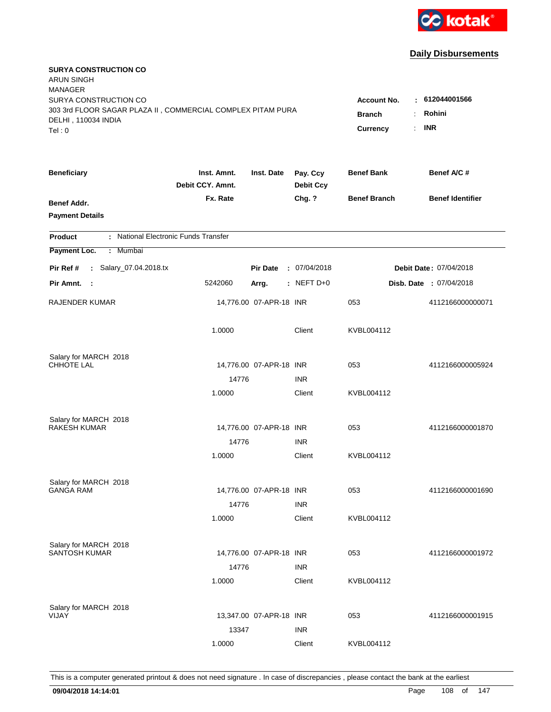

| <b>SURYA CONSTRUCTION CO</b><br><b>ARUN SINGH</b><br><b>MANAGER</b><br>SURYA CONSTRUCTION CO |                                                                                                         |                         |                              | <b>Account No.</b>  | $-612044001566$         |
|----------------------------------------------------------------------------------------------|---------------------------------------------------------------------------------------------------------|-------------------------|------------------------------|---------------------|-------------------------|
| 303 3rd FLOOR SAGAR PLAZA II, COMMERCIAL COMPLEX PITAM PURA<br>DELHI, 110034 INDIA<br>Tel: 0 | Rohini<br><b>Branch</b><br>$\ddot{\cdot}$<br><b>INR</b><br>$\mathbb{R}^{\mathbb{Z}}$<br><b>Currency</b> |                         |                              |                     |                         |
| <b>Beneficiary</b>                                                                           | Inst. Amnt.<br>Debit CCY. Amnt.                                                                         | Inst. Date              | Pay. Ccy<br><b>Debit Ccy</b> | <b>Benef Bank</b>   | Benef A/C #             |
| Benef Addr.<br><b>Payment Details</b>                                                        | Fx. Rate                                                                                                |                         | Chg. ?                       | <b>Benef Branch</b> | <b>Benef Identifier</b> |
| : National Electronic Funds Transfer<br><b>Product</b>                                       |                                                                                                         |                         |                              |                     |                         |
| Payment Loc.<br>: Mumbai                                                                     |                                                                                                         |                         |                              |                     |                         |
| : Salary_07.04.2018.tx<br>Pir Ref #                                                          |                                                                                                         | <b>Pir Date</b>         | : 07/04/2018                 |                     | Debit Date: 07/04/2018  |
| Pir Amnt.<br>- 1                                                                             | 5242060                                                                                                 | Arrg.                   | $:$ NEFT D+0                 |                     | Disb. Date : 07/04/2018 |
| RAJENDER KUMAR                                                                               |                                                                                                         | 14,776.00 07-APR-18 INR |                              | 053                 | 4112166000000071        |
|                                                                                              | 1.0000                                                                                                  |                         | Client                       | KVBL004112          |                         |
| Salary for MARCH 2018                                                                        |                                                                                                         |                         |                              |                     |                         |
| <b>CHHOTE LAL</b>                                                                            |                                                                                                         | 14,776.00 07-APR-18 INR |                              | 053                 | 4112166000005924        |
|                                                                                              | 14776<br>1.0000                                                                                         |                         | <b>INR</b><br>Client         | KVBL004112          |                         |
|                                                                                              |                                                                                                         |                         |                              |                     |                         |
| Salary for MARCH 2018                                                                        |                                                                                                         |                         |                              |                     |                         |
| <b>RAKESH KUMAR</b>                                                                          |                                                                                                         | 14,776.00 07-APR-18 INR |                              | 053                 | 4112166000001870        |
|                                                                                              | 14776                                                                                                   |                         | <b>INR</b>                   |                     |                         |
|                                                                                              | 1.0000                                                                                                  |                         | Client                       | KVBL004112          |                         |
| Salary for MARCH 2018                                                                        |                                                                                                         |                         |                              |                     |                         |
| <b>GANGA RAM</b>                                                                             |                                                                                                         | 14,776.00 07-APR-18 INR |                              | 053                 | 4112166000001690        |
|                                                                                              | 14776                                                                                                   |                         | <b>INR</b>                   |                     |                         |
|                                                                                              | 1.0000                                                                                                  |                         | Client                       | KVBL004112          |                         |
| Salary for MARCH 2018                                                                        |                                                                                                         |                         |                              |                     |                         |
| <b>SANTOSH KUMAR</b>                                                                         |                                                                                                         | 14,776.00 07-APR-18 INR |                              | 053                 | 4112166000001972        |
|                                                                                              | 14776                                                                                                   |                         | <b>INR</b>                   |                     |                         |
|                                                                                              | 1.0000                                                                                                  |                         | Client                       | KVBL004112          |                         |
|                                                                                              |                                                                                                         |                         |                              |                     |                         |
| Salary for MARCH 2018<br>VIJAY                                                               |                                                                                                         | 13,347.00 07-APR-18 INR |                              | 053                 | 4112166000001915        |
|                                                                                              | 13347                                                                                                   |                         | <b>INR</b>                   |                     |                         |
|                                                                                              | 1.0000                                                                                                  |                         | Client                       | KVBL004112          |                         |
|                                                                                              |                                                                                                         |                         |                              |                     |                         |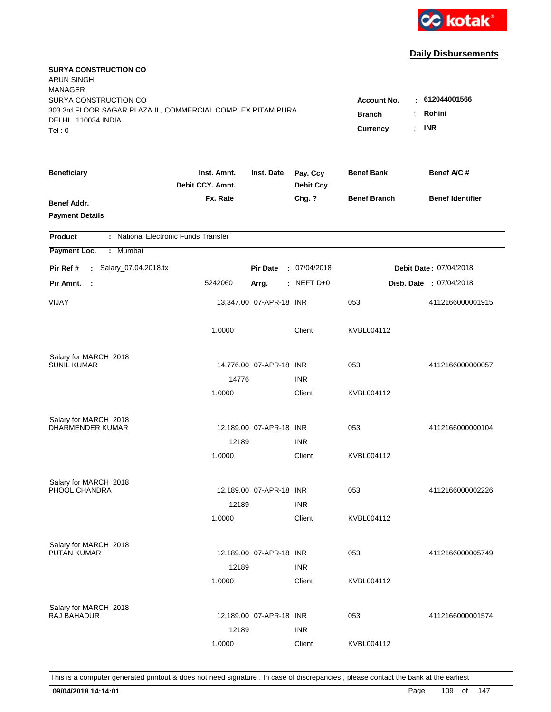

| <b>SURYA CONSTRUCTION CO</b><br><b>ARUN SINGH</b><br><b>MANAGER</b><br>SURYA CONSTRUCTION CO<br>303 3rd FLOOR SAGAR PLAZA II, COMMERCIAL COMPLEX PITAM PURA<br>DELHI, 110034 INDIA |                                 |                         |                              | <b>Account No.</b><br><b>Branch</b> | $-612044001566$<br>Rohini<br>÷. |
|------------------------------------------------------------------------------------------------------------------------------------------------------------------------------------|---------------------------------|-------------------------|------------------------------|-------------------------------------|---------------------------------|
| Tel: 0                                                                                                                                                                             |                                 |                         |                              | Currency                            | <b>INR</b><br>$\mathbf{r}$      |
| <b>Beneficiary</b>                                                                                                                                                                 | Inst. Amnt.<br>Debit CCY. Amnt. | Inst. Date              | Pay. Ccy<br><b>Debit Ccy</b> | <b>Benef Bank</b>                   | Benef A/C #                     |
| Benef Addr.<br><b>Payment Details</b>                                                                                                                                              | Fx. Rate                        |                         | Chg. ?                       | <b>Benef Branch</b>                 | <b>Benef Identifier</b>         |
| : National Electronic Funds Transfer<br><b>Product</b>                                                                                                                             |                                 |                         |                              |                                     |                                 |
| Payment Loc.<br>Mumbai<br>÷.                                                                                                                                                       |                                 |                         |                              |                                     |                                 |
| : Salary_07.04.2018.tx<br>Pir Ref #                                                                                                                                                |                                 | <b>Pir Date</b>         | : 07/04/2018                 |                                     | Debit Date: 07/04/2018          |
| Pir Amnt.<br>- 1                                                                                                                                                                   | 5242060                         | Arrg.                   | $:$ NEFT D+0                 |                                     | Disb. Date : 07/04/2018         |
| VIJAY                                                                                                                                                                              |                                 | 13,347.00 07-APR-18 INR |                              | 053                                 | 4112166000001915                |
|                                                                                                                                                                                    | 1.0000                          |                         | Client                       | KVBL004112                          |                                 |
| Salary for MARCH 2018                                                                                                                                                              |                                 |                         |                              |                                     |                                 |
| <b>SUNIL KUMAR</b>                                                                                                                                                                 |                                 | 14,776.00 07-APR-18 INR |                              | 053                                 | 4112166000000057                |
|                                                                                                                                                                                    | 14776<br>1.0000                 |                         | <b>INR</b><br>Client         | KVBL004112                          |                                 |
|                                                                                                                                                                                    |                                 |                         |                              |                                     |                                 |
| Salary for MARCH 2018                                                                                                                                                              |                                 |                         |                              |                                     |                                 |
| DHARMENDER KUMAR                                                                                                                                                                   |                                 | 12,189.00 07-APR-18 INR |                              | 053                                 | 4112166000000104                |
|                                                                                                                                                                                    | 12189                           |                         | <b>INR</b><br>Client         | KVBL004112                          |                                 |
|                                                                                                                                                                                    | 1.0000                          |                         |                              |                                     |                                 |
| Salary for MARCH 2018                                                                                                                                                              |                                 |                         |                              |                                     |                                 |
| PHOOL CHANDRA                                                                                                                                                                      |                                 | 12,189.00 07-APR-18 INR |                              | 053                                 | 4112166000002226                |
|                                                                                                                                                                                    | 12189                           |                         | <b>INR</b>                   |                                     |                                 |
|                                                                                                                                                                                    | 1.0000                          |                         | Client                       | KVBL004112                          |                                 |
| Salary for MARCH 2018                                                                                                                                                              |                                 |                         |                              |                                     |                                 |
| <b>PUTAN KUMAR</b>                                                                                                                                                                 |                                 | 12,189.00 07-APR-18 INR |                              | 053                                 | 4112166000005749                |
|                                                                                                                                                                                    | 12189                           |                         | <b>INR</b>                   |                                     |                                 |
|                                                                                                                                                                                    | 1.0000                          |                         | Client                       | KVBL004112                          |                                 |
| Salary for MARCH 2018                                                                                                                                                              |                                 |                         |                              |                                     |                                 |
| RAJ BAHADUR                                                                                                                                                                        |                                 | 12,189.00 07-APR-18 INR |                              | 053                                 | 4112166000001574                |
|                                                                                                                                                                                    | 12189                           |                         | <b>INR</b>                   |                                     |                                 |
|                                                                                                                                                                                    | 1.0000                          |                         | Client                       | KVBL004112                          |                                 |
|                                                                                                                                                                                    |                                 |                         |                              |                                     |                                 |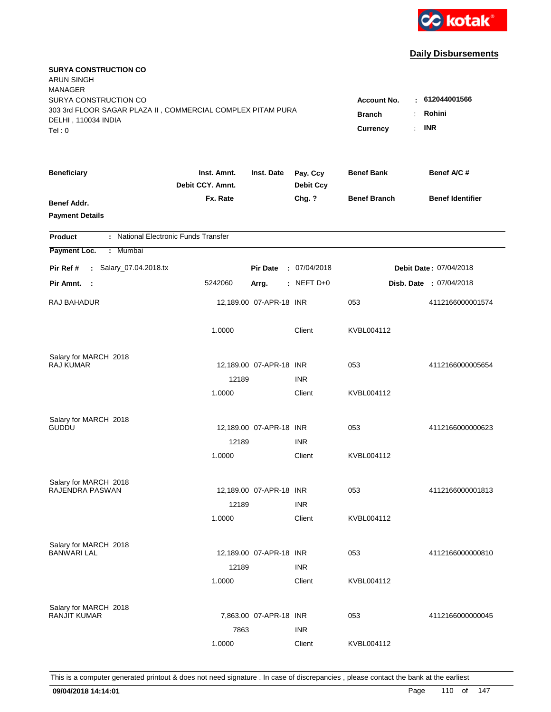

| <b>SURYA CONSTRUCTION CO</b><br><b>ARUN SINGH</b><br><b>MANAGER</b> |                                 |                         |                              |                       |                               |
|---------------------------------------------------------------------|---------------------------------|-------------------------|------------------------------|-----------------------|-------------------------------|
| SURYA CONSTRUCTION CO                                               |                                 |                         |                              | <b>Account No.</b>    | $-612044001566$               |
| 303 3rd FLOOR SAGAR PLAZA II, COMMERCIAL COMPLEX PITAM PURA         | <b>Branch</b><br>$\ddot{\cdot}$ | Rohini                  |                              |                       |                               |
| DELHI, 110034 INDIA<br>Tel: 0                                       |                                 |                         |                              | <b>Currency</b><br>÷. | <b>INR</b>                    |
|                                                                     |                                 |                         |                              |                       |                               |
| <b>Beneficiary</b>                                                  | Inst. Amnt.<br>Debit CCY. Amnt. | Inst. Date              | Pay. Ccy<br><b>Debit Ccy</b> | <b>Benef Bank</b>     | Benef A/C#                    |
| Benef Addr.                                                         | Fx. Rate                        |                         | Chg. ?                       | <b>Benef Branch</b>   | <b>Benef Identifier</b>       |
| <b>Payment Details</b>                                              |                                 |                         |                              |                       |                               |
| : National Electronic Funds Transfer<br><b>Product</b>              |                                 |                         |                              |                       |                               |
| Payment Loc.<br>: Mumbai                                            |                                 |                         |                              |                       |                               |
| : Salary_07.04.2018.tx<br>Pir Ref #                                 |                                 | <b>Pir Date</b>         | : 07/04/2018                 |                       | <b>Debit Date: 07/04/2018</b> |
| Pir Amnt. :                                                         | 5242060                         | Arrg.                   | $:$ NEFT D+0                 |                       | Disb. Date : 07/04/2018       |
| RAJ BAHADUR                                                         |                                 | 12,189.00 07-APR-18 INR |                              | 053                   | 4112166000001574              |
|                                                                     | 1.0000                          |                         | Client                       | KVBL004112            |                               |
| Salary for MARCH 2018                                               |                                 |                         |                              |                       |                               |
| RAJ KUMAR                                                           |                                 | 12,189.00 07-APR-18 INR |                              | 053                   | 4112166000005654              |
|                                                                     | 12189                           |                         | <b>INR</b>                   |                       |                               |
|                                                                     | 1.0000                          |                         | Client                       | KVBL004112            |                               |
| Salary for MARCH 2018                                               |                                 |                         |                              |                       |                               |
| <b>GUDDU</b>                                                        |                                 | 12,189.00 07-APR-18 INR |                              | 053                   | 4112166000000623              |
|                                                                     | 12189                           |                         | <b>INR</b>                   |                       |                               |
|                                                                     | 1.0000                          |                         | Client                       | KVBL004112            |                               |
| Salary for MARCH 2018                                               |                                 |                         |                              |                       |                               |
| RAJENDRA PASWAN                                                     |                                 | 12,189.00 07-APR-18 INR |                              | 053                   | 4112166000001813              |
|                                                                     | 12189                           |                         | <b>INR</b>                   |                       |                               |
|                                                                     | 1.0000                          |                         | Client                       | KVBL004112            |                               |
| Salary for MARCH 2018                                               |                                 |                         |                              |                       |                               |
| <b>BANWARI LAL</b>                                                  |                                 | 12,189.00 07-APR-18 INR |                              | 053                   | 4112166000000810              |
|                                                                     | 12189                           |                         | <b>INR</b>                   |                       |                               |
|                                                                     | 1.0000                          |                         | Client                       | KVBL004112            |                               |
| Salary for MARCH 2018                                               |                                 |                         |                              |                       |                               |
| <b>RANJIT KUMAR</b>                                                 |                                 | 7,863.00 07-APR-18 INR  |                              | 053                   | 4112166000000045              |
|                                                                     | 7863                            |                         | <b>INR</b>                   |                       |                               |
|                                                                     | 1.0000                          |                         | Client                       | KVBL004112            |                               |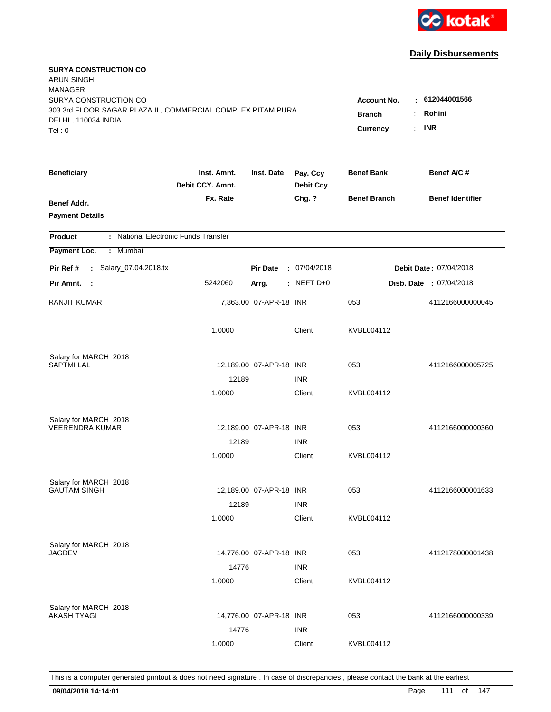

| <b>SURYA CONSTRUCTION CO</b><br><b>ARUN SINGH</b><br><b>MANAGER</b> |                                 |                         |                              |                                              |                         |
|---------------------------------------------------------------------|---------------------------------|-------------------------|------------------------------|----------------------------------------------|-------------------------|
| SURYA CONSTRUCTION CO                                               |                                 |                         |                              | <b>Account No.</b>                           | : 612044001566          |
| 303 3rd FLOOR SAGAR PLAZA II, COMMERCIAL COMPLEX PITAM PURA         |                                 |                         |                              | <b>Branch</b><br>÷.                          | Rohini                  |
| DELHI, 110034 INDIA<br>Tel: 0                                       |                                 |                         |                              | $\mathbb{R}^{\mathbb{Z}}$<br><b>Currency</b> | <b>INR</b>              |
|                                                                     |                                 |                         |                              |                                              |                         |
| <b>Beneficiary</b>                                                  | Inst. Amnt.<br>Debit CCY, Amnt. | Inst. Date              | Pay. Ccy<br><b>Debit Ccy</b> | <b>Benef Bank</b>                            | Benef A/C #             |
| Benef Addr.                                                         | Fx. Rate                        |                         | Chg. ?                       | <b>Benef Branch</b>                          | <b>Benef Identifier</b> |
| <b>Payment Details</b>                                              |                                 |                         |                              |                                              |                         |
| : National Electronic Funds Transfer<br><b>Product</b>              |                                 |                         |                              |                                              |                         |
| Payment Loc.<br>Mumbai<br>÷.                                        |                                 |                         |                              |                                              |                         |
| : Salary_07.04.2018.tx<br>Pir Ref #                                 |                                 | <b>Pir Date</b>         | : 07/04/2018                 |                                              | Debit Date: 07/04/2018  |
| Pir Amnt. :                                                         | 5242060                         | Arrg.                   | : NEFT D+0                   |                                              | Disb. Date: 07/04/2018  |
| <b>RANJIT KUMAR</b>                                                 |                                 | 7,863.00 07-APR-18 INR  |                              | 053                                          | 4112166000000045        |
|                                                                     | 1.0000                          |                         | Client                       | KVBL004112                                   |                         |
| Salary for MARCH 2018                                               |                                 |                         |                              |                                              |                         |
| <b>SAPTMI LAL</b>                                                   |                                 | 12,189.00 07-APR-18 INR |                              | 053                                          | 4112166000005725        |
|                                                                     | 12189                           |                         | <b>INR</b>                   |                                              |                         |
|                                                                     | 1.0000                          |                         | Client                       | KVBL004112                                   |                         |
| Salary for MARCH 2018                                               |                                 |                         |                              |                                              |                         |
| <b>VEERENDRA KUMAR</b>                                              |                                 | 12,189.00 07-APR-18 INR |                              | 053                                          | 4112166000000360        |
|                                                                     | 12189                           |                         | <b>INR</b>                   |                                              |                         |
|                                                                     | 1.0000                          |                         | Client                       | KVBL004112                                   |                         |
| Salary for MARCH 2018                                               |                                 |                         |                              |                                              |                         |
| <b>GAUTAM SINGH</b>                                                 |                                 | 12,189.00 07-APR-18 INR |                              | 053                                          | 4112166000001633        |
|                                                                     | 12189                           |                         | <b>INR</b>                   |                                              |                         |
|                                                                     | 1.0000                          |                         | Client                       | KVBL004112                                   |                         |
| Salary for MARCH 2018                                               |                                 |                         |                              |                                              |                         |
| <b>JAGDEV</b>                                                       |                                 | 14,776.00 07-APR-18 INR |                              | 053                                          | 4112178000001438        |
|                                                                     | 14776                           |                         | <b>INR</b>                   |                                              |                         |
|                                                                     | 1.0000                          |                         | Client                       | KVBL004112                                   |                         |
| Salary for MARCH 2018                                               |                                 |                         |                              |                                              |                         |
| <b>AKASH TYAGI</b>                                                  |                                 | 14,776.00 07-APR-18 INR |                              | 053                                          | 4112166000000339        |
|                                                                     | 14776                           |                         | <b>INR</b>                   |                                              |                         |
|                                                                     | 1.0000                          |                         | Client                       | KVBL004112                                   |                         |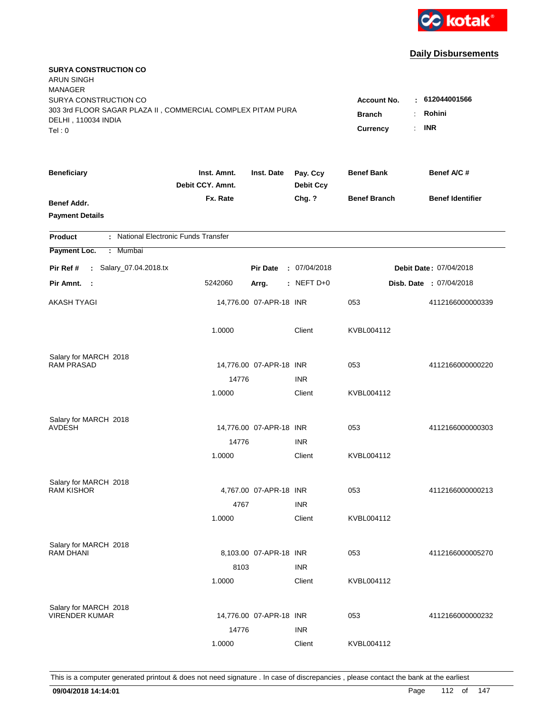

| <b>SURYA CONSTRUCTION CO</b><br><b>ARUN SINGH</b><br><b>MANAGER</b> |                                 |                         |                              |                                              |                         |
|---------------------------------------------------------------------|---------------------------------|-------------------------|------------------------------|----------------------------------------------|-------------------------|
| SURYA CONSTRUCTION CO                                               |                                 |                         |                              | <b>Account No.</b>                           | : 612044001566          |
| 303 3rd FLOOR SAGAR PLAZA II, COMMERCIAL COMPLEX PITAM PURA         |                                 |                         |                              | <b>Branch</b><br>÷.                          | Rohini                  |
| DELHI, 110034 INDIA<br>Tel: 0                                       |                                 |                         |                              | $\mathbb{R}^{\mathbb{Z}}$<br><b>Currency</b> | <b>INR</b>              |
|                                                                     |                                 |                         |                              |                                              |                         |
| <b>Beneficiary</b>                                                  | Inst. Amnt.<br>Debit CCY, Amnt. | Inst. Date              | Pay. Ccy<br><b>Debit Ccy</b> | <b>Benef Bank</b>                            | Benef A/C #             |
| Benef Addr.                                                         | Fx. Rate                        |                         | Chg. ?                       | <b>Benef Branch</b>                          | <b>Benef Identifier</b> |
| <b>Payment Details</b>                                              |                                 |                         |                              |                                              |                         |
| : National Electronic Funds Transfer<br><b>Product</b>              |                                 |                         |                              |                                              |                         |
| Payment Loc.<br>Mumbai<br>÷.                                        |                                 |                         |                              |                                              |                         |
| : Salary_07.04.2018.tx<br>Pir Ref #                                 |                                 | <b>Pir Date</b>         | : 07/04/2018                 |                                              | Debit Date: 07/04/2018  |
| Pir Amnt. :                                                         | 5242060                         | Arrg.                   | : NEFT D+0                   |                                              | Disb. Date: 07/04/2018  |
| AKASH TYAGI                                                         |                                 | 14,776.00 07-APR-18 INR |                              | 053                                          | 4112166000000339        |
|                                                                     | 1.0000                          |                         | Client                       | KVBL004112                                   |                         |
| Salary for MARCH 2018                                               |                                 |                         |                              |                                              |                         |
| <b>RAM PRASAD</b>                                                   |                                 | 14,776.00 07-APR-18 INR |                              | 053                                          | 4112166000000220        |
|                                                                     | 14776                           |                         | <b>INR</b>                   |                                              |                         |
|                                                                     | 1.0000                          |                         | Client                       | KVBL004112                                   |                         |
| Salary for MARCH 2018                                               |                                 |                         |                              |                                              |                         |
| AVDESH                                                              |                                 | 14,776.00 07-APR-18 INR |                              | 053                                          | 4112166000000303        |
|                                                                     | 14776                           |                         | <b>INR</b>                   |                                              |                         |
|                                                                     | 1.0000                          |                         | Client                       | KVBL004112                                   |                         |
| Salary for MARCH 2018                                               |                                 |                         |                              |                                              |                         |
| <b>RAM KISHOR</b>                                                   |                                 | 4,767.00 07-APR-18 INR  |                              | 053                                          | 4112166000000213        |
|                                                                     | 4767                            |                         | <b>INR</b>                   |                                              |                         |
|                                                                     | 1.0000                          |                         | Client                       | KVBL004112                                   |                         |
| Salary for MARCH 2018                                               |                                 |                         |                              |                                              |                         |
| <b>RAM DHANI</b>                                                    |                                 | 8,103.00 07-APR-18 INR  |                              | 053                                          | 4112166000005270        |
|                                                                     | 8103                            |                         | <b>INR</b>                   |                                              |                         |
|                                                                     | 1.0000                          |                         | Client                       | KVBL004112                                   |                         |
| Salary for MARCH 2018                                               |                                 |                         |                              |                                              |                         |
| <b>VIRENDER KUMAR</b>                                               |                                 | 14,776.00 07-APR-18 INR |                              | 053                                          | 4112166000000232        |
|                                                                     | 14776                           |                         | <b>INR</b>                   |                                              |                         |
|                                                                     | 1.0000                          |                         | Client                       | KVBL004112                                   |                         |
|                                                                     |                                 |                         |                              |                                              |                         |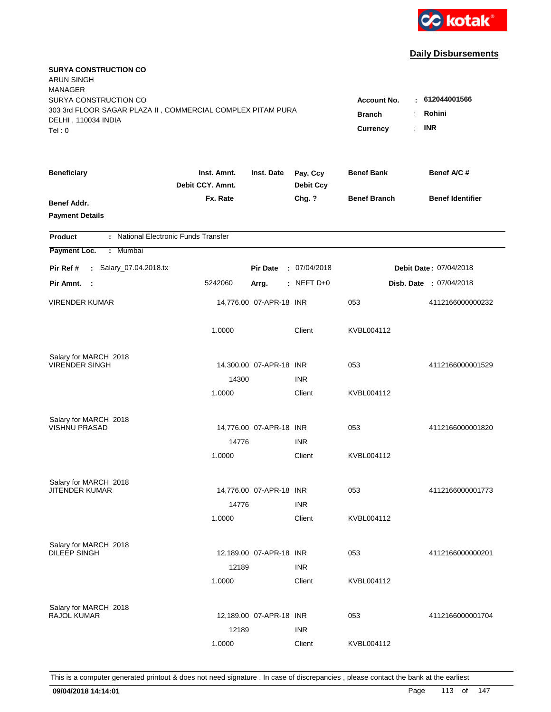

| <b>SURYA CONSTRUCTION CO</b><br><b>ARUN SINGH</b><br><b>MANAGER</b><br>SURYA CONSTRUCTION CO<br>303 3rd FLOOR SAGAR PLAZA II, COMMERCIAL COMPLEX PITAM PURA<br>DELHI, 110034 INDIA |                                 |                         |                              | <b>Account No.</b><br><b>Branch</b><br>÷     | : 612044001566<br>Rohini |
|------------------------------------------------------------------------------------------------------------------------------------------------------------------------------------|---------------------------------|-------------------------|------------------------------|----------------------------------------------|--------------------------|
| Tel: 0                                                                                                                                                                             |                                 |                         |                              | $\mathbb{R}^{\mathbb{Z}}$<br><b>Currency</b> | <b>INR</b>               |
| <b>Beneficiary</b>                                                                                                                                                                 | Inst. Amnt.<br>Debit CCY. Amnt. | Inst. Date              | Pay. Ccy<br><b>Debit Ccy</b> | <b>Benef Bank</b>                            | Benef A/C #              |
| Benef Addr.<br><b>Payment Details</b>                                                                                                                                              | Fx. Rate                        |                         | Chg. ?                       | <b>Benef Branch</b>                          | <b>Benef Identifier</b>  |
| : National Electronic Funds Transfer<br><b>Product</b>                                                                                                                             |                                 |                         |                              |                                              |                          |
| Payment Loc.<br>Mumbai<br>÷                                                                                                                                                        |                                 |                         |                              |                                              |                          |
| : Salary_07.04.2018.tx<br>Pir Ref #                                                                                                                                                |                                 | <b>Pir Date</b>         | : 07/04/2018                 |                                              | Debit Date: 07/04/2018   |
| Pir Amnt.<br>$\sim$ 1                                                                                                                                                              | 5242060                         | Arrg.                   | : NEFT D+0                   |                                              | Disb. Date: 07/04/2018   |
| <b>VIRENDER KUMAR</b>                                                                                                                                                              |                                 | 14,776.00 07-APR-18 INR |                              | 053                                          | 4112166000000232         |
|                                                                                                                                                                                    | 1.0000                          |                         | Client                       | KVBL004112                                   |                          |
| Salary for MARCH 2018                                                                                                                                                              |                                 |                         |                              |                                              |                          |
| <b>VIRENDER SINGH</b>                                                                                                                                                              |                                 | 14,300.00 07-APR-18 INR |                              | 053                                          | 4112166000001529         |
|                                                                                                                                                                                    | 14300<br>1.0000                 |                         | <b>INR</b><br>Client         | KVBL004112                                   |                          |
|                                                                                                                                                                                    |                                 |                         |                              |                                              |                          |
| Salary for MARCH 2018                                                                                                                                                              |                                 |                         |                              |                                              |                          |
| <b>VISHNU PRASAD</b>                                                                                                                                                               |                                 | 14,776.00 07-APR-18 INR |                              | 053                                          | 4112166000001820         |
|                                                                                                                                                                                    | 14776                           |                         | <b>INR</b>                   |                                              |                          |
|                                                                                                                                                                                    | 1.0000                          |                         | Client                       | KVBL004112                                   |                          |
| Salary for MARCH 2018                                                                                                                                                              |                                 |                         |                              |                                              |                          |
| <b>JITENDER KUMAR</b>                                                                                                                                                              |                                 | 14,776.00 07-APR-18 INR |                              | 053                                          | 4112166000001773         |
|                                                                                                                                                                                    | 14776                           |                         | <b>INR</b>                   |                                              |                          |
|                                                                                                                                                                                    | 1.0000                          |                         | Client                       | KVBL004112                                   |                          |
| Salary for MARCH 2018                                                                                                                                                              |                                 |                         |                              |                                              |                          |
| <b>DILEEP SINGH</b>                                                                                                                                                                |                                 | 12,189.00 07-APR-18 INR |                              | 053                                          | 4112166000000201         |
|                                                                                                                                                                                    | 12189                           |                         | <b>INR</b>                   |                                              |                          |
|                                                                                                                                                                                    | 1.0000                          |                         | Client                       | KVBL004112                                   |                          |
|                                                                                                                                                                                    |                                 |                         |                              |                                              |                          |
| Salary for MARCH 2018<br>RAJOL KUMAR                                                                                                                                               |                                 | 12,189.00 07-APR-18 INR |                              | 053                                          | 4112166000001704         |
|                                                                                                                                                                                    | 12189                           |                         | <b>INR</b>                   |                                              |                          |
|                                                                                                                                                                                    | 1.0000                          |                         | Client                       | KVBL004112                                   |                          |
|                                                                                                                                                                                    |                                 |                         |                              |                                              |                          |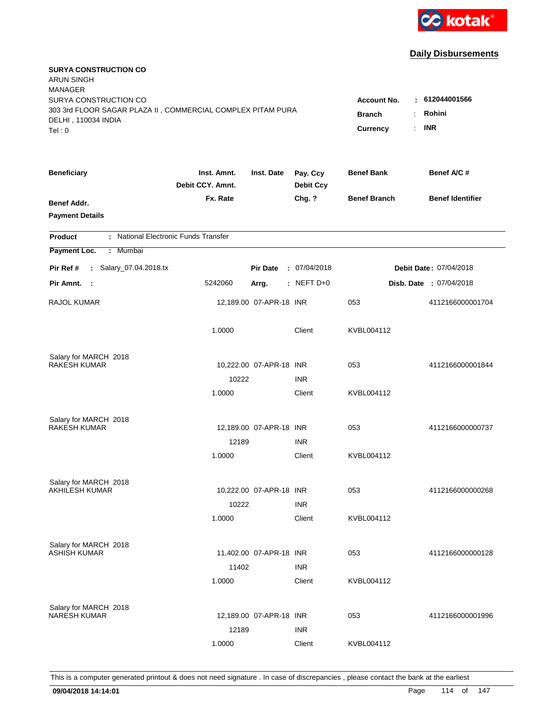

| <b>SURYA CONSTRUCTION CO</b><br><b>ARUN SINGH</b><br><b>MANAGER</b><br>SURYA CONSTRUCTION CO<br>303 3rd FLOOR SAGAR PLAZA II, COMMERCIAL COMPLEX PITAM PURA |                                                                    |                         |                              | <b>Account No.</b>  | : 612044001566                 |
|-------------------------------------------------------------------------------------------------------------------------------------------------------------|--------------------------------------------------------------------|-------------------------|------------------------------|---------------------|--------------------------------|
| DELHI, 110034 INDIA<br>Tel: 0                                                                                                                               | <b>Branch</b><br>÷<br>$\mathbb{R}^{\mathbb{Z}}$<br><b>Currency</b> | Rohini<br><b>INR</b>    |                              |                     |                                |
| <b>Beneficiary</b>                                                                                                                                          | Inst. Amnt.<br>Debit CCY. Amnt.                                    | Inst. Date              | Pay. Ccy<br><b>Debit Ccy</b> | <b>Benef Bank</b>   | Benef A/C #                    |
| Benef Addr.<br><b>Payment Details</b>                                                                                                                       | Fx. Rate                                                           |                         | Chg. ?                       | <b>Benef Branch</b> | <b>Benef Identifier</b>        |
| : National Electronic Funds Transfer<br><b>Product</b>                                                                                                      |                                                                    |                         |                              |                     |                                |
| Payment Loc.<br>Mumbai<br>÷                                                                                                                                 |                                                                    |                         |                              |                     |                                |
| : Salary_07.04.2018.tx<br>Pir Ref #                                                                                                                         |                                                                    | <b>Pir Date</b>         | : 07/04/2018                 |                     | Debit Date: 07/04/2018         |
| Pir Amnt.<br>$\sim$ 1                                                                                                                                       | 5242060                                                            | Arrg.                   | : NEFT D+0                   |                     | <b>Disb. Date : 07/04/2018</b> |
| RAJOL KUMAR                                                                                                                                                 |                                                                    | 12,189.00 07-APR-18 INR |                              | 053                 | 4112166000001704               |
|                                                                                                                                                             | 1.0000                                                             |                         | Client                       | KVBL004112          |                                |
| Salary for MARCH 2018<br><b>RAKESH KUMAR</b>                                                                                                                |                                                                    | 10,222.00 07-APR-18 INR |                              | 053                 | 4112166000001844               |
|                                                                                                                                                             | 10222                                                              |                         | <b>INR</b>                   |                     |                                |
|                                                                                                                                                             | 1.0000                                                             |                         | Client                       | KVBL004112          |                                |
| Salary for MARCH 2018                                                                                                                                       |                                                                    |                         |                              |                     |                                |
| <b>RAKESH KUMAR</b>                                                                                                                                         |                                                                    | 12,189.00 07-APR-18 INR |                              | 053                 | 4112166000000737               |
|                                                                                                                                                             | 12189                                                              |                         | <b>INR</b>                   |                     |                                |
|                                                                                                                                                             | 1.0000                                                             |                         | Client                       | KVBL004112          |                                |
| Salary for MARCH 2018                                                                                                                                       |                                                                    |                         |                              |                     |                                |
| <b>AKHILESH KUMAR</b>                                                                                                                                       |                                                                    | 10,222.00 07-APR-18 INR |                              | 053                 | 4112166000000268               |
|                                                                                                                                                             | 10222                                                              |                         | <b>INR</b>                   |                     |                                |
|                                                                                                                                                             | 1.0000                                                             |                         | Client                       | KVBL004112          |                                |
| Salary for MARCH 2018<br><b>ASHISH KUMAR</b>                                                                                                                |                                                                    | 11,402.00 07-APR-18 INR |                              | 053                 | 4112166000000128               |
|                                                                                                                                                             | 11402                                                              |                         | <b>INR</b>                   |                     |                                |
|                                                                                                                                                             | 1.0000                                                             |                         | Client                       | KVBL004112          |                                |
|                                                                                                                                                             |                                                                    |                         |                              |                     |                                |
| Salary for MARCH 2018<br><b>NARESH KUMAR</b>                                                                                                                |                                                                    | 12,189.00 07-APR-18 INR |                              | 053                 | 4112166000001996               |
|                                                                                                                                                             | 12189                                                              |                         | <b>INR</b>                   |                     |                                |
|                                                                                                                                                             | 1.0000                                                             |                         | Client                       | KVBL004112          |                                |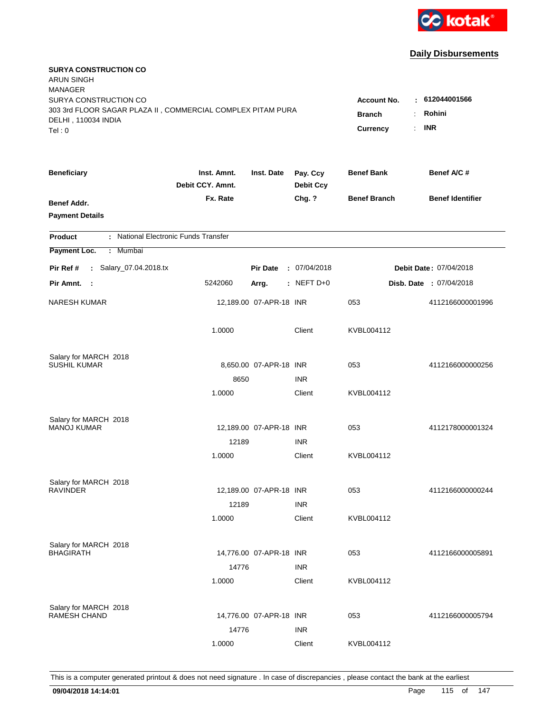

| <b>SURYA CONSTRUCTION CO</b><br><b>ARUN SINGH</b><br><b>MANAGER</b><br>SURYA CONSTRUCTION CO |                                                          |                         |                              | <b>Account No.</b>  | $-612044001566$         |
|----------------------------------------------------------------------------------------------|----------------------------------------------------------|-------------------------|------------------------------|---------------------|-------------------------|
| 303 3rd FLOOR SAGAR PLAZA II, COMMERCIAL COMPLEX PITAM PURA<br>DELHI, 110034 INDIA<br>Tel: 0 | <b>Branch</b><br>$\ddot{\cdot}$<br><b>Currency</b><br>÷. | Rohini<br><b>INR</b>    |                              |                     |                         |
| <b>Beneficiary</b>                                                                           | Inst. Amnt.<br>Debit CCY. Amnt.                          | Inst. Date              | Pay. Ccy<br><b>Debit Ccy</b> | <b>Benef Bank</b>   | Benef A/C#              |
| Benef Addr.<br><b>Payment Details</b>                                                        | Fx. Rate                                                 |                         | Chg. ?                       | <b>Benef Branch</b> | <b>Benef Identifier</b> |
| : National Electronic Funds Transfer<br><b>Product</b>                                       |                                                          |                         |                              |                     |                         |
| Payment Loc.<br>: Mumbai                                                                     |                                                          |                         |                              |                     |                         |
| : Salary_07.04.2018.tx<br>Pir Ref #                                                          |                                                          | <b>Pir Date</b>         | : 07/04/2018                 |                     | Debit Date: 07/04/2018  |
| Pir Amnt. :                                                                                  | 5242060                                                  | Arrg.                   | $:$ NEFT D+0                 |                     | Disb. Date : 07/04/2018 |
| <b>NARESH KUMAR</b>                                                                          |                                                          | 12,189.00 07-APR-18 INR |                              | 053                 | 4112166000001996        |
|                                                                                              | 1.0000                                                   |                         | Client                       | KVBL004112          |                         |
| Salary for MARCH 2018                                                                        |                                                          |                         |                              |                     |                         |
| <b>SUSHIL KUMAR</b>                                                                          | 8650                                                     | 8,650.00 07-APR-18 INR  | <b>INR</b>                   | 053                 | 4112166000000256        |
|                                                                                              | 1.0000                                                   |                         | Client                       | KVBL004112          |                         |
| Salary for MARCH 2018<br><b>MANOJ KUMAR</b>                                                  |                                                          | 12,189.00 07-APR-18 INR |                              | 053                 | 4112178000001324        |
|                                                                                              | 12189                                                    |                         | <b>INR</b>                   |                     |                         |
|                                                                                              | 1.0000                                                   |                         | Client                       | KVBL004112          |                         |
| Salary for MARCH 2018                                                                        |                                                          |                         |                              |                     |                         |
| <b>RAVINDER</b>                                                                              |                                                          | 12,189.00 07-APR-18 INR |                              | 053                 | 4112166000000244        |
|                                                                                              | 12189                                                    |                         | <b>INR</b>                   |                     |                         |
|                                                                                              | 1.0000                                                   |                         | Client                       | KVBL004112          |                         |
| Salary for MARCH 2018                                                                        |                                                          |                         |                              |                     |                         |
| <b>BHAGIRATH</b>                                                                             |                                                          | 14,776.00 07-APR-18 INR |                              | 053                 | 4112166000005891        |
|                                                                                              | 14776<br>1.0000                                          |                         | <b>INR</b><br>Client         | KVBL004112          |                         |
|                                                                                              |                                                          |                         |                              |                     |                         |
| Salary for MARCH 2018<br><b>RAMESH CHAND</b>                                                 |                                                          | 14,776.00 07-APR-18 INR |                              | 053                 | 4112166000005794        |
|                                                                                              | 14776                                                    |                         | <b>INR</b>                   |                     |                         |
|                                                                                              | 1.0000                                                   |                         | Client                       | KVBL004112          |                         |
|                                                                                              |                                                          |                         |                              |                     |                         |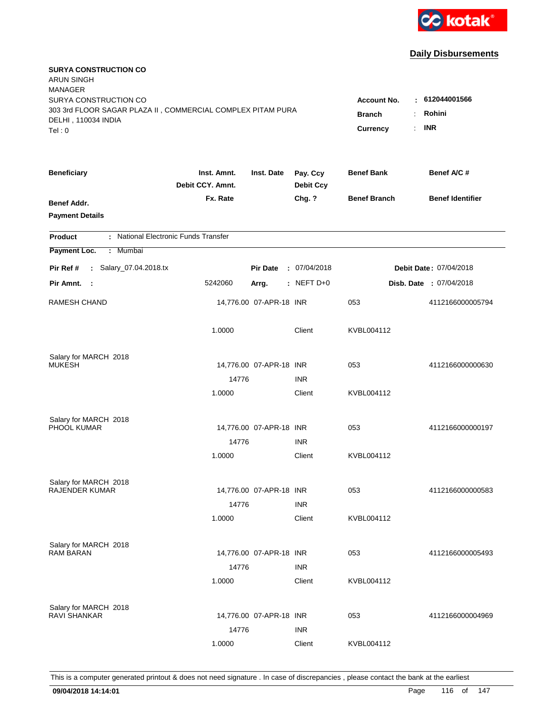

| <b>SURYA CONSTRUCTION CO</b><br><b>ARUN SINGH</b><br><b>MANAGER</b>                                         |                                                                       |                                        |                              |                     |                         |
|-------------------------------------------------------------------------------------------------------------|-----------------------------------------------------------------------|----------------------------------------|------------------------------|---------------------|-------------------------|
| SURYA CONSTRUCTION CO<br>303 3rd FLOOR SAGAR PLAZA II, COMMERCIAL COMPLEX PITAM PURA<br>DELHI, 110034 INDIA | <b>Account No.</b><br><b>Branch</b><br>÷<br>$\mathbb{R}^{\mathbb{Z}}$ | : 612044001566<br>Rohini<br><b>INR</b> |                              |                     |                         |
| Tel: 0                                                                                                      |                                                                       |                                        |                              | Currency            |                         |
| <b>Beneficiary</b>                                                                                          | Inst. Amnt.<br>Debit CCY, Amnt.                                       | Inst. Date                             | Pay. Ccy<br><b>Debit Ccy</b> | <b>Benef Bank</b>   | Benef A/C #             |
| Benef Addr.<br><b>Payment Details</b>                                                                       | Fx. Rate                                                              |                                        | Chg. ?                       | <b>Benef Branch</b> | <b>Benef Identifier</b> |
| : National Electronic Funds Transfer<br><b>Product</b>                                                      |                                                                       |                                        |                              |                     |                         |
| Payment Loc.<br>: Mumbai                                                                                    |                                                                       |                                        |                              |                     |                         |
| : Salary_07.04.2018.tx<br>Pir Ref #                                                                         |                                                                       | <b>Pir Date</b>                        | : 07/04/2018                 |                     | Debit Date: 07/04/2018  |
| Pir Amnt. :                                                                                                 | 5242060                                                               | Arrg.                                  | : NEFT D+0                   |                     | Disb. Date: 07/04/2018  |
| <b>RAMESH CHAND</b>                                                                                         |                                                                       | 14,776.00 07-APR-18 INR                |                              | 053                 | 4112166000005794        |
|                                                                                                             | 1.0000                                                                |                                        | Client                       | KVBL004112          |                         |
| Salary for MARCH 2018                                                                                       |                                                                       |                                        |                              |                     |                         |
| <b>MUKESH</b>                                                                                               |                                                                       | 14,776.00 07-APR-18 INR                |                              | 053                 | 4112166000000630        |
|                                                                                                             | 14776<br>1.0000                                                       |                                        | <b>INR</b><br>Client         | KVBL004112          |                         |
|                                                                                                             |                                                                       |                                        |                              |                     |                         |
| Salary for MARCH 2018                                                                                       |                                                                       |                                        |                              |                     |                         |
| PHOOL KUMAR                                                                                                 |                                                                       | 14,776.00 07-APR-18 INR                |                              | 053                 | 4112166000000197        |
|                                                                                                             | 14776                                                                 |                                        | <b>INR</b>                   |                     |                         |
|                                                                                                             | 1.0000                                                                |                                        | Client                       | KVBL004112          |                         |
| Salary for MARCH 2018                                                                                       |                                                                       |                                        |                              |                     |                         |
| <b>RAJENDER KUMAR</b>                                                                                       |                                                                       | 14,776.00 07-APR-18 INR                |                              | 053                 | 4112166000000583        |
|                                                                                                             | 14776                                                                 |                                        | <b>INR</b>                   |                     |                         |
|                                                                                                             | 1.0000                                                                |                                        | Client                       | KVBL004112          |                         |
| Salary for MARCH 2018                                                                                       |                                                                       |                                        |                              |                     |                         |
| <b>RAM BARAN</b>                                                                                            |                                                                       | 14,776.00 07-APR-18 INR                |                              | 053                 | 4112166000005493        |
|                                                                                                             | 14776                                                                 |                                        | <b>INR</b>                   |                     |                         |
|                                                                                                             | 1.0000                                                                |                                        | Client                       | KVBL004112          |                         |
|                                                                                                             |                                                                       |                                        |                              |                     |                         |
| Salary for MARCH 2018<br><b>RAVI SHANKAR</b>                                                                |                                                                       | 14,776.00 07-APR-18 INR                |                              | 053                 | 4112166000004969        |
|                                                                                                             | 14776                                                                 |                                        | <b>INR</b>                   |                     |                         |
|                                                                                                             | 1.0000                                                                |                                        | Client                       | KVBL004112          |                         |
|                                                                                                             |                                                                       |                                        |                              |                     |                         |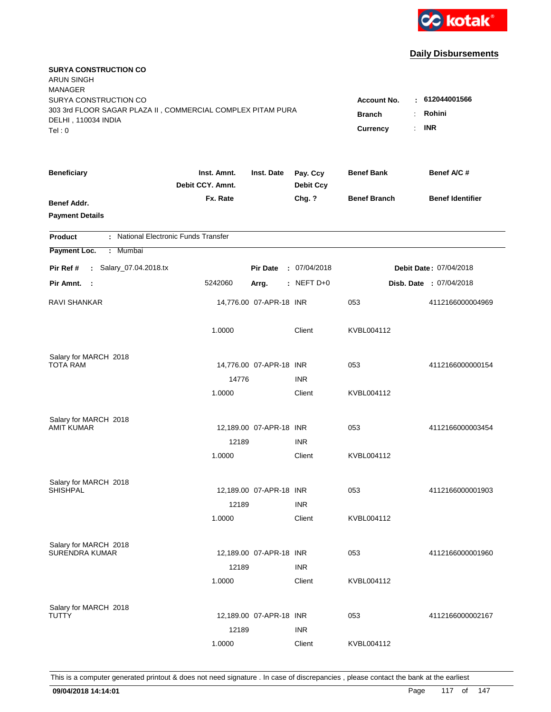

| <b>SURYA CONSTRUCTION CO</b><br><b>ARUN SINGH</b><br><b>MANAGER</b>                |                                 |                         |                              |                                       |                                |
|------------------------------------------------------------------------------------|---------------------------------|-------------------------|------------------------------|---------------------------------------|--------------------------------|
| SURYA CONSTRUCTION CO                                                              |                                 |                         |                              | <b>Account No.</b>                    | : 612044001566                 |
| 303 3rd FLOOR SAGAR PLAZA II, COMMERCIAL COMPLEX PITAM PURA<br>DELHI, 110034 INDIA |                                 | <b>Branch</b><br>÷.     | Rohini                       |                                       |                                |
| Tel: 0                                                                             |                                 |                         |                              | $\mathbb{R}^{\mathbb{Z}}$<br>Currency | <b>INR</b>                     |
|                                                                                    |                                 |                         |                              |                                       |                                |
| <b>Beneficiary</b>                                                                 | Inst. Amnt.<br>Debit CCY, Amnt. | Inst. Date              | Pay. Ccy<br><b>Debit Ccy</b> | <b>Benef Bank</b>                     | Benef A/C #                    |
| Benef Addr.                                                                        | Fx. Rate                        |                         | Chg. ?                       | <b>Benef Branch</b>                   | <b>Benef Identifier</b>        |
| <b>Payment Details</b>                                                             |                                 |                         |                              |                                       |                                |
| : National Electronic Funds Transfer<br><b>Product</b>                             |                                 |                         |                              |                                       |                                |
| Payment Loc.<br>Mumbai<br>÷.                                                       |                                 |                         |                              |                                       |                                |
| : Salary_07.04.2018.tx<br>Pir Ref #                                                |                                 | <b>Pir Date</b>         | : 07/04/2018                 |                                       | Debit Date: 07/04/2018         |
| Pir Amnt. :                                                                        | 5242060                         | Arrg.                   | $:$ NEFT D+0                 |                                       | <b>Disb. Date : 07/04/2018</b> |
|                                                                                    |                                 |                         |                              |                                       |                                |
| <b>RAVI SHANKAR</b>                                                                |                                 | 14,776.00 07-APR-18 INR |                              | 053                                   | 4112166000004969               |
|                                                                                    | 1.0000                          |                         | Client                       | KVBL004112                            |                                |
| Salary for MARCH 2018                                                              |                                 |                         |                              |                                       |                                |
| <b>TOTA RAM</b>                                                                    |                                 | 14,776.00 07-APR-18 INR |                              | 053                                   | 4112166000000154               |
|                                                                                    | 14776                           |                         | <b>INR</b>                   |                                       |                                |
|                                                                                    | 1.0000                          |                         | Client                       | KVBL004112                            |                                |
| Salary for MARCH 2018                                                              |                                 |                         |                              |                                       |                                |
| AMIT KUMAR                                                                         |                                 | 12,189.00 07-APR-18 INR |                              | 053                                   | 4112166000003454               |
|                                                                                    | 12189                           |                         | <b>INR</b>                   |                                       |                                |
|                                                                                    | 1.0000                          |                         | Client                       | KVBL004112                            |                                |
| Salary for MARCH 2018                                                              |                                 |                         |                              |                                       |                                |
| <b>SHISHPAL</b>                                                                    |                                 | 12,189.00 07-APR-18 INR |                              | 053                                   | 4112166000001903               |
|                                                                                    | 12189                           |                         | <b>INR</b>                   |                                       |                                |
|                                                                                    | 1.0000                          |                         | Client                       | KVBL004112                            |                                |
| Salary for MARCH 2018                                                              |                                 |                         |                              |                                       |                                |
| <b>SURENDRA KUMAR</b>                                                              |                                 | 12,189.00 07-APR-18 INR |                              | 053                                   | 4112166000001960               |
|                                                                                    | 12189                           |                         | <b>INR</b>                   |                                       |                                |
|                                                                                    | 1.0000                          |                         | Client                       | KVBL004112                            |                                |
| Salary for MARCH 2018                                                              |                                 |                         |                              |                                       |                                |
| <b>TUTTY</b>                                                                       |                                 | 12,189.00 07-APR-18 INR |                              | 053                                   | 4112166000002167               |
|                                                                                    | 12189                           |                         | <b>INR</b>                   |                                       |                                |
|                                                                                    | 1.0000                          |                         | Client                       | KVBL004112                            |                                |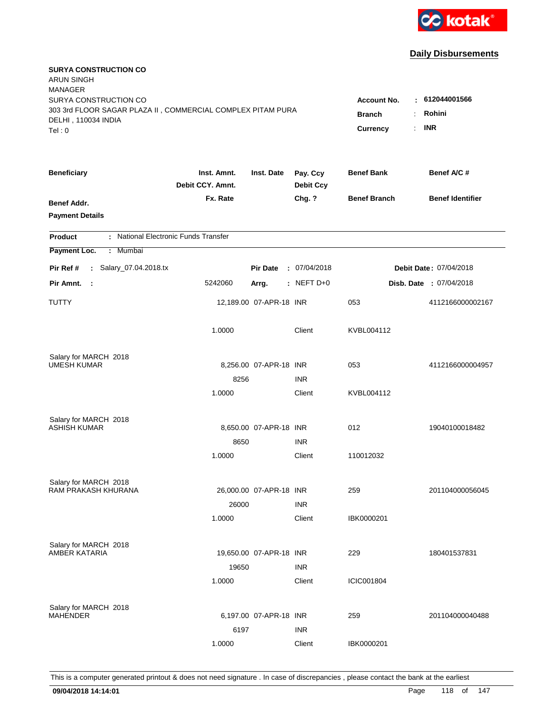

| <b>SURYA CONSTRUCTION CO</b><br><b>ARUN SINGH</b>                                            |                                                                                              |                         |                              |                     |                         |
|----------------------------------------------------------------------------------------------|----------------------------------------------------------------------------------------------|-------------------------|------------------------------|---------------------|-------------------------|
| <b>MANAGER</b><br>SURYA CONSTRUCTION CO                                                      |                                                                                              |                         |                              |                     | 612044001566            |
| 303 3rd FLOOR SAGAR PLAZA II, COMMERCIAL COMPLEX PITAM PURA<br>DELHI, 110034 INDIA<br>Tel: 0 | <b>Account No.</b><br>$\sim$<br>Rohini<br><b>Branch</b><br>÷<br><b>INR</b><br>Currency<br>÷. |                         |                              |                     |                         |
|                                                                                              |                                                                                              |                         |                              |                     |                         |
| <b>Beneficiary</b>                                                                           | Inst. Amnt.<br>Debit CCY. Amnt.                                                              | Inst. Date              | Pay. Ccy<br><b>Debit Ccy</b> | <b>Benef Bank</b>   | Benef A/C #             |
| Benef Addr.<br><b>Payment Details</b>                                                        | Fx. Rate                                                                                     |                         | Chg. ?                       | <b>Benef Branch</b> | <b>Benef Identifier</b> |
| : National Electronic Funds Transfer<br><b>Product</b>                                       |                                                                                              |                         |                              |                     |                         |
| Payment Loc.<br>: Mumbai                                                                     |                                                                                              |                         |                              |                     |                         |
| : Salary_07.04.2018.tx<br>Pir Ref #                                                          |                                                                                              | <b>Pir Date</b>         | : 07/04/2018                 |                     | Debit Date: 07/04/2018  |
| Pir Amnt.<br>- 1                                                                             | 5242060                                                                                      | Arrg.                   | $:$ NEFT D+0                 |                     | Disb. Date : 07/04/2018 |
| TUTTY                                                                                        |                                                                                              | 12,189.00 07-APR-18 INR |                              | 053                 | 4112166000002167        |
|                                                                                              | 1.0000                                                                                       |                         | Client                       | KVBL004112          |                         |
| Salary for MARCH 2018                                                                        |                                                                                              |                         |                              |                     |                         |
| <b>UMESH KUMAR</b>                                                                           |                                                                                              | 8,256.00 07-APR-18 INR  |                              | 053                 | 4112166000004957        |
|                                                                                              | 8256<br>1.0000                                                                               |                         | <b>INR</b><br>Client         | KVBL004112          |                         |
|                                                                                              |                                                                                              |                         |                              |                     |                         |
| Salary for MARCH 2018                                                                        |                                                                                              |                         |                              |                     |                         |
| <b>ASHISH KUMAR</b>                                                                          |                                                                                              | 8,650.00 07-APR-18 INR  |                              | 012                 | 19040100018482          |
|                                                                                              | 8650                                                                                         |                         | <b>INR</b>                   |                     |                         |
|                                                                                              | 1.0000                                                                                       |                         | Client                       | 110012032           |                         |
| Salary for MARCH 2018                                                                        |                                                                                              |                         |                              |                     |                         |
| RAM PRAKASH KHURANA                                                                          |                                                                                              | 26,000.00 07-APR-18 INR |                              | 259                 | 201104000056045         |
|                                                                                              | 26000                                                                                        |                         | <b>INR</b>                   |                     |                         |
|                                                                                              | 1.0000                                                                                       |                         | Client                       | IBK0000201          |                         |
| Salary for MARCH 2018                                                                        |                                                                                              |                         |                              |                     |                         |
| AMBER KATARIA                                                                                |                                                                                              | 19,650.00 07-APR-18 INR |                              | 229                 | 180401537831            |
|                                                                                              | 19650                                                                                        |                         | <b>INR</b>                   |                     |                         |
|                                                                                              | 1.0000                                                                                       |                         | Client                       | ICIC001804          |                         |
| Salary for MARCH 2018                                                                        |                                                                                              |                         |                              |                     |                         |
| <b>MAHENDER</b>                                                                              |                                                                                              | 6,197.00 07-APR-18 INR  |                              | 259                 | 201104000040488         |
|                                                                                              | 6197                                                                                         |                         | <b>INR</b>                   |                     |                         |
|                                                                                              | 1.0000                                                                                       |                         | Client                       | IBK0000201          |                         |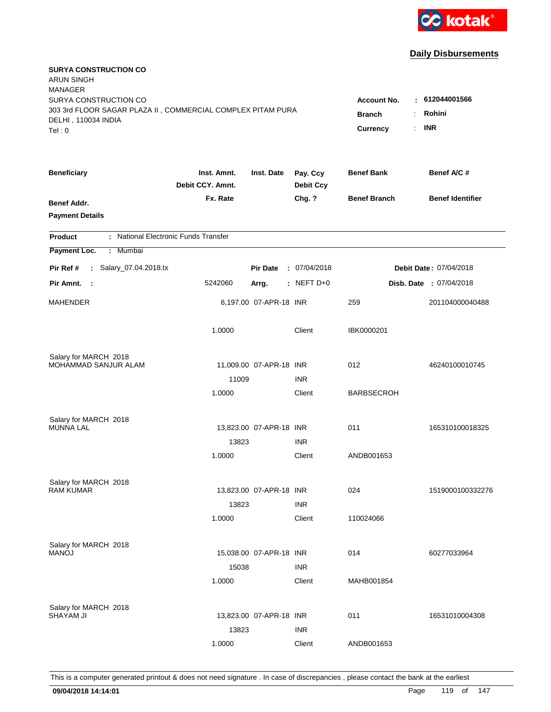

| <b>SURYA CONSTRUCTION CO</b><br><b>ARUN SINGH</b><br><b>MANAGER</b><br>SURYA CONSTRUCTION CO<br>303 3rd FLOOR SAGAR PLAZA II, COMMERCIAL COMPLEX PITAM PURA |                                 |                                                 |                              | <b>Account No.</b>  | $-612044001566$                |
|-------------------------------------------------------------------------------------------------------------------------------------------------------------|---------------------------------|-------------------------------------------------|------------------------------|---------------------|--------------------------------|
| DELHI, 110034 INDIA<br>Tel: 0                                                                                                                               |                                 | <b>Branch</b><br>÷.<br>Currency<br>$\mathbf{r}$ | Rohini<br><b>INR</b>         |                     |                                |
| <b>Beneficiary</b>                                                                                                                                          | Inst. Amnt.<br>Debit CCY. Amnt. | Inst. Date                                      | Pay. Ccy<br><b>Debit Ccy</b> | <b>Benef Bank</b>   | Benef A/C #                    |
| Benef Addr.<br><b>Payment Details</b>                                                                                                                       | Fx. Rate                        |                                                 | Chg. ?                       | <b>Benef Branch</b> | <b>Benef Identifier</b>        |
| : National Electronic Funds Transfer<br><b>Product</b>                                                                                                      |                                 |                                                 |                              |                     |                                |
| Payment Loc.<br>Mumbai<br>÷.                                                                                                                                |                                 |                                                 |                              |                     |                                |
| : Salary_07.04.2018.tx<br>Pir Ref #                                                                                                                         |                                 | <b>Pir Date</b>                                 | : 07/04/2018                 |                     | Debit Date: 07/04/2018         |
| Pir Amnt. :                                                                                                                                                 | 5242060                         | Arrg.                                           | $:$ NEFT D+0                 |                     | <b>Disb. Date : 07/04/2018</b> |
| MAHENDER                                                                                                                                                    |                                 | 6,197.00 07-APR-18 INR                          |                              | 259                 | 201104000040488                |
|                                                                                                                                                             | 1.0000                          |                                                 | Client                       | IBK0000201          |                                |
| Salary for MARCH 2018<br>MOHAMMAD SANJUR ALAM                                                                                                               |                                 |                                                 |                              | 012                 | 46240100010745                 |
|                                                                                                                                                             | 11009                           | 11,009.00 07-APR-18 INR                         | <b>INR</b>                   |                     |                                |
|                                                                                                                                                             | 1.0000                          |                                                 | Client                       | <b>BARBSECROH</b>   |                                |
| Salary for MARCH 2018                                                                                                                                       |                                 |                                                 |                              |                     |                                |
| <b>MUNNA LAL</b>                                                                                                                                            |                                 | 13,823.00 07-APR-18 INR                         |                              | 011                 | 165310100018325                |
|                                                                                                                                                             | 13823                           |                                                 | <b>INR</b>                   |                     |                                |
|                                                                                                                                                             | 1.0000                          |                                                 | Client                       | ANDB001653          |                                |
| Salary for MARCH 2018                                                                                                                                       |                                 |                                                 |                              |                     |                                |
| <b>RAM KUMAR</b>                                                                                                                                            |                                 | 13,823.00 07-APR-18 INR                         |                              | 024                 | 1519000100332276               |
|                                                                                                                                                             | 13823                           |                                                 | <b>INR</b>                   |                     |                                |
|                                                                                                                                                             | 1.0000                          |                                                 | Client                       | 110024066           |                                |
| Salary for MARCH 2018                                                                                                                                       |                                 |                                                 |                              |                     |                                |
| <b>MANOJ</b>                                                                                                                                                |                                 | 15,038.00 07-APR-18 INR                         |                              | 014                 | 60277033964                    |
|                                                                                                                                                             | 15038                           |                                                 | <b>INR</b>                   |                     |                                |
|                                                                                                                                                             | 1.0000                          |                                                 | Client                       | MAHB001854          |                                |
| Salary for MARCH 2018                                                                                                                                       |                                 |                                                 |                              |                     |                                |
| <b>SHAYAM JI</b>                                                                                                                                            |                                 | 13,823.00 07-APR-18 INR                         |                              | 011                 | 16531010004308                 |
|                                                                                                                                                             | 13823                           |                                                 | <b>INR</b>                   |                     |                                |
|                                                                                                                                                             | 1.0000                          |                                                 | Client                       | ANDB001653          |                                |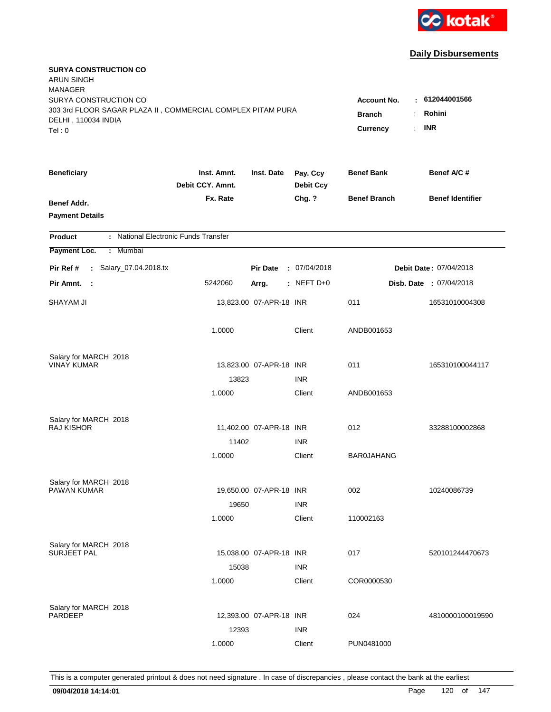

| <b>SURYA CONSTRUCTION CO</b><br><b>ARUN SINGH</b><br><b>MANAGER</b>                  |                                 |                         |                              |                                     |                          |
|--------------------------------------------------------------------------------------|---------------------------------|-------------------------|------------------------------|-------------------------------------|--------------------------|
| SURYA CONSTRUCTION CO<br>303 3rd FLOOR SAGAR PLAZA II, COMMERCIAL COMPLEX PITAM PURA |                                 |                         |                              | <b>Account No.</b><br><b>Branch</b> | : 612044001566<br>Rohini |
| DELHI, 110034 INDIA<br>Tel: 0                                                        |                                 |                         |                              | Currency<br>÷.                      | <b>INR</b>               |
| <b>Beneficiary</b>                                                                   | Inst. Amnt.<br>Debit CCY. Amnt. | Inst. Date              | Pay. Ccy<br><b>Debit Ccy</b> | <b>Benef Bank</b>                   | Benef A/C #              |
| Benef Addr.<br><b>Payment Details</b>                                                | Fx. Rate                        |                         | Chg. ?                       | <b>Benef Branch</b>                 | <b>Benef Identifier</b>  |
| : National Electronic Funds Transfer<br><b>Product</b>                               |                                 |                         |                              |                                     |                          |
| Payment Loc.<br>: Mumbai                                                             |                                 |                         |                              |                                     |                          |
| : Salary_07.04.2018.tx<br>Pir Ref #                                                  |                                 | <b>Pir Date</b>         | : 07/04/2018                 |                                     | Debit Date: 07/04/2018   |
| Pir Amnt.<br>$\sim$ 1                                                                | 5242060                         | Arrg.                   | : NEFT $D+0$                 |                                     | Disb. Date : 07/04/2018  |
| SHAYAM JI                                                                            |                                 | 13,823.00 07-APR-18 INR |                              | 011                                 | 16531010004308           |
|                                                                                      | 1.0000                          |                         | Client                       | ANDB001653                          |                          |
| Salary for MARCH 2018                                                                |                                 |                         |                              |                                     |                          |
| <b>VINAY KUMAR</b>                                                                   |                                 | 13,823.00 07-APR-18 INR |                              | 011                                 | 165310100044117          |
|                                                                                      | 13823                           |                         | <b>INR</b>                   |                                     |                          |
|                                                                                      | 1.0000                          |                         | Client                       | ANDB001653                          |                          |
| Salary for MARCH 2018                                                                |                                 |                         |                              |                                     |                          |
| <b>RAJ KISHOR</b>                                                                    |                                 | 11,402.00 07-APR-18 INR |                              | 012                                 | 33288100002868           |
|                                                                                      | 11402                           |                         | <b>INR</b>                   |                                     |                          |
|                                                                                      | 1.0000                          |                         | Client                       | <b>BAR0JAHANG</b>                   |                          |
| Salary for MARCH 2018                                                                |                                 |                         |                              |                                     |                          |
| <b>PAWAN KUMAR</b>                                                                   |                                 | 19,650.00 07-APR-18 INR |                              | 002                                 | 10240086739              |
|                                                                                      | 19650                           |                         | <b>INR</b>                   |                                     |                          |
|                                                                                      | 1.0000                          |                         | Client                       | 110002163                           |                          |
| Salary for MARCH 2018                                                                |                                 |                         |                              |                                     |                          |
| <b>SURJEET PAL</b>                                                                   |                                 | 15,038.00 07-APR-18 INR |                              | 017                                 | 520101244470673          |
|                                                                                      | 15038                           |                         | <b>INR</b>                   |                                     |                          |
|                                                                                      | 1.0000                          |                         | Client                       | COR0000530                          |                          |
|                                                                                      |                                 |                         |                              |                                     |                          |
| Salary for MARCH 2018<br><b>PARDEEP</b>                                              |                                 | 12,393.00 07-APR-18 INR |                              | 024                                 | 4810000100019590         |
|                                                                                      | 12393                           |                         | <b>INR</b>                   |                                     |                          |
|                                                                                      | 1.0000                          |                         | Client                       | PUN0481000                          |                          |
|                                                                                      |                                 |                         |                              |                                     |                          |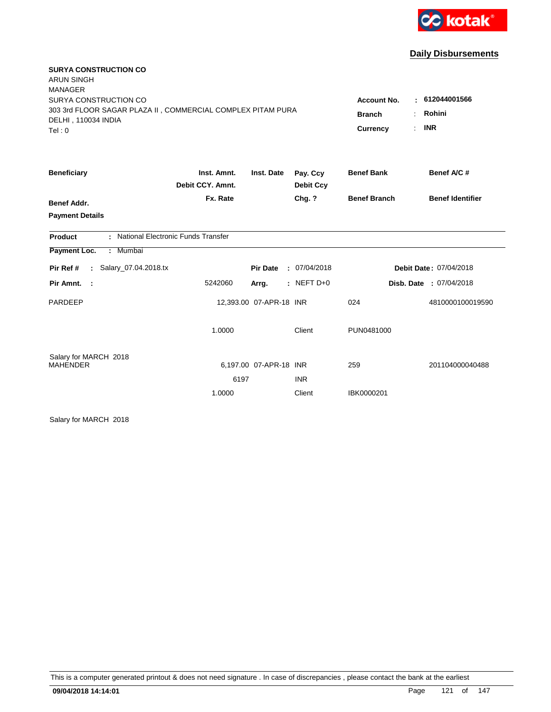

| <b>SURYA CONSTRUCTION CO</b>                                                       |                  |                         |                  |                            |                         |
|------------------------------------------------------------------------------------|------------------|-------------------------|------------------|----------------------------|-------------------------|
| <b>ARUN SINGH</b><br><b>MANAGER</b>                                                |                  |                         |                  |                            |                         |
| SURYA CONSTRUCTION CO                                                              |                  |                         |                  | <b>Account No.</b><br>٠    | 612044001566            |
| 303 3rd FLOOR SAGAR PLAZA II, COMMERCIAL COMPLEX PITAM PURA<br>DELHI, 110034 INDIA |                  |                         |                  | <b>Branch</b>              | Rohini                  |
| Tel: 0                                                                             |                  |                         |                  | <b>Currency</b><br>$\cdot$ | <b>INR</b>              |
| <b>Beneficiary</b>                                                                 | Inst. Amnt.      | Inst. Date              | Pay. Ccy         | <b>Benef Bank</b>          | Benef A/C #             |
|                                                                                    | Debit CCY. Amnt. |                         | <b>Debit Ccy</b> |                            |                         |
| <b>Benef Addr.</b>                                                                 | Fx. Rate         |                         | Chg. ?           | <b>Benef Branch</b>        | <b>Benef Identifier</b> |
| <b>Payment Details</b>                                                             |                  |                         |                  |                            |                         |
| : National Electronic Funds Transfer<br><b>Product</b>                             |                  |                         |                  |                            |                         |
| Payment Loc.<br>: Mumbai                                                           |                  |                         |                  |                            |                         |
| : Salary_07.04.2018.tx<br>Pir Ref #                                                |                  | <b>Pir Date</b>         | : 07/04/2018     |                            | Debit Date: 07/04/2018  |
| Pir Amnt. :                                                                        | 5242060          | Arrg.                   | $:$ NEFT D+0     |                            | Disb. Date : 07/04/2018 |
| PARDEEP                                                                            |                  | 12,393.00 07-APR-18 INR |                  | 024                        | 4810000100019590        |
|                                                                                    | 1.0000           |                         | Client           | PUN0481000                 |                         |
| Salary for MARCH 2018<br><b>MAHENDER</b>                                           |                  | 6,197.00 07-APR-18 INR  |                  | 259                        | 201104000040488         |
|                                                                                    | 6197             |                         | <b>INR</b>       |                            |                         |
|                                                                                    | 1.0000           |                         | Client           | IBK0000201                 |                         |

Salary for MARCH 2018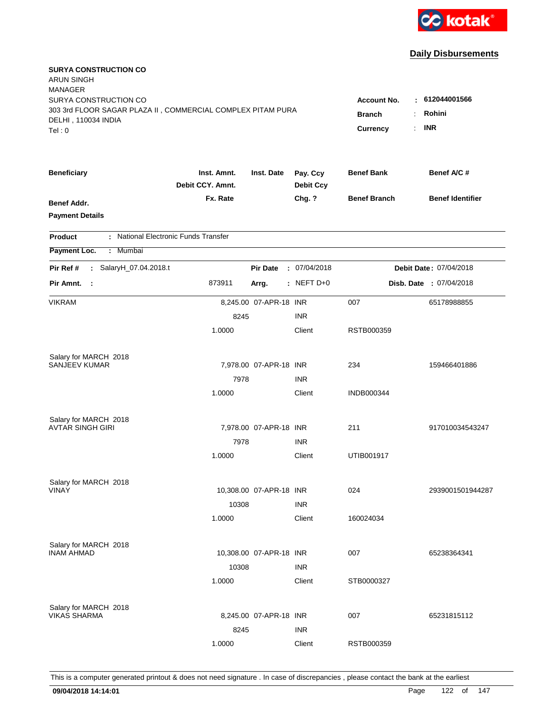

| <b>SURYA CONSTRUCTION CO</b><br><b>ARUN SINGH</b><br><b>MANAGER</b>                                                  |                                                       |                                      |                              |                     |                         |
|----------------------------------------------------------------------------------------------------------------------|-------------------------------------------------------|--------------------------------------|------------------------------|---------------------|-------------------------|
| SURYA CONSTRUCTION CO<br>303 3rd FLOOR SAGAR PLAZA II, COMMERCIAL COMPLEX PITAM PURA<br>DELHI, 110034 INDIA<br>Tel:0 | <b>Account No.</b><br><b>Branch</b><br>Currency<br>÷. | 612044001566<br>Rohini<br><b>INR</b> |                              |                     |                         |
|                                                                                                                      |                                                       |                                      |                              |                     |                         |
| <b>Beneficiary</b>                                                                                                   | Inst. Amnt.<br>Debit CCY. Amnt.                       | Inst. Date                           | Pay. Ccy<br><b>Debit Ccy</b> | <b>Benef Bank</b>   | Benef A/C #             |
| <b>Benef Addr.</b><br><b>Payment Details</b>                                                                         | Fx. Rate                                              |                                      | Chg. ?                       | <b>Benef Branch</b> | <b>Benef Identifier</b> |
| : National Electronic Funds Transfer<br><b>Product</b>                                                               |                                                       |                                      |                              |                     |                         |
| Payment Loc.<br>: Mumbai                                                                                             |                                                       |                                      |                              |                     |                         |
| : SalaryH_07.04.2018.t<br>Pir Ref #                                                                                  |                                                       | <b>Pir Date</b>                      | : 07/04/2018                 |                     | Debit Date: 07/04/2018  |
| Pir Amnt. :                                                                                                          | 873911                                                | Arrg.                                | $:$ NEFT D+0                 |                     | Disb. Date : 07/04/2018 |
| <b>VIKRAM</b>                                                                                                        |                                                       | 8,245.00 07-APR-18 INR               |                              | 007                 | 65178988855             |
|                                                                                                                      | 8245                                                  |                                      | <b>INR</b>                   |                     |                         |
|                                                                                                                      | 1.0000                                                |                                      | Client                       | RSTB000359          |                         |
| Salary for MARCH 2018                                                                                                |                                                       |                                      |                              |                     |                         |
| <b>SANJEEV KUMAR</b>                                                                                                 |                                                       | 7,978.00 07-APR-18 INR               |                              | 234                 | 159466401886            |
|                                                                                                                      | 7978                                                  |                                      | <b>INR</b>                   |                     |                         |
|                                                                                                                      | 1.0000                                                |                                      | Client                       | <b>INDB000344</b>   |                         |
| Salary for MARCH 2018                                                                                                |                                                       |                                      |                              |                     |                         |
| <b>AVTAR SINGH GIRI</b>                                                                                              |                                                       | 7,978.00 07-APR-18 INR               |                              | 211                 | 917010034543247         |
|                                                                                                                      | 7978                                                  |                                      | <b>INR</b>                   |                     |                         |
|                                                                                                                      | 1.0000                                                |                                      | Client                       | UTIB001917          |                         |
| Salary for MARCH 2018                                                                                                |                                                       |                                      |                              |                     |                         |
| VINAY                                                                                                                |                                                       | 10,308.00 07-APR-18 INR              |                              | 024                 | 2939001501944287        |
|                                                                                                                      | 10308                                                 |                                      | <b>INR</b>                   |                     |                         |
|                                                                                                                      | 1.0000                                                |                                      | Client                       | 160024034           |                         |
| Salary for MARCH 2018                                                                                                |                                                       |                                      |                              |                     |                         |
| <b>INAM AHMAD</b>                                                                                                    |                                                       | 10,308.00 07-APR-18 INR              |                              | 007                 | 65238364341             |
|                                                                                                                      | 10308                                                 |                                      | <b>INR</b>                   |                     |                         |
|                                                                                                                      | 1.0000                                                |                                      | Client                       | STB0000327          |                         |
| Salary for MARCH 2018                                                                                                |                                                       |                                      |                              |                     |                         |
| <b>VIKAS SHARMA</b>                                                                                                  |                                                       | 8,245.00 07-APR-18 INR               |                              | 007                 | 65231815112             |
|                                                                                                                      | 8245                                                  |                                      | <b>INR</b>                   |                     |                         |
|                                                                                                                      | 1.0000                                                |                                      | Client                       | RSTB000359          |                         |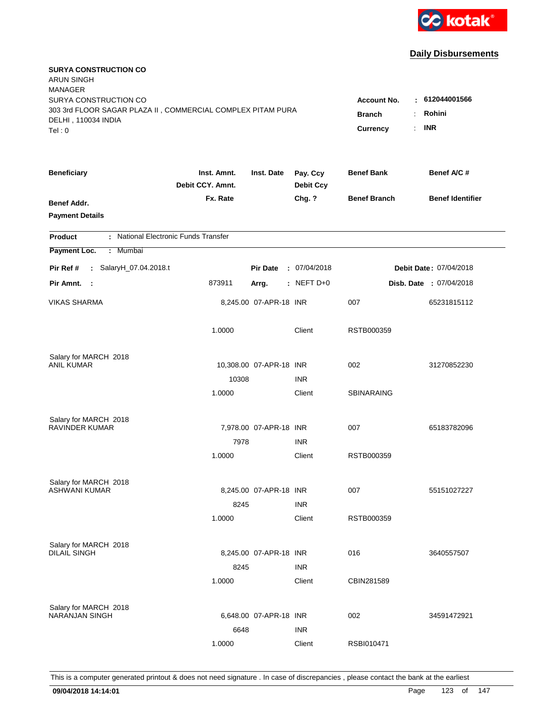

| <b>SURYA CONSTRUCTION CO</b><br><b>ARUN SINGH</b><br><b>MANAGER</b>                                                   |                                                 |                                                     |                              |                     |                                |
|-----------------------------------------------------------------------------------------------------------------------|-------------------------------------------------|-----------------------------------------------------|------------------------------|---------------------|--------------------------------|
| SURYA CONSTRUCTION CO<br>303 3rd FLOOR SAGAR PLAZA II, COMMERCIAL COMPLEX PITAM PURA<br>DELHI, 110034 INDIA<br>Tel: 0 | <b>Account No.</b><br><b>Branch</b><br>Currency | $-612044001566$<br>Rohini<br>÷.<br><b>INR</b><br>÷. |                              |                     |                                |
| <b>Beneficiary</b>                                                                                                    | Inst. Amnt.<br>Debit CCY. Amnt.                 | Inst. Date                                          | Pay. Ccy<br><b>Debit Ccy</b> | <b>Benef Bank</b>   | Benef A/C #                    |
| Benef Addr.<br><b>Payment Details</b>                                                                                 | Fx. Rate                                        |                                                     | Chg. ?                       | <b>Benef Branch</b> | <b>Benef Identifier</b>        |
| : National Electronic Funds Transfer<br><b>Product</b>                                                                |                                                 |                                                     |                              |                     |                                |
| Payment Loc.<br>: Mumbai                                                                                              |                                                 |                                                     |                              |                     |                                |
| : SalaryH_07.04.2018.t<br>Pir Ref #                                                                                   |                                                 | <b>Pir Date</b>                                     | : 07/04/2018                 |                     | Debit Date: 07/04/2018         |
| Pir Amnt. :                                                                                                           | 873911                                          | Arrg.                                               | $:$ NEFT D+0                 |                     | <b>Disb. Date : 07/04/2018</b> |
| <b>VIKAS SHARMA</b>                                                                                                   |                                                 | 8,245.00 07-APR-18 INR                              |                              | 007                 | 65231815112                    |
|                                                                                                                       | 1.0000                                          |                                                     | Client                       | RSTB000359          |                                |
| Salary for MARCH 2018                                                                                                 |                                                 |                                                     |                              |                     |                                |
| ANIL KUMAR                                                                                                            |                                                 | 10,308.00 07-APR-18 INR                             |                              | 002                 | 31270852230                    |
|                                                                                                                       | 10308                                           |                                                     | <b>INR</b>                   |                     |                                |
|                                                                                                                       | 1.0000                                          |                                                     | Client                       | <b>SBINARAING</b>   |                                |
| Salary for MARCH 2018                                                                                                 |                                                 |                                                     |                              |                     |                                |
| <b>RAVINDER KUMAR</b>                                                                                                 |                                                 | 7,978.00 07-APR-18 INR                              |                              | 007                 | 65183782096                    |
|                                                                                                                       | 7978                                            |                                                     | <b>INR</b>                   |                     |                                |
|                                                                                                                       | 1.0000                                          |                                                     | Client                       | RSTB000359          |                                |
| Salary for MARCH 2018                                                                                                 |                                                 |                                                     |                              |                     |                                |
| <b>ASHWANI KUMAR</b>                                                                                                  |                                                 | 8,245.00 07-APR-18 INR                              |                              | 007                 | 55151027227                    |
|                                                                                                                       | 8245                                            |                                                     | <b>INR</b>                   |                     |                                |
|                                                                                                                       | 1.0000                                          |                                                     | Client                       | RSTB000359          |                                |
| Salary for MARCH 2018                                                                                                 |                                                 |                                                     |                              |                     |                                |
| <b>DILAIL SINGH</b>                                                                                                   |                                                 | 8,245.00 07-APR-18 INR                              |                              | 016                 | 3640557507                     |
|                                                                                                                       | 8245                                            |                                                     | <b>INR</b>                   |                     |                                |
|                                                                                                                       | 1.0000                                          |                                                     | Client                       | CBIN281589          |                                |
|                                                                                                                       |                                                 |                                                     |                              |                     |                                |
| Salary for MARCH 2018<br><b>NARANJAN SINGH</b>                                                                        |                                                 | 6,648.00 07-APR-18 INR                              |                              | 002                 | 34591472921                    |
|                                                                                                                       | 6648                                            |                                                     | <b>INR</b>                   |                     |                                |
|                                                                                                                       | 1.0000                                          |                                                     | Client                       | RSBI010471          |                                |
|                                                                                                                       |                                                 |                                                     |                              |                     |                                |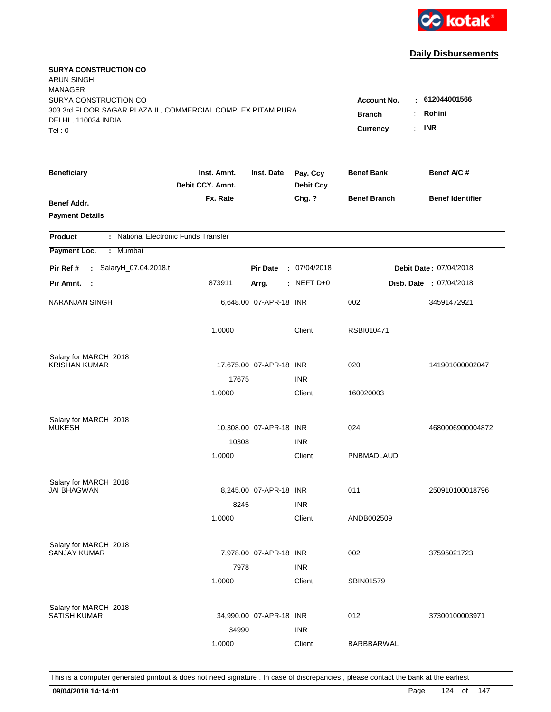

| <b>SURYA CONSTRUCTION CO</b><br><b>ARUN SINGH</b><br><b>MANAGER</b>                                                   |                                                                       |                                        |                              |                     |                                |
|-----------------------------------------------------------------------------------------------------------------------|-----------------------------------------------------------------------|----------------------------------------|------------------------------|---------------------|--------------------------------|
| SURYA CONSTRUCTION CO<br>303 3rd FLOOR SAGAR PLAZA II, COMMERCIAL COMPLEX PITAM PURA<br>DELHI, 110034 INDIA<br>Tel: 0 | <b>Account No.</b><br><b>Branch</b><br>÷.<br>Currency<br>$\mathbf{r}$ | : 612044001566<br>Rohini<br><b>INR</b> |                              |                     |                                |
| <b>Beneficiary</b>                                                                                                    | Inst. Amnt.<br>Debit CCY. Amnt.                                       | Inst. Date                             | Pay. Ccy<br><b>Debit Ccy</b> | <b>Benef Bank</b>   | Benef A/C #                    |
| Benef Addr.<br><b>Payment Details</b>                                                                                 | Fx. Rate                                                              |                                        | Chg. ?                       | <b>Benef Branch</b> | <b>Benef Identifier</b>        |
| : National Electronic Funds Transfer<br><b>Product</b>                                                                |                                                                       |                                        |                              |                     |                                |
| Payment Loc.<br>Mumbai<br>÷.                                                                                          |                                                                       |                                        |                              |                     |                                |
| : SalaryH_07.04.2018.t<br>Pir Ref #                                                                                   |                                                                       | <b>Pir Date</b>                        | : 07/04/2018                 |                     | <b>Debit Date: 07/04/2018</b>  |
| Pir Amnt.<br>$\sim$ 1                                                                                                 | 873911                                                                | Arrg.                                  | $:$ NEFT D+0                 |                     | <b>Disb. Date : 07/04/2018</b> |
| <b>NARANJAN SINGH</b>                                                                                                 |                                                                       | 6,648.00 07-APR-18 INR                 |                              | 002                 | 34591472921                    |
|                                                                                                                       | 1.0000                                                                |                                        | Client                       | RSBI010471          |                                |
| Salary for MARCH 2018                                                                                                 |                                                                       |                                        |                              |                     |                                |
| <b>KRISHAN KUMAR</b>                                                                                                  |                                                                       | 17,675.00 07-APR-18 INR                |                              | 020                 | 141901000002047                |
|                                                                                                                       | 17675                                                                 |                                        | <b>INR</b>                   |                     |                                |
|                                                                                                                       | 1.0000                                                                |                                        | Client                       | 160020003           |                                |
| Salary for MARCH 2018                                                                                                 |                                                                       |                                        |                              |                     |                                |
| <b>MUKESH</b>                                                                                                         |                                                                       | 10,308.00 07-APR-18 INR                |                              | 024                 | 4680006900004872               |
|                                                                                                                       | 10308                                                                 |                                        | <b>INR</b>                   |                     |                                |
|                                                                                                                       | 1.0000                                                                |                                        | Client                       | PNBMADLAUD          |                                |
| Salary for MARCH 2018                                                                                                 |                                                                       |                                        |                              |                     |                                |
| <b>JAI BHAGWAN</b>                                                                                                    |                                                                       | 8,245.00 07-APR-18 INR                 |                              | 011                 | 250910100018796                |
|                                                                                                                       | 8245                                                                  |                                        | <b>INR</b>                   |                     |                                |
|                                                                                                                       | 1.0000                                                                |                                        | Client                       | ANDB002509          |                                |
| Salary for MARCH 2018                                                                                                 |                                                                       |                                        |                              |                     |                                |
| <b>SANJAY KUMAR</b>                                                                                                   |                                                                       | 7,978.00 07-APR-18 INR                 |                              | 002                 | 37595021723                    |
|                                                                                                                       | 7978                                                                  |                                        | <b>INR</b>                   |                     |                                |
|                                                                                                                       | 1.0000                                                                |                                        | Client                       | <b>SBIN01579</b>    |                                |
| Salary for MARCH 2018                                                                                                 |                                                                       |                                        |                              |                     |                                |
| <b>SATISH KUMAR</b>                                                                                                   |                                                                       | 34,990.00 07-APR-18 INR                |                              | 012                 | 37300100003971                 |
|                                                                                                                       | 34990                                                                 |                                        | <b>INR</b>                   |                     |                                |
|                                                                                                                       | 1.0000                                                                |                                        | Client                       | BARBBARWAL          |                                |
|                                                                                                                       |                                                                       |                                        |                              |                     |                                |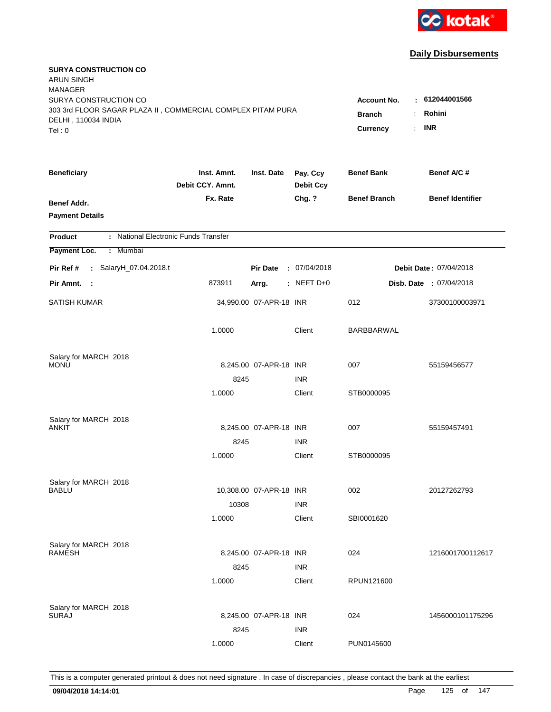

| <b>SURYA CONSTRUCTION CO</b><br><b>ARUN SINGH</b><br><b>MANAGER</b>                          |                           |                         |                  |                     |                         |
|----------------------------------------------------------------------------------------------|---------------------------|-------------------------|------------------|---------------------|-------------------------|
| SURYA CONSTRUCTION CO                                                                        |                           |                         |                  | Account No.<br>÷    | 612044001566            |
| 303 3rd FLOOR SAGAR PLAZA II, COMMERCIAL COMPLEX PITAM PURA<br>DELHI, 110034 INDIA<br>Tel: 0 | <b>Branch</b><br>Currency | Rohini<br><b>INR</b>    |                  |                     |                         |
| <b>Beneficiary</b>                                                                           | Inst. Amnt.               | Inst. Date              | Pay. Ccy         | <b>Benef Bank</b>   | Benef A/C #             |
|                                                                                              | Debit CCY. Amnt.          |                         | <b>Debit Ccy</b> |                     |                         |
| Benef Addr.<br><b>Payment Details</b>                                                        | Fx. Rate                  |                         | Chg. ?           | <b>Benef Branch</b> | <b>Benef Identifier</b> |
| : National Electronic Funds Transfer<br><b>Product</b>                                       |                           |                         |                  |                     |                         |
| Payment Loc.<br>: Mumbai                                                                     |                           |                         |                  |                     |                         |
| : SalaryH_07.04.2018.t<br>Pir Ref #                                                          |                           | <b>Pir Date</b>         | : 07/04/2018     |                     | Debit Date: 07/04/2018  |
| Pir Amnt. :                                                                                  | 873911                    | Arrg.                   | $:$ NEFT D+0     |                     | Disb. Date: 07/04/2018  |
| <b>SATISH KUMAR</b>                                                                          |                           | 34,990.00 07-APR-18 INR |                  | 012                 | 37300100003971          |
|                                                                                              | 1.0000                    |                         | Client           | BARBBARWAL          |                         |
| Salary for MARCH 2018                                                                        |                           |                         |                  |                     |                         |
| <b>MONU</b>                                                                                  |                           | 8,245.00 07-APR-18 INR  |                  | 007                 | 55159456577             |
|                                                                                              | 8245                      |                         | <b>INR</b>       |                     |                         |
|                                                                                              | 1.0000                    |                         | Client           | STB0000095          |                         |
| Salary for MARCH 2018                                                                        |                           |                         |                  |                     |                         |
| ANKIT                                                                                        |                           | 8,245.00 07-APR-18 INR  |                  | 007                 | 55159457491             |
|                                                                                              | 8245                      |                         | <b>INR</b>       |                     |                         |
|                                                                                              | 1.0000                    |                         | Client           | STB0000095          |                         |
| Salary for MARCH 2018                                                                        |                           |                         |                  |                     |                         |
| <b>BABLU</b>                                                                                 |                           | 10,308.00 07-APR-18 INR |                  | 002                 | 20127262793             |
|                                                                                              | 10308                     |                         | <b>INR</b>       |                     |                         |
|                                                                                              | 1.0000                    |                         | Client           | SBI0001620          |                         |
| Salary for MARCH 2018                                                                        |                           |                         |                  |                     |                         |
| <b>RAMESH</b>                                                                                |                           | 8,245.00 07-APR-18 INR  |                  | 024                 | 1216001700112617        |
|                                                                                              | 8245                      |                         | <b>INR</b>       |                     |                         |
|                                                                                              | 1.0000                    |                         | Client           | RPUN121600          |                         |
| Salary for MARCH 2018                                                                        |                           |                         |                  |                     |                         |
| <b>SURAJ</b>                                                                                 |                           | 8,245.00 07-APR-18 INR  |                  | 024                 | 1456000101175296        |
|                                                                                              | 8245                      |                         | <b>INR</b>       |                     |                         |
|                                                                                              | 1.0000                    |                         | Client           | PUN0145600          |                         |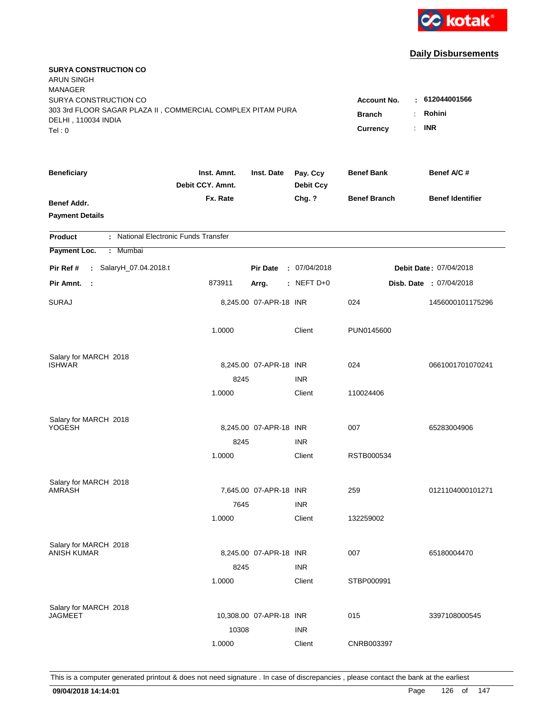

| <b>SURYA CONSTRUCTION CO</b><br><b>ARUN SINGH</b><br><b>MANAGER</b><br>SURYA CONSTRUCTION CO |                                                                                      |                         |                              | <b>Account No.</b>  | : 612044001566                 |
|----------------------------------------------------------------------------------------------|--------------------------------------------------------------------------------------|-------------------------|------------------------------|---------------------|--------------------------------|
| 303 3rd FLOOR SAGAR PLAZA II, COMMERCIAL COMPLEX PITAM PURA<br>DELHI, 110034 INDIA<br>Tel: 0 | Rohini<br><b>Branch</b><br>÷.<br><b>INR</b><br>Currency<br>$\mathbb{R}^{\mathbb{Z}}$ |                         |                              |                     |                                |
| <b>Beneficiary</b>                                                                           | Inst. Amnt.<br>Debit CCY, Amnt.                                                      | Inst. Date              | Pay. Ccy<br><b>Debit Ccy</b> | <b>Benef Bank</b>   | Benef A/C #                    |
| Benef Addr.<br><b>Payment Details</b>                                                        | Fx. Rate                                                                             |                         | Chg. ?                       | <b>Benef Branch</b> | <b>Benef Identifier</b>        |
| : National Electronic Funds Transfer<br><b>Product</b>                                       |                                                                                      |                         |                              |                     |                                |
| Payment Loc.<br>: Mumbai                                                                     |                                                                                      |                         |                              |                     |                                |
| : SalaryH_07.04.2018.t<br>Pir Ref #                                                          |                                                                                      | <b>Pir Date</b>         | : 07/04/2018                 |                     | Debit Date: 07/04/2018         |
| Pir Amnt. :                                                                                  | 873911                                                                               | Arrg.                   | $:$ NEFT D+0                 |                     | <b>Disb. Date : 07/04/2018</b> |
| <b>SURAJ</b>                                                                                 |                                                                                      | 8,245.00 07-APR-18 INR  |                              | 024                 | 1456000101175296               |
|                                                                                              | 1.0000                                                                               |                         | Client                       | PUN0145600          |                                |
| Salary for MARCH 2018<br><b>ISHWAR</b>                                                       |                                                                                      |                         |                              | 024                 | 0661001701070241               |
|                                                                                              | 8245                                                                                 | 8,245.00 07-APR-18 INR  | <b>INR</b>                   |                     |                                |
|                                                                                              | 1.0000                                                                               |                         | Client                       | 110024406           |                                |
| Salary for MARCH 2018<br>YOGESH                                                              |                                                                                      | 8,245.00 07-APR-18 INR  |                              | 007                 | 65283004906                    |
|                                                                                              | 8245                                                                                 |                         | <b>INR</b>                   |                     |                                |
|                                                                                              | 1.0000                                                                               |                         | Client                       | RSTB000534          |                                |
| Salary for MARCH 2018                                                                        |                                                                                      |                         |                              |                     |                                |
| <b>AMRASH</b>                                                                                |                                                                                      | 7,645.00 07-APR-18 INR  |                              | 259                 | 0121104000101271               |
|                                                                                              | 7645<br>1.0000                                                                       |                         | <b>INR</b><br>Client         | 132259002           |                                |
| Salary for MARCH 2018                                                                        |                                                                                      |                         |                              |                     |                                |
| <b>ANISH KUMAR</b>                                                                           |                                                                                      | 8,245.00 07-APR-18 INR  |                              | 007                 | 65180004470                    |
|                                                                                              | 8245<br>1.0000                                                                       |                         | <b>INR</b><br>Client         | STBP000991          |                                |
| Salary for MARCH 2018<br><b>JAGMEET</b>                                                      | 10308                                                                                | 10,308.00 07-APR-18 INR | <b>INR</b>                   | 015                 | 3397108000545                  |
|                                                                                              | 1.0000                                                                               |                         | Client                       | CNRB003397          |                                |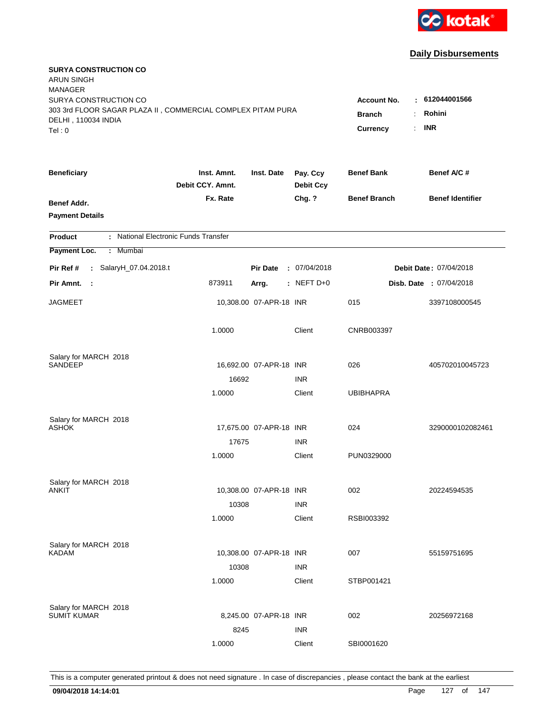

| <b>SURYA CONSTRUCTION CO</b><br><b>ARUN SINGH</b><br><b>MANAGER</b> |                                 |                         |                              |                     |                         |
|---------------------------------------------------------------------|---------------------------------|-------------------------|------------------------------|---------------------|-------------------------|
| SURYA CONSTRUCTION CO                                               |                                 |                         |                              | <b>Account No.</b>  | $-612044001566$         |
| 303 3rd FLOOR SAGAR PLAZA II, COMMERCIAL COMPLEX PITAM PURA         | <b>Branch</b><br>÷              | Rohini                  |                              |                     |                         |
| DELHI, 110034 INDIA                                                 |                                 |                         |                              | ÷.                  | <b>INR</b>              |
| Tel: 0                                                              |                                 |                         |                              | Currency            |                         |
| <b>Beneficiary</b>                                                  | Inst. Amnt.<br>Debit CCY. Amnt. | Inst. Date              | Pay. Ccy<br><b>Debit Ccy</b> | <b>Benef Bank</b>   | Benef A/C #             |
| Benef Addr.                                                         | Fx. Rate                        |                         | Chg. ?                       | <b>Benef Branch</b> | <b>Benef Identifier</b> |
| <b>Payment Details</b>                                              |                                 |                         |                              |                     |                         |
| : National Electronic Funds Transfer<br><b>Product</b>              |                                 |                         |                              |                     |                         |
| Payment Loc.<br>: Mumbai                                            |                                 |                         |                              |                     |                         |
| : SalaryH_07.04.2018.t<br>Pir Ref #                                 |                                 | <b>Pir Date</b>         | : 07/04/2018                 |                     | Debit Date: 07/04/2018  |
| Pir Amnt.<br>- 1                                                    | 873911                          | Arrg.                   | $:$ NEFT D+0                 |                     | Disb. Date : 07/04/2018 |
| <b>JAGMEET</b>                                                      |                                 | 10,308.00 07-APR-18 INR |                              | 015                 | 3397108000545           |
|                                                                     | 1.0000                          |                         | Client                       | CNRB003397          |                         |
| Salary for MARCH 2018                                               |                                 |                         |                              |                     |                         |
| <b>SANDEEP</b>                                                      |                                 | 16,692.00 07-APR-18 INR |                              | 026                 | 405702010045723         |
|                                                                     | 16692                           |                         | <b>INR</b>                   |                     |                         |
|                                                                     | 1.0000                          |                         | Client                       | <b>UBIBHAPRA</b>    |                         |
| Salary for MARCH 2018                                               |                                 |                         |                              |                     |                         |
| <b>ASHOK</b>                                                        |                                 | 17,675.00 07-APR-18 INR |                              | 024                 | 3290000102082461        |
|                                                                     | 17675                           |                         | <b>INR</b>                   |                     |                         |
|                                                                     | 1.0000                          |                         | Client                       | PUN0329000          |                         |
| Salary for MARCH 2018                                               |                                 |                         |                              |                     |                         |
| ANKIT                                                               |                                 | 10,308.00 07-APR-18 INR |                              | 002                 | 20224594535             |
|                                                                     | 10308                           |                         | <b>INR</b>                   |                     |                         |
|                                                                     | 1.0000                          |                         | Client                       | RSBI003392          |                         |
| Salary for MARCH 2018                                               |                                 |                         |                              |                     |                         |
| <b>KADAM</b>                                                        |                                 | 10,308.00 07-APR-18 INR |                              | 007                 | 55159751695             |
|                                                                     | 10308                           |                         | <b>INR</b>                   |                     |                         |
|                                                                     | 1.0000                          |                         | Client                       | STBP001421          |                         |
| Salary for MARCH 2018                                               |                                 |                         |                              |                     |                         |
| <b>SUMIT KUMAR</b>                                                  |                                 | 8,245.00 07-APR-18 INR  |                              | 002                 | 20256972168             |
|                                                                     | 8245                            |                         | <b>INR</b>                   |                     |                         |
|                                                                     | 1.0000                          |                         | Client                       | SBI0001620          |                         |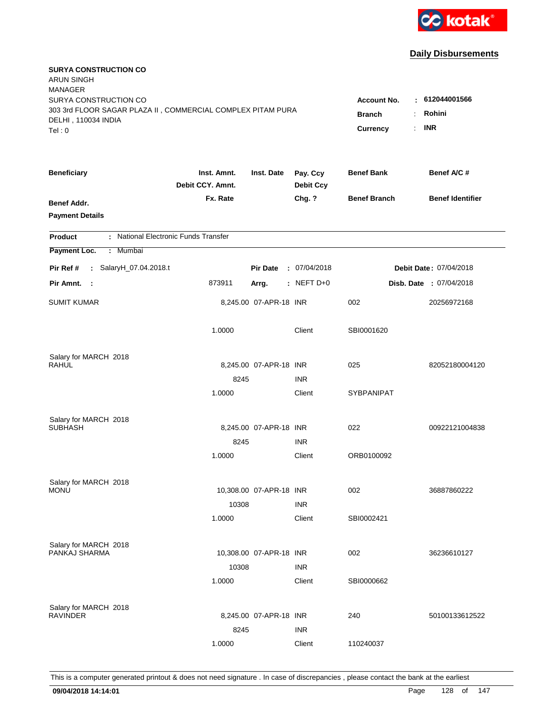

| <b>SURYA CONSTRUCTION CO</b><br><b>ARUN SINGH</b><br><b>MANAGER</b><br>SURYA CONSTRUCTION CO |                                      |                         |                              | <b>Account No.</b>  | : 612044001566                 |
|----------------------------------------------------------------------------------------------|--------------------------------------|-------------------------|------------------------------|---------------------|--------------------------------|
| 303 3rd FLOOR SAGAR PLAZA II, COMMERCIAL COMPLEX PITAM PURA<br>DELHI, 110034 INDIA<br>Tel: 0 | <b>Branch</b><br>÷<br>Currency<br>÷. | Rohini<br><b>INR</b>    |                              |                     |                                |
| <b>Beneficiary</b>                                                                           | Inst. Amnt.<br>Debit CCY. Amnt.      | Inst. Date              | Pay. Ccy<br><b>Debit Ccy</b> | <b>Benef Bank</b>   | Benef A/C #                    |
| Benef Addr.<br><b>Payment Details</b>                                                        | Fx. Rate                             |                         | Chg. ?                       | <b>Benef Branch</b> | <b>Benef Identifier</b>        |
| : National Electronic Funds Transfer<br><b>Product</b>                                       |                                      |                         |                              |                     |                                |
| Payment Loc.<br>: Mumbai                                                                     |                                      |                         |                              |                     |                                |
| : SalaryH_07.04.2018.t<br>Pir Ref #                                                          |                                      | <b>Pir Date</b>         | : 07/04/2018                 |                     | Debit Date: 07/04/2018         |
| Pir Amnt. :                                                                                  | 873911                               | Arrg.                   | : NEFT $D+0$                 |                     | <b>Disb. Date : 07/04/2018</b> |
| <b>SUMIT KUMAR</b>                                                                           |                                      | 8,245.00 07-APR-18 INR  |                              | 002                 | 20256972168                    |
|                                                                                              | 1.0000                               |                         | Client                       | SBI0001620          |                                |
| Salary for MARCH 2018<br><b>RAHUL</b>                                                        |                                      |                         |                              |                     |                                |
|                                                                                              | 8245                                 | 8,245.00 07-APR-18 INR  | <b>INR</b>                   | 025                 | 82052180004120                 |
|                                                                                              | 1.0000                               |                         | Client                       | SYBPANIPAT          |                                |
| Salary for MARCH 2018<br><b>SUBHASH</b>                                                      |                                      | 8,245.00 07-APR-18 INR  |                              | 022                 | 00922121004838                 |
|                                                                                              | 8245                                 |                         | <b>INR</b>                   |                     |                                |
|                                                                                              | 1.0000                               |                         | Client                       | ORB0100092          |                                |
| Salary for MARCH 2018                                                                        |                                      |                         |                              |                     |                                |
| <b>MONU</b>                                                                                  |                                      | 10,308.00 07-APR-18 INR |                              | 002                 | 36887860222                    |
|                                                                                              | 10308<br>1.0000                      |                         | <b>INR</b><br>Client         | SBI0002421          |                                |
|                                                                                              |                                      |                         |                              |                     |                                |
| Salary for MARCH 2018                                                                        |                                      | 10,308.00 07-APR-18 INR |                              |                     | 36236610127                    |
| PANKAJ SHARMA                                                                                | 10308                                |                         | <b>INR</b>                   | 002                 |                                |
|                                                                                              | 1.0000                               |                         | Client                       | SBI0000662          |                                |
| Salary for MARCH 2018                                                                        |                                      |                         |                              |                     |                                |
| <b>RAVINDER</b>                                                                              |                                      | 8,245.00 07-APR-18 INR  |                              | 240                 | 50100133612522                 |
|                                                                                              | 8245                                 |                         | <b>INR</b>                   |                     |                                |
|                                                                                              | 1.0000                               |                         | Client                       | 110240037           |                                |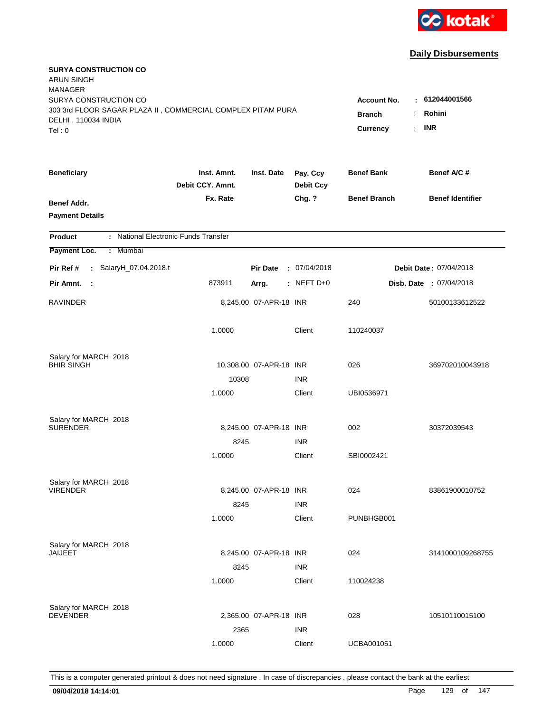

| <b>SURYA CONSTRUCTION CO</b><br><b>ARUN SINGH</b><br><b>MANAGER</b><br>SURYA CONSTRUCTION CO |                                       |                                        |                              | <b>Account No.</b>  |                                |
|----------------------------------------------------------------------------------------------|---------------------------------------|----------------------------------------|------------------------------|---------------------|--------------------------------|
| 303 3rd FLOOR SAGAR PLAZA II, COMMERCIAL COMPLEX PITAM PURA<br>DELHI, 110034 INDIA<br>Tel: 0 | <b>Branch</b><br>÷.<br>Currency<br>÷. | : 612044001566<br>Rohini<br><b>INR</b> |                              |                     |                                |
| <b>Beneficiary</b>                                                                           | Inst. Amnt.<br>Debit CCY. Amnt.       | Inst. Date                             | Pay. Ccy<br><b>Debit Ccy</b> | <b>Benef Bank</b>   | Benef A/C #                    |
| Benef Addr.<br><b>Payment Details</b>                                                        | Fx. Rate                              |                                        | Chg. ?                       | <b>Benef Branch</b> | <b>Benef Identifier</b>        |
| : National Electronic Funds Transfer<br><b>Product</b>                                       |                                       |                                        |                              |                     |                                |
| Payment Loc.<br><b>Mumbai</b><br>÷.                                                          |                                       |                                        |                              |                     |                                |
| : SalaryH_07.04.2018.t<br>Pir Ref #                                                          |                                       | <b>Pir Date</b>                        | : 07/04/2018                 |                     | <b>Debit Date: 07/04/2018</b>  |
| Pir Amnt. :                                                                                  | 873911                                | Arrg.                                  | : NEFT $D+0$                 |                     | <b>Disb. Date : 07/04/2018</b> |
| <b>RAVINDER</b>                                                                              |                                       | 8,245.00 07-APR-18 INR                 |                              | 240                 | 50100133612522                 |
|                                                                                              | 1.0000                                |                                        | Client                       | 110240037           |                                |
| Salary for MARCH 2018                                                                        |                                       |                                        |                              |                     |                                |
| <b>BHIR SINGH</b>                                                                            | 10308                                 | 10,308.00 07-APR-18 INR                | <b>INR</b>                   | 026                 | 369702010043918                |
|                                                                                              | 1.0000                                |                                        | Client                       | UBI0536971          |                                |
| Salary for MARCH 2018<br><b>SURENDER</b>                                                     |                                       | 8,245.00 07-APR-18 INR                 |                              | 002                 | 30372039543                    |
|                                                                                              | 8245                                  |                                        | <b>INR</b>                   |                     |                                |
|                                                                                              | 1.0000                                |                                        | Client                       | SBI0002421          |                                |
| Salary for MARCH 2018                                                                        |                                       |                                        |                              |                     |                                |
| <b>VIRENDER</b>                                                                              |                                       | 8,245.00 07-APR-18 INR                 |                              | 024                 | 83861900010752                 |
|                                                                                              | 8245                                  |                                        | <b>INR</b>                   |                     |                                |
|                                                                                              | 1.0000                                |                                        | Client                       | PUNBHGB001          |                                |
| Salary for MARCH 2018                                                                        |                                       |                                        |                              |                     |                                |
| JAIJEET                                                                                      |                                       | 8,245.00 07-APR-18 INR                 |                              | 024                 | 3141000109268755               |
|                                                                                              | 8245                                  |                                        | <b>INR</b>                   |                     |                                |
|                                                                                              | 1.0000                                |                                        | Client                       | 110024238           |                                |
| Salary for MARCH 2018                                                                        |                                       |                                        |                              |                     |                                |
| <b>DEVENDER</b>                                                                              |                                       | 2,365.00 07-APR-18 INR                 |                              | 028                 | 10510110015100                 |
|                                                                                              | 2365                                  |                                        | <b>INR</b>                   |                     |                                |
|                                                                                              | 1.0000                                |                                        | Client                       | <b>UCBA001051</b>   |                                |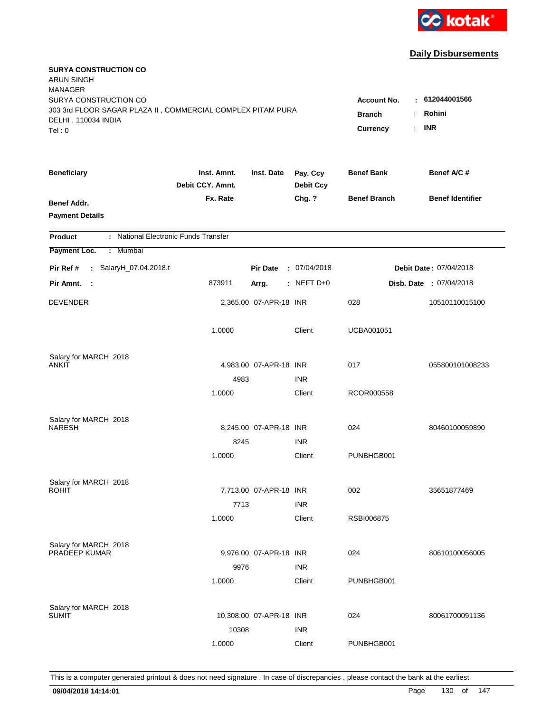

| <b>SURYA CONSTRUCTION CO</b><br><b>ARUN SINGH</b><br><b>MANAGER</b>                  |                                 |                         |                              |                                          |                                |
|--------------------------------------------------------------------------------------|---------------------------------|-------------------------|------------------------------|------------------------------------------|--------------------------------|
| SURYA CONSTRUCTION CO<br>303 3rd FLOOR SAGAR PLAZA II, COMMERCIAL COMPLEX PITAM PURA |                                 |                         |                              | <b>Account No.</b><br><b>Branch</b><br>÷ | : 612044001566<br>Rohini       |
| DELHI, 110034 INDIA<br>Tel: 0                                                        |                                 |                         |                              | Currency<br>÷.                           | <b>INR</b>                     |
| <b>Beneficiary</b>                                                                   | Inst. Amnt.<br>Debit CCY. Amnt. | Inst. Date              | Pay. Ccy<br><b>Debit Ccy</b> | <b>Benef Bank</b>                        | Benef A/C #                    |
| Benef Addr.<br><b>Payment Details</b>                                                | Fx. Rate                        |                         | Chg. ?                       | <b>Benef Branch</b>                      | <b>Benef Identifier</b>        |
| : National Electronic Funds Transfer<br><b>Product</b>                               |                                 |                         |                              |                                          |                                |
| Payment Loc.<br><b>Mumbai</b><br>÷.                                                  |                                 |                         |                              |                                          |                                |
| : SalaryH_07.04.2018.t<br>Pir Ref #                                                  |                                 | <b>Pir Date</b>         | : 07/04/2018                 |                                          | Debit Date: 07/04/2018         |
| Pir Amnt. :                                                                          | 873911                          | Arrg.                   | : NEFT $D+0$                 |                                          | <b>Disb. Date : 07/04/2018</b> |
| <b>DEVENDER</b>                                                                      |                                 | 2,365.00 07-APR-18 INR  |                              | 028                                      | 10510110015100                 |
|                                                                                      | 1.0000                          |                         | Client                       | <b>UCBA001051</b>                        |                                |
| Salary for MARCH 2018                                                                |                                 |                         |                              |                                          |                                |
| <b>ANKIT</b>                                                                         |                                 | 4,983.00 07-APR-18 INR  |                              | 017                                      | 055800101008233                |
|                                                                                      | 4983                            |                         | <b>INR</b>                   |                                          |                                |
|                                                                                      | 1.0000                          |                         | Client                       | RCOR000558                               |                                |
| Salary for MARCH 2018                                                                |                                 |                         |                              |                                          |                                |
| <b>NARESH</b>                                                                        |                                 | 8,245.00 07-APR-18 INR  |                              | 024                                      | 80460100059890                 |
|                                                                                      | 8245                            |                         | <b>INR</b>                   |                                          |                                |
|                                                                                      | 1.0000                          |                         | Client                       | PUNBHGB001                               |                                |
| Salary for MARCH 2018                                                                |                                 |                         |                              |                                          |                                |
| <b>ROHIT</b>                                                                         |                                 | 7,713.00 07-APR-18 INR  |                              | 002                                      | 35651877469                    |
|                                                                                      | 7713                            |                         | <b>INR</b>                   |                                          |                                |
|                                                                                      | 1.0000                          |                         | Client                       | RSBI006875                               |                                |
| Salary for MARCH 2018                                                                |                                 |                         |                              |                                          |                                |
| PRADEEP KUMAR                                                                        |                                 | 9,976.00 07-APR-18 INR  |                              | 024                                      | 80610100056005                 |
|                                                                                      | 9976                            |                         | <b>INR</b>                   |                                          |                                |
|                                                                                      | 1.0000                          |                         | Client                       | PUNBHGB001                               |                                |
| Salary for MARCH 2018                                                                |                                 |                         |                              |                                          |                                |
| <b>SUMIT</b>                                                                         |                                 | 10,308.00 07-APR-18 INR |                              | 024                                      | 80061700091136                 |
|                                                                                      | 10308                           |                         | <b>INR</b>                   |                                          |                                |
|                                                                                      | 1.0000                          |                         | Client                       | PUNBHGB001                               |                                |
|                                                                                      |                                 |                         |                              |                                          |                                |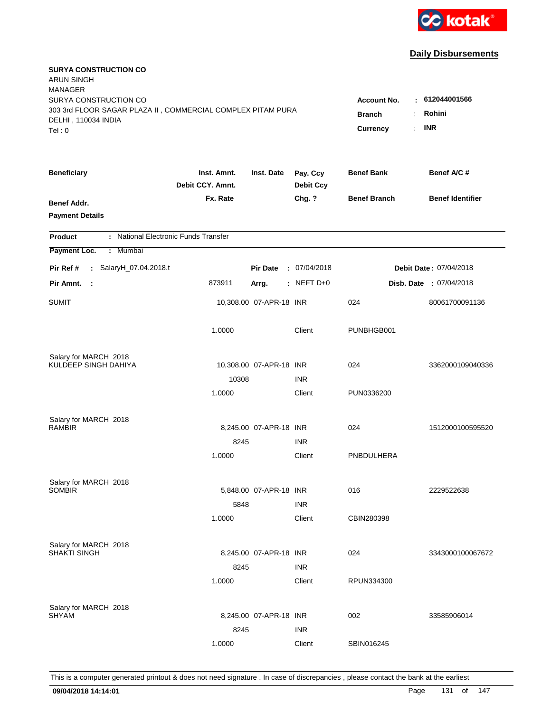

| <b>SURYA CONSTRUCTION CO</b><br><b>ARUN SINGH</b><br><b>MANAGER</b><br>SURYA CONSTRUCTION CO |                                 |                         |                                        | <b>Account No.</b>   | $\pm 612044001566$      |
|----------------------------------------------------------------------------------------------|---------------------------------|-------------------------|----------------------------------------|----------------------|-------------------------|
| 303 3rd FLOOR SAGAR PLAZA II, COMMERCIAL COMPLEX PITAM PURA<br>DELHI, 110034 INDIA<br>Tel: 0 |                                 |                         | <b>Branch</b><br><b>Currency</b><br>÷. | Rohini<br><b>INR</b> |                         |
| <b>Beneficiary</b>                                                                           | Inst. Amnt.<br>Debit CCY. Amnt. | Inst. Date              | Pay. Ccy<br><b>Debit Ccy</b>           | <b>Benef Bank</b>    | Benef A/C #             |
| Benef Addr.<br><b>Payment Details</b>                                                        | Fx. Rate                        |                         | Chg. ?                                 | <b>Benef Branch</b>  | <b>Benef Identifier</b> |
| : National Electronic Funds Transfer<br><b>Product</b>                                       |                                 |                         |                                        |                      |                         |
| Payment Loc.<br>Mumbai<br>÷.                                                                 |                                 |                         |                                        |                      |                         |
| : SalaryH_07.04.2018.t<br>Pir Ref #                                                          |                                 | <b>Pir Date</b>         | : 07/04/2018                           |                      | Debit Date: 07/04/2018  |
| Pir Amnt.<br>- 1                                                                             | 873911                          | Arrg.                   | : NEFT $D+0$                           |                      | Disb. Date : 07/04/2018 |
| <b>SUMIT</b>                                                                                 |                                 | 10,308.00 07-APR-18 INR |                                        | 024                  | 80061700091136          |
|                                                                                              | 1.0000                          |                         | Client                                 | PUNBHGB001           |                         |
| Salary for MARCH 2018                                                                        |                                 |                         |                                        |                      |                         |
| KULDEEP SINGH DAHIYA                                                                         | 10308                           | 10,308.00 07-APR-18 INR | <b>INR</b>                             | 024                  | 3362000109040336        |
|                                                                                              | 1.0000                          |                         | Client                                 | PUN0336200           |                         |
| Salary for MARCH 2018<br><b>RAMBIR</b>                                                       |                                 | 8.245.00 07-APR-18 INR  |                                        | 024                  | 1512000100595520        |
|                                                                                              | 8245                            |                         | <b>INR</b>                             |                      |                         |
|                                                                                              | 1.0000                          |                         | Client                                 | PNBDULHERA           |                         |
| Salary for MARCH 2018                                                                        |                                 |                         |                                        |                      |                         |
| <b>SOMBIR</b>                                                                                |                                 | 5,848.00 07-APR-18 INR  |                                        | 016                  | 2229522638              |
|                                                                                              | 5848                            |                         | <b>INR</b>                             |                      |                         |
|                                                                                              | 1.0000                          |                         | Client                                 | CBIN280398           |                         |
| Salary for MARCH 2018                                                                        |                                 |                         |                                        |                      |                         |
| <b>SHAKTI SINGH</b>                                                                          |                                 | 8,245.00 07-APR-18 INR  |                                        | 024                  | 3343000100067672        |
|                                                                                              | 8245                            |                         | <b>INR</b>                             |                      |                         |
|                                                                                              | 1.0000                          |                         | Client                                 | RPUN334300           |                         |
| Salary for MARCH 2018                                                                        |                                 |                         |                                        |                      |                         |
| <b>SHYAM</b>                                                                                 |                                 | 8,245.00 07-APR-18 INR  |                                        | 002                  | 33585906014             |
|                                                                                              | 8245                            |                         | <b>INR</b>                             |                      |                         |
|                                                                                              | 1.0000                          |                         | Client                                 | SBIN016245           |                         |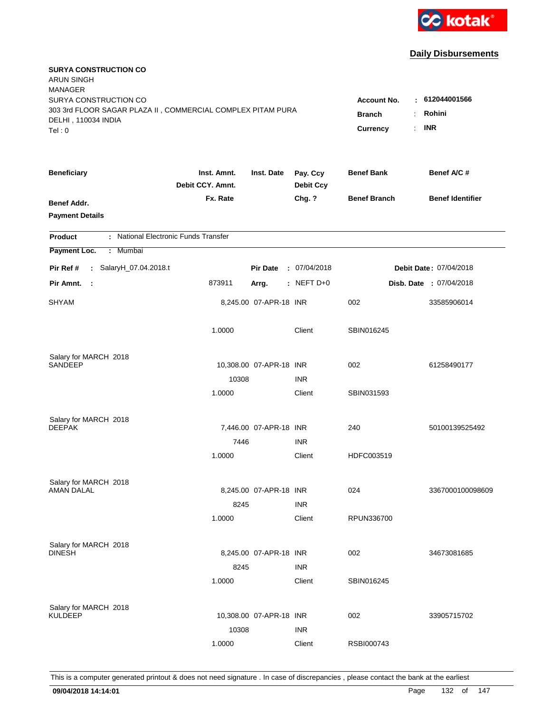

| <b>SURYA CONSTRUCTION CO</b><br><b>ARUN SINGH</b><br><b>MANAGER</b>                                                   |                                                                   |                                            |                              |                     |                         |
|-----------------------------------------------------------------------------------------------------------------------|-------------------------------------------------------------------|--------------------------------------------|------------------------------|---------------------|-------------------------|
| SURYA CONSTRUCTION CO<br>303 3rd FLOOR SAGAR PLAZA II, COMMERCIAL COMPLEX PITAM PURA<br>DELHI, 110034 INDIA<br>Tel: 0 | <b>Account No.</b><br><b>Branch</b><br>÷<br><b>Currency</b><br>÷. | $\pm 612044001566$<br>Rohini<br><b>INR</b> |                              |                     |                         |
| <b>Beneficiary</b>                                                                                                    | Inst. Amnt.<br>Debit CCY. Amnt.                                   | Inst. Date                                 | Pay. Ccy<br><b>Debit Ccy</b> | <b>Benef Bank</b>   | Benef A/C #             |
| Benef Addr.<br><b>Payment Details</b>                                                                                 | Fx. Rate                                                          |                                            | Chg. ?                       | <b>Benef Branch</b> | <b>Benef Identifier</b> |
| : National Electronic Funds Transfer<br><b>Product</b>                                                                |                                                                   |                                            |                              |                     |                         |
| Payment Loc.<br>Mumbai<br>÷.                                                                                          |                                                                   |                                            |                              |                     |                         |
| : SalaryH_07.04.2018.t<br>Pir Ref #                                                                                   |                                                                   | <b>Pir Date</b>                            | : 07/04/2018                 |                     | Debit Date: 07/04/2018  |
| Pir Amnt.<br>- 1                                                                                                      | 873911                                                            | Arrg.                                      | $:$ NEFT D+0                 |                     | Disb. Date : 07/04/2018 |
| <b>SHYAM</b>                                                                                                          |                                                                   | 8,245.00 07-APR-18 INR                     |                              | 002                 | 33585906014             |
|                                                                                                                       | 1.0000                                                            |                                            | Client                       | SBIN016245          |                         |
| Salary for MARCH 2018                                                                                                 |                                                                   |                                            |                              |                     |                         |
| <b>SANDEEP</b>                                                                                                        |                                                                   | 10,308.00 07-APR-18 INR                    |                              | 002                 | 61258490177             |
|                                                                                                                       | 10308<br>1.0000                                                   |                                            | <b>INR</b><br>Client         | SBIN031593          |                         |
| Salary for MARCH 2018<br><b>DEEPAK</b>                                                                                |                                                                   | 7,446.00 07-APR-18 INR                     |                              | 240                 | 50100139525492          |
|                                                                                                                       | 7446                                                              |                                            | <b>INR</b>                   |                     |                         |
|                                                                                                                       | 1.0000                                                            |                                            | Client                       | HDFC003519          |                         |
| Salary for MARCH 2018                                                                                                 |                                                                   |                                            |                              |                     |                         |
| <b>AMAN DALAL</b>                                                                                                     |                                                                   | 8,245.00 07-APR-18 INR                     |                              | 024                 | 3367000100098609        |
|                                                                                                                       | 8245<br>1.0000                                                    |                                            | <b>INR</b><br>Client         | RPUN336700          |                         |
| Salary for MARCH 2018<br><b>DINESH</b>                                                                                |                                                                   | 8,245.00 07-APR-18 INR                     |                              | 002                 | 34673081685             |
|                                                                                                                       | 8245                                                              |                                            | <b>INR</b>                   |                     |                         |
|                                                                                                                       | 1.0000                                                            |                                            | Client                       | SBIN016245          |                         |
| Salary for MARCH 2018<br><b>KULDEEP</b>                                                                               | 10308                                                             | 10,308.00 07-APR-18 INR                    | <b>INR</b>                   | 002                 | 33905715702             |
|                                                                                                                       | 1.0000                                                            |                                            | Client                       | RSBI000743          |                         |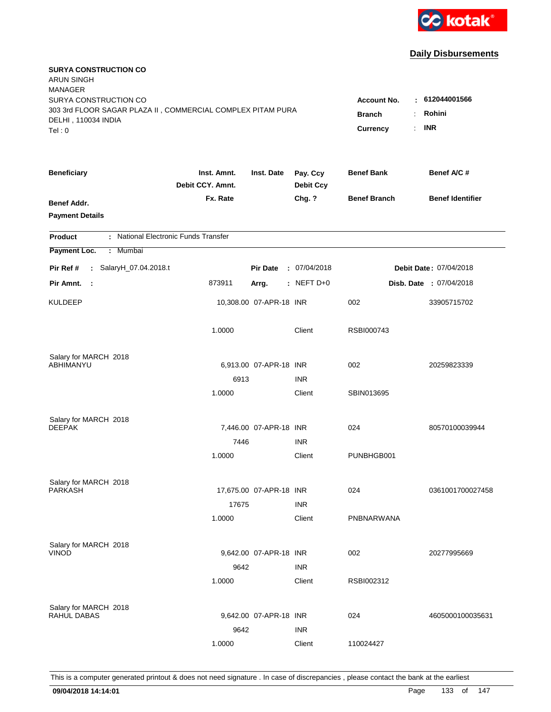

| <b>SURYA CONSTRUCTION CO</b><br><b>ARUN SINGH</b><br><b>MANAGER</b>                                         |                                          |                         |                              |                     |                         |
|-------------------------------------------------------------------------------------------------------------|------------------------------------------|-------------------------|------------------------------|---------------------|-------------------------|
| SURYA CONSTRUCTION CO<br>303 3rd FLOOR SAGAR PLAZA II, COMMERCIAL COMPLEX PITAM PURA<br>DELHI, 110034 INDIA | <b>Account No.</b><br>٠<br><b>Branch</b> | 612044001566<br>Rohini  |                              |                     |                         |
| Tel: 0                                                                                                      |                                          |                         |                              | Currency<br>÷.      | <b>INR</b>              |
| <b>Beneficiary</b>                                                                                          | Inst. Amnt.<br>Debit CCY. Amnt.          | Inst. Date              | Pay. Ccy<br><b>Debit Ccy</b> | <b>Benef Bank</b>   | Benef A/C #             |
| <b>Benef Addr.</b><br><b>Payment Details</b>                                                                | Fx. Rate                                 |                         | Chg. ?                       | <b>Benef Branch</b> | <b>Benef Identifier</b> |
| : National Electronic Funds Transfer<br><b>Product</b>                                                      |                                          |                         |                              |                     |                         |
| Payment Loc.<br>Mumbai<br>÷.                                                                                |                                          |                         |                              |                     |                         |
| : SalaryH_07.04.2018.t<br>Pir Ref #                                                                         |                                          | <b>Pir Date</b>         | : 07/04/2018                 |                     | Debit Date: 07/04/2018  |
| Pir Amnt.<br>$\sim$                                                                                         | 873911                                   | Arrg.                   | : NEFT $D+0$                 |                     | Disb. Date : 07/04/2018 |
| <b>KULDEEP</b>                                                                                              |                                          | 10,308.00 07-APR-18 INR |                              | 002                 | 33905715702             |
|                                                                                                             | 1.0000                                   |                         | Client                       | RSBI000743          |                         |
| Salary for MARCH 2018                                                                                       |                                          |                         |                              |                     |                         |
| ABHIMANYU                                                                                                   |                                          | 6,913.00 07-APR-18 INR  | <b>INR</b>                   | 002                 | 20259823339             |
|                                                                                                             | 6913<br>1.0000                           |                         | Client                       | SBIN013695          |                         |
| Salary for MARCH 2018<br><b>DEEPAK</b>                                                                      |                                          | 7,446.00 07-APR-18 INR  |                              | 024                 | 80570100039944          |
|                                                                                                             | 7446                                     |                         | <b>INR</b>                   |                     |                         |
|                                                                                                             | 1.0000                                   |                         | Client                       | PUNBHGB001          |                         |
| Salary for MARCH 2018                                                                                       |                                          |                         |                              |                     |                         |
| PARKASH                                                                                                     |                                          | 17,675.00 07-APR-18 INR |                              | 024                 | 0361001700027458        |
|                                                                                                             | 17675<br>1.0000                          |                         | <b>INR</b><br>Client         | PNBNARWANA          |                         |
| Salary for MARCH 2018<br><b>VINOD</b>                                                                       |                                          | 9,642.00 07-APR-18 INR  |                              | 002                 | 20277995669             |
|                                                                                                             | 9642                                     |                         | <b>INR</b>                   |                     |                         |
|                                                                                                             | 1.0000                                   |                         | Client                       | RSBI002312          |                         |
| Salary for MARCH 2018<br>RAHUL DABAS                                                                        |                                          | 9,642.00 07-APR-18 INR  |                              | 024                 | 4605000100035631        |
|                                                                                                             | 9642                                     |                         | <b>INR</b>                   |                     |                         |
|                                                                                                             | 1.0000                                   |                         | Client                       | 110024427           |                         |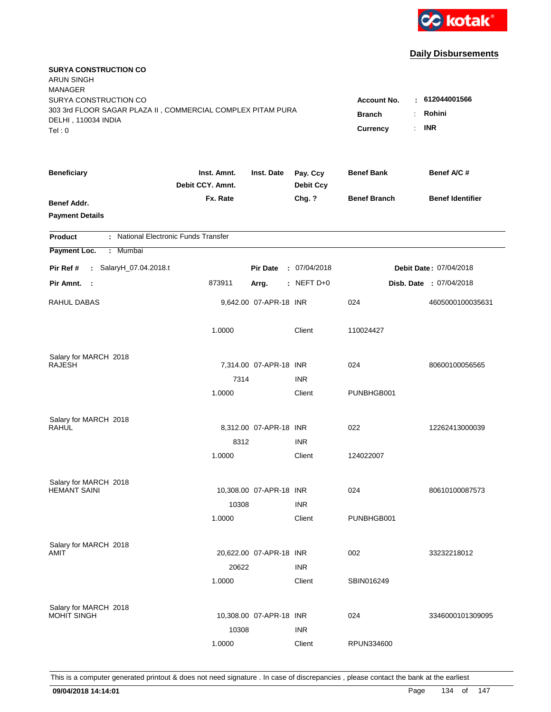

| <b>SURYA CONSTRUCTION CO</b><br><b>ARUN SINGH</b><br><b>MANAGER</b><br>SURYA CONSTRUCTION CO |                                 |                                       |                              | <b>Account No.</b>  | : 612044001566                 |
|----------------------------------------------------------------------------------------------|---------------------------------|---------------------------------------|------------------------------|---------------------|--------------------------------|
| 303 3rd FLOOR SAGAR PLAZA II, COMMERCIAL COMPLEX PITAM PURA<br>DELHI, 110034 INDIA<br>Tel: 0 |                                 | <b>Branch</b><br>÷.<br>Currency<br>÷. | Rohini<br><b>INR</b>         |                     |                                |
| <b>Beneficiary</b>                                                                           | Inst. Amnt.<br>Debit CCY. Amnt. | Inst. Date                            | Pay. Ccy<br><b>Debit Ccy</b> | <b>Benef Bank</b>   | Benef A/C #                    |
| Benef Addr.<br><b>Payment Details</b>                                                        | Fx. Rate                        |                                       | Chg. ?                       | <b>Benef Branch</b> | <b>Benef Identifier</b>        |
| : National Electronic Funds Transfer<br><b>Product</b>                                       |                                 |                                       |                              |                     |                                |
| Payment Loc.<br>: Mumbai                                                                     |                                 |                                       |                              |                     |                                |
| : SalaryH_07.04.2018.t<br>Pir Ref #                                                          |                                 | <b>Pir Date</b>                       | : 07/04/2018                 |                     | Debit Date: 07/04/2018         |
| Pir Amnt. :                                                                                  | 873911                          | Arrg.                                 | : NEFT $D+0$                 |                     | <b>Disb. Date : 07/04/2018</b> |
| <b>RAHUL DABAS</b>                                                                           |                                 | 9,642.00 07-APR-18 INR                |                              | 024                 | 4605000100035631               |
|                                                                                              | 1.0000                          |                                       | Client                       | 110024427           |                                |
| Salary for MARCH 2018                                                                        |                                 |                                       |                              |                     |                                |
| <b>RAJESH</b>                                                                                | 7314                            | 7,314.00 07-APR-18 INR                | <b>INR</b>                   | 024                 | 80600100056565                 |
|                                                                                              | 1.0000                          |                                       | Client                       | PUNBHGB001          |                                |
| Salary for MARCH 2018<br><b>RAHUL</b>                                                        |                                 | 8,312.00 07-APR-18 INR                |                              | 022                 | 12262413000039                 |
|                                                                                              | 8312                            |                                       | <b>INR</b>                   |                     |                                |
|                                                                                              | 1.0000                          |                                       | Client                       | 124022007           |                                |
| Salary for MARCH 2018                                                                        |                                 |                                       |                              |                     |                                |
| <b>HEMANT SAINI</b>                                                                          |                                 | 10,308.00 07-APR-18 INR               |                              | 024                 | 80610100087573                 |
|                                                                                              | 10308                           |                                       | <b>INR</b>                   |                     |                                |
|                                                                                              | 1.0000                          |                                       | Client                       | PUNBHGB001          |                                |
| Salary for MARCH 2018                                                                        |                                 |                                       |                              |                     |                                |
| AMIT                                                                                         |                                 | 20,622.00 07-APR-18 INR               |                              | 002                 | 33232218012                    |
|                                                                                              | 20622                           |                                       | <b>INR</b>                   |                     |                                |
|                                                                                              | 1.0000                          |                                       | Client                       | SBIN016249          |                                |
| Salary for MARCH 2018                                                                        |                                 |                                       |                              |                     |                                |
| MOHIT SINGH                                                                                  |                                 | 10,308.00 07-APR-18 INR               |                              | 024                 | 3346000101309095               |
|                                                                                              | 10308                           |                                       | <b>INR</b>                   |                     |                                |
|                                                                                              | 1.0000                          |                                       | Client                       | RPUN334600          |                                |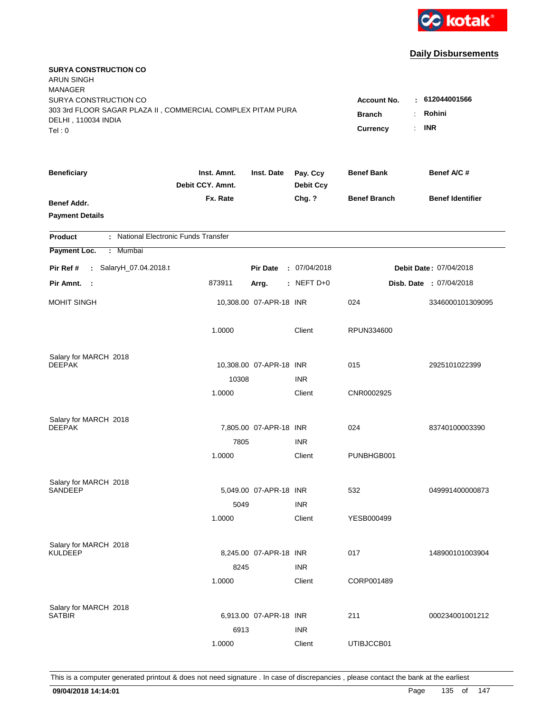

| <b>SURYA CONSTRUCTION CO</b><br><b>ARUN SINGH</b><br><b>MANAGER</b>                                                   |                                                                                    |                                        |                              |                     |                                |
|-----------------------------------------------------------------------------------------------------------------------|------------------------------------------------------------------------------------|----------------------------------------|------------------------------|---------------------|--------------------------------|
| SURYA CONSTRUCTION CO<br>303 3rd FLOOR SAGAR PLAZA II, COMMERCIAL COMPLEX PITAM PURA<br>DELHI, 110034 INDIA<br>Tel: 0 | <b>Account No.</b><br><b>Branch</b><br>÷.<br>Currency<br>$\mathbb{R}^{\mathbb{Z}}$ | : 612044001566<br>Rohini<br><b>INR</b> |                              |                     |                                |
| <b>Beneficiary</b>                                                                                                    | Inst. Amnt.<br>Debit CCY, Amnt.                                                    | Inst. Date                             | Pay. Ccy<br><b>Debit Ccy</b> | <b>Benef Bank</b>   | Benef A/C #                    |
| Benef Addr.<br><b>Payment Details</b>                                                                                 | Fx. Rate                                                                           |                                        | Chg. ?                       | <b>Benef Branch</b> | <b>Benef Identifier</b>        |
| : National Electronic Funds Transfer<br><b>Product</b>                                                                |                                                                                    |                                        |                              |                     |                                |
| Payment Loc.<br>Mumbai<br>÷.                                                                                          |                                                                                    |                                        |                              |                     |                                |
| : SalaryH_07.04.2018.t<br>Pir Ref #                                                                                   |                                                                                    | <b>Pir Date</b>                        | : 07/04/2018                 |                     | Debit Date: 07/04/2018         |
| Pir Amnt. :                                                                                                           | 873911                                                                             | Arrg.                                  | $:$ NEFT D+0                 |                     | <b>Disb. Date : 07/04/2018</b> |
| <b>MOHIT SINGH</b>                                                                                                    |                                                                                    | 10,308.00 07-APR-18 INR                |                              | 024                 | 3346000101309095               |
|                                                                                                                       | 1.0000                                                                             |                                        | Client                       | RPUN334600          |                                |
| Salary for MARCH 2018                                                                                                 |                                                                                    |                                        |                              |                     |                                |
| <b>DEEPAK</b>                                                                                                         |                                                                                    | 10,308.00 07-APR-18 INR                |                              | 015                 | 2925101022399                  |
|                                                                                                                       | 10308<br>1.0000                                                                    |                                        | <b>INR</b><br>Client         | CNR0002925          |                                |
| Salary for MARCH 2018<br><b>DEEPAK</b>                                                                                |                                                                                    | 7,805.00 07-APR-18 INR                 |                              | 024                 | 83740100003390                 |
|                                                                                                                       | 7805<br>1.0000                                                                     |                                        | <b>INR</b><br>Client         | PUNBHGB001          |                                |
| Salary for MARCH 2018<br><b>SANDEEP</b>                                                                               | 5049                                                                               | 5,049.00 07-APR-18 INR                 | <b>INR</b>                   | 532                 | 049991400000873                |
|                                                                                                                       | 1.0000                                                                             |                                        | Client                       | YESB000499          |                                |
| Salary for MARCH 2018<br><b>KULDEEP</b>                                                                               | 8245                                                                               | 8,245.00 07-APR-18 INR                 | <b>INR</b>                   | 017                 | 148900101003904                |
|                                                                                                                       | 1.0000                                                                             |                                        | Client                       | CORP001489          |                                |
| Salary for MARCH 2018<br><b>SATBIR</b>                                                                                | 6913                                                                               | 6,913.00 07-APR-18 INR                 | <b>INR</b>                   | 211                 | 000234001001212                |
|                                                                                                                       | 1.0000                                                                             |                                        | Client                       | UTIBJCCB01          |                                |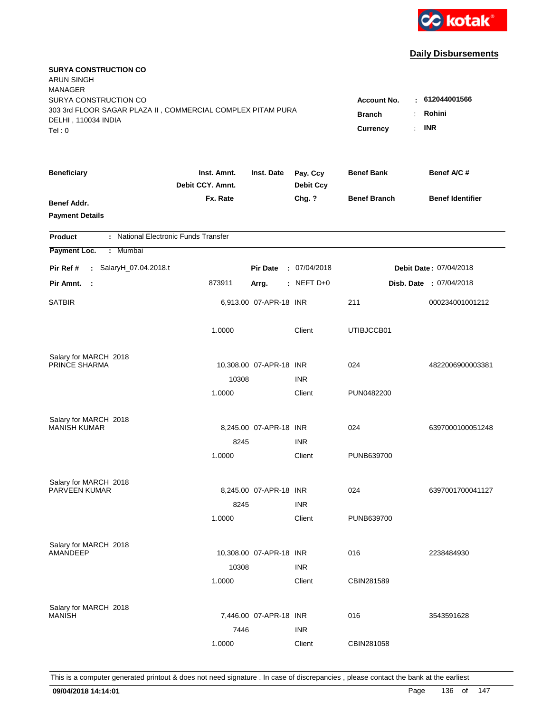

| <b>SURYA CONSTRUCTION CO</b><br><b>ARUN SINGH</b><br><b>MANAGER</b><br>SURYA CONSTRUCTION CO |                                                              |                         |                              | <b>Account No.</b>  | : 612044001566          |
|----------------------------------------------------------------------------------------------|--------------------------------------------------------------|-------------------------|------------------------------|---------------------|-------------------------|
| 303 3rd FLOOR SAGAR PLAZA II, COMMERCIAL COMPLEX PITAM PURA<br>DELHI, 110034 INDIA<br>Tel: 0 | Rohini<br><b>Branch</b><br>÷<br><b>INR</b><br>Currency<br>÷. |                         |                              |                     |                         |
| <b>Beneficiary</b>                                                                           | Inst. Amnt.<br>Debit CCY. Amnt.                              | Inst. Date              | Pay. Ccy<br><b>Debit Ccy</b> | <b>Benef Bank</b>   | Benef A/C #             |
| Benef Addr.<br><b>Payment Details</b>                                                        | Fx. Rate                                                     |                         | Chg. ?                       | <b>Benef Branch</b> | <b>Benef Identifier</b> |
| : National Electronic Funds Transfer<br><b>Product</b>                                       |                                                              |                         |                              |                     |                         |
| Payment Loc.<br>Mumbai<br>÷.                                                                 |                                                              |                         |                              |                     |                         |
| : SalaryH_07.04.2018.t<br>Pir Ref #                                                          |                                                              | <b>Pir Date</b>         | : 07/04/2018                 |                     | Debit Date: 07/04/2018  |
| Pir Amnt.<br>- 1                                                                             | 873911                                                       | Arrg.                   | : NEFT $D+0$                 |                     | Disb. Date : 07/04/2018 |
| <b>SATBIR</b>                                                                                |                                                              | 6,913.00 07-APR-18 INR  |                              | 211                 | 000234001001212         |
|                                                                                              | 1.0000                                                       |                         | Client                       | UTIBJCCB01          |                         |
| Salary for MARCH 2018<br>PRINCE SHARMA                                                       |                                                              |                         |                              | 024                 |                         |
|                                                                                              | 10308                                                        | 10,308.00 07-APR-18 INR | <b>INR</b>                   |                     | 4822006900003381        |
|                                                                                              | 1.0000                                                       |                         | Client                       | PUN0482200          |                         |
| Salary for MARCH 2018<br><b>MANISH KUMAR</b>                                                 |                                                              | 8,245.00 07-APR-18 INR  |                              | 024                 | 6397000100051248        |
|                                                                                              | 8245                                                         |                         | <b>INR</b>                   |                     |                         |
|                                                                                              | 1.0000                                                       |                         | Client                       | PUNB639700          |                         |
| Salary for MARCH 2018                                                                        |                                                              |                         |                              |                     |                         |
| PARVEEN KUMAR                                                                                |                                                              | 8,245.00 07-APR-18 INR  |                              | 024                 | 6397001700041127        |
|                                                                                              | 8245                                                         |                         | <b>INR</b>                   |                     |                         |
|                                                                                              | 1.0000                                                       |                         | Client                       | PUNB639700          |                         |
| Salary for MARCH 2018                                                                        |                                                              |                         |                              |                     |                         |
| AMANDEEP                                                                                     |                                                              | 10,308.00 07-APR-18 INR |                              | 016                 | 2238484930              |
|                                                                                              | 10308                                                        |                         | <b>INR</b>                   |                     |                         |
|                                                                                              | 1.0000                                                       |                         | Client                       | CBIN281589          |                         |
| Salary for MARCH 2018                                                                        |                                                              |                         |                              |                     |                         |
| <b>MANISH</b>                                                                                |                                                              | 7,446.00 07-APR-18 INR  |                              | 016                 | 3543591628              |
|                                                                                              | 7446                                                         |                         | <b>INR</b>                   |                     |                         |
|                                                                                              | 1.0000                                                       |                         | Client                       | CBIN281058          |                         |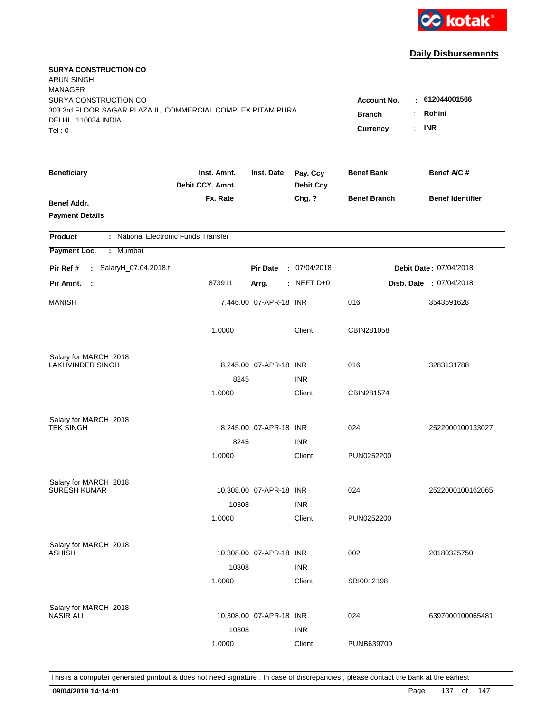

| <b>SURYA CONSTRUCTION CO</b><br><b>ARUN SINGH</b><br><b>MANAGER</b>                                                   |                                                       |                                        |                              |                     |                         |
|-----------------------------------------------------------------------------------------------------------------------|-------------------------------------------------------|----------------------------------------|------------------------------|---------------------|-------------------------|
| SURYA CONSTRUCTION CO<br>303 3rd FLOOR SAGAR PLAZA II, COMMERCIAL COMPLEX PITAM PURA<br>DELHI, 110034 INDIA<br>Tel: 0 | <b>Account No.</b><br><b>Branch</b><br>Currency<br>÷. | : 612044001566<br>Rohini<br><b>INR</b> |                              |                     |                         |
|                                                                                                                       |                                                       |                                        |                              |                     |                         |
| <b>Beneficiary</b>                                                                                                    | Inst. Amnt.<br>Debit CCY. Amnt.                       | Inst. Date                             | Pay. Ccy<br><b>Debit Ccy</b> | <b>Benef Bank</b>   | Benef A/C #             |
| Benef Addr.<br><b>Payment Details</b>                                                                                 | Fx. Rate                                              |                                        | Chg. ?                       | <b>Benef Branch</b> | <b>Benef Identifier</b> |
| : National Electronic Funds Transfer<br><b>Product</b>                                                                |                                                       |                                        |                              |                     |                         |
| Payment Loc.<br>: Mumbai                                                                                              |                                                       |                                        |                              |                     |                         |
| : SalaryH_07.04.2018.t<br>Pir Ref #                                                                                   |                                                       | <b>Pir Date</b>                        | : 07/04/2018                 |                     | Debit Date: 07/04/2018  |
| Pir Amnt.<br>$\mathbb{R}^2$                                                                                           | 873911                                                | Arrg.                                  | : NEFT $D+0$                 |                     | Disb. Date: 07/04/2018  |
| <b>MANISH</b>                                                                                                         |                                                       | 7,446.00 07-APR-18 INR                 |                              | 016                 | 3543591628              |
|                                                                                                                       | 1.0000                                                |                                        | Client                       | CBIN281058          |                         |
| Salary for MARCH 2018                                                                                                 |                                                       |                                        |                              |                     |                         |
| <b>LAKHVINDER SINGH</b>                                                                                               |                                                       | 8,245.00 07-APR-18 INR                 |                              | 016                 | 3283131788              |
|                                                                                                                       | 8245<br>1.0000                                        |                                        | <b>INR</b><br>Client         | CBIN281574          |                         |
|                                                                                                                       |                                                       |                                        |                              |                     |                         |
| Salary for MARCH 2018                                                                                                 |                                                       |                                        |                              |                     |                         |
| <b>TEK SINGH</b>                                                                                                      |                                                       | 8,245.00 07-APR-18 INR                 |                              | 024                 | 2522000100133027        |
|                                                                                                                       | 8245                                                  |                                        | <b>INR</b>                   |                     |                         |
|                                                                                                                       | 1.0000                                                |                                        | Client                       | PUN0252200          |                         |
| Salary for MARCH 2018                                                                                                 |                                                       |                                        |                              |                     |                         |
| <b>SURESH KUMAR</b>                                                                                                   |                                                       | 10,308.00 07-APR-18 INR                |                              | 024                 | 2522000100162065        |
|                                                                                                                       | 10308                                                 |                                        | <b>INR</b>                   |                     |                         |
|                                                                                                                       | 1.0000                                                |                                        | Client                       | PUN0252200          |                         |
| Salary for MARCH 2018                                                                                                 |                                                       |                                        |                              |                     |                         |
| <b>ASHISH</b>                                                                                                         |                                                       | 10,308.00 07-APR-18 INR                |                              | 002                 | 20180325750             |
|                                                                                                                       | 10308                                                 |                                        | <b>INR</b>                   |                     |                         |
|                                                                                                                       | 1.0000                                                |                                        | Client                       | SBI0012198          |                         |
| Salary for MARCH 2018                                                                                                 |                                                       |                                        |                              |                     |                         |
| <b>NASIR ALI</b>                                                                                                      |                                                       | 10,308.00 07-APR-18 INR                |                              | 024                 | 6397000100065481        |
|                                                                                                                       | 10308                                                 |                                        | <b>INR</b>                   |                     |                         |
|                                                                                                                       | 1.0000                                                |                                        | Client                       | PUNB639700          |                         |
|                                                                                                                       |                                                       |                                        |                              |                     |                         |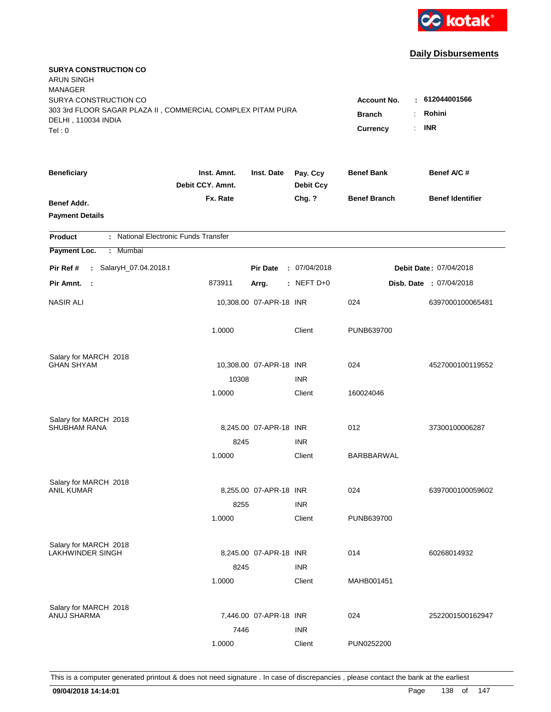

| <b>SURYA CONSTRUCTION CO</b><br><b>ARUN SINGH</b><br><b>MANAGER</b>                                                   |                                                                       |                                         |                              |                     |                                |
|-----------------------------------------------------------------------------------------------------------------------|-----------------------------------------------------------------------|-----------------------------------------|------------------------------|---------------------|--------------------------------|
| SURYA CONSTRUCTION CO<br>303 3rd FLOOR SAGAR PLAZA II, COMMERCIAL COMPLEX PITAM PURA<br>DELHI, 110034 INDIA<br>Tel: 0 | <b>Account No.</b><br><b>Branch</b><br>÷.<br>Currency<br>$\mathbf{r}$ | $-612044001566$<br>Rohini<br><b>INR</b> |                              |                     |                                |
| <b>Beneficiary</b>                                                                                                    | Inst. Amnt.<br>Debit CCY. Amnt.                                       | Inst. Date                              | Pay. Ccy<br><b>Debit Ccy</b> | <b>Benef Bank</b>   | Benef A/C #                    |
| Benef Addr.<br><b>Payment Details</b>                                                                                 | Fx. Rate                                                              |                                         | Chg. ?                       | <b>Benef Branch</b> | <b>Benef Identifier</b>        |
| : National Electronic Funds Transfer<br><b>Product</b>                                                                |                                                                       |                                         |                              |                     |                                |
| Payment Loc.<br>Mumbai<br>÷.                                                                                          |                                                                       |                                         |                              |                     |                                |
| : SalaryH_07.04.2018.t<br>Pir Ref #                                                                                   |                                                                       | <b>Pir Date</b>                         | : 07/04/2018                 |                     | Debit Date: 07/04/2018         |
| Pir Amnt.<br>- 1                                                                                                      | 873911                                                                | Arrg.                                   | $:$ NEFT D+0                 |                     | <b>Disb. Date : 07/04/2018</b> |
| <b>NASIR ALI</b>                                                                                                      |                                                                       | 10,308.00 07-APR-18 INR                 |                              | 024                 | 6397000100065481               |
|                                                                                                                       | 1.0000                                                                |                                         | Client                       | PUNB639700          |                                |
| Salary for MARCH 2018                                                                                                 |                                                                       |                                         |                              |                     |                                |
| <b>GHAN SHYAM</b>                                                                                                     |                                                                       | 10,308.00 07-APR-18 INR                 |                              | 024                 | 4527000100119552               |
|                                                                                                                       | 10308                                                                 |                                         | <b>INR</b>                   |                     |                                |
|                                                                                                                       | 1.0000                                                                |                                         | Client                       | 160024046           |                                |
| Salary for MARCH 2018                                                                                                 |                                                                       |                                         |                              |                     |                                |
| <b>SHUBHAM RANA</b>                                                                                                   |                                                                       | 8.245.00 07-APR-18 INR                  |                              | 012                 | 37300100006287                 |
|                                                                                                                       | 8245                                                                  |                                         | <b>INR</b>                   |                     |                                |
|                                                                                                                       | 1.0000                                                                |                                         | Client                       | BARBBARWAL          |                                |
| Salary for MARCH 2018                                                                                                 |                                                                       |                                         |                              |                     |                                |
| <b>ANIL KUMAR</b>                                                                                                     |                                                                       | 8,255.00 07-APR-18 INR                  |                              | 024                 | 6397000100059602               |
|                                                                                                                       | 8255                                                                  |                                         | <b>INR</b>                   |                     |                                |
|                                                                                                                       | 1.0000                                                                |                                         | Client                       | PUNB639700          |                                |
| Salary for MARCH 2018                                                                                                 |                                                                       |                                         |                              |                     |                                |
| LAKHWINDER SINGH                                                                                                      |                                                                       | 8,245.00 07-APR-18 INR                  |                              | 014                 | 60268014932                    |
|                                                                                                                       | 8245                                                                  |                                         | <b>INR</b>                   |                     |                                |
|                                                                                                                       | 1.0000                                                                |                                         | Client                       | MAHB001451          |                                |
| Salary for MARCH 2018                                                                                                 |                                                                       |                                         |                              |                     |                                |
| ANUJ SHARMA                                                                                                           |                                                                       | 7,446.00 07-APR-18 INR                  |                              | 024                 | 2522001500162947               |
|                                                                                                                       | 7446                                                                  |                                         | <b>INR</b>                   |                     |                                |
|                                                                                                                       | 1.0000                                                                |                                         | Client                       | PUN0252200          |                                |
|                                                                                                                       |                                                                       |                                         |                              |                     |                                |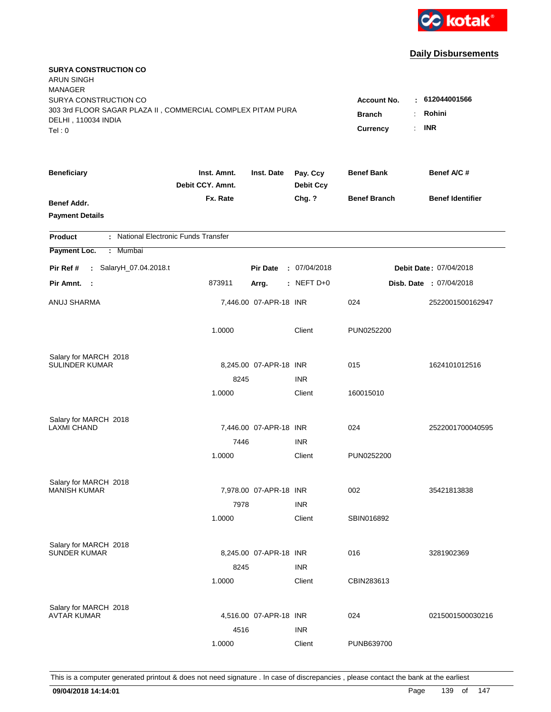

| <b>SURYA CONSTRUCTION CO</b><br><b>ARUN SINGH</b><br><b>MANAGER</b> |                                 |                        |                              |                     |                         |
|---------------------------------------------------------------------|---------------------------------|------------------------|------------------------------|---------------------|-------------------------|
| SURYA CONSTRUCTION CO                                               |                                 |                        |                              | <b>Account No.</b>  | : 612044001566          |
| 303 3rd FLOOR SAGAR PLAZA II, COMMERCIAL COMPLEX PITAM PURA         | <b>Branch</b><br>÷              | Rohini                 |                              |                     |                         |
| DELHI, 110034 INDIA                                                 |                                 |                        |                              |                     | <b>INR</b><br>÷.        |
| Tel: 0                                                              |                                 |                        |                              | Currency            |                         |
| <b>Beneficiary</b>                                                  | Inst. Amnt.<br>Debit CCY. Amnt. | Inst. Date             | Pay. Ccy<br><b>Debit Ccy</b> | <b>Benef Bank</b>   | Benef A/C#              |
| Benef Addr.                                                         | Fx. Rate                        |                        | Chg. ?                       | <b>Benef Branch</b> | <b>Benef Identifier</b> |
| <b>Payment Details</b>                                              |                                 |                        |                              |                     |                         |
| : National Electronic Funds Transfer<br><b>Product</b>              |                                 |                        |                              |                     |                         |
| Payment Loc.<br>: Mumbai                                            |                                 |                        |                              |                     |                         |
| : SalaryH_07.04.2018.t<br>Pir Ref #                                 |                                 | <b>Pir Date</b>        | : 07/04/2018                 |                     | Debit Date: 07/04/2018  |
| Pir Amnt. :                                                         | 873911                          | Arrg.                  | $:$ NEFT D+0                 |                     | Disb. Date: 07/04/2018  |
| ANUJ SHARMA                                                         |                                 | 7,446.00 07-APR-18 INR |                              | 024                 | 2522001500162947        |
|                                                                     | 1.0000                          |                        | Client                       | PUN0252200          |                         |
| Salary for MARCH 2018                                               |                                 |                        |                              |                     |                         |
| <b>SULINDER KUMAR</b>                                               |                                 | 8,245.00 07-APR-18 INR |                              | 015                 | 1624101012516           |
|                                                                     | 8245                            |                        | <b>INR</b>                   |                     |                         |
|                                                                     | 1.0000                          |                        | Client                       | 160015010           |                         |
| Salary for MARCH 2018                                               |                                 |                        |                              |                     |                         |
| <b>LAXMI CHAND</b>                                                  |                                 | 7,446.00 07-APR-18 INR |                              | 024                 | 2522001700040595        |
|                                                                     | 7446                            |                        | <b>INR</b>                   |                     |                         |
|                                                                     | 1.0000                          |                        | Client                       | PUN0252200          |                         |
| Salary for MARCH 2018<br><b>MANISH KUMAR</b>                        |                                 | 7,978.00 07-APR-18 INR |                              |                     |                         |
|                                                                     |                                 |                        |                              | 002                 | 35421813838             |
|                                                                     | 7978                            |                        | <b>INR</b>                   |                     |                         |
|                                                                     | 1.0000                          |                        | Client                       | SBIN016892          |                         |
| Salary for MARCH 2018                                               |                                 |                        |                              |                     |                         |
| <b>SUNDER KUMAR</b>                                                 |                                 | 8,245.00 07-APR-18 INR |                              | 016                 | 3281902369              |
|                                                                     | 8245                            |                        | <b>INR</b>                   |                     |                         |
|                                                                     | 1.0000                          |                        | Client                       | CBIN283613          |                         |
| Salary for MARCH 2018                                               |                                 |                        |                              |                     |                         |
| <b>AVTAR KUMAR</b>                                                  |                                 | 4,516.00 07-APR-18 INR |                              | 024                 | 0215001500030216        |
|                                                                     | 4516                            |                        | <b>INR</b>                   |                     |                         |
|                                                                     | 1.0000                          |                        | Client                       | PUNB639700          |                         |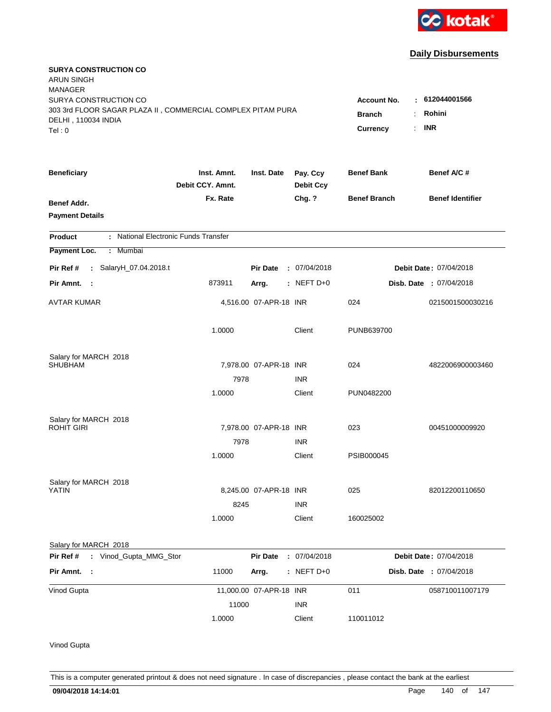

| <b>SURYA CONSTRUCTION CO</b><br><b>ARUN SINGH</b>           |                                 |                         |                              |                     |                         |
|-------------------------------------------------------------|---------------------------------|-------------------------|------------------------------|---------------------|-------------------------|
| <b>MANAGER</b>                                              |                                 |                         |                              |                     |                         |
| SURYA CONSTRUCTION CO                                       |                                 |                         |                              | <b>Account No.</b>  | 612044001566<br>٠.      |
| 303 3rd FLOOR SAGAR PLAZA II, COMMERCIAL COMPLEX PITAM PURA | <b>Branch</b>                   | Rohini                  |                              |                     |                         |
| DELHI, 110034 INDIA<br>Tel:0                                |                                 |                         |                              | <b>Currency</b>     | <b>INR</b>              |
|                                                             |                                 |                         |                              |                     |                         |
| <b>Beneficiary</b>                                          | Inst. Amnt.<br>Debit CCY. Amnt. | Inst. Date              | Pay. Ccy<br><b>Debit Ccy</b> | <b>Benef Bank</b>   | Benef A/C #             |
| Benef Addr.                                                 | Fx. Rate                        |                         | Chg. ?                       | <b>Benef Branch</b> | <b>Benef Identifier</b> |
| <b>Payment Details</b>                                      |                                 |                         |                              |                     |                         |
| : National Electronic Funds Transfer<br><b>Product</b>      |                                 |                         |                              |                     |                         |
| Payment Loc.<br>: Mumbai                                    |                                 |                         |                              |                     |                         |
| : SalaryH_07.04.2018.t<br>Pir Ref #                         |                                 | <b>Pir Date</b>         | : 07/04/2018                 |                     | Debit Date: 07/04/2018  |
| Pir Amnt.<br>- 1                                            | 873911                          | Arrg.                   | $:$ NEFT D+0                 |                     | Disb. Date : 07/04/2018 |
| <b>AVTAR KUMAR</b>                                          |                                 | 4,516.00 07-APR-18 INR  |                              | 024                 | 0215001500030216        |
|                                                             | 1.0000                          |                         | Client                       | PUNB639700          |                         |
| Salary for MARCH 2018                                       |                                 |                         |                              |                     |                         |
| SHUBHAM                                                     |                                 | 7,978.00 07-APR-18 INR  |                              | 024                 | 4822006900003460        |
|                                                             | 7978                            |                         | <b>INR</b>                   |                     |                         |
|                                                             | 1.0000                          |                         | Client                       | PUN0482200          |                         |
| Salary for MARCH 2018                                       |                                 |                         |                              |                     |                         |
| <b>ROHIT GIRI</b>                                           |                                 | 7,978.00 07-APR-18 INR  |                              | 023                 | 00451000009920          |
|                                                             | 7978                            |                         | <b>INR</b>                   |                     |                         |
|                                                             | 1.0000                          |                         | Client                       | PSIB000045          |                         |
| Salary for MARCH 2018                                       |                                 |                         |                              |                     |                         |
| YATIN                                                       |                                 | 8,245.00 07-APR-18 INR  |                              | 025                 | 82012200110650          |
|                                                             | 8245                            |                         | <b>INR</b>                   |                     |                         |
|                                                             | 1.0000                          |                         | Client                       | 160025002           |                         |
| Salary for MARCH 2018                                       |                                 |                         |                              |                     |                         |
| Pir Ref #<br>: Vinod_Gupta_MMG_Stor                         |                                 | <b>Pir Date</b>         | : 07/04/2018                 |                     | Debit Date: 07/04/2018  |
| Pir Amnt. :                                                 | 11000                           | Arrg.                   | $:$ NEFT D+0                 |                     | Disb. Date : 07/04/2018 |
| Vinod Gupta                                                 |                                 | 11,000.00 07-APR-18 INR |                              | 011                 | 058710011007179         |
|                                                             | 11000                           |                         | <b>INR</b>                   |                     |                         |
|                                                             | 1.0000                          |                         | Client                       | 110011012           |                         |
| Vinod Gupta                                                 |                                 |                         |                              |                     |                         |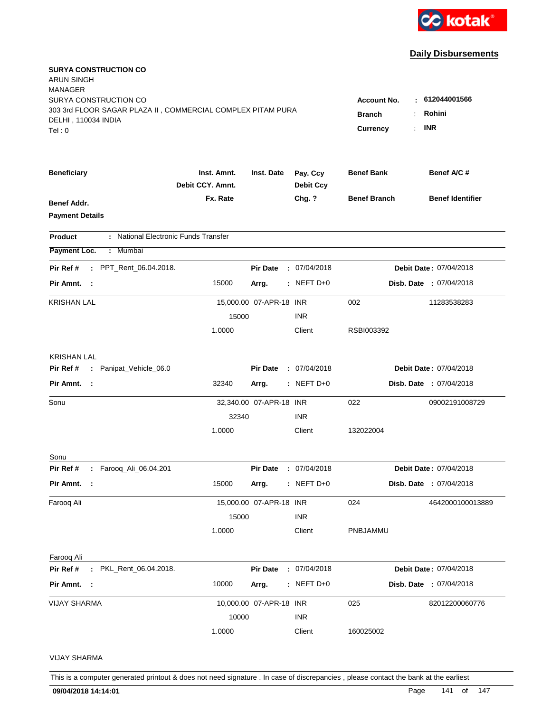

| <b>SURYA CONSTRUCTION CO</b><br>ARUN SINGH<br>MANAGER<br>SURYA CONSTRUCTION CO<br>303 3rd FLOOR SAGAR PLAZA II, COMMERCIAL COMPLEX PITAM PURA<br>DELHI, 110034 INDIA<br>Tel:0 | 612044001566<br><b>Account No.</b><br>٠<br>Rohini<br><b>Branch</b><br><b>INR</b><br><b>Currency</b><br>÷ |                         |                              |                     |                         |
|-------------------------------------------------------------------------------------------------------------------------------------------------------------------------------|----------------------------------------------------------------------------------------------------------|-------------------------|------------------------------|---------------------|-------------------------|
| <b>Beneficiary</b>                                                                                                                                                            | Inst. Amnt.<br>Debit CCY. Amnt.                                                                          | Inst. Date              | Pay. Ccy<br><b>Debit Ccy</b> | <b>Benef Bank</b>   | Benef A/C #             |
| <b>Benef Addr.</b><br><b>Payment Details</b>                                                                                                                                  | Fx. Rate                                                                                                 |                         | Chg. ?                       | <b>Benef Branch</b> | <b>Benef Identifier</b> |
| : National Electronic Funds Transfer<br>Product                                                                                                                               |                                                                                                          |                         |                              |                     |                         |
| Payment Loc.<br>Mumbai<br>÷.                                                                                                                                                  |                                                                                                          |                         |                              |                     |                         |
| Pir Ref #<br>: PPT_Rent_06.04.2018.                                                                                                                                           |                                                                                                          | <b>Pir Date</b>         | : 07/04/2018                 |                     | Debit Date: 07/04/2018  |
| Pir Amnt.<br>$\sim$ 1                                                                                                                                                         | 15000                                                                                                    | Arrg.                   | $:$ NEFT D+0                 |                     | Disb. Date : 07/04/2018 |
| <b>KRISHAN LAL</b>                                                                                                                                                            |                                                                                                          | 15,000.00 07-APR-18 INR |                              | 002                 | 11283538283             |
|                                                                                                                                                                               | 15000                                                                                                    |                         | <b>INR</b>                   |                     |                         |
|                                                                                                                                                                               | 1.0000                                                                                                   |                         | Client                       | RSBI003392          |                         |
| <b>KRISHAN LAL</b>                                                                                                                                                            |                                                                                                          |                         |                              |                     |                         |
| Pir Ref #<br>: Panipat_Vehicle_06.0                                                                                                                                           |                                                                                                          | <b>Pir Date</b>         | : 07/04/2018                 |                     | Debit Date: 07/04/2018  |
| Pir Amnt.<br>$\sim$ 1                                                                                                                                                         | 32340                                                                                                    | Arrg.                   | $:$ NEFT D+0                 |                     | Disb. Date : 07/04/2018 |
| Sonu                                                                                                                                                                          |                                                                                                          | 32,340.00 07-APR-18 INR |                              | 022                 | 09002191008729          |
|                                                                                                                                                                               | 32340                                                                                                    |                         | <b>INR</b>                   |                     |                         |
|                                                                                                                                                                               | 1.0000                                                                                                   |                         | Client                       | 132022004           |                         |
| Sonu                                                                                                                                                                          |                                                                                                          |                         |                              |                     |                         |
| : Farooq_Ali_06.04.201<br>Pir Ref #                                                                                                                                           |                                                                                                          | <b>Pir Date</b>         | : 07/04/2018                 |                     | Debit Date: 07/04/2018  |
| Pir Amnt.<br>- 1                                                                                                                                                              | 15000                                                                                                    | Arrg.                   | $:$ NEFT D+0                 |                     | Disb. Date : 07/04/2018 |
| Farooq Ali                                                                                                                                                                    |                                                                                                          | 15,000.00 07-APR-18 INR |                              | 024                 | 4642000100013889        |
|                                                                                                                                                                               | 15000                                                                                                    |                         | <b>INR</b>                   |                     |                         |
|                                                                                                                                                                               | 1.0000                                                                                                   |                         | Client                       | PNBJAMMU            |                         |
| Faroog Ali                                                                                                                                                                    |                                                                                                          |                         |                              |                     |                         |
| : PKL_Rent_06.04.2018.<br>Pir Ref #                                                                                                                                           |                                                                                                          | <b>Pir Date</b>         | : 07/04/2018                 |                     | Debit Date: 07/04/2018  |
| Pir Amnt. :                                                                                                                                                                   | 10000                                                                                                    | Arrg.                   | $:$ NEFT D+0                 |                     | Disb. Date : 07/04/2018 |
| <b>VIJAY SHARMA</b>                                                                                                                                                           |                                                                                                          | 10,000.00 07-APR-18 INR |                              | 025                 | 82012200060776          |
|                                                                                                                                                                               | 10000                                                                                                    |                         | <b>INR</b>                   |                     |                         |
|                                                                                                                                                                               | 1.0000                                                                                                   |                         | Client                       | 160025002           |                         |
| <b>VIJAY SHARMA</b>                                                                                                                                                           |                                                                                                          |                         |                              |                     |                         |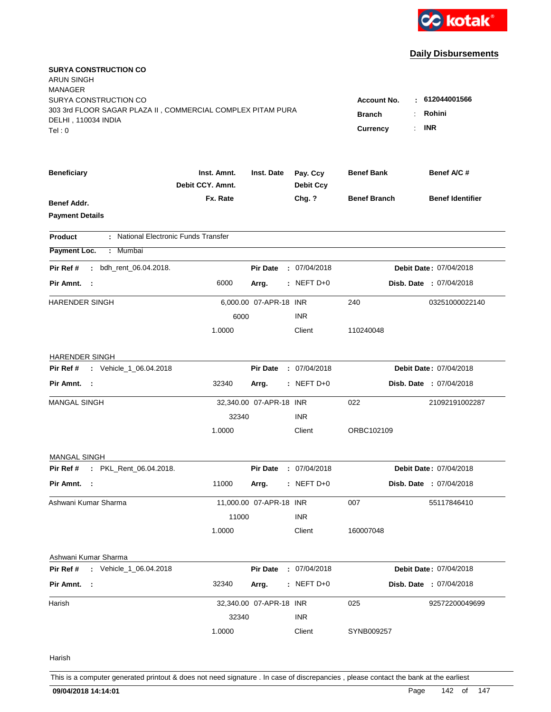

| <b>SURYA CONSTRUCTION CO</b><br>ARUN SINGH<br><b>MANAGER</b> |                                 |                         |                              |                     |                                |
|--------------------------------------------------------------|---------------------------------|-------------------------|------------------------------|---------------------|--------------------------------|
| SURYA CONSTRUCTION CO                                        |                                 |                         |                              | <b>Account No.</b>  | : 612044001566                 |
| 303 3rd FLOOR SAGAR PLAZA II, COMMERCIAL COMPLEX PITAM PURA  | <b>Branch</b><br>÷              | Rohini                  |                              |                     |                                |
| DELHI, 110034 INDIA<br>Tel:0                                 |                                 |                         |                              | Currency            | <b>INR</b>                     |
|                                                              |                                 |                         |                              |                     |                                |
| <b>Beneficiary</b>                                           | Inst. Amnt.<br>Debit CCY. Amnt. | Inst. Date              | Pay. Ccy<br><b>Debit Ccy</b> | <b>Benef Bank</b>   | Benef A/C #                    |
| <b>Benef Addr.</b>                                           | Fx. Rate                        |                         | Chg. ?                       | <b>Benef Branch</b> | <b>Benef Identifier</b>        |
| <b>Payment Details</b>                                       |                                 |                         |                              |                     |                                |
| : National Electronic Funds Transfer<br><b>Product</b>       |                                 |                         |                              |                     |                                |
| Payment Loc.<br>: Mumbai                                     |                                 |                         |                              |                     |                                |
| bdh_rent_06.04.2018.<br>Pir Ref #                            |                                 | <b>Pir Date</b>         | : 07/04/2018                 |                     | Debit Date: 07/04/2018         |
| Pir Amnt. :                                                  | 6000                            | Arrg.                   | $:$ NEFT D+0                 |                     | <b>Disb. Date : 07/04/2018</b> |
| HARENDER SINGH                                               |                                 | 6,000.00 07-APR-18 INR  |                              | 240                 | 03251000022140                 |
|                                                              | 6000                            |                         | <b>INR</b>                   |                     |                                |
|                                                              | 1.0000                          |                         | Client                       | 110240048           |                                |
| <b>HARENDER SINGH</b>                                        |                                 |                         |                              |                     |                                |
| : Vehicle_1_06.04.2018<br>Pir Ref #                          |                                 | <b>Pir Date</b>         | : 07/04/2018                 |                     | Debit Date: 07/04/2018         |
| Pir Amnt. :                                                  | 32340                           | Arrg.                   | $:$ NEFT D+0                 |                     | <b>Disb. Date : 07/04/2018</b> |
| <b>MANGAL SINGH</b>                                          |                                 | 32,340.00 07-APR-18 INR |                              | 022                 | 21092191002287                 |
|                                                              | 32340                           |                         | <b>INR</b>                   |                     |                                |
|                                                              | 1.0000                          |                         | Client                       | ORBC102109          |                                |
| <b>MANGAL SINGH</b>                                          |                                 |                         |                              |                     |                                |
| : PKL_Rent_06.04.2018.<br>Pir Ref #                          |                                 | <b>Pir Date</b>         | : 07/04/2018                 |                     | Debit Date: 07/04/2018         |
| Pir Amnt. :                                                  | 11000                           | Arrg.                   | $:$ NEFT D+0                 |                     | Disb. Date : 07/04/2018        |
| Ashwani Kumar Sharma                                         |                                 | 11,000.00 07-APR-18 INR |                              | 007                 | 55117846410                    |
|                                                              | 11000                           |                         | <b>INR</b>                   |                     |                                |
|                                                              | 1.0000                          |                         | Client                       | 160007048           |                                |
| Ashwani Kumar Sharma                                         |                                 |                         |                              |                     |                                |
| : Vehicle_1_06.04.2018<br>Pir Ref #                          |                                 | <b>Pir Date</b>         | : 07/04/2018                 |                     | Debit Date: 07/04/2018         |
| Pir Amnt. :                                                  | 32340                           | Arrg.                   | $:$ NEFT D+0                 |                     | Disb. Date : 07/04/2018        |
| Harish                                                       |                                 | 32,340.00 07-APR-18 INR |                              | 025                 | 92572200049699                 |
|                                                              | 32340                           |                         | <b>INR</b>                   |                     |                                |
|                                                              | 1.0000                          |                         | Client                       | SYNB009257          |                                |
| Harish                                                       |                                 |                         |                              |                     |                                |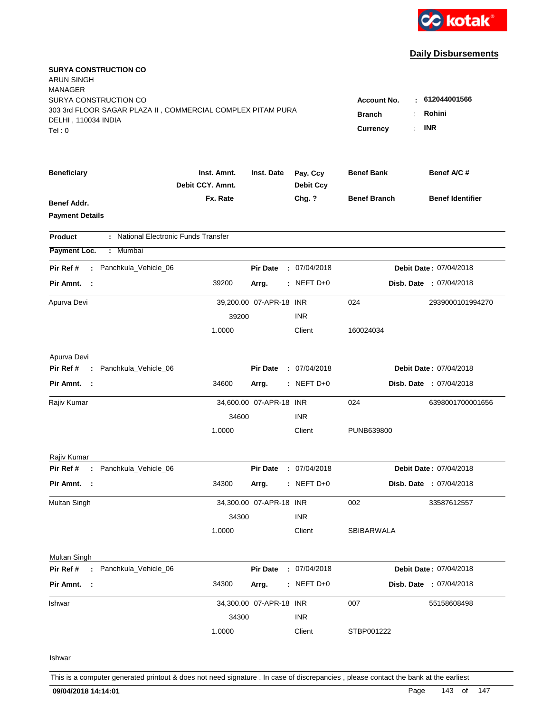

| <b>SURYA CONSTRUCTION CO</b><br>ARUN SINGH<br><b>MANAGER</b>                                                |                                     |                          |                              |                     |                                |
|-------------------------------------------------------------------------------------------------------------|-------------------------------------|--------------------------|------------------------------|---------------------|--------------------------------|
| SURYA CONSTRUCTION CO<br>303 3rd FLOOR SAGAR PLAZA II, COMMERCIAL COMPLEX PITAM PURA<br>DELHI, 110034 INDIA | <b>Account No.</b><br><b>Branch</b> | : 612044001566<br>Rohini |                              |                     |                                |
| Tel:0                                                                                                       |                                     |                          |                              | <b>Currency</b>     | <b>INR</b>                     |
| <b>Beneficiary</b>                                                                                          | Inst. Amnt.<br>Debit CCY. Amnt.     | Inst. Date               | Pay. Ccy<br><b>Debit Ccy</b> | <b>Benef Bank</b>   | Benef A/C #                    |
| Benef Addr.<br><b>Payment Details</b>                                                                       | Fx. Rate                            |                          | Chg. ?                       | <b>Benef Branch</b> | <b>Benef Identifier</b>        |
| : National Electronic Funds Transfer<br><b>Product</b>                                                      |                                     |                          |                              |                     |                                |
| Payment Loc.<br>: Mumbai                                                                                    |                                     |                          |                              |                     |                                |
| : Panchkula_Vehicle_06<br>Pir Ref #                                                                         |                                     | <b>Pir Date</b>          | : 07/04/2018                 |                     | Debit Date: 07/04/2018         |
| Pir Amnt. :                                                                                                 | 39200                               | Arrg.                    | $:$ NEFT D+0                 |                     | Disb. Date : 07/04/2018        |
| Apurva Devi                                                                                                 |                                     | 39,200.00 07-APR-18 INR  |                              | 024                 | 2939000101994270               |
|                                                                                                             | 39200                               |                          | <b>INR</b>                   |                     |                                |
|                                                                                                             | 1.0000                              |                          | Client                       | 160024034           |                                |
| Apurva Devi                                                                                                 |                                     |                          |                              |                     |                                |
| : Panchkula_Vehicle_06<br>Pir Ref #                                                                         |                                     | <b>Pir Date</b>          | : 07/04/2018                 |                     | Debit Date: 07/04/2018         |
| Pir Amnt. :                                                                                                 | 34600                               | Arrg.                    | $:$ NEFT D+0                 |                     | <b>Disb. Date : 07/04/2018</b> |
| Rajiv Kumar                                                                                                 |                                     | 34,600.00 07-APR-18 INR  |                              | 024                 | 6398001700001656               |
|                                                                                                             | 34600                               |                          | <b>INR</b>                   |                     |                                |
|                                                                                                             | 1.0000                              |                          | Client                       | PUNB639800          |                                |
| Rajiv Kumar                                                                                                 |                                     |                          |                              |                     |                                |
| Pir Ref # : Panchkula_Vehicle_06                                                                            |                                     | <b>Pir Date</b>          | : 07/04/2018                 |                     | Debit Date: 07/04/2018         |
| Pir Amnt. :                                                                                                 | 34300                               | Arrg.                    | $:$ NEFT D+0                 |                     | Disb. Date : 07/04/2018        |
| Multan Singh                                                                                                |                                     | 34,300.00 07-APR-18 INR  |                              | 002                 | 33587612557                    |
|                                                                                                             | 34300                               |                          | <b>INR</b>                   |                     |                                |
|                                                                                                             | 1.0000                              |                          | Client                       | SBIBARWALA          |                                |
| Multan Singh                                                                                                |                                     |                          |                              |                     |                                |
| : Panchkula_Vehicle_06<br>Pir Ref #                                                                         |                                     | <b>Pir Date</b>          | : 07/04/2018                 |                     | Debit Date: 07/04/2018         |
| Pir Amnt. :                                                                                                 | 34300                               | Arrg.                    | $:$ NEFT D+0                 |                     | Disb. Date : 07/04/2018        |
| Ishwar                                                                                                      |                                     | 34,300.00 07-APR-18 INR  |                              | 007                 | 55158608498                    |
|                                                                                                             | 34300                               |                          | <b>INR</b>                   |                     |                                |
|                                                                                                             | 1.0000                              |                          | Client                       | STBP001222          |                                |
| Ishwar                                                                                                      |                                     |                          |                              |                     |                                |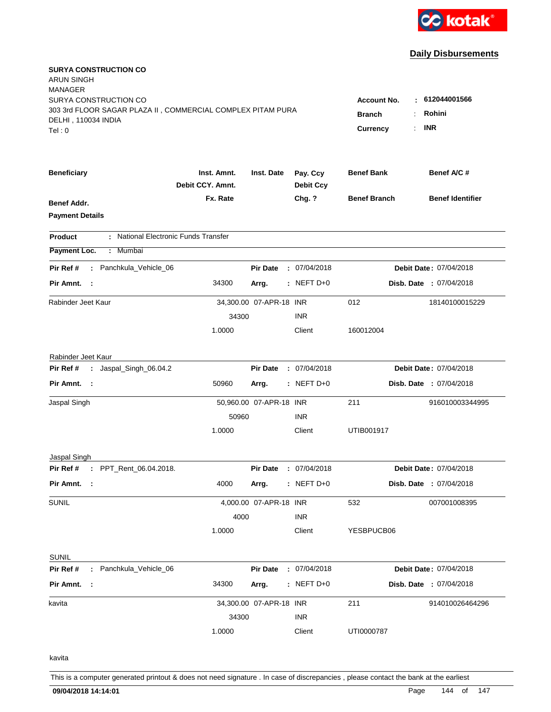

| <b>SURYA CONSTRUCTION CO</b><br>ARUN SINGH<br><b>MANAGER</b><br>SURYA CONSTRUCTION CO       |                                 |                         |                              | ٠                                                           | 612044001566                   |
|---------------------------------------------------------------------------------------------|---------------------------------|-------------------------|------------------------------|-------------------------------------------------------------|--------------------------------|
| 303 3rd FLOOR SAGAR PLAZA II, COMMERCIAL COMPLEX PITAM PURA<br>DELHI, 110034 INDIA<br>Tel:0 |                                 |                         |                              | <b>Account No.</b><br><b>Branch</b><br><b>Currency</b><br>÷ | Rohini<br><b>INR</b>           |
| <b>Beneficiary</b>                                                                          | Inst. Amnt.<br>Debit CCY. Amnt. | Inst. Date              | Pay. Ccy<br><b>Debit Ccy</b> | <b>Benef Bank</b>                                           | Benef A/C #                    |
| <b>Benef Addr.</b><br><b>Payment Details</b>                                                | Fx. Rate                        |                         | Chg. ?                       | <b>Benef Branch</b>                                         | <b>Benef Identifier</b>        |
| : National Electronic Funds Transfer<br><b>Product</b>                                      |                                 |                         |                              |                                                             |                                |
| Payment Loc.<br>Mumbai<br>÷.                                                                |                                 |                         |                              |                                                             |                                |
| Pir Ref #<br>Panchkula_Vehicle_06<br>÷.                                                     |                                 | <b>Pir Date</b>         | : 07/04/2018                 |                                                             | Debit Date: 07/04/2018         |
| Pir Amnt.<br>- 1                                                                            | 34300                           | Arrg.                   | $:$ NEFT D+0                 |                                                             | <b>Disb. Date : 07/04/2018</b> |
| Rabinder Jeet Kaur                                                                          |                                 | 34,300.00 07-APR-18 INR |                              | 012                                                         | 18140100015229                 |
|                                                                                             | 34300                           |                         | <b>INR</b>                   |                                                             |                                |
|                                                                                             | 1.0000                          |                         | Client                       | 160012004                                                   |                                |
| Rabinder Jeet Kaur                                                                          |                                 |                         |                              |                                                             |                                |
| : Jaspal_Singh_06.04.2<br>Pir Ref #                                                         |                                 | <b>Pir Date</b>         | : 07/04/2018                 |                                                             | Debit Date: 07/04/2018         |
| Pir Amnt.<br>$\sim$ 1                                                                       | 50960                           | Arrg.                   | $:$ NEFT D+0                 |                                                             | Disb. Date : 07/04/2018        |
| Jaspal Singh                                                                                |                                 | 50,960.00 07-APR-18 INR |                              | 211                                                         | 916010003344995                |
|                                                                                             | 50960                           |                         | <b>INR</b>                   |                                                             |                                |
|                                                                                             | 1.0000                          |                         | Client                       | UTIB001917                                                  |                                |
| Jaspal Singh                                                                                |                                 |                         |                              |                                                             |                                |
| : PPT_Rent_06.04.2018.<br>Pir Ref #                                                         |                                 | <b>Pir Date</b>         | : 07/04/2018                 |                                                             | Debit Date: 07/04/2018         |
| Pir Amnt.<br>- 1                                                                            | 4000                            | Arrg.                   | $:$ NEFT D+0                 |                                                             | Disb. Date : 07/04/2018        |
| <b>SUNIL</b>                                                                                |                                 | 4,000.00 07-APR-18 INR  |                              | 532                                                         | 007001008395                   |
|                                                                                             | 4000                            |                         | <b>INR</b>                   |                                                             |                                |
|                                                                                             | 1.0000                          |                         | Client                       | YESBPUCB06                                                  |                                |
| <b>SUNIL</b>                                                                                |                                 |                         |                              |                                                             |                                |
| Pir Ref #<br>: Panchkula_Vehicle_06                                                         |                                 | <b>Pir Date</b>         | : 07/04/2018                 |                                                             | Debit Date: 07/04/2018         |
| Pir Amnt. :                                                                                 | 34300                           | Arrg.                   | $:$ NEFT D+0                 |                                                             | Disb. Date : 07/04/2018        |
| kavita                                                                                      |                                 | 34,300.00 07-APR-18 INR |                              | 211                                                         | 914010026464296                |
|                                                                                             | 34300                           |                         | <b>INR</b>                   |                                                             |                                |
|                                                                                             | 1.0000                          |                         | Client                       | UTI0000787                                                  |                                |
| kavita                                                                                      |                                 |                         |                              |                                                             |                                |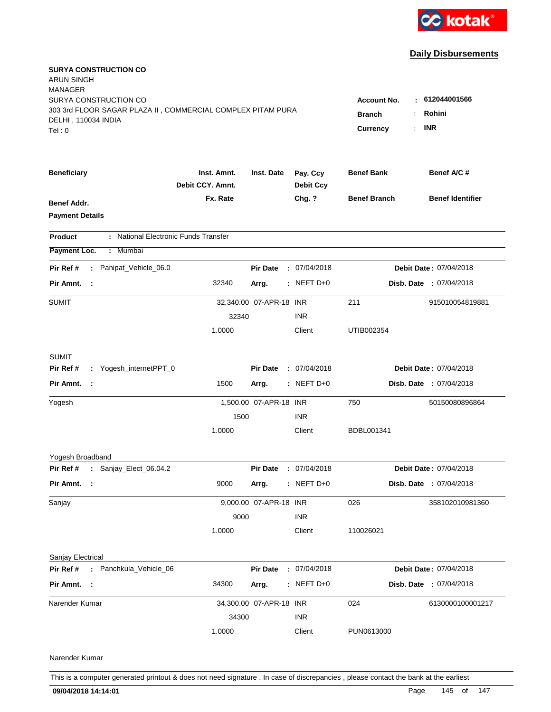

## **Daily Disbursements**

| <b>SURYA CONSTRUCTION CO</b><br>ARUN SINGH<br><b>MANAGER</b> |                                 |                         |                              |                     |                                |
|--------------------------------------------------------------|---------------------------------|-------------------------|------------------------------|---------------------|--------------------------------|
| SURYA CONSTRUCTION CO                                        | <b>Account No.</b><br>к.        | 612044001566            |                              |                     |                                |
| 303 3rd FLOOR SAGAR PLAZA II, COMMERCIAL COMPLEX PITAM PURA  | <b>Branch</b>                   | Rohini                  |                              |                     |                                |
| DELHI, 110034 INDIA                                          |                                 |                         |                              | <b>Currency</b>     | <b>INR</b>                     |
| Tel:0                                                        |                                 |                         |                              |                     |                                |
| <b>Beneficiary</b>                                           | Inst. Amnt.<br>Debit CCY. Amnt. | Inst. Date              | Pay. Ccy<br><b>Debit Ccy</b> | <b>Benef Bank</b>   | Benef A/C #                    |
| Benef Addr.                                                  | Fx. Rate                        |                         | Chg. ?                       | <b>Benef Branch</b> | <b>Benef Identifier</b>        |
| <b>Payment Details</b>                                       |                                 |                         |                              |                     |                                |
| : National Electronic Funds Transfer<br>Product              |                                 |                         |                              |                     |                                |
| Payment Loc.<br>: Mumbai                                     |                                 |                         |                              |                     |                                |
| : Panipat_Vehicle_06.0<br>Pir Ref #                          |                                 | <b>Pir Date</b>         | : 07/04/2018                 |                     | Debit Date: 07/04/2018         |
| Pir Amnt. :                                                  | 32340                           | Arrg.                   | $:$ NEFT D+0                 |                     | <b>Disb. Date : 07/04/2018</b> |
| <b>SUMIT</b>                                                 |                                 | 32,340.00 07-APR-18 INR |                              | 211                 | 915010054819881                |
|                                                              | 32340                           |                         | <b>INR</b>                   |                     |                                |
|                                                              | 1.0000                          |                         | Client                       | UTIB002354          |                                |
| <b>SUMIT</b>                                                 |                                 |                         |                              |                     |                                |
| : Yogesh_internetPPT_0<br>Pir Ref #                          | <b>Pir Date</b>                 |                         | : 07/04/2018                 |                     | Debit Date: 07/04/2018         |
| Pir Amnt. :                                                  | 1500                            | Arrg.                   | $:$ NEFT D+0                 |                     | Disb. Date : 07/04/2018        |
| Yogesh                                                       |                                 | 1,500.00 07-APR-18 INR  |                              | 750                 | 50150080896864                 |
|                                                              | 1500                            |                         | <b>INR</b>                   |                     |                                |
|                                                              | 1.0000                          |                         | Client                       | BDBL001341          |                                |
| Yogesh Broadband                                             |                                 |                         |                              |                     |                                |
| Pir Ref # : Sanjay_Elect_06.04.2                             |                                 | <b>Pir Date</b>         | : 07/04/2018                 |                     | Debit Date: 07/04/2018         |
| Pir Amnt. :                                                  | 9000                            | Arrg.                   | $:$ NEFT D+0                 |                     | Disb. Date : 07/04/2018        |
| Sanjay                                                       |                                 | 9,000.00 07-APR-18 INR  |                              | 026                 | 358102010981360                |
|                                                              | 9000                            |                         | <b>INR</b>                   |                     |                                |
|                                                              | 1.0000                          |                         | Client                       | 110026021           |                                |
| Sanjay Electrical                                            |                                 |                         |                              |                     |                                |
| Pir Ref # : Panchkula_Vehicle_06                             |                                 | <b>Pir Date</b>         | : 07/04/2018                 |                     | Debit Date: 07/04/2018         |
| Pir Amnt. :                                                  | 34300                           | Arrg.                   | : NEFT $D+0$                 |                     | Disb. Date : 07/04/2018        |
| Narender Kumar                                               |                                 | 34,300.00 07-APR-18 INR |                              | 024                 | 6130000100001217               |
|                                                              | 34300                           |                         | <b>INR</b>                   |                     |                                |
|                                                              | 1.0000                          |                         | Client                       | PUN0613000          |                                |
| Narender Kumar                                               |                                 |                         |                              |                     |                                |

This is a computer generated printout & does not need signature . In case of discrepancies , please contact the bank at the earliest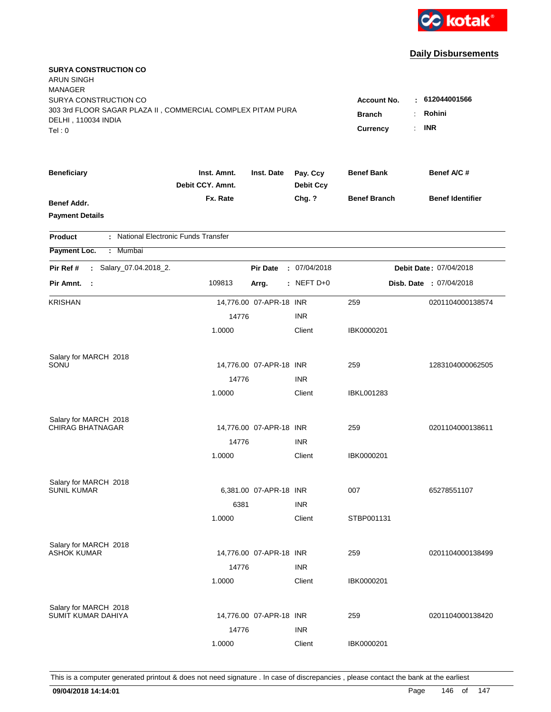

## **Daily Disbursements**

| <b>SURYA CONSTRUCTION CO</b><br><b>ARUN SINGH</b><br><b>MANAGER</b><br>SURYA CONSTRUCTION CO<br>303 3rd FLOOR SAGAR PLAZA II, COMMERCIAL COMPLEX PITAM PURA<br>DELHI, 110034 INDIA<br>Tel:0 | <b>Account No.</b><br><b>Branch</b><br><b>Currency</b><br>÷. | 612044001566<br>Rohini<br><b>INR</b> |                              |                     |                         |
|---------------------------------------------------------------------------------------------------------------------------------------------------------------------------------------------|--------------------------------------------------------------|--------------------------------------|------------------------------|---------------------|-------------------------|
| <b>Beneficiary</b>                                                                                                                                                                          | Inst. Amnt.<br>Debit CCY. Amnt.                              | Inst. Date                           | Pay. Ccy<br><b>Debit Ccy</b> | <b>Benef Bank</b>   | Benef A/C #             |
| <b>Benef Addr.</b><br><b>Payment Details</b>                                                                                                                                                | Fx. Rate                                                     |                                      | Chg. ?                       | <b>Benef Branch</b> | <b>Benef Identifier</b> |
| : National Electronic Funds Transfer<br><b>Product</b>                                                                                                                                      |                                                              |                                      |                              |                     |                         |
| Payment Loc.<br>: Mumbai                                                                                                                                                                    |                                                              |                                      |                              |                     |                         |
| Salary_07.04.2018_2.<br>Pir Ref #<br>÷.                                                                                                                                                     |                                                              | <b>Pir Date</b>                      | : 07/04/2018                 |                     | Debit Date: 07/04/2018  |
| Pir Amnt.<br>$\sim$ 1                                                                                                                                                                       | 109813                                                       | Arrg.                                | $:$ NEFT D+0                 |                     | Disb. Date : 07/04/2018 |
| <b>KRISHAN</b>                                                                                                                                                                              |                                                              | 14,776.00 07-APR-18 INR              |                              | 259                 | 0201104000138574        |
|                                                                                                                                                                                             | 14776                                                        |                                      | <b>INR</b>                   |                     |                         |
|                                                                                                                                                                                             | 1.0000                                                       |                                      | Client                       | IBK0000201          |                         |
| Salary for MARCH 2018                                                                                                                                                                       |                                                              |                                      |                              |                     |                         |
| SONU                                                                                                                                                                                        |                                                              | 14,776.00 07-APR-18 INR              |                              | 259                 | 1283104000062505        |
|                                                                                                                                                                                             | 14776                                                        |                                      | <b>INR</b>                   |                     |                         |
|                                                                                                                                                                                             | 1.0000                                                       |                                      | Client                       | <b>IBKL001283</b>   |                         |
| Salary for MARCH 2018                                                                                                                                                                       |                                                              |                                      |                              |                     |                         |
| <b>CHIRAG BHATNAGAR</b>                                                                                                                                                                     |                                                              | 14,776.00 07-APR-18 INR              |                              | 259                 | 0201104000138611        |
|                                                                                                                                                                                             | 14776                                                        |                                      | <b>INR</b>                   |                     |                         |
|                                                                                                                                                                                             | 1.0000                                                       |                                      | Client                       | IBK0000201          |                         |
| Salary for MARCH 2018                                                                                                                                                                       |                                                              |                                      |                              |                     |                         |
| <b>SUNIL KUMAR</b>                                                                                                                                                                          |                                                              | 6,381.00 07-APR-18 INR               |                              | 007                 | 65278551107             |
|                                                                                                                                                                                             | 6381                                                         |                                      | <b>INR</b>                   |                     |                         |
|                                                                                                                                                                                             | 1.0000                                                       |                                      | Client                       | STBP001131          |                         |
| Salary for MARCH 2018                                                                                                                                                                       |                                                              |                                      |                              |                     |                         |
| <b>ASHOK KUMAR</b>                                                                                                                                                                          |                                                              | 14,776.00 07-APR-18 INR              |                              | 259                 | 0201104000138499        |
|                                                                                                                                                                                             | 14776                                                        |                                      | <b>INR</b>                   |                     |                         |
|                                                                                                                                                                                             | 1.0000                                                       |                                      | Client                       | IBK0000201          |                         |
| Salary for MARCH 2018                                                                                                                                                                       |                                                              |                                      |                              |                     |                         |
| SUMIT KUMAR DAHIYA                                                                                                                                                                          |                                                              | 14,776.00 07-APR-18 INR              |                              | 259                 | 0201104000138420        |
|                                                                                                                                                                                             | 14776                                                        |                                      | <b>INR</b>                   |                     |                         |
|                                                                                                                                                                                             | 1.0000                                                       |                                      | Client                       | IBK0000201          |                         |

This is a computer generated printout & does not need signature . In case of discrepancies , please contact the bank at the earliest